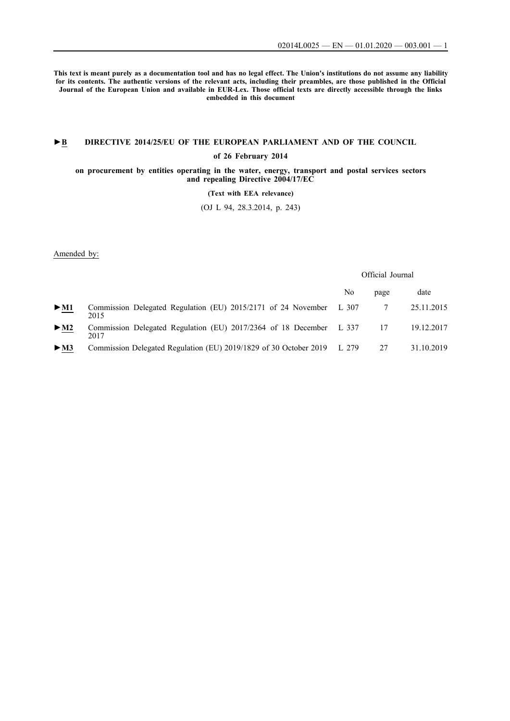**This text is meant purely as a documentation tool and has no legal effect. The Union's institutions do not assume any liability for its contents. The authentic versions of the relevant acts, including their preambles, are those published in the Official Journal of the European Union and available in EUR-Lex. Those official texts are directly accessible through the links embedded in this document**

## **►B [DIRECTIVE 2014/25/EU OF THE EUROPEAN PARLIAMENT AND OF THE COUNCIL](http://data.europa.eu/eli/dir/2014/25/oj/eng)**

### **[of 26 February 2014](http://data.europa.eu/eli/dir/2014/25/oj/eng)**

#### **[on procurement by entities operating in the water, energy, transport and postal services sectors](http://data.europa.eu/eli/dir/2014/25/oj/eng) [and repealing Directive 2004/17/EC](http://data.europa.eu/eli/dir/2014/25/oj/eng)**

### **[\(Text with EEA relevance\)](http://data.europa.eu/eli/dir/2014/25/oj/eng)**

[\(OJ L 94, 28.3.2014, p. 243\)](http://data.europa.eu/eli/dir/2014/25/oj/eng)

Amended by:

Official Journal

|                            |                                                                             | No | page | date       |
|----------------------------|-----------------------------------------------------------------------------|----|------|------------|
| $\triangleright$ <u>M1</u> | Commission Delegated Regulation (EU) 2015/2171 of 24 November L 307<br>2015 |    |      | 25.11.2015 |
| $\blacktriangleright$ M2   | Commission Delegated Regulation (EU) 2017/2364 of 18 December L 337<br>2017 |    | 17   | 19.12.2017 |
| $>$ M3                     | Commission Delegated Regulation (EU) 2019/1829 of 30 October 2019 L 279     |    | 27   | 31.10.2019 |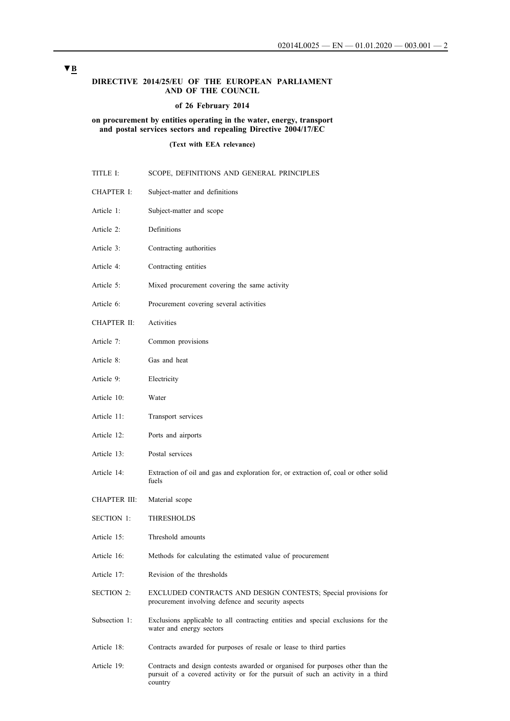### **DIRECTIVE 2014/25/EU OF THE EUROPEAN PARLIAMENT AND OF THE COUNCIL**

### **of 26 February 2014**

### **on procurement by entities operating in the water, energy, transport and postal services sectors and repealing Directive 2004/17/EC**

**(Text with EEA relevance)**

| TITLE I:          | SCOPE, DEFINITIONS AND GENERAL PRINCIPLES                                                                                                                         |
|-------------------|-------------------------------------------------------------------------------------------------------------------------------------------------------------------|
| CHAPTER I:        | Subject-matter and definitions                                                                                                                                    |
| Article 1:        | Subject-matter and scope                                                                                                                                          |
| Article 2:        | Definitions                                                                                                                                                       |
| Article 3:        | Contracting authorities                                                                                                                                           |
| Article 4:        | Contracting entities                                                                                                                                              |
| Article 5:        | Mixed procurement covering the same activity                                                                                                                      |
| Article 6:        | Procurement covering several activities                                                                                                                           |
| CHAPTER II:       | Activities                                                                                                                                                        |
| Article 7:        | Common provisions                                                                                                                                                 |
| Article 8:        | Gas and heat                                                                                                                                                      |
| Article 9:        | Electricity                                                                                                                                                       |
| Article 10:       | Water                                                                                                                                                             |
| Article 11:       | Transport services                                                                                                                                                |
| Article 12:       | Ports and airports                                                                                                                                                |
| Article 13:       | Postal services                                                                                                                                                   |
| Article 14:       | Extraction of oil and gas and exploration for, or extraction of, coal or other solid<br>fuels                                                                     |
| CHAPTER III:      | Material scope                                                                                                                                                    |
| <b>SECTION 1:</b> | THRESHOLDS                                                                                                                                                        |
| Article 15:       | Threshold amounts                                                                                                                                                 |
| Article 16:       | Methods for calculating the estimated value of procurement                                                                                                        |
| Article 17:       | Revision of the thresholds                                                                                                                                        |
| <b>SECTION 2:</b> | EXCLUDED CONTRACTS AND DESIGN CONTESTS; Special provisions for<br>procurement involving defence and security aspects                                              |
| Subsection 1:     | Exclusions applicable to all contracting entities and special exclusions for the<br>water and energy sectors                                                      |
| Article 18:       | Contracts awarded for purposes of resale or lease to third parties                                                                                                |
| Article 19:       | Contracts and design contests awarded or organised for purposes other than the<br>pursuit of a covered activity or for the pursuit of such an activity in a third |

[country](#page-22-0)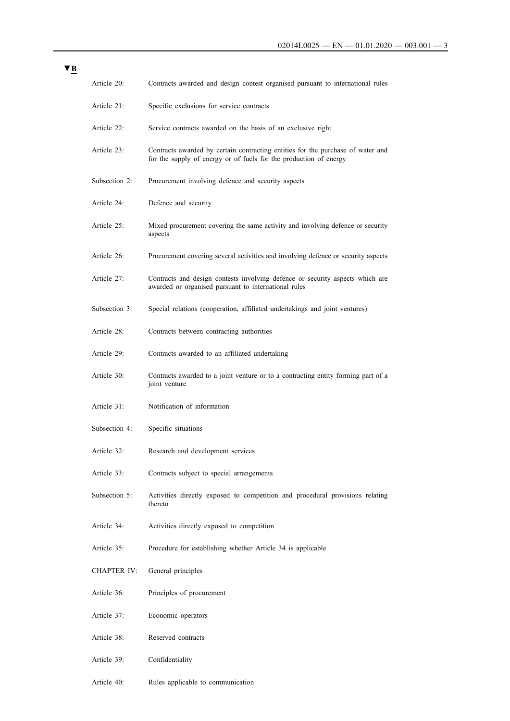| Article 20:        | Contracts awarded and design contest organised pursuant to international rules                                                                       |
|--------------------|------------------------------------------------------------------------------------------------------------------------------------------------------|
| Article 21:        | Specific exclusions for service contracts                                                                                                            |
| Article 22:        | Service contracts awarded on the basis of an exclusive right                                                                                         |
| Article 23:        | Contracts awarded by certain contracting entities for the purchase of water and<br>for the supply of energy or of fuels for the production of energy |
| Subsection 2:      | Procurement involving defence and security aspects                                                                                                   |
| Article 24:        | Defence and security                                                                                                                                 |
| Article 25:        | Mixed procurement covering the same activity and involving defence or security<br>aspects                                                            |
| Article 26:        | Procurement covering several activities and involving defence or security aspects                                                                    |
| Article 27:        | Contracts and design contests involving defence or security aspects which are<br>awarded or organised pursuant to international rules                |
| Subsection 3:      | Special relations (cooperation, affiliated undertakings and joint ventures)                                                                          |
| Article 28:        | Contracts between contracting authorities                                                                                                            |
| Article 29:        | Contracts awarded to an affiliated undertaking                                                                                                       |
| Article 30:        | Contracts awarded to a joint venture or to a contracting entity forming part of a<br>joint venture                                                   |
| Article 31:        | Notification of information                                                                                                                          |
| Subsection 4:      | Specific situations                                                                                                                                  |
| Article 32:        | Research and development services                                                                                                                    |
| Article 33:        | Contracts subject to special arrangements                                                                                                            |
| Subsection 5:      | Activities directly exposed to competition and procedural provisions relating<br>thereto                                                             |
| Article 34:        | Activities directly exposed to competition                                                                                                           |
| Article 35:        | Procedure for establishing whether Article 34 is applicable                                                                                          |
| <b>CHAPTER IV:</b> | General principles                                                                                                                                   |
| Article 36:        | Principles of procurement                                                                                                                            |
| Article 37:        | Economic operators                                                                                                                                   |
| Article 38:        | Reserved contracts                                                                                                                                   |
| Article 39:        | Confidentiality                                                                                                                                      |
| Article 40:        | Rules applicable to communication                                                                                                                    |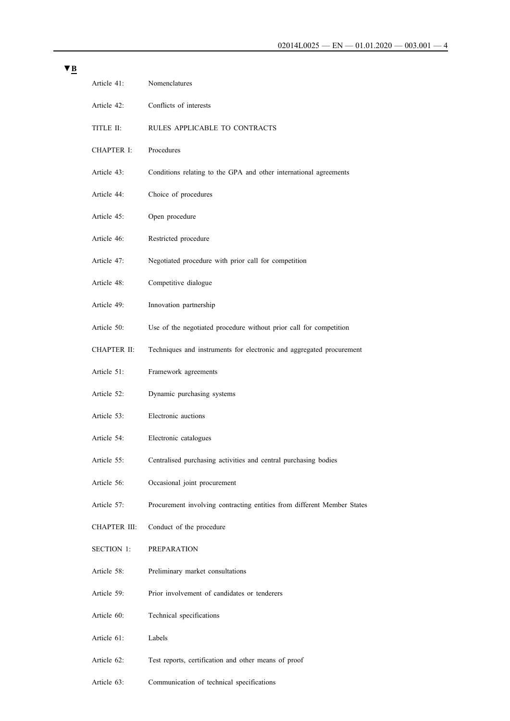| Article 41:         | Nomenclatures                                                           |
|---------------------|-------------------------------------------------------------------------|
| Article 42:         | Conflicts of interests                                                  |
| TITLE II:           | RULES APPLICABLE TO CONTRACTS                                           |
| <b>CHAPTER I:</b>   | Procedures                                                              |
| Article 43:         | Conditions relating to the GPA and other international agreements       |
| Article 44:         | Choice of procedures                                                    |
| Article 45:         | Open procedure                                                          |
| Article 46:         | Restricted procedure                                                    |
| Article 47:         | Negotiated procedure with prior call for competition                    |
| Article 48:         | Competitive dialogue                                                    |
| Article 49:         | Innovation partnership                                                  |
| Article 50:         | Use of the negotiated procedure without prior call for competition      |
| CHAPTER II:         | Techniques and instruments for electronic and aggregated procurement    |
| Article 51:         | Framework agreements                                                    |
| Article 52:         | Dynamic purchasing systems                                              |
| Article 53:         | Electronic auctions                                                     |
| Article 54:         | Electronic catalogues                                                   |
| Article 55:         | Centralised purchasing activities and central purchasing bodies         |
| Article 56:         | Occasional joint procurement                                            |
| Article 57:         | Procurement involving contracting entities from different Member States |
| <b>CHAPTER III:</b> | Conduct of the procedure                                                |
| <b>SECTION 1:</b>   | <b>PREPARATION</b>                                                      |
| Article 58:         | Preliminary market consultations                                        |
| Article 59:         | Prior involvement of candidates or tenderers                            |
| Article 60:         | Technical specifications                                                |
| Article 61:         | Labels                                                                  |
| Article 62:         | Test reports, certification and other means of proof                    |
|                     |                                                                         |

[Article 63: Communication of technical specifications](#page-65-0)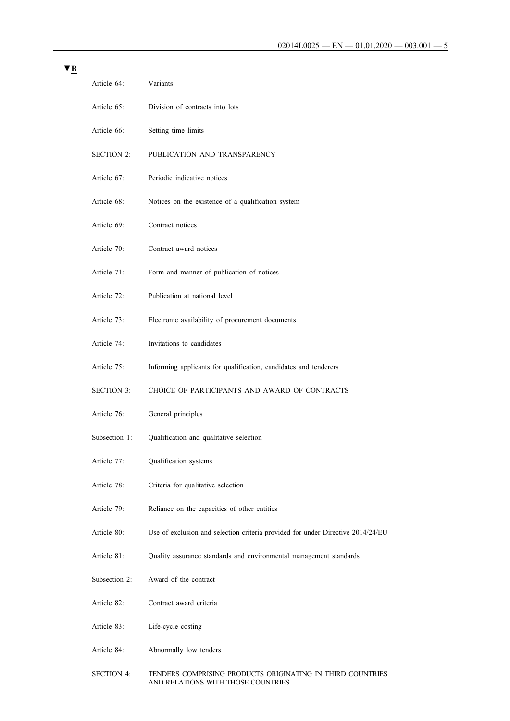| Article 64:       | Variants                                                                        |
|-------------------|---------------------------------------------------------------------------------|
| Article 65:       | Division of contracts into lots                                                 |
| Article 66:       | Setting time limits                                                             |
| <b>SECTION 2:</b> | PUBLICATION AND TRANSPARENCY                                                    |
| Article 67:       | Periodic indicative notices                                                     |
| Article 68:       | Notices on the existence of a qualification system                              |
| Article 69:       | Contract notices                                                                |
| Article 70:       | Contract award notices                                                          |
| Article 71:       | Form and manner of publication of notices                                       |
| Article 72:       | Publication at national level                                                   |
| Article 73:       | Electronic availability of procurement documents                                |
| Article 74:       | Invitations to candidates                                                       |
| Article 75:       | Informing applicants for qualification, candidates and tenderers                |
| <b>SECTION 3:</b> | CHOICE OF PARTICIPANTS AND AWARD OF CONTRACTS                                   |
| Article 76:       | General principles                                                              |
| Subsection 1:     | Qualification and qualitative selection                                         |
| Article 77:       | Qualification systems                                                           |
| Article 78:       | Criteria for qualitative selection                                              |
| Article 79:       | Reliance on the capacities of other entities                                    |
| Article 80:       | Use of exclusion and selection criteria provided for under Directive 2014/24/EU |
| Article 81:       | Quality assurance standards and environmental management standards              |
| Subsection 2:     | Award of the contract                                                           |
| Article 82:       | Contract award criteria                                                         |
| Article 83:       | Life-cycle costing                                                              |
| Article 84:       | Abnormally low tenders                                                          |

[SECTION 4: TENDERS COMPRISING PRODUCTS ORIGINATING IN THIRD COUNTRIES](#page-84-0)  [AND RELATIONS WITH THOSE COUNTRIES](#page-84-0)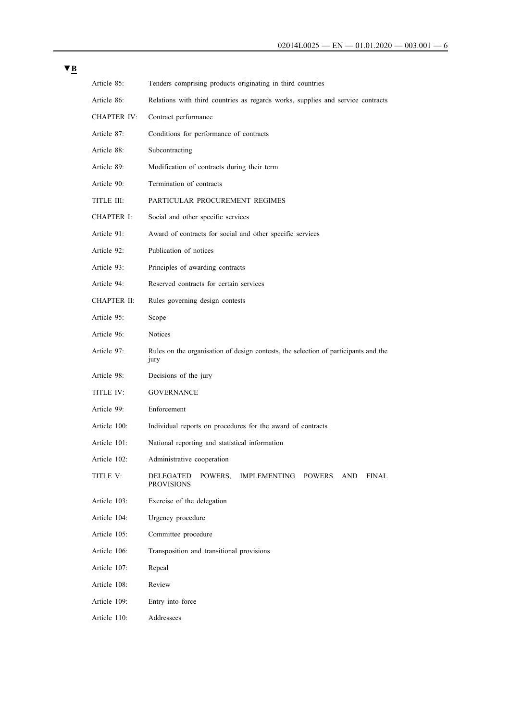| × |  |
|---|--|
|   |  |

| Article 85:        | Tenders comprising products originating in third countries                                        |
|--------------------|---------------------------------------------------------------------------------------------------|
| Article 86:        | Relations with third countries as regards works, supplies and service contracts                   |
| <b>CHAPTER IV:</b> | Contract performance                                                                              |
| Article 87:        | Conditions for performance of contracts                                                           |
| Article 88:        | Subcontracting                                                                                    |
| Article 89:        | Modification of contracts during their term                                                       |
| Article 90:        | Termination of contracts                                                                          |
| TITLE III:         | PARTICULAR PROCUREMENT REGIMES                                                                    |
| CHAPTER I:         | Social and other specific services                                                                |
| Article 91:        | Award of contracts for social and other specific services                                         |
| Article 92:        | Publication of notices                                                                            |
| Article 93:        | Principles of awarding contracts                                                                  |
| Article 94:        | Reserved contracts for certain services                                                           |
| CHAPTER II:        | Rules governing design contests                                                                   |
| Article 95:        | Scope                                                                                             |
| Article 96:        | Notices                                                                                           |
| Article 97:        | Rules on the organisation of design contests, the selection of participants and the<br>jury       |
| Article 98:        | Decisions of the jury                                                                             |
| TITLE IV:          | <b>GOVERNANCE</b>                                                                                 |
| Article 99:        | Enforcement                                                                                       |
| Article 100:       | Individual reports on procedures for the award of contracts                                       |
| Article 101:       | National reporting and statistical information                                                    |
| Article 102:       | Administrative cooperation                                                                        |
| TITLE V:           | POWERS,<br>IMPLEMENTING<br><b>POWERS</b><br><b>AND</b><br>FINAL<br>DELEGATED<br><b>PROVISIONS</b> |
| Article 103:       | Exercise of the delegation                                                                        |
| Article 104:       | Urgency procedure                                                                                 |
| Article 105:       | Committee procedure                                                                               |
| Article 106:       | Transposition and transitional provisions                                                         |
| Article 107:       | Repeal                                                                                            |
| Article 108:       | Review                                                                                            |
| Article 109:       | Entry into force                                                                                  |
| Article 110:       | Addressees                                                                                        |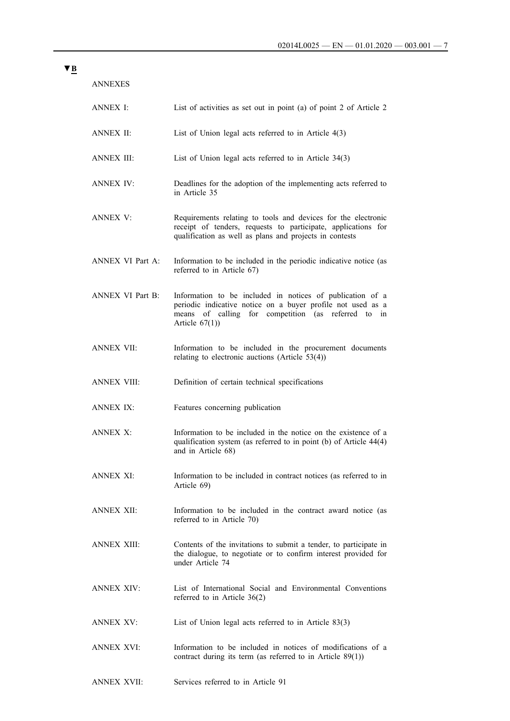| ANNEXES                 |                                                                                                                                                                                                         |
|-------------------------|---------------------------------------------------------------------------------------------------------------------------------------------------------------------------------------------------------|
| ANNEX I:                | List of activities as set out in point (a) of point 2 of Article 2                                                                                                                                      |
| ANNEX II:               | List of Union legal acts referred to in Article $4(3)$                                                                                                                                                  |
| ANNEX III:              | List of Union legal acts referred to in Article $34(3)$                                                                                                                                                 |
| <b>ANNEX IV:</b>        | Deadlines for the adoption of the implementing acts referred to<br>in Article 35                                                                                                                        |
| ANNEX V:                | Requirements relating to tools and devices for the electronic<br>receipt of tenders, requests to participate, applications for<br>qualification as well as plans and projects in contests               |
| ANNEX VI Part A:        | Information to be included in the periodic indicative notice (as<br>referred to in Article 67)                                                                                                          |
| <b>ANNEX VI Part B:</b> | Information to be included in notices of publication of a<br>periodic indicative notice on a buyer profile not used as a<br>of calling for competition (as referred to in<br>means<br>Article $67(1)$ ) |
| <b>ANNEX VII:</b>       | Information to be included in the procurement documents<br>relating to electronic auctions (Article $53(4)$ )                                                                                           |
| <b>ANNEX VIII:</b>      | Definition of certain technical specifications                                                                                                                                                          |
| <b>ANNEX IX:</b>        | Features concerning publication                                                                                                                                                                         |
| ANNEX X <sup>-</sup>    | Information to be included in the notice on the existence of a<br>qualification system (as referred to in point (b) of Article 44(4)<br>and in Article 68)                                              |
| ANNEX XI:               | Information to be included in contract notices (as referred to in<br>Article 69)                                                                                                                        |
| <b>ANNEX XII:</b>       | Information to be included in the contract award notice (as<br>referred to in Article 70)                                                                                                               |
| ANNEX XIII:             | Contents of the invitations to submit a tender, to participate in<br>the dialogue, to negotiate or to confirm interest provided for<br>under Article 74                                                 |
| <b>ANNEX XIV:</b>       | List of International Social and Environmental Conventions<br>referred to in Article $36(2)$                                                                                                            |
| ANNEX XV:               | List of Union legal acts referred to in Article $83(3)$                                                                                                                                                 |
| ANNEX XVI:              | Information to be included in notices of modifications of a<br>contract during its term (as referred to in Article $89(1)$ )                                                                            |

# **▼B**

[ANNEX XVII:](#page-130-0) [Services referred to in Article 91](#page-130-0)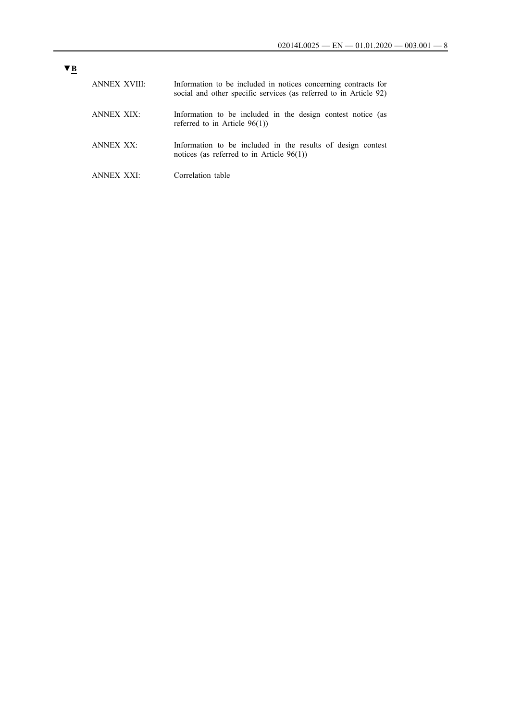| ANNEX XVIII: | Information to be included in notices concerning contracts for<br>social and other specific services (as referred to in Article 92) |
|--------------|-------------------------------------------------------------------------------------------------------------------------------------|
| ANNEX XIX:   | Information to be included in the design contest notice (as<br>referred to in Article $96(1)$ )                                     |
| ANNEX XX.    | Information to be included in the results of design contest<br>notices (as referred to in Article $96(1)$ )                         |
| ANNEX XXI·   | Correlation table                                                                                                                   |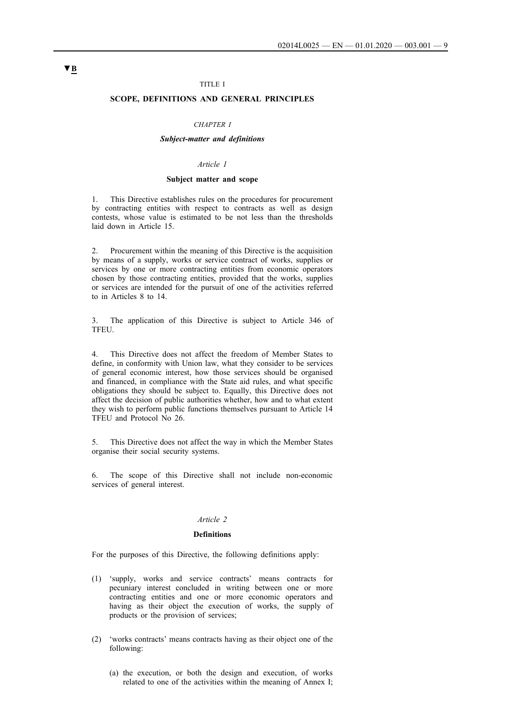### TITLE I

### <span id="page-8-0"></span>**SCOPE, DEFINITIONS AND GENERAL PRINCIPLES**

#### *CHAPTER I*

#### *Subject-matter and definitions*

### *Article 1*

#### **Subject matter and scope**

1. This Directive establishes rules on the procedures for procurement by contracting entities with respect to contracts as well as design contests, whose value is estimated to be not less than the thresholds laid down in Article 15.

2. Procurement within the meaning of this Directive is the acquisition by means of a supply, works or service contract of works, supplies or services by one or more contracting entities from economic operators chosen by those contracting entities, provided that the works, supplies or services are intended for the pursuit of one of the activities referred to in Articles 8 to 14.

3. The application of this Directive is subject to Article 346 of TFEU.

4. This Directive does not affect the freedom of Member States to define, in conformity with Union law, what they consider to be services of general economic interest, how those services should be organised and financed, in compliance with the State aid rules, and what specific obligations they should be subject to. Equally, this Directive does not affect the decision of public authorities whether, how and to what extent they wish to perform public functions themselves pursuant to Article 14 TFEU and Protocol No 26.

5. This Directive does not affect the way in which the Member States organise their social security systems.

6. The scope of this Directive shall not include non-economic services of general interest.

#### *Article 2*

#### **Definitions**

For the purposes of this Directive, the following definitions apply:

- (1) 'supply, works and service contracts' means contracts for pecuniary interest concluded in writing between one or more contracting entities and one or more economic operators and having as their object the execution of works, the supply of products or the provision of services;
- (2) 'works contracts' means contracts having as their object one of the following:
	- (a) the execution, or both the design and execution, of works related to one of the activities within the meaning of Annex I;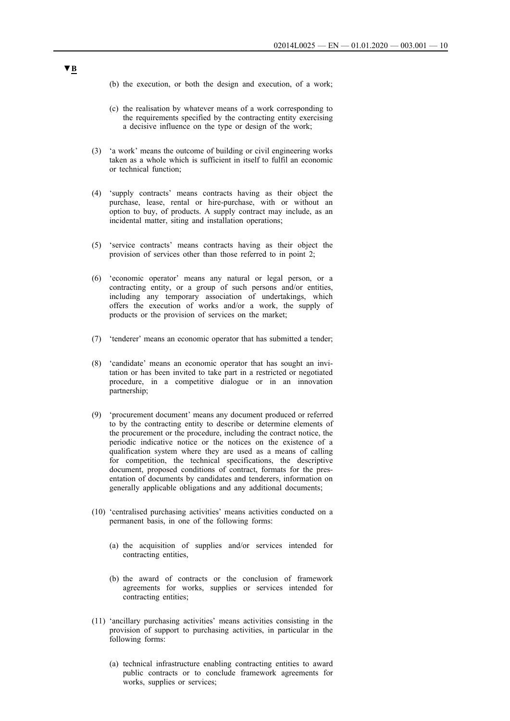- (b) the execution, or both the design and execution, of a work;
- (c) the realisation by whatever means of a work corresponding to the requirements specified by the contracting entity exercising a decisive influence on the type or design of the work;
- (3) 'a work' means the outcome of building or civil engineering works taken as a whole which is sufficient in itself to fulfil an economic or technical function;
- (4) 'supply contracts' means contracts having as their object the purchase, lease, rental or hire-purchase, with or without an option to buy, of products. A supply contract may include, as an incidental matter, siting and installation operations;
- (5) 'service contracts' means contracts having as their object the provision of services other than those referred to in point 2;
- (6) 'economic operator' means any natural or legal person, or a contracting entity, or a group of such persons and/or entities, including any temporary association of undertakings, which offers the execution of works and/or a work, the supply of products or the provision of services on the market;
- (7) 'tenderer' means an economic operator that has submitted a tender;
- (8) 'candidate' means an economic operator that has sought an invitation or has been invited to take part in a restricted or negotiated procedure, in a competitive dialogue or in an innovation partnership;
- (9) 'procurement document' means any document produced or referred to by the contracting entity to describe or determine elements of the procurement or the procedure, including the contract notice, the periodic indicative notice or the notices on the existence of a qualification system where they are used as a means of calling for competition, the technical specifications, the descriptive document, proposed conditions of contract, formats for the presentation of documents by candidates and tenderers, information on generally applicable obligations and any additional documents;
- (10) 'centralised purchasing activities' means activities conducted on a permanent basis, in one of the following forms:
	- (a) the acquisition of supplies and/or services intended for contracting entities,
	- (b) the award of contracts or the conclusion of framework agreements for works, supplies or services intended for contracting entities;
- (11) 'ancillary purchasing activities' means activities consisting in the provision of support to purchasing activities, in particular in the following forms:
	- (a) technical infrastructure enabling contracting entities to award public contracts or to conclude framework agreements for works, supplies or services;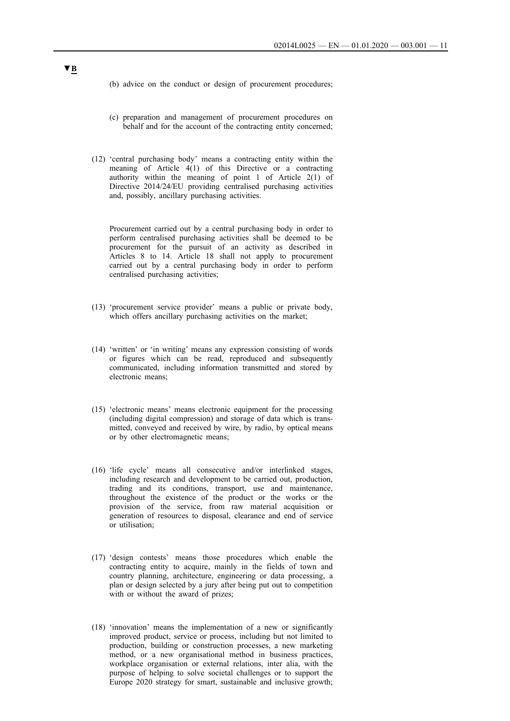- (b) advice on the conduct or design of procurement procedures;
- (c) preparation and management of procurement procedures on behalf and for the account of the contracting entity concerned;
- (12) 'central purchasing body' means a contracting entity within the meaning of Article 4(1) of this Directive or a contracting authority within the meaning of point 1 of Article 2(1) of Directive 2014/24/EU providing centralised purchasing activities and, possibly, ancillary purchasing activities.

Procurement carried out by a central purchasing body in order to perform centralised purchasing activities shall be deemed to be procurement for the pursuit of an activity as described in Articles 8 to 14. Article 18 shall not apply to procurement carried out by a central purchasing body in order to perform centralised purchasing activities;

- (13) 'procurement service provider' means a public or private body, which offers ancillary purchasing activities on the market;
- (14) 'written' or 'in writing' means any expression consisting of words or figures which can be read, reproduced and subsequently communicated, including information transmitted and stored by electronic means;
- (15) 'electronic means' means electronic equipment for the processing (including digital compression) and storage of data which is transmitted, conveyed and received by wire, by radio, by optical means or by other electromagnetic means;
- (16) 'life cycle' means all consecutive and/or interlinked stages, including research and development to be carried out, production, trading and its conditions, transport, use and maintenance, throughout the existence of the product or the works or the provision of the service, from raw material acquisition or generation of resources to disposal, clearance and end of service or utilisation;
- (17) 'design contests' means those procedures which enable the contracting entity to acquire, mainly in the fields of town and country planning, architecture, engineering or data processing, a plan or design selected by a jury after being put out to competition with or without the award of prizes;
- (18) 'innovation' means the implementation of a new or significantly improved product, service or process, including but not limited to production, building or construction processes, a new marketing method, or a new organisational method in business practices, workplace organisation or external relations, inter alia, with the purpose of helping to solve societal challenges or to support the Europe 2020 strategy for smart, sustainable and inclusive growth;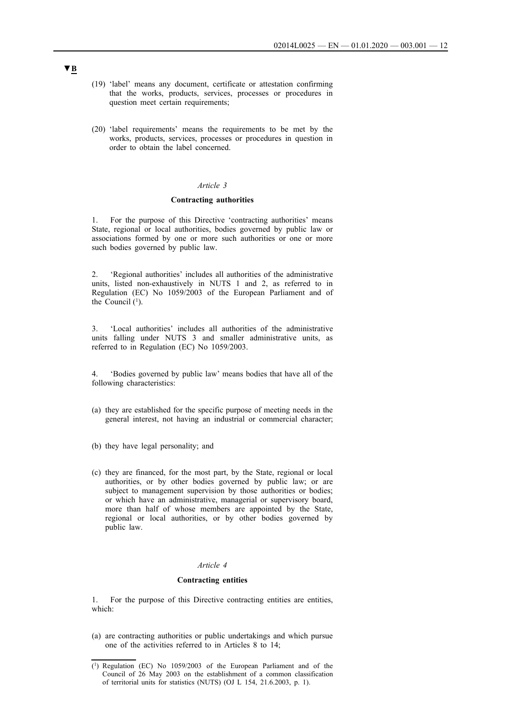- <span id="page-11-0"></span>(19) 'label' means any document, certificate or attestation confirming that the works, products, services, processes or procedures in question meet certain requirements;
- (20) 'label requirements' means the requirements to be met by the works, products, services, processes or procedures in question in order to obtain the label concerned.

#### **Contracting authorities**

1. For the purpose of this Directive 'contracting authorities' means State, regional or local authorities, bodies governed by public law or associations formed by one or more such authorities or one or more such bodies governed by public law.

2. 'Regional authorities' includes all authorities of the administrative units, listed non-exhaustively in NUTS 1 and 2, as referred to in Regulation (EC) No 1059/2003 of the European Parliament and of the Council  $(1)$ .

3. 'Local authorities' includes all authorities of the administrative units falling under NUTS 3 and smaller administrative units, as referred to in Regulation (EC) No 1059/2003.

4. 'Bodies governed by public law' means bodies that have all of the following characteristics:

- (a) they are established for the specific purpose of meeting needs in the general interest, not having an industrial or commercial character;
- (b) they have legal personality; and
- (c) they are financed, for the most part, by the State, regional or local authorities, or by other bodies governed by public law; or are subject to management supervision by those authorities or bodies; or which have an administrative, managerial or supervisory board, more than half of whose members are appointed by the State, regional or local authorities, or by other bodies governed by public law.

### *Article 4*

#### **Contracting entities**

1. For the purpose of this Directive contracting entities are entities, which:

(a) are contracting authorities or public undertakings and which pursue one of the activities referred to in Articles 8 to 14;

<sup>(1)</sup> Regulation (EC) No 1059/2003 of the European Parliament and of the Council of 26 May 2003 on the establishment of a common classification of territorial units for statistics (NUTS) (OJ L 154, 21.6.2003, p. 1).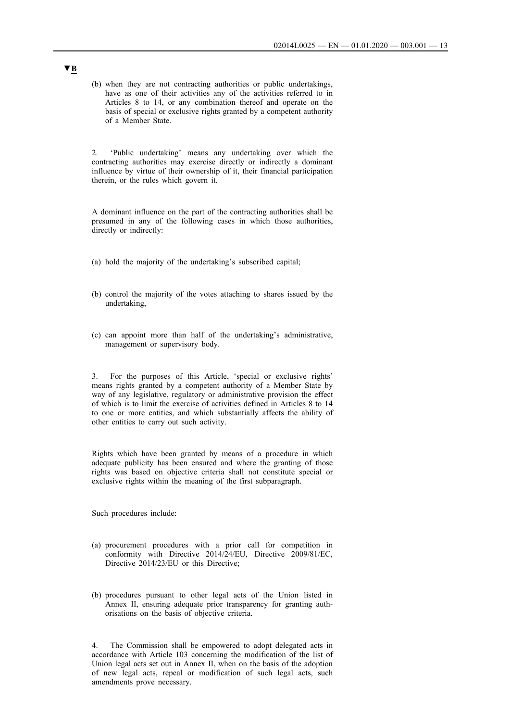(b) when they are not contracting authorities or public undertakings, have as one of their activities any of the activities referred to in Articles 8 to 14, or any combination thereof and operate on the basis of special or exclusive rights granted by a competent authority of a Member State.

2. 'Public undertaking' means any undertaking over which the contracting authorities may exercise directly or indirectly a dominant influence by virtue of their ownership of it, their financial participation therein, or the rules which govern it.

A dominant influence on the part of the contracting authorities shall be presumed in any of the following cases in which those authorities, directly or indirectly:

- (a) hold the majority of the undertaking's subscribed capital;
- (b) control the majority of the votes attaching to shares issued by the undertaking,
- (c) can appoint more than half of the undertaking's administrative, management or supervisory body.

3. For the purposes of this Article, 'special or exclusive rights' means rights granted by a competent authority of a Member State by way of any legislative, regulatory or administrative provision the effect of which is to limit the exercise of activities defined in Articles 8 to 14 to one or more entities, and which substantially affects the ability of other entities to carry out such activity.

Rights which have been granted by means of a procedure in which adequate publicity has been ensured and where the granting of those rights was based on objective criteria shall not constitute special or exclusive rights within the meaning of the first subparagraph.

Such procedures include:

- (a) procurement procedures with a prior call for competition in conformity with Directive 2014/24/EU, Directive 2009/81/EC, Directive 2014/23/EU or this Directive;
- (b) procedures pursuant to other legal acts of the Union listed in Annex II, ensuring adequate prior transparency for granting authorisations on the basis of objective criteria.

4. The Commission shall be empowered to adopt delegated acts in accordance with Article 103 concerning the modification of the list of Union legal acts set out in Annex II, when on the basis of the adoption of new legal acts, repeal or modification of such legal acts, such amendments prove necessary.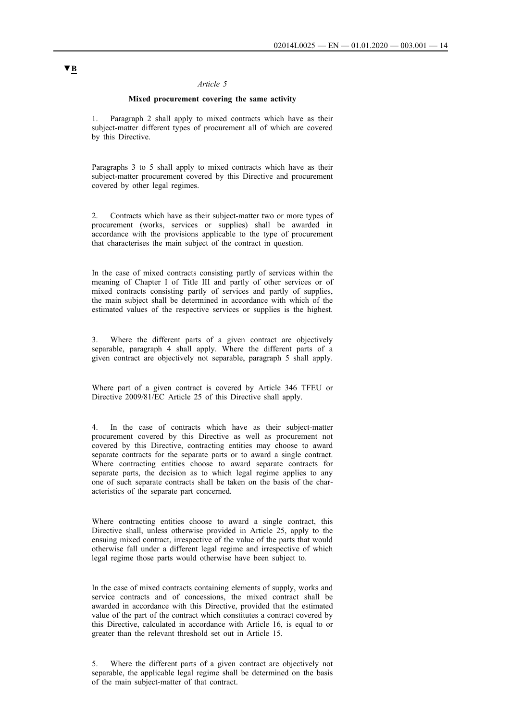#### **Mixed procurement covering the same activity**

<span id="page-13-0"></span>Paragraph 2 shall apply to mixed contracts which have as their subject-matter different types of procurement all of which are covered by this Directive.

Paragraphs 3 to 5 shall apply to mixed contracts which have as their subject-matter procurement covered by this Directive and procurement covered by other legal regimes.

2. Contracts which have as their subject-matter two or more types of procurement (works, services or supplies) shall be awarded in accordance with the provisions applicable to the type of procurement that characterises the main subject of the contract in question.

In the case of mixed contracts consisting partly of services within the meaning of Chapter I of Title III and partly of other services or of mixed contracts consisting partly of services and partly of supplies, the main subject shall be determined in accordance with which of the estimated values of the respective services or supplies is the highest.

3. Where the different parts of a given contract are objectively separable, paragraph 4 shall apply. Where the different parts of a given contract are objectively not separable, paragraph 5 shall apply.

Where part of a given contract is covered by Article 346 TFEU or Directive 2009/81/EC Article 25 of this Directive shall apply.

4. In the case of contracts which have as their subject-matter procurement covered by this Directive as well as procurement not covered by this Directive, contracting entities may choose to award separate contracts for the separate parts or to award a single contract. Where contracting entities choose to award separate contracts for separate parts, the decision as to which legal regime applies to any one of such separate contracts shall be taken on the basis of the characteristics of the separate part concerned.

Where contracting entities choose to award a single contract, this Directive shall, unless otherwise provided in Article 25, apply to the ensuing mixed contract, irrespective of the value of the parts that would otherwise fall under a different legal regime and irrespective of which legal regime those parts would otherwise have been subject to.

In the case of mixed contracts containing elements of supply, works and service contracts and of concessions, the mixed contract shall be awarded in accordance with this Directive, provided that the estimated value of the part of the contract which constitutes a contract covered by this Directive, calculated in accordance with Article 16, is equal to or greater than the relevant threshold set out in Article 15.

5. Where the different parts of a given contract are objectively not separable, the applicable legal regime shall be determined on the basis of the main subject-matter of that contract.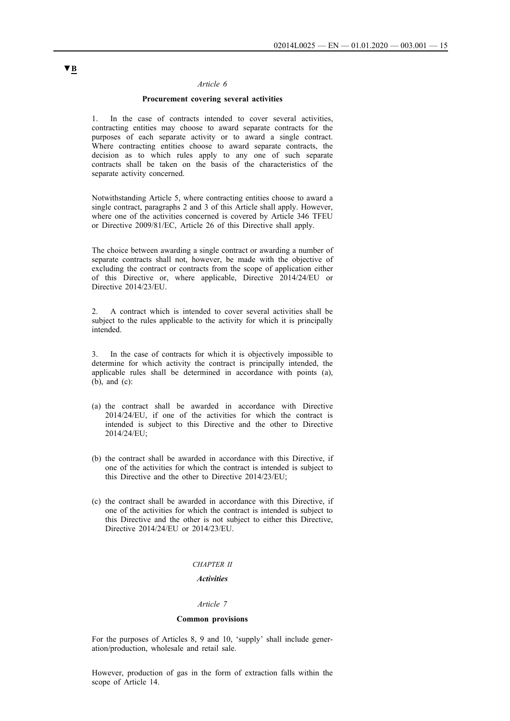### **Procurement covering several activities**

<span id="page-14-0"></span>1. In the case of contracts intended to cover several activities, contracting entities may choose to award separate contracts for the purposes of each separate activity or to award a single contract. Where contracting entities choose to award separate contracts, the decision as to which rules apply to any one of such separate contracts shall be taken on the basis of the characteristics of the separate activity concerned.

Notwithstanding Article 5, where contracting entities choose to award a single contract, paragraphs 2 and 3 of this Article shall apply. However, where one of the activities concerned is covered by Article 346 TFEU or Directive 2009/81/EC, Article 26 of this Directive shall apply.

The choice between awarding a single contract or awarding a number of separate contracts shall not, however, be made with the objective of excluding the contract or contracts from the scope of application either of this Directive or, where applicable, Directive 2014/24/EU or Directive 2014/23/EU.

2. A contract which is intended to cover several activities shall be subject to the rules applicable to the activity for which it is principally intended.

3. In the case of contracts for which it is objectively impossible to determine for which activity the contract is principally intended, the applicable rules shall be determined in accordance with points (a), (b), and (c):

- (a) the contract shall be awarded in accordance with Directive 2014/24/EU, if one of the activities for which the contract is intended is subject to this Directive and the other to Directive 2014/24/EU;
- (b) the contract shall be awarded in accordance with this Directive, if one of the activities for which the contract is intended is subject to this Directive and the other to Directive 2014/23/EU;
- (c) the contract shall be awarded in accordance with this Directive, if one of the activities for which the contract is intended is subject to this Directive and the other is not subject to either this Directive, Directive 2014/24/EU or 2014/23/EU.

#### *CHAPTER II*

#### *Activities*

### *Article 7*

#### **Common provisions**

For the purposes of Articles 8, 9 and 10, 'supply' shall include generation/production, wholesale and retail sale.

However, production of gas in the form of extraction falls within the scope of Article 14.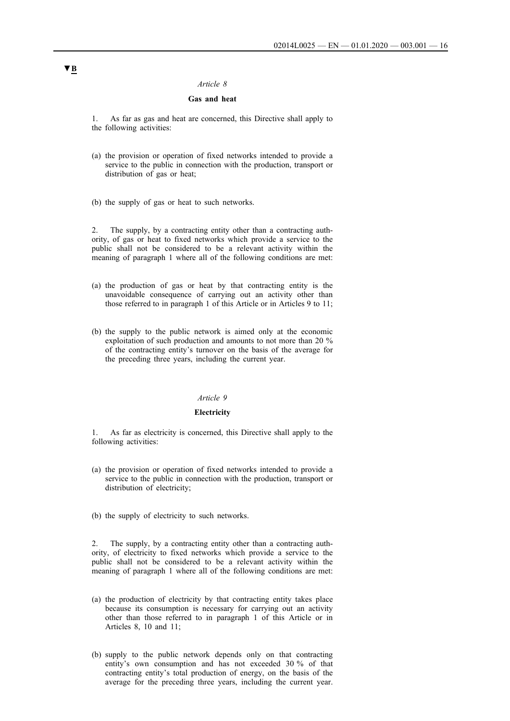### **Gas and heat**

<span id="page-15-0"></span>1. As far as gas and heat are concerned, this Directive shall apply to the following activities:

- (a) the provision or operation of fixed networks intended to provide a service to the public in connection with the production, transport or distribution of gas or heat;
- (b) the supply of gas or heat to such networks.

The supply, by a contracting entity other than a contracting authority, of gas or heat to fixed networks which provide a service to the public shall not be considered to be a relevant activity within the meaning of paragraph 1 where all of the following conditions are met:

- (a) the production of gas or heat by that contracting entity is the unavoidable consequence of carrying out an activity other than those referred to in paragraph 1 of this Article or in Articles 9 to 11;
- (b) the supply to the public network is aimed only at the economic exploitation of such production and amounts to not more than 20 % of the contracting entity's turnover on the basis of the average for the preceding three years, including the current year.

### *Article 9*

#### **Electricity**

1. As far as electricity is concerned, this Directive shall apply to the following activities:

- (a) the provision or operation of fixed networks intended to provide a service to the public in connection with the production, transport or distribution of electricity;
- (b) the supply of electricity to such networks.

2. The supply, by a contracting entity other than a contracting authority, of electricity to fixed networks which provide a service to the public shall not be considered to be a relevant activity within the meaning of paragraph 1 where all of the following conditions are met:

- (a) the production of electricity by that contracting entity takes place because its consumption is necessary for carrying out an activity other than those referred to in paragraph 1 of this Article or in Articles 8, 10 and 11;
- (b) supply to the public network depends only on that contracting entity's own consumption and has not exceeded 30 % of that contracting entity's total production of energy, on the basis of the average for the preceding three years, including the current year.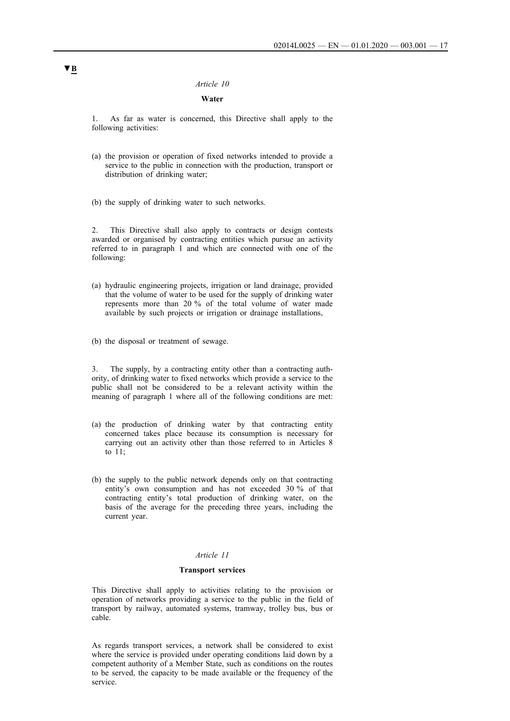### **Water**

<span id="page-16-0"></span>1. As far as water is concerned, this Directive shall apply to the following activities:

- (a) the provision or operation of fixed networks intended to provide a service to the public in connection with the production, transport or distribution of drinking water;
- (b) the supply of drinking water to such networks.

2. This Directive shall also apply to contracts or design contests awarded or organised by contracting entities which pursue an activity referred to in paragraph 1 and which are connected with one of the following:

- (a) hydraulic engineering projects, irrigation or land drainage, provided that the volume of water to be used for the supply of drinking water represents more than 20 % of the total volume of water made available by such projects or irrigation or drainage installations,
- (b) the disposal or treatment of sewage.

3. The supply, by a contracting entity other than a contracting authority, of drinking water to fixed networks which provide a service to the public shall not be considered to be a relevant activity within the meaning of paragraph 1 where all of the following conditions are met:

- (a) the production of drinking water by that contracting entity concerned takes place because its consumption is necessary for carrying out an activity other than those referred to in Articles 8 to 11;
- (b) the supply to the public network depends only on that contracting entity's own consumption and has not exceeded 30 % of that contracting entity's total production of drinking water, on the basis of the average for the preceding three years, including the current year.

#### *Article 11*

#### **Transport services**

This Directive shall apply to activities relating to the provision or operation of networks providing a service to the public in the field of transport by railway, automated systems, tramway, trolley bus, bus or cable.

As regards transport services, a network shall be considered to exist where the service is provided under operating conditions laid down by a competent authority of a Member State, such as conditions on the routes to be served, the capacity to be made available or the frequency of the service.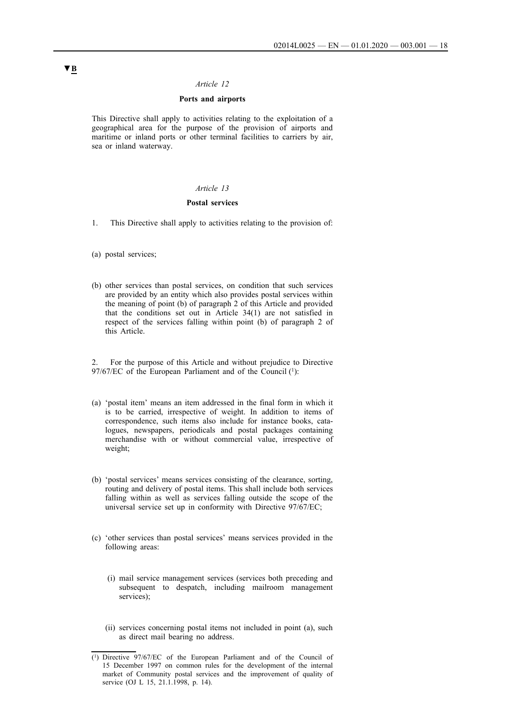### **Ports and airports**

<span id="page-17-0"></span>This Directive shall apply to activities relating to the exploitation of a geographical area for the purpose of the provision of airports and maritime or inland ports or other terminal facilities to carriers by air, sea or inland waterway.

### *Article 13*

### **Postal services**

- 1. This Directive shall apply to activities relating to the provision of:
- (a) postal services;
- (b) other services than postal services, on condition that such services are provided by an entity which also provides postal services within the meaning of point (b) of paragraph 2 of this Article and provided that the conditions set out in Article 34(1) are not satisfied in respect of the services falling within point (b) of paragraph 2 of this Article.

2. For the purpose of this Article and without prejudice to Directive 97/67/EC of the European Parliament and of the Council (1):

- (a) 'postal item' means an item addressed in the final form in which it is to be carried, irrespective of weight. In addition to items of correspondence, such items also include for instance books, catalogues, newspapers, periodicals and postal packages containing merchandise with or without commercial value, irrespective of weight;
- (b) 'postal services' means services consisting of the clearance, sorting, routing and delivery of postal items. This shall include both services falling within as well as services falling outside the scope of the universal service set up in conformity with Directive 97/67/EC;
- (c) 'other services than postal services' means services provided in the following areas:
	- (i) mail service management services (services both preceding and subsequent to despatch, including mailroom management services)<sup>.</sup>
	- (ii) services concerning postal items not included in point (a), such as direct mail bearing no address.

<sup>(1)</sup> Directive 97/67/EC of the European Parliament and of the Council of 15 December 1997 on common rules for the development of the internal market of Community postal services and the improvement of quality of service (OJ L 15, 21.1.1998, p. 14).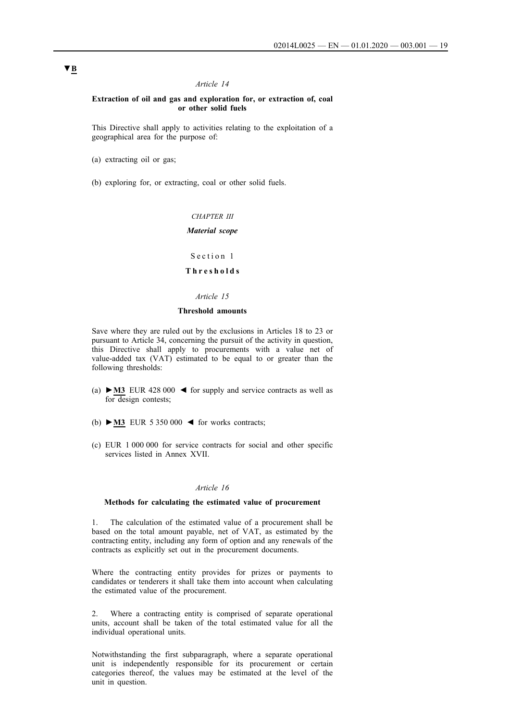#### <span id="page-18-0"></span>**Extraction of oil and gas and exploration for, or extraction of, coal or other solid fuels**

This Directive shall apply to activities relating to the exploitation of a geographical area for the purpose of:

(a) extracting oil or gas;

(b) exploring for, or extracting, coal or other solid fuels.

*CHAPTER III*

### *Material scope*

Section 1

#### **T h r e s h o l d s**

#### *Article 15*

#### **Threshold amounts**

Save where they are ruled out by the exclusions in Articles 18 to 23 or pursuant to Article 34, concerning the pursuit of the activity in question, this Directive shall apply to procurements with a value net of value-added tax (VAT) estimated to be equal to or greater than the following thresholds:

- (a) **►M3** EUR 428 000 ◄ for supply and service contracts as well as for design contests;
- (b) **►M3** EUR 5 350 000 ◄ for works contracts;
- (c) EUR 1 000 000 for service contracts for social and other specific services listed in Annex XVII.

#### *Article 16*

#### **Methods for calculating the estimated value of procurement**

1. The calculation of the estimated value of a procurement shall be based on the total amount payable, net of VAT, as estimated by the contracting entity, including any form of option and any renewals of the contracts as explicitly set out in the procurement documents.

Where the contracting entity provides for prizes or payments to candidates or tenderers it shall take them into account when calculating the estimated value of the procurement.

2. Where a contracting entity is comprised of separate operational units, account shall be taken of the total estimated value for all the individual operational units.

Notwithstanding the first subparagraph, where a separate operational unit is independently responsible for its procurement or certain categories thereof, the values may be estimated at the level of the unit in question.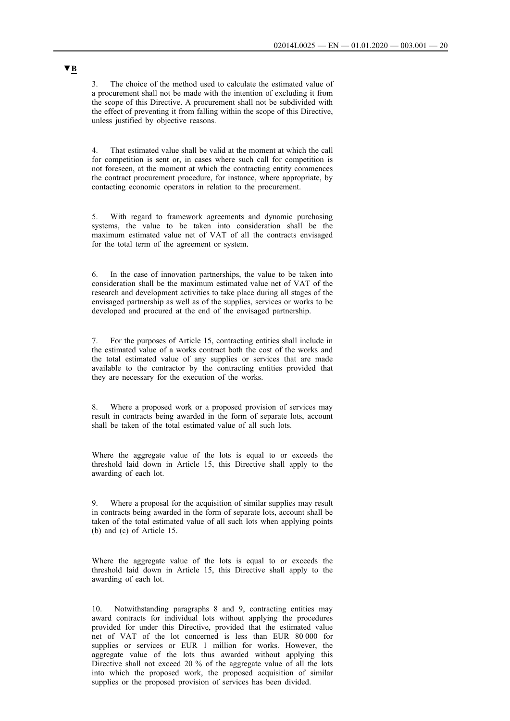3. The choice of the method used to calculate the estimated value of a procurement shall not be made with the intention of excluding it from the scope of this Directive. A procurement shall not be subdivided with the effect of preventing it from falling within the scope of this Directive, unless justified by objective reasons.

4. That estimated value shall be valid at the moment at which the call for competition is sent or, in cases where such call for competition is not foreseen, at the moment at which the contracting entity commences the contract procurement procedure, for instance, where appropriate, by contacting economic operators in relation to the procurement.

5. With regard to framework agreements and dynamic purchasing systems, the value to be taken into consideration shall be the maximum estimated value net of VAT of all the contracts envisaged for the total term of the agreement or system.

6. In the case of innovation partnerships, the value to be taken into consideration shall be the maximum estimated value net of VAT of the research and development activities to take place during all stages of the envisaged partnership as well as of the supplies, services or works to be developed and procured at the end of the envisaged partnership.

7. For the purposes of Article 15, contracting entities shall include in the estimated value of a works contract both the cost of the works and the total estimated value of any supplies or services that are made available to the contractor by the contracting entities provided that they are necessary for the execution of the works.

8. Where a proposed work or a proposed provision of services may result in contracts being awarded in the form of separate lots, account shall be taken of the total estimated value of all such lots.

Where the aggregate value of the lots is equal to or exceeds the threshold laid down in Article 15, this Directive shall apply to the awarding of each lot.

9. Where a proposal for the acquisition of similar supplies may result in contracts being awarded in the form of separate lots, account shall be taken of the total estimated value of all such lots when applying points (b) and (c) of Article 15.

Where the aggregate value of the lots is equal to or exceeds the threshold laid down in Article 15, this Directive shall apply to the awarding of each lot.

10. Notwithstanding paragraphs 8 and 9, contracting entities may award contracts for individual lots without applying the procedures provided for under this Directive, provided that the estimated value net of VAT of the lot concerned is less than EUR 80 000 for supplies or services or EUR 1 million for works. However, the aggregate value of the lots thus awarded without applying this Directive shall not exceed 20 % of the aggregate value of all the lots into which the proposed work, the proposed acquisition of similar supplies or the proposed provision of services has been divided.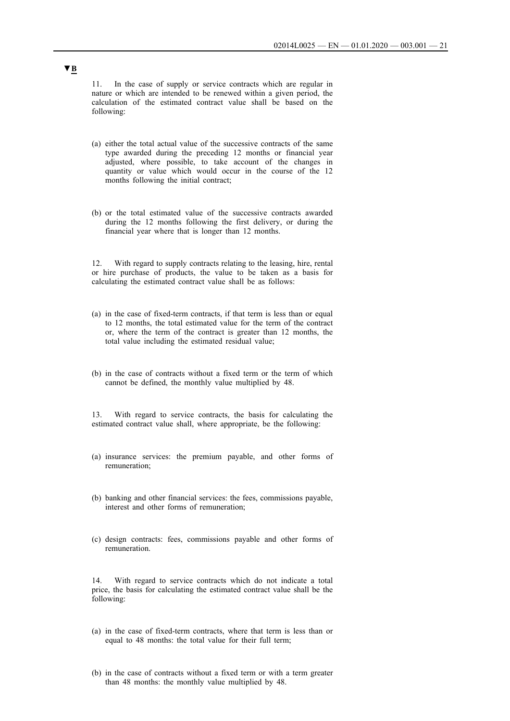11. In the case of supply or service contracts which are regular in nature or which are intended to be renewed within a given period, the calculation of the estimated contract value shall be based on the following:

- (a) either the total actual value of the successive contracts of the same type awarded during the preceding 12 months or financial year adjusted, where possible, to take account of the changes in quantity or value which would occur in the course of the 12 months following the initial contract;
- (b) or the total estimated value of the successive contracts awarded during the 12 months following the first delivery, or during the financial year where that is longer than 12 months.

12. With regard to supply contracts relating to the leasing, hire, rental or hire purchase of products, the value to be taken as a basis for calculating the estimated contract value shall be as follows:

- (a) in the case of fixed-term contracts, if that term is less than or equal to 12 months, the total estimated value for the term of the contract or, where the term of the contract is greater than 12 months, the total value including the estimated residual value;
- (b) in the case of contracts without a fixed term or the term of which cannot be defined, the monthly value multiplied by 48.

13. With regard to service contracts, the basis for calculating the estimated contract value shall, where appropriate, be the following:

- (a) insurance services: the premium payable, and other forms of remuneration;
- (b) banking and other financial services: the fees, commissions payable, interest and other forms of remuneration;
- (c) design contracts: fees, commissions payable and other forms of remuneration.

14. With regard to service contracts which do not indicate a total price, the basis for calculating the estimated contract value shall be the following:

- (a) in the case of fixed-term contracts, where that term is less than or equal to 48 months: the total value for their full term;
- (b) in the case of contracts without a fixed term or with a term greater than 48 months: the monthly value multiplied by 48.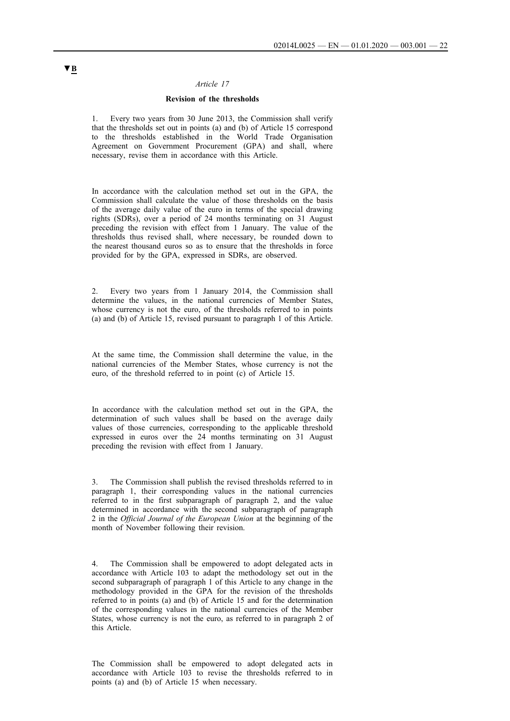### **Revision of the thresholds**

<span id="page-21-0"></span>1. Every two years from 30 June 2013, the Commission shall verify that the thresholds set out in points (a) and (b) of Article 15 correspond to the thresholds established in the World Trade Organisation Agreement on Government Procurement (GPA) and shall, where necessary, revise them in accordance with this Article.

In accordance with the calculation method set out in the GPA, the Commission shall calculate the value of those thresholds on the basis of the average daily value of the euro in terms of the special drawing rights (SDRs), over a period of 24 months terminating on 31 August preceding the revision with effect from 1 January. The value of the thresholds thus revised shall, where necessary, be rounded down to the nearest thousand euros so as to ensure that the thresholds in force provided for by the GPA, expressed in SDRs, are observed.

2. Every two years from 1 January 2014, the Commission shall determine the values, in the national currencies of Member States, whose currency is not the euro, of the thresholds referred to in points (a) and (b) of Article 15, revised pursuant to paragraph 1 of this Article.

At the same time, the Commission shall determine the value, in the national currencies of the Member States, whose currency is not the euro, of the threshold referred to in point (c) of Article 15.

In accordance with the calculation method set out in the GPA, the determination of such values shall be based on the average daily values of those currencies, corresponding to the applicable threshold expressed in euros over the 24 months terminating on 31 August preceding the revision with effect from 1 January.

3. The Commission shall publish the revised thresholds referred to in paragraph 1, their corresponding values in the national currencies referred to in the first subparagraph of paragraph 2, and the value determined in accordance with the second subparagraph of paragraph 2 in the *Official Journal of the European Union* at the beginning of the month of November following their revision.

4. The Commission shall be empowered to adopt delegated acts in accordance with Article 103 to adapt the methodology set out in the second subparagraph of paragraph 1 of this Article to any change in the methodology provided in the GPA for the revision of the thresholds referred to in points (a) and (b) of Article 15 and for the determination of the corresponding values in the national currencies of the Member States, whose currency is not the euro, as referred to in paragraph 2 of this Article.

The Commission shall be empowered to adopt delegated acts in accordance with Article 103 to revise the thresholds referred to in points (a) and (b) of Article 15 when necessary.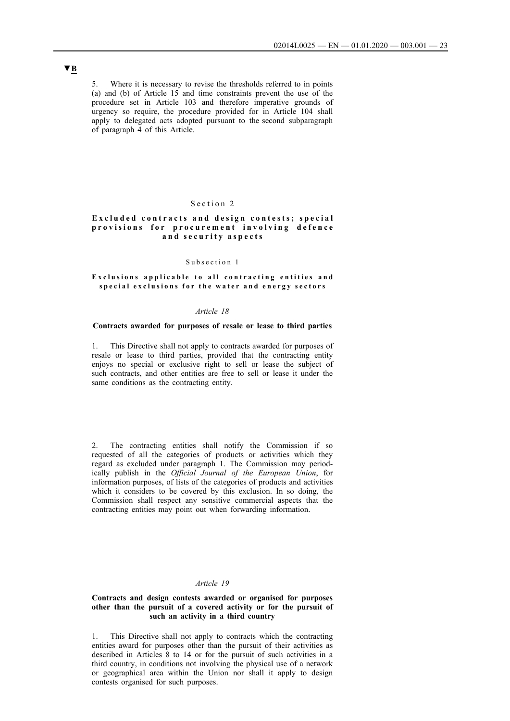<span id="page-22-0"></span>5. Where it is necessary to revise the thresholds referred to in points (a) and (b) of Article 15 and time constraints prevent the use of the procedure set in Article 103 and therefore imperative grounds of urgency so require, the procedure provided for in Article 104 shall apply to delegated acts adopted pursuant to the second subparagraph of paragraph 4 of this Article.

## Section 2

### **Excluded contracts and design contests; special** provisions for procurement involving defence and security aspects

### Subsection 1

#### Exclusions applicable to all contracting entities and special exclusions for the water and energy sectors

#### *Article 18*

### **Contracts awarded for purposes of resale or lease to third parties**

1. This Directive shall not apply to contracts awarded for purposes of resale or lease to third parties, provided that the contracting entity enjoys no special or exclusive right to sell or lease the subject of such contracts, and other entities are free to sell or lease it under the same conditions as the contracting entity.

2. The contracting entities shall notify the Commission if so requested of all the categories of products or activities which they regard as excluded under paragraph 1. The Commission may periodically publish in the *Official Journal of the European Union*, for information purposes, of lists of the categories of products and activities which it considers to be covered by this exclusion. In so doing, the Commission shall respect any sensitive commercial aspects that the contracting entities may point out when forwarding information.

### *Article 19*

#### **Contracts and design contests awarded or organised for purposes other than the pursuit of a covered activity or for the pursuit of such an activity in a third country**

1. This Directive shall not apply to contracts which the contracting entities award for purposes other than the pursuit of their activities as described in Articles 8 to 14 or for the pursuit of such activities in a third country, in conditions not involving the physical use of a network or geographical area within the Union nor shall it apply to design contests organised for such purposes.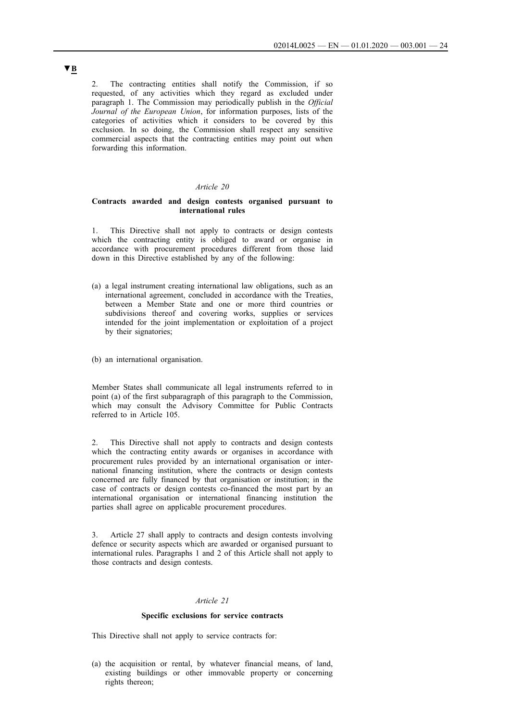<span id="page-23-0"></span>2. The contracting entities shall notify the Commission, if so requested, of any activities which they regard as excluded under paragraph 1. The Commission may periodically publish in the *Official Journal of the European Union*, for information purposes, lists of the categories of activities which it considers to be covered by this exclusion. In so doing, the Commission shall respect any sensitive commercial aspects that the contracting entities may point out when forwarding this information.

#### *Article 20*

### **Contracts awarded and design contests organised pursuant to international rules**

1. This Directive shall not apply to contracts or design contests which the contracting entity is obliged to award or organise in accordance with procurement procedures different from those laid down in this Directive established by any of the following:

(a) a legal instrument creating international law obligations, such as an international agreement, concluded in accordance with the Treaties, between a Member State and one or more third countries or subdivisions thereof and covering works, supplies or services intended for the joint implementation or exploitation of a project by their signatories;

(b) an international organisation.

Member States shall communicate all legal instruments referred to in point (a) of the first subparagraph of this paragraph to the Commission, which may consult the Advisory Committee for Public Contracts referred to in Article 105.

2. This Directive shall not apply to contracts and design contests which the contracting entity awards or organises in accordance with procurement rules provided by an international organisation or international financing institution, where the contracts or design contests concerned are fully financed by that organisation or institution; in the case of contracts or design contests co-financed the most part by an international organisation or international financing institution the parties shall agree on applicable procurement procedures.

3. Article 27 shall apply to contracts and design contests involving defence or security aspects which are awarded or organised pursuant to international rules. Paragraphs 1 and 2 of this Article shall not apply to those contracts and design contests.

#### *Article 21*

#### **Specific exclusions for service contracts**

This Directive shall not apply to service contracts for:

(a) the acquisition or rental, by whatever financial means, of land, existing buildings or other immovable property or concerning rights thereon;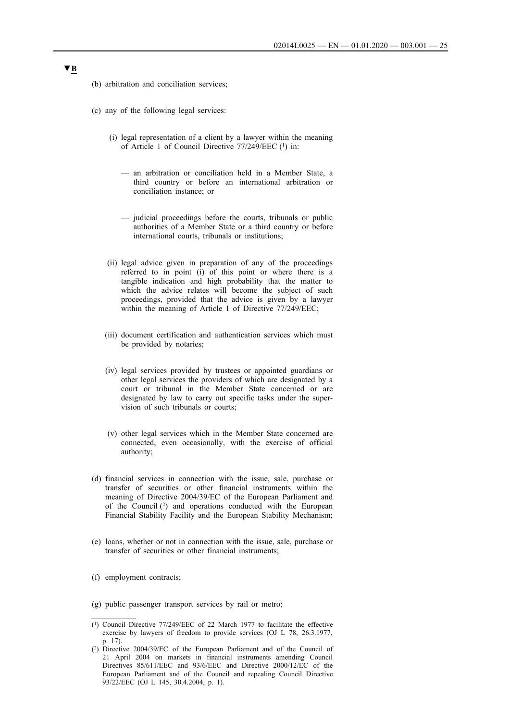- (b) arbitration and conciliation services;
- (c) any of the following legal services:
	- (i) legal representation of a client by a lawyer within the meaning of Article 1 of Council Directive 77/249/EEC (1) in:
		- an arbitration or conciliation held in a Member State, a third country or before an international arbitration or conciliation instance; or
		- judicial proceedings before the courts, tribunals or public authorities of a Member State or a third country or before international courts, tribunals or institutions;
	- (ii) legal advice given in preparation of any of the proceedings referred to in point (i) of this point or where there is a tangible indication and high probability that the matter to which the advice relates will become the subject of such proceedings, provided that the advice is given by a lawyer within the meaning of Article 1 of Directive 77/249/EEC;
	- (iii) document certification and authentication services which must be provided by notaries;
	- (iv) legal services provided by trustees or appointed guardians or other legal services the providers of which are designated by a court or tribunal in the Member State concerned or are designated by law to carry out specific tasks under the supervision of such tribunals or courts;
	- (v) other legal services which in the Member State concerned are connected, even occasionally, with the exercise of official authority;
- (d) financial services in connection with the issue, sale, purchase or transfer of securities or other financial instruments within the meaning of Directive 2004/39/EC of the European Parliament and of the Council  $(2)$  and operations conducted with the European Financial Stability Facility and the European Stability Mechanism;
- (e) loans, whether or not in connection with the issue, sale, purchase or transfer of securities or other financial instruments;
- (f) employment contracts;
- (g) public passenger transport services by rail or metro;

<sup>(1)</sup> Council Directive 77/249/EEC of 22 March 1977 to facilitate the effective exercise by lawyers of freedom to provide services (OJ L 78, 26.3.1977, p. 17).

<sup>(2)</sup> Directive 2004/39/EC of the European Parliament and of the Council of 21 April 2004 on markets in financial instruments amending Council Directives 85/611/EEC and 93/6/EEC and Directive 2000/12/EC of the European Parliament and of the Council and repealing Council Directive 93/22/EEC (OJ L 145, 30.4.2004, p. 1).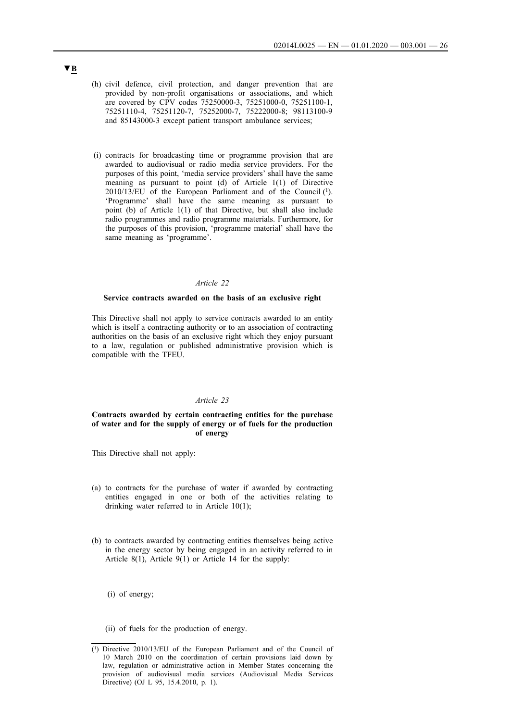- <span id="page-25-0"></span>(h) civil defence, civil protection, and danger prevention that are provided by non-profit organisations or associations, and which are covered by CPV codes 75250000-3, 75251000-0, 75251100-1, 75251110-4, 75251120-7, 75252000-7, 75222000-8; 98113100-9 and 85143000-3 except patient transport ambulance services;
- (i) contracts for broadcasting time or programme provision that are awarded to audiovisual or radio media service providers. For the purposes of this point, 'media service providers' shall have the same meaning as pursuant to point (d) of Article 1(1) of Directive 2010/13/EU of the European Parliament and of the Council (1). 'Programme' shall have the same meaning as pursuant to point (b) of Article 1(1) of that Directive, but shall also include radio programmes and radio programme materials. Furthermore, for the purposes of this provision, 'programme material' shall have the same meaning as 'programme'.

#### **Service contracts awarded on the basis of an exclusive right**

This Directive shall not apply to service contracts awarded to an entity which is itself a contracting authority or to an association of contracting authorities on the basis of an exclusive right which they enjoy pursuant to a law, regulation or published administrative provision which is compatible with the TFEU.

#### *Article 23*

### **Contracts awarded by certain contracting entities for the purchase of water and for the supply of energy or of fuels for the production of energy**

This Directive shall not apply:

- (a) to contracts for the purchase of water if awarded by contracting entities engaged in one or both of the activities relating to drinking water referred to in Article 10(1);
- (b) to contracts awarded by contracting entities themselves being active in the energy sector by being engaged in an activity referred to in Article 8(1), Article 9(1) or Article 14 for the supply:

(i) of energy;

(ii) of fuels for the production of energy.

<sup>(1)</sup> Directive 2010/13/EU of the European Parliament and of the Council of 10 March 2010 on the coordination of certain provisions laid down by law, regulation or administrative action in Member States concerning the provision of audiovisual media services (Audiovisual Media Services Directive) (OJ L 95, 15.4.2010, p. 1).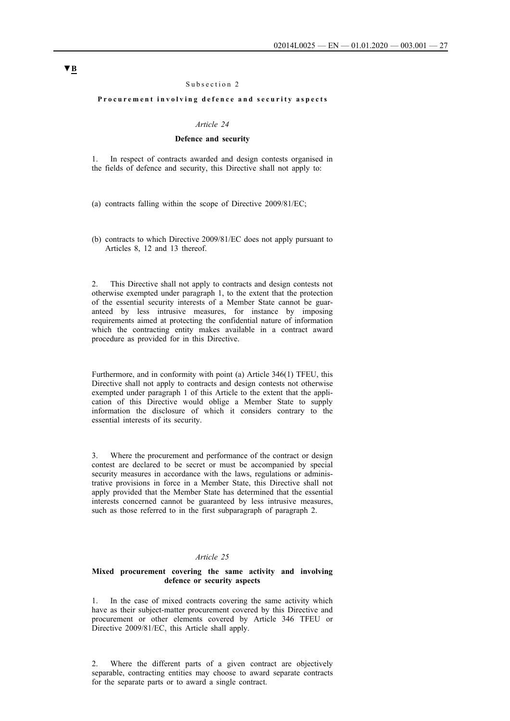#### Subsection 2

#### <span id="page-26-0"></span>Procurement involving defence and security aspects

#### *Article 24*

### **Defence and security**

1. In respect of contracts awarded and design contests organised in the fields of defence and security, this Directive shall not apply to:

(a) contracts falling within the scope of Directive 2009/81/EC;

(b) contracts to which Directive 2009/81/EC does not apply pursuant to Articles 8, 12 and 13 thereof.

2. This Directive shall not apply to contracts and design contests not otherwise exempted under paragraph 1, to the extent that the protection of the essential security interests of a Member State cannot be guaranteed by less intrusive measures, for instance by imposing requirements aimed at protecting the confidential nature of information which the contracting entity makes available in a contract award procedure as provided for in this Directive.

Furthermore, and in conformity with point (a) Article 346(1) TFEU, this Directive shall not apply to contracts and design contests not otherwise exempted under paragraph 1 of this Article to the extent that the application of this Directive would oblige a Member State to supply information the disclosure of which it considers contrary to the essential interests of its security.

3. Where the procurement and performance of the contract or design contest are declared to be secret or must be accompanied by special security measures in accordance with the laws, regulations or administrative provisions in force in a Member State, this Directive shall not apply provided that the Member State has determined that the essential interests concerned cannot be guaranteed by less intrusive measures, such as those referred to in the first subparagraph of paragraph 2.

#### *Article 25*

#### **Mixed procurement covering the same activity and involving defence or security aspects**

1. In the case of mixed contracts covering the same activity which have as their subject-matter procurement covered by this Directive and procurement or other elements covered by Article 346 TFEU or Directive 2009/81/EC, this Article shall apply.

2. Where the different parts of a given contract are objectively separable, contracting entities may choose to award separate contracts for the separate parts or to award a single contract.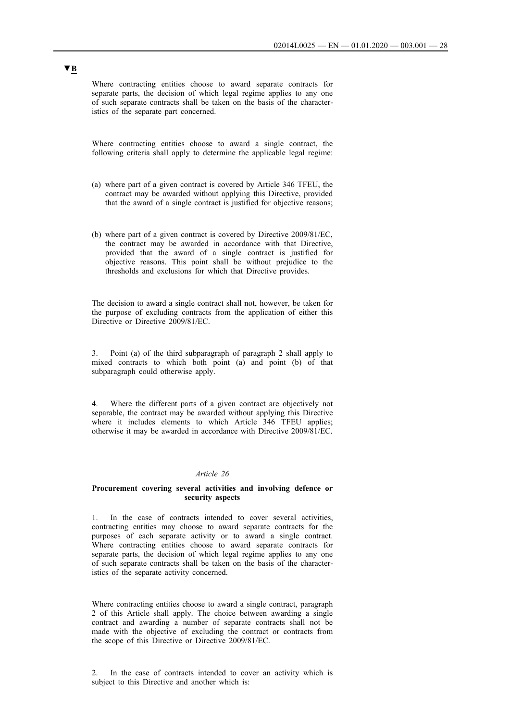<span id="page-27-0"></span>Where contracting entities choose to award separate contracts for separate parts, the decision of which legal regime applies to any one of such separate contracts shall be taken on the basis of the characteristics of the separate part concerned.

Where contracting entities choose to award a single contract, the following criteria shall apply to determine the applicable legal regime:

- (a) where part of a given contract is covered by Article 346 TFEU, the contract may be awarded without applying this Directive, provided that the award of a single contract is justified for objective reasons;
- (b) where part of a given contract is covered by Directive 2009/81/EC, the contract may be awarded in accordance with that Directive, provided that the award of a single contract is justified for objective reasons. This point shall be without prejudice to the thresholds and exclusions for which that Directive provides.

The decision to award a single contract shall not, however, be taken for the purpose of excluding contracts from the application of either this Directive or Directive 2009/81/EC.

3. Point (a) of the third subparagraph of paragraph 2 shall apply to mixed contracts to which both point (a) and point (b) of that subparagraph could otherwise apply.

Where the different parts of a given contract are objectively not separable, the contract may be awarded without applying this Directive where it includes elements to which Article 346 TFEU applies; otherwise it may be awarded in accordance with Directive 2009/81/EC.

### *Article 26*

### **Procurement covering several activities and involving defence or security aspects**

1. In the case of contracts intended to cover several activities, contracting entities may choose to award separate contracts for the purposes of each separate activity or to award a single contract. Where contracting entities choose to award separate contracts for separate parts, the decision of which legal regime applies to any one of such separate contracts shall be taken on the basis of the characteristics of the separate activity concerned.

Where contracting entities choose to award a single contract, paragraph 2 of this Article shall apply. The choice between awarding a single contract and awarding a number of separate contracts shall not be made with the objective of excluding the contract or contracts from the scope of this Directive or Directive 2009/81/EC.

2. In the case of contracts intended to cover an activity which is subject to this Directive and another which is: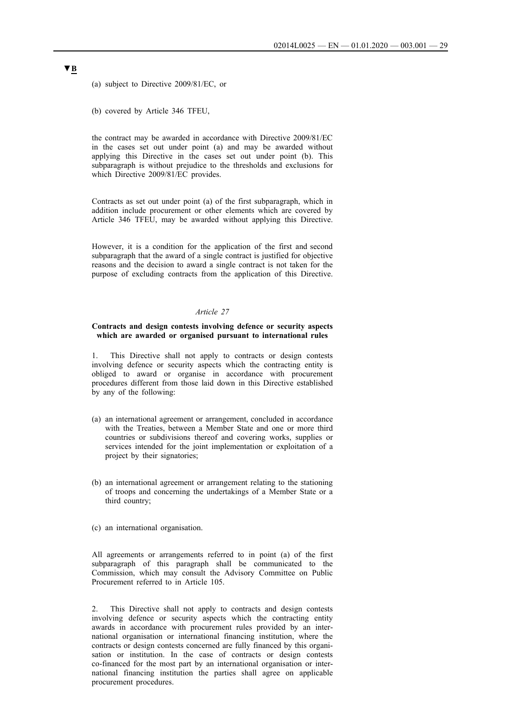<span id="page-28-0"></span>(a) subject to Directive 2009/81/EC, or

(b) covered by Article 346 TFEU,

the contract may be awarded in accordance with Directive 2009/81/EC in the cases set out under point (a) and may be awarded without applying this Directive in the cases set out under point (b). This subparagraph is without prejudice to the thresholds and exclusions for which Directive 2009/81/EC provides.

Contracts as set out under point (a) of the first subparagraph, which in addition include procurement or other elements which are covered by Article 346 TFEU, may be awarded without applying this Directive.

However, it is a condition for the application of the first and second subparagraph that the award of a single contract is justified for objective reasons and the decision to award a single contract is not taken for the purpose of excluding contracts from the application of this Directive.

#### *Article 27*

#### **Contracts and design contests involving defence or security aspects which are awarded or organised pursuant to international rules**

1. This Directive shall not apply to contracts or design contests involving defence or security aspects which the contracting entity is obliged to award or organise in accordance with procurement procedures different from those laid down in this Directive established by any of the following:

- (a) an international agreement or arrangement, concluded in accordance with the Treaties, between a Member State and one or more third countries or subdivisions thereof and covering works, supplies or services intended for the joint implementation or exploitation of a project by their signatories;
- (b) an international agreement or arrangement relating to the stationing of troops and concerning the undertakings of a Member State or a third country;
- (c) an international organisation.

All agreements or arrangements referred to in point (a) of the first subparagraph of this paragraph shall be communicated to the Commission, which may consult the Advisory Committee on Public Procurement referred to in Article 105.

2. This Directive shall not apply to contracts and design contests involving defence or security aspects which the contracting entity awards in accordance with procurement rules provided by an international organisation or international financing institution, where the contracts or design contests concerned are fully financed by this organisation or institution. In the case of contracts or design contests co-financed for the most part by an international organisation or international financing institution the parties shall agree on applicable procurement procedures.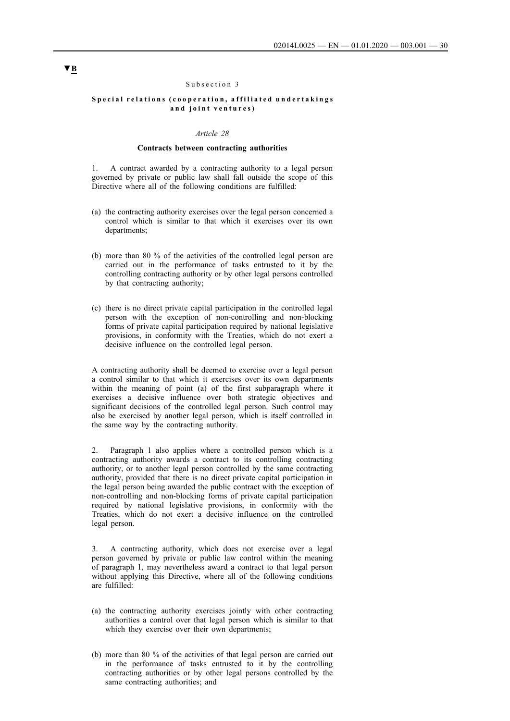#### Subsection 3

#### <span id="page-29-0"></span>Special relations (cooperation, affiliated undertakings and joint ventures)

#### *Article 28*

#### **Contracts between contracting authorities**

1. A contract awarded by a contracting authority to a legal person governed by private or public law shall fall outside the scope of this Directive where all of the following conditions are fulfilled:

- (a) the contracting authority exercises over the legal person concerned a control which is similar to that which it exercises over its own departments;
- (b) more than 80 % of the activities of the controlled legal person are carried out in the performance of tasks entrusted to it by the controlling contracting authority or by other legal persons controlled by that contracting authority;
- (c) there is no direct private capital participation in the controlled legal person with the exception of non-controlling and non-blocking forms of private capital participation required by national legislative provisions, in conformity with the Treaties, which do not exert a decisive influence on the controlled legal person.

A contracting authority shall be deemed to exercise over a legal person a control similar to that which it exercises over its own departments within the meaning of point (a) of the first subparagraph where it exercises a decisive influence over both strategic objectives and significant decisions of the controlled legal person. Such control may also be exercised by another legal person, which is itself controlled in the same way by the contracting authority.

2. Paragraph 1 also applies where a controlled person which is a contracting authority awards a contract to its controlling contracting authority, or to another legal person controlled by the same contracting authority, provided that there is no direct private capital participation in the legal person being awarded the public contract with the exception of non-controlling and non-blocking forms of private capital participation required by national legislative provisions, in conformity with the Treaties, which do not exert a decisive influence on the controlled legal person.

3. A contracting authority, which does not exercise over a legal person governed by private or public law control within the meaning of paragraph 1, may nevertheless award a contract to that legal person without applying this Directive, where all of the following conditions are fulfilled:

- (a) the contracting authority exercises jointly with other contracting authorities a control over that legal person which is similar to that which they exercise over their own departments;
- (b) more than 80 % of the activities of that legal person are carried out in the performance of tasks entrusted to it by the controlling contracting authorities or by other legal persons controlled by the same contracting authorities; and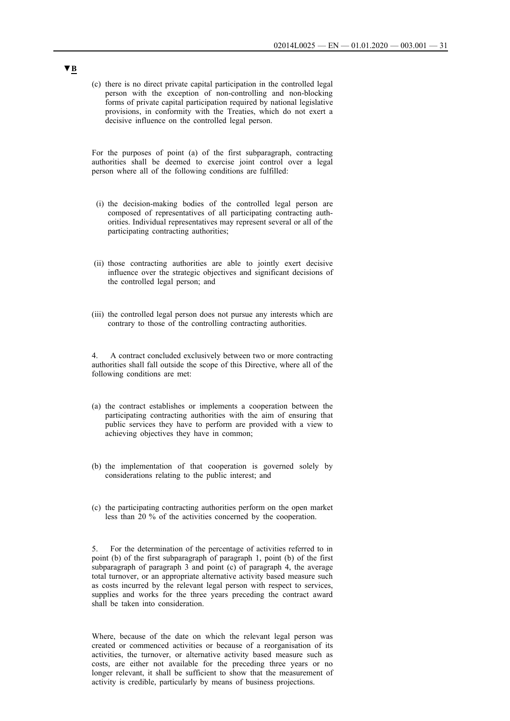(c) there is no direct private capital participation in the controlled legal person with the exception of non-controlling and non-blocking forms of private capital participation required by national legislative provisions, in conformity with the Treaties, which do not exert a decisive influence on the controlled legal person.

For the purposes of point (a) of the first subparagraph, contracting authorities shall be deemed to exercise joint control over a legal person where all of the following conditions are fulfilled:

- (i) the decision-making bodies of the controlled legal person are composed of representatives of all participating contracting authorities. Individual representatives may represent several or all of the participating contracting authorities;
- (ii) those contracting authorities are able to jointly exert decisive influence over the strategic objectives and significant decisions of the controlled legal person; and
- (iii) the controlled legal person does not pursue any interests which are contrary to those of the controlling contracting authorities.

4. A contract concluded exclusively between two or more contracting authorities shall fall outside the scope of this Directive, where all of the following conditions are met:

- (a) the contract establishes or implements a cooperation between the participating contracting authorities with the aim of ensuring that public services they have to perform are provided with a view to achieving objectives they have in common;
- (b) the implementation of that cooperation is governed solely by considerations relating to the public interest; and
- (c) the participating contracting authorities perform on the open market less than 20 % of the activities concerned by the cooperation.

5. For the determination of the percentage of activities referred to in point (b) of the first subparagraph of paragraph 1, point (b) of the first subparagraph of paragraph 3 and point (c) of paragraph 4, the average total turnover, or an appropriate alternative activity based measure such as costs incurred by the relevant legal person with respect to services, supplies and works for the three years preceding the contract award shall be taken into consideration.

Where, because of the date on which the relevant legal person was created or commenced activities or because of a reorganisation of its activities, the turnover, or alternative activity based measure such as costs, are either not available for the preceding three years or no longer relevant, it shall be sufficient to show that the measurement of activity is credible, particularly by means of business projections.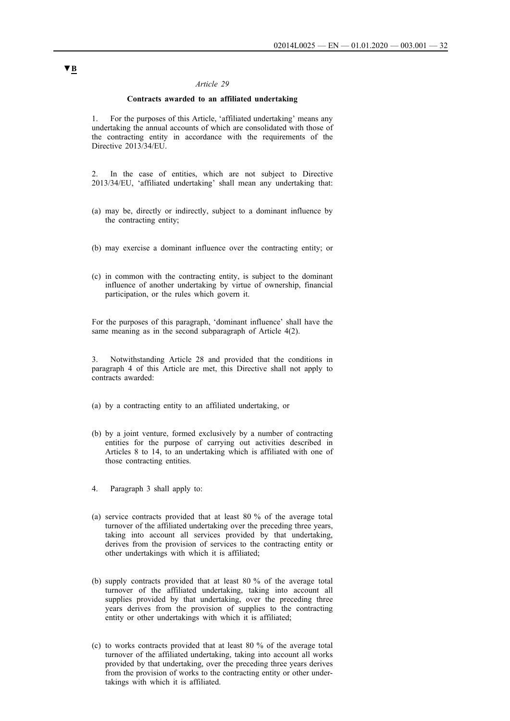### **Contracts awarded to an affiliated undertaking**

<span id="page-31-0"></span>1. For the purposes of this Article, 'affiliated undertaking' means any undertaking the annual accounts of which are consolidated with those of the contracting entity in accordance with the requirements of the Directive 2013/34/EU.

2. In the case of entities, which are not subject to Directive 2013/34/EU, 'affiliated undertaking' shall mean any undertaking that:

- (a) may be, directly or indirectly, subject to a dominant influence by the contracting entity;
- (b) may exercise a dominant influence over the contracting entity; or
- (c) in common with the contracting entity, is subject to the dominant influence of another undertaking by virtue of ownership, financial participation, or the rules which govern it.

For the purposes of this paragraph, 'dominant influence' shall have the same meaning as in the second subparagraph of Article 4(2).

3. Notwithstanding Article 28 and provided that the conditions in paragraph 4 of this Article are met, this Directive shall not apply to contracts awarded:

(a) by a contracting entity to an affiliated undertaking, or

- (b) by a joint venture, formed exclusively by a number of contracting entities for the purpose of carrying out activities described in Articles 8 to 14, to an undertaking which is affiliated with one of those contracting entities.
- 4. Paragraph 3 shall apply to:
- (a) service contracts provided that at least 80 % of the average total turnover of the affiliated undertaking over the preceding three years, taking into account all services provided by that undertaking, derives from the provision of services to the contracting entity or other undertakings with which it is affiliated;
- (b) supply contracts provided that at least 80 % of the average total turnover of the affiliated undertaking, taking into account all supplies provided by that undertaking, over the preceding three years derives from the provision of supplies to the contracting entity or other undertakings with which it is affiliated;
- (c) to works contracts provided that at least 80 % of the average total turnover of the affiliated undertaking, taking into account all works provided by that undertaking, over the preceding three years derives from the provision of works to the contracting entity or other undertakings with which it is affiliated.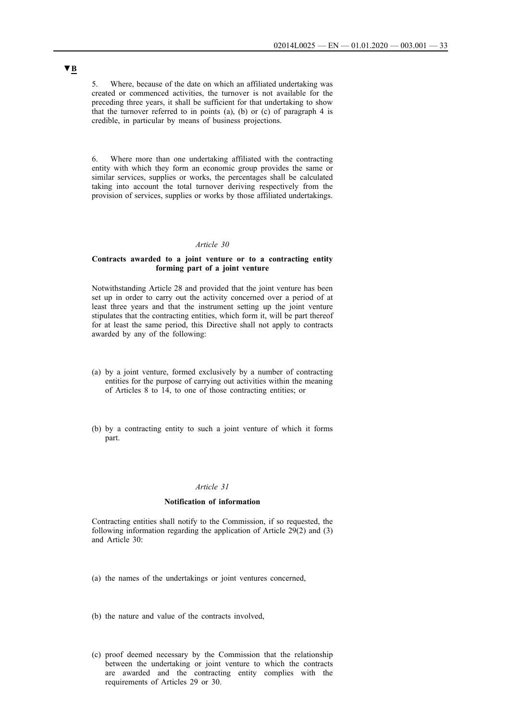<span id="page-32-0"></span>5. Where, because of the date on which an affiliated undertaking was created or commenced activities, the turnover is not available for the preceding three years, it shall be sufficient for that undertaking to show that the turnover referred to in points  $(a)$ ,  $(b)$  or  $(c)$  of paragraph 4 is credible, in particular by means of business projections.

6. Where more than one undertaking affiliated with the contracting entity with which they form an economic group provides the same or similar services, supplies or works, the percentages shall be calculated taking into account the total turnover deriving respectively from the provision of services, supplies or works by those affiliated undertakings.

#### *Article 30*

### **Contracts awarded to a joint venture or to a contracting entity forming part of a joint venture**

Notwithstanding Article 28 and provided that the joint venture has been set up in order to carry out the activity concerned over a period of at least three years and that the instrument setting up the joint venture stipulates that the contracting entities, which form it, will be part thereof for at least the same period, this Directive shall not apply to contracts awarded by any of the following:

- (a) by a joint venture, formed exclusively by a number of contracting entities for the purpose of carrying out activities within the meaning of Articles 8 to 14, to one of those contracting entities; or
- (b) by a contracting entity to such a joint venture of which it forms part.

### *Article 31*

#### **Notification of information**

Contracting entities shall notify to the Commission, if so requested, the following information regarding the application of Article 29(2) and (3) and Article 30:

- (a) the names of the undertakings or joint ventures concerned,
- (b) the nature and value of the contracts involved,
- (c) proof deemed necessary by the Commission that the relationship between the undertaking or joint venture to which the contracts are awarded and the contracting entity complies with the requirements of Articles 29 or 30.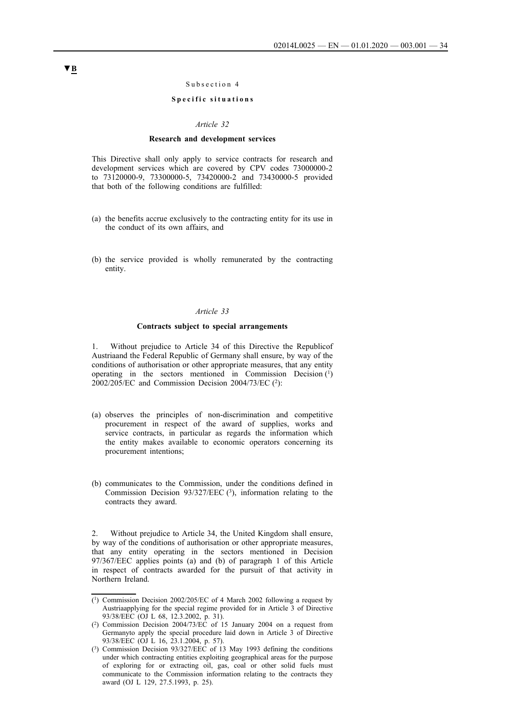#### Subsection 4

### **Specific situations**

#### *Article 32*

#### **Research and development services**

<span id="page-33-0"></span>This Directive shall only apply to service contracts for research and development services which are covered by CPV codes 73000000-2 to 73120000-9, 73300000-5, 73420000-2 and 73430000-5 provided that both of the following conditions are fulfilled:

- (a) the benefits accrue exclusively to the contracting entity for its use in the conduct of its own affairs, and
- (b) the service provided is wholly remunerated by the contracting entity.

#### *Article 33*

#### **Contracts subject to special arrangements**

1. Without prejudice to Article 34 of this Directive the Republicof Austriaand the Federal Republic of Germany shall ensure, by way of the conditions of authorisation or other appropriate measures, that any entity operating in the sectors mentioned in Commission Decision  $(1)$  $2002/205/EC$  and Commission Decision 2004/73/EC (2):

- (a) observes the principles of non-discrimination and competitive procurement in respect of the award of supplies, works and service contracts, in particular as regards the information which the entity makes available to economic operators concerning its procurement intentions;
- (b) communicates to the Commission, under the conditions defined in Commission Decision 93/327/EEC  $(3)$ , information relating to the contracts they award.

2. Without prejudice to Article 34, the United Kingdom shall ensure, by way of the conditions of authorisation or other appropriate measures, that any entity operating in the sectors mentioned in Decision 97/367/EEC applies points (a) and (b) of paragraph 1 of this Article in respect of contracts awarded for the pursuit of that activity in Northern Ireland.

<sup>(1)</sup> Commission Decision 2002/205/EC of 4 March 2002 following a request by Austriaapplying for the special regime provided for in Article 3 of Directive 93/38/EEC (OJ L 68, 12.3.2002, p. 31).

<sup>(2)</sup> Commission Decision 2004/73/EC of 15 January 2004 on a request from Germanyto apply the special procedure laid down in Article 3 of Directive 93/38/EEC (OJ L 16, 23.1.2004, p. 57).

<sup>(3)</sup> Commission Decision 93/327/EEC of 13 May 1993 defining the conditions under which contracting entities exploiting geographical areas for the purpose of exploring for or extracting oil, gas, coal or other solid fuels must communicate to the Commission information relating to the contracts they award (OJ L 129, 27.5.1993, p. 25).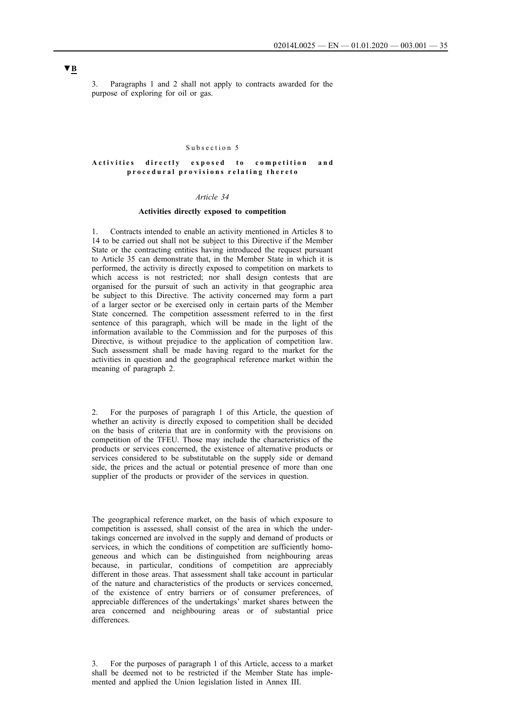<span id="page-34-0"></span>3. Paragraphs 1 and 2 shall not apply to contracts awarded for the purpose of exploring for oil or gas.

#### Subsection 5

#### Activities directly exposed to competition and **p r o c e d u r a l p r o v i s i o n s r e l a t i n g t h e r e t o**

### *Article 34*

### **Activities directly exposed to competition**

1. Contracts intended to enable an activity mentioned in Articles 8 to 14 to be carried out shall not be subject to this Directive if the Member State or the contracting entities having introduced the request pursuant to Article 35 can demonstrate that, in the Member State in which it is performed, the activity is directly exposed to competition on markets to which access is not restricted; nor shall design contests that are organised for the pursuit of such an activity in that geographic area be subject to this Directive. The activity concerned may form a part of a larger sector or be exercised only in certain parts of the Member State concerned. The competition assessment referred to in the first sentence of this paragraph, which will be made in the light of the information available to the Commission and for the purposes of this Directive, is without prejudice to the application of competition law. Such assessment shall be made having regard to the market for the activities in question and the geographical reference market within the meaning of paragraph 2.

2. For the purposes of paragraph 1 of this Article, the question of whether an activity is directly exposed to competition shall be decided on the basis of criteria that are in conformity with the provisions on competition of the TFEU. Those may include the characteristics of the products or services concerned, the existence of alternative products or services considered to be substitutable on the supply side or demand side, the prices and the actual or potential presence of more than one supplier of the products or provider of the services in question.

The geographical reference market, on the basis of which exposure to competition is assessed, shall consist of the area in which the undertakings concerned are involved in the supply and demand of products or services, in which the conditions of competition are sufficiently homogeneous and which can be distinguished from neighbouring areas because, in particular, conditions of competition are appreciably different in those areas. That assessment shall take account in particular of the nature and characteristics of the products or services concerned, of the existence of entry barriers or of consumer preferences, of appreciable differences of the undertakings' market shares between the area concerned and neighbouring areas or of substantial price differences.

3. For the purposes of paragraph 1 of this Article, access to a market shall be deemed not to be restricted if the Member State has implemented and applied the Union legislation listed in Annex III.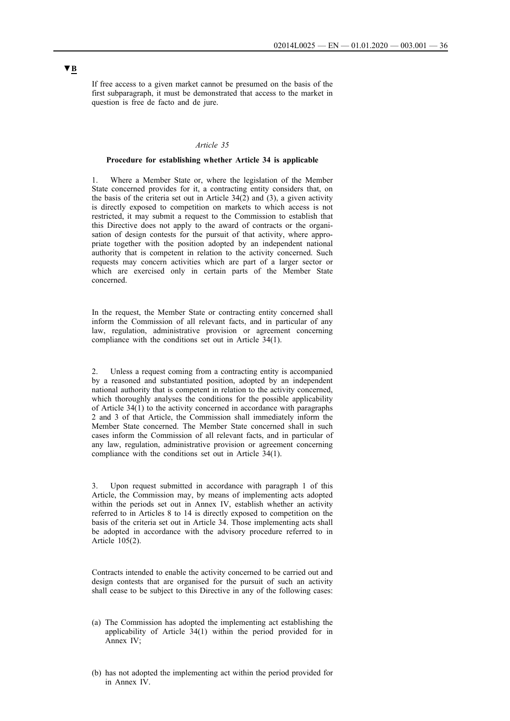<span id="page-35-0"></span>If free access to a given market cannot be presumed on the basis of the first subparagraph, it must be demonstrated that access to the market in question is free de facto and de jure.

### *Article 35*

#### **Procedure for establishing whether Article 34 is applicable**

1. Where a Member State or, where the legislation of the Member State concerned provides for it, a contracting entity considers that, on the basis of the criteria set out in Article 34(2) and (3), a given activity is directly exposed to competition on markets to which access is not restricted, it may submit a request to the Commission to establish that this Directive does not apply to the award of contracts or the organisation of design contests for the pursuit of that activity, where appropriate together with the position adopted by an independent national authority that is competent in relation to the activity concerned. Such requests may concern activities which are part of a larger sector or which are exercised only in certain parts of the Member State concerned.

In the request, the Member State or contracting entity concerned shall inform the Commission of all relevant facts, and in particular of any law, regulation, administrative provision or agreement concerning compliance with the conditions set out in Article 34(1).

2. Unless a request coming from a contracting entity is accompanied by a reasoned and substantiated position, adopted by an independent national authority that is competent in relation to the activity concerned, which thoroughly analyses the conditions for the possible applicability of Article 34(1) to the activity concerned in accordance with paragraphs 2 and 3 of that Article, the Commission shall immediately inform the Member State concerned. The Member State concerned shall in such cases inform the Commission of all relevant facts, and in particular of any law, regulation, administrative provision or agreement concerning compliance with the conditions set out in Article 34(1).

3. Upon request submitted in accordance with paragraph 1 of this Article, the Commission may, by means of implementing acts adopted within the periods set out in Annex IV, establish whether an activity referred to in Articles 8 to 14 is directly exposed to competition on the basis of the criteria set out in Article 34. Those implementing acts shall be adopted in accordance with the advisory procedure referred to in Article 105(2).

Contracts intended to enable the activity concerned to be carried out and design contests that are organised for the pursuit of such an activity shall cease to be subject to this Directive in any of the following cases:

- (a) The Commission has adopted the implementing act establishing the applicability of Article 34(1) within the period provided for in Annex IV;
- (b) has not adopted the implementing act within the period provided for in Annex IV.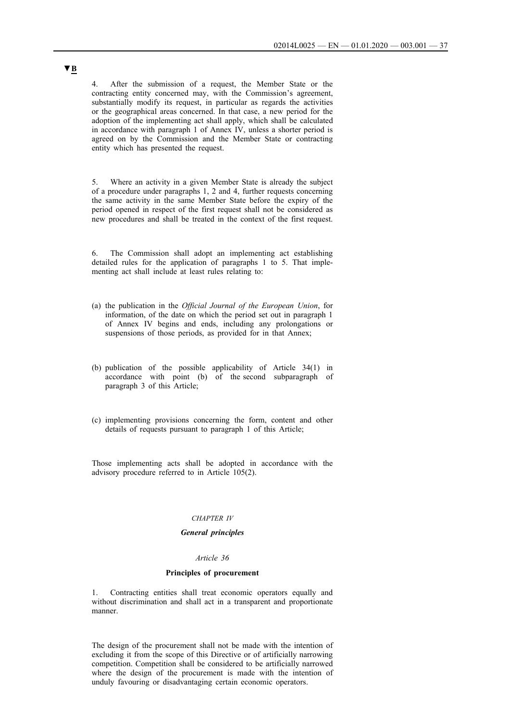4. After the submission of a request, the Member State or the contracting entity concerned may, with the Commission's agreement, substantially modify its request, in particular as regards the activities or the geographical areas concerned. In that case, a new period for the adoption of the implementing act shall apply, which shall be calculated in accordance with paragraph 1 of Annex IV, unless a shorter period is agreed on by the Commission and the Member State or contracting entity which has presented the request.

5. Where an activity in a given Member State is already the subject of a procedure under paragraphs 1, 2 and 4, further requests concerning the same activity in the same Member State before the expiry of the period opened in respect of the first request shall not be considered as new procedures and shall be treated in the context of the first request.

6. The Commission shall adopt an implementing act establishing detailed rules for the application of paragraphs 1 to 5. That implementing act shall include at least rules relating to:

- (a) the publication in the *Official Journal of the European Union*, for information, of the date on which the period set out in paragraph 1 of Annex IV begins and ends, including any prolongations or suspensions of those periods, as provided for in that Annex;
- (b) publication of the possible applicability of Article 34(1) in accordance with point (b) of the second subparagraph of paragraph 3 of this Article;
- (c) implementing provisions concerning the form, content and other details of requests pursuant to paragraph 1 of this Article;

Those implementing acts shall be adopted in accordance with the advisory procedure referred to in Article 105(2).

#### *CHAPTER IV*

#### *General principles*

## *Article 36*

### **Principles of procurement**

1. Contracting entities shall treat economic operators equally and without discrimination and shall act in a transparent and proportionate manner.

The design of the procurement shall not be made with the intention of excluding it from the scope of this Directive or of artificially narrowing competition. Competition shall be considered to be artificially narrowed where the design of the procurement is made with the intention of unduly favouring or disadvantaging certain economic operators.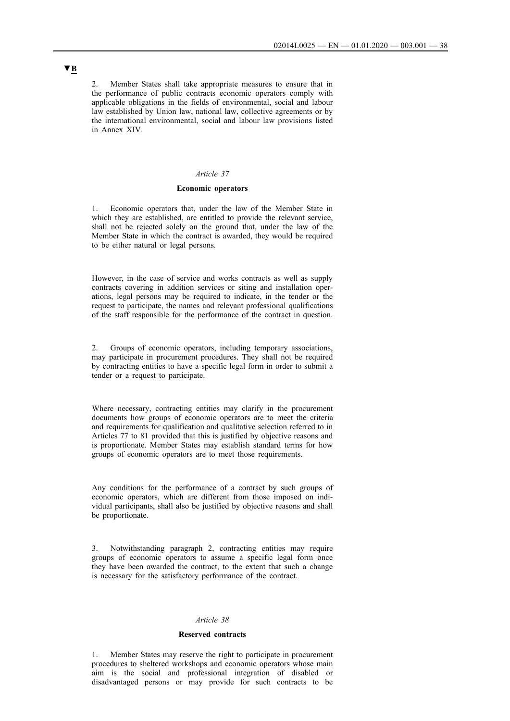2. Member States shall take appropriate measures to ensure that in the performance of public contracts economic operators comply with applicable obligations in the fields of environmental, social and labour law established by Union law, national law, collective agreements or by the international environmental, social and labour law provisions listed in Annex XIV.

## *Article 37*

#### **Economic operators**

1. Economic operators that, under the law of the Member State in which they are established, are entitled to provide the relevant service, shall not be rejected solely on the ground that, under the law of the Member State in which the contract is awarded, they would be required to be either natural or legal persons.

However, in the case of service and works contracts as well as supply contracts covering in addition services or siting and installation operations, legal persons may be required to indicate, in the tender or the request to participate, the names and relevant professional qualifications of the staff responsible for the performance of the contract in question.

2. Groups of economic operators, including temporary associations, may participate in procurement procedures. They shall not be required by contracting entities to have a specific legal form in order to submit a tender or a request to participate.

Where necessary, contracting entities may clarify in the procurement documents how groups of economic operators are to meet the criteria and requirements for qualification and qualitative selection referred to in Articles 77 to 81 provided that this is justified by objective reasons and is proportionate. Member States may establish standard terms for how groups of economic operators are to meet those requirements.

Any conditions for the performance of a contract by such groups of economic operators, which are different from those imposed on individual participants, shall also be justified by objective reasons and shall be proportionate.

3. Notwithstanding paragraph 2, contracting entities may require groups of economic operators to assume a specific legal form once they have been awarded the contract, to the extent that such a change is necessary for the satisfactory performance of the contract.

#### *Article 38*

#### **Reserved contracts**

1. Member States may reserve the right to participate in procurement procedures to sheltered workshops and economic operators whose main aim is the social and professional integration of disabled or disadvantaged persons or may provide for such contracts to be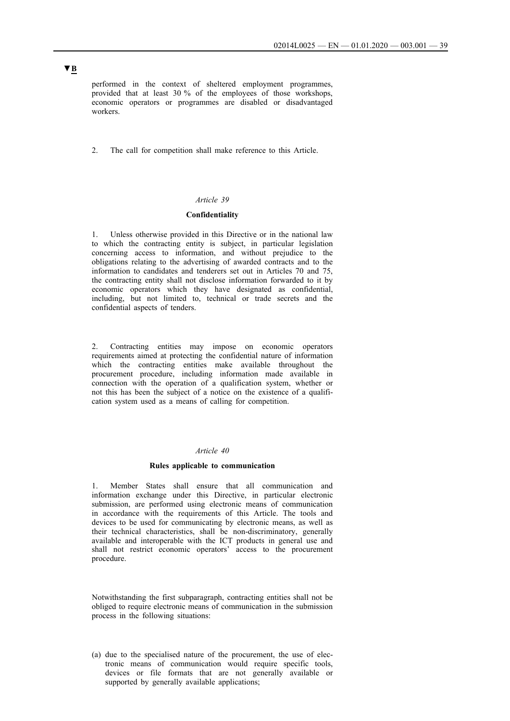performed in the context of sheltered employment programmes, provided that at least 30 % of the employees of those workshops, economic operators or programmes are disabled or disadvantaged workers.

2. The call for competition shall make reference to this Article.

### *Article 39*

### **Confidentiality**

1. Unless otherwise provided in this Directive or in the national law to which the contracting entity is subject, in particular legislation concerning access to information, and without prejudice to the obligations relating to the advertising of awarded contracts and to the information to candidates and tenderers set out in Articles 70 and 75, the contracting entity shall not disclose information forwarded to it by economic operators which they have designated as confidential, including, but not limited to, technical or trade secrets and the confidential aspects of tenders.

2. Contracting entities may impose on economic operators requirements aimed at protecting the confidential nature of information which the contracting entities make available throughout the procurement procedure, including information made available in connection with the operation of a qualification system, whether or not this has been the subject of a notice on the existence of a qualification system used as a means of calling for competition.

#### *Article 40*

#### **Rules applicable to communication**

1. Member States shall ensure that all communication and information exchange under this Directive, in particular electronic submission, are performed using electronic means of communication in accordance with the requirements of this Article. The tools and devices to be used for communicating by electronic means, as well as their technical characteristics, shall be non-discriminatory, generally available and interoperable with the ICT products in general use and shall not restrict economic operators' access to the procurement procedure.

Notwithstanding the first subparagraph, contracting entities shall not be obliged to require electronic means of communication in the submission process in the following situations:

(a) due to the specialised nature of the procurement, the use of electronic means of communication would require specific tools, devices or file formats that are not generally available or supported by generally available applications;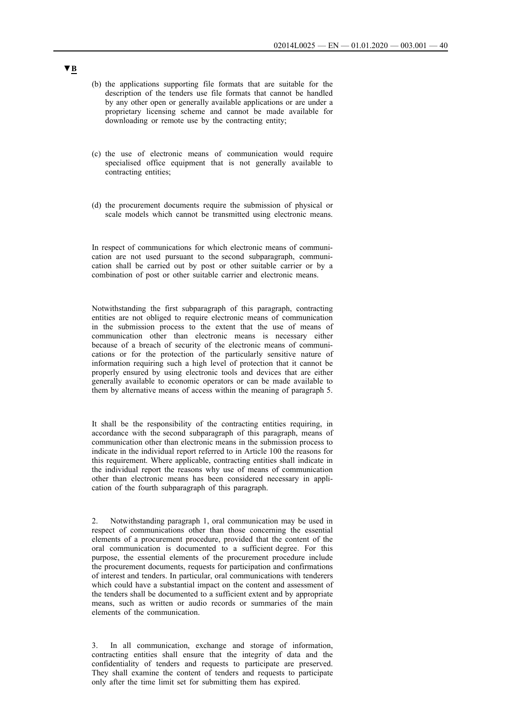- (b) the applications supporting file formats that are suitable for the description of the tenders use file formats that cannot be handled by any other open or generally available applications or are under a proprietary licensing scheme and cannot be made available for downloading or remote use by the contracting entity;
- (c) the use of electronic means of communication would require specialised office equipment that is not generally available to contracting entities;
- (d) the procurement documents require the submission of physical or scale models which cannot be transmitted using electronic means.

In respect of communications for which electronic means of communication are not used pursuant to the second subparagraph, communication shall be carried out by post or other suitable carrier or by a combination of post or other suitable carrier and electronic means.

Notwithstanding the first subparagraph of this paragraph, contracting entities are not obliged to require electronic means of communication in the submission process to the extent that the use of means of communication other than electronic means is necessary either because of a breach of security of the electronic means of communications or for the protection of the particularly sensitive nature of information requiring such a high level of protection that it cannot be properly ensured by using electronic tools and devices that are either generally available to economic operators or can be made available to them by alternative means of access within the meaning of paragraph 5.

It shall be the responsibility of the contracting entities requiring, in accordance with the second subparagraph of this paragraph, means of communication other than electronic means in the submission process to indicate in the individual report referred to in Article 100 the reasons for this requirement. Where applicable, contracting entities shall indicate in the individual report the reasons why use of means of communication other than electronic means has been considered necessary in application of the fourth subparagraph of this paragraph.

2. Notwithstanding paragraph 1, oral communication may be used in respect of communications other than those concerning the essential elements of a procurement procedure, provided that the content of the oral communication is documented to a sufficient degree. For this purpose, the essential elements of the procurement procedure include the procurement documents, requests for participation and confirmations of interest and tenders. In particular, oral communications with tenderers which could have a substantial impact on the content and assessment of the tenders shall be documented to a sufficient extent and by appropriate means, such as written or audio records or summaries of the main elements of the communication.

3. In all communication, exchange and storage of information, contracting entities shall ensure that the integrity of data and the confidentiality of tenders and requests to participate are preserved. They shall examine the content of tenders and requests to participate only after the time limit set for submitting them has expired.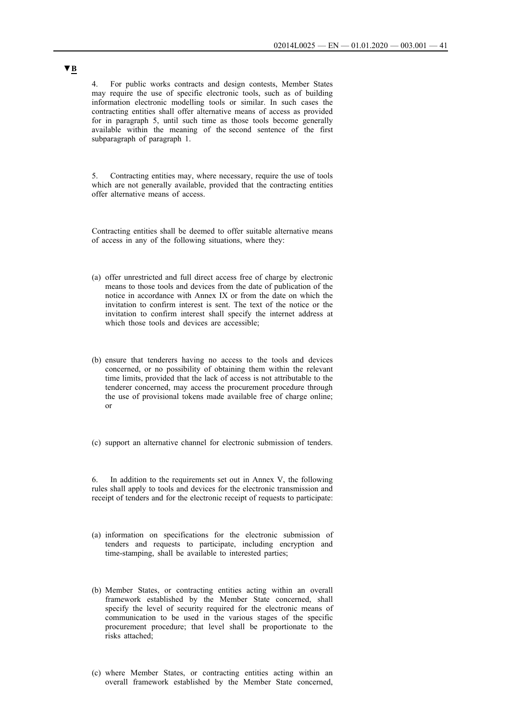4. For public works contracts and design contests, Member States may require the use of specific electronic tools, such as of building information electronic modelling tools or similar. In such cases the contracting entities shall offer alternative means of access as provided for in paragraph 5, until such time as those tools become generally available within the meaning of the second sentence of the first subparagraph of paragraph 1.

5. Contracting entities may, where necessary, require the use of tools which are not generally available, provided that the contracting entities offer alternative means of access.

Contracting entities shall be deemed to offer suitable alternative means of access in any of the following situations, where they:

- (a) offer unrestricted and full direct access free of charge by electronic means to those tools and devices from the date of publication of the notice in accordance with Annex IX or from the date on which the invitation to confirm interest is sent. The text of the notice or the invitation to confirm interest shall specify the internet address at which those tools and devices are accessible;
- (b) ensure that tenderers having no access to the tools and devices concerned, or no possibility of obtaining them within the relevant time limits, provided that the lack of access is not attributable to the tenderer concerned, may access the procurement procedure through the use of provisional tokens made available free of charge online; or
- (c) support an alternative channel for electronic submission of tenders.

6. In addition to the requirements set out in Annex V, the following rules shall apply to tools and devices for the electronic transmission and receipt of tenders and for the electronic receipt of requests to participate:

- (a) information on specifications for the electronic submission of tenders and requests to participate, including encryption and time-stamping, shall be available to interested parties;
- (b) Member States, or contracting entities acting within an overall framework established by the Member State concerned, shall specify the level of security required for the electronic means of communication to be used in the various stages of the specific procurement procedure; that level shall be proportionate to the risks attached;
- (c) where Member States, or contracting entities acting within an overall framework established by the Member State concerned,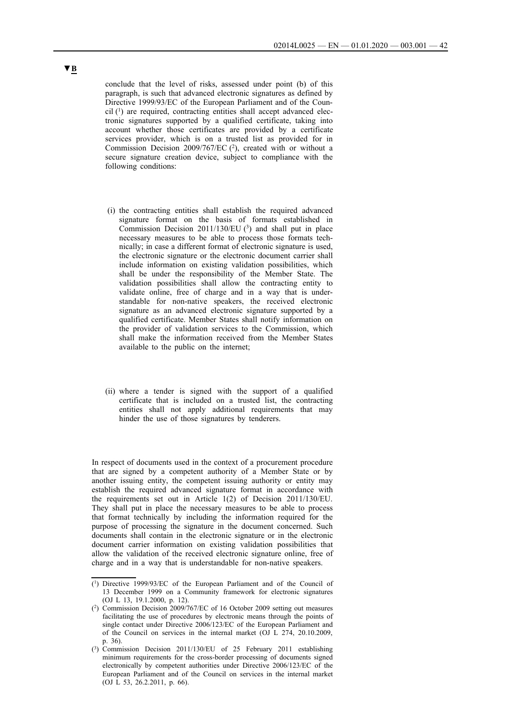conclude that the level of risks, assessed under point (b) of this paragraph, is such that advanced electronic signatures as defined by Directive 1999/93/EC of the European Parliament and of the Coun- $\text{cil}$  (1) are required, contracting entities shall accept advanced electronic signatures supported by a qualified certificate, taking into account whether those certificates are provided by a certificate services provider, which is on a trusted list as provided for in Commission Decision 2009/767/EC (2), created with or without a secure signature creation device, subject to compliance with the following conditions:

- (i) the contracting entities shall establish the required advanced signature format on the basis of formats established in Commission Decision  $2011/130/EU$  (3) and shall put in place necessary measures to be able to process those formats technically; in case a different format of electronic signature is used, the electronic signature or the electronic document carrier shall include information on existing validation possibilities, which shall be under the responsibility of the Member State. The validation possibilities shall allow the contracting entity to validate online, free of charge and in a way that is understandable for non-native speakers, the received electronic signature as an advanced electronic signature supported by a qualified certificate. Member States shall notify information on the provider of validation services to the Commission, which shall make the information received from the Member States available to the public on the internet;
- (ii) where a tender is signed with the support of a qualified certificate that is included on a trusted list, the contracting entities shall not apply additional requirements that may hinder the use of those signatures by tenderers.

In respect of documents used in the context of a procurement procedure that are signed by a competent authority of a Member State or by another issuing entity, the competent issuing authority or entity may establish the required advanced signature format in accordance with the requirements set out in Article 1(2) of Decision 2011/130/EU. They shall put in place the necessary measures to be able to process that format technically by including the information required for the purpose of processing the signature in the document concerned. Such documents shall contain in the electronic signature or in the electronic document carrier information on existing validation possibilities that allow the validation of the received electronic signature online, free of charge and in a way that is understandable for non-native speakers.

<sup>(1)</sup> Directive 1999/93/EC of the European Parliament and of the Council of 13 December 1999 on a Community framework for electronic signatures (OJ L 13, 19.1.2000, p. 12).

<sup>(2)</sup> Commission Decision 2009/767/EC of 16 October 2009 setting out measures facilitating the use of procedures by electronic means through the points of single contact under Directive 2006/123/EC of the European Parliament and of the Council on services in the internal market (OJ L 274, 20.10.2009, p. 36).

<sup>(3)</sup> Commission Decision 2011/130/EU of 25 February 2011 establishing minimum requirements for the cross-border processing of documents signed electronically by competent authorities under Directive 2006/123/EC of the European Parliament and of the Council on services in the internal market (OJ L 53, 26.2.2011, p. 66).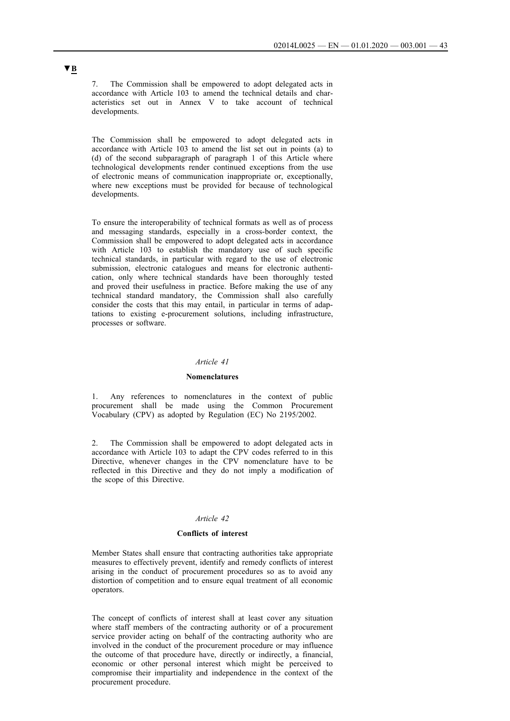7. The Commission shall be empowered to adopt delegated acts in accordance with Article 103 to amend the technical details and characteristics set out in Annex V to take account of technical developments.

The Commission shall be empowered to adopt delegated acts in accordance with Article 103 to amend the list set out in points (a) to (d) of the second subparagraph of paragraph 1 of this Article where technological developments render continued exceptions from the use of electronic means of communication inappropriate or, exceptionally, where new exceptions must be provided for because of technological developments.

To ensure the interoperability of technical formats as well as of process and messaging standards, especially in a cross-border context, the Commission shall be empowered to adopt delegated acts in accordance with Article 103 to establish the mandatory use of such specific technical standards, in particular with regard to the use of electronic submission, electronic catalogues and means for electronic authentication, only where technical standards have been thoroughly tested and proved their usefulness in practice. Before making the use of any technical standard mandatory, the Commission shall also carefully consider the costs that this may entail, in particular in terms of adaptations to existing e-procurement solutions, including infrastructure, processes or software.

#### *Article 41*

#### **Nomenclatures**

1. Any references to nomenclatures in the context of public procurement shall be made using the Common Procurement Vocabulary (CPV) as adopted by Regulation (EC) No 2195/2002.

2. The Commission shall be empowered to adopt delegated acts in accordance with Article 103 to adapt the CPV codes referred to in this Directive, whenever changes in the CPV nomenclature have to be reflected in this Directive and they do not imply a modification of the scope of this Directive.

## *Article 42*

#### **Conflicts of interest**

Member States shall ensure that contracting authorities take appropriate measures to effectively prevent, identify and remedy conflicts of interest arising in the conduct of procurement procedures so as to avoid any distortion of competition and to ensure equal treatment of all economic operators.

The concept of conflicts of interest shall at least cover any situation where staff members of the contracting authority or of a procurement service provider acting on behalf of the contracting authority who are involved in the conduct of the procurement procedure or may influence the outcome of that procedure have, directly or indirectly, a financial, economic or other personal interest which might be perceived to compromise their impartiality and independence in the context of the procurement procedure.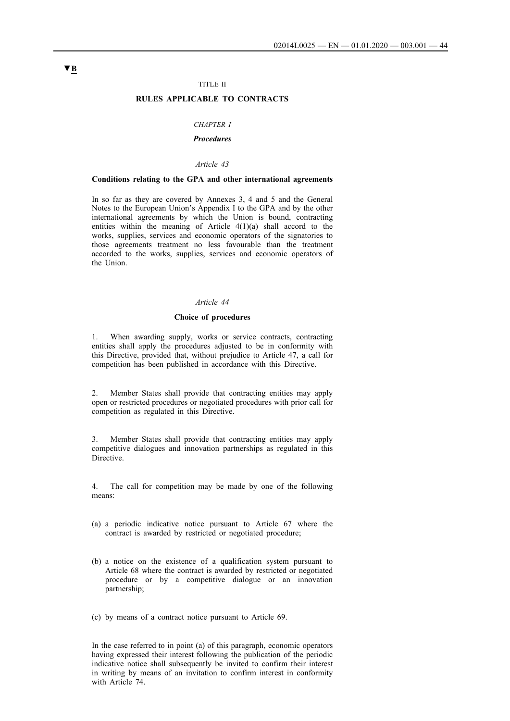#### TITLE II

### **RULES APPLICABLE TO CONTRACTS**

#### *CHAPTER I*

## *Procedures*

### *Article 43*

#### **Conditions relating to the GPA and other international agreements**

In so far as they are covered by Annexes 3, 4 and 5 and the General Notes to the European Union's Appendix I to the GPA and by the other international agreements by which the Union is bound, contracting entities within the meaning of Article  $4(1)(a)$  shall accord to the works, supplies, services and economic operators of the signatories to those agreements treatment no less favourable than the treatment accorded to the works, supplies, services and economic operators of the Union.

#### *Article 44*

#### **Choice of procedures**

1. When awarding supply, works or service contracts, contracting entities shall apply the procedures adjusted to be in conformity with this Directive, provided that, without prejudice to Article 47, a call for competition has been published in accordance with this Directive.

2. Member States shall provide that contracting entities may apply open or restricted procedures or negotiated procedures with prior call for competition as regulated in this Directive.

3. Member States shall provide that contracting entities may apply competitive dialogues and innovation partnerships as regulated in this Directive.

4. The call for competition may be made by one of the following means:

- (a) a periodic indicative notice pursuant to Article 67 where the contract is awarded by restricted or negotiated procedure;
- (b) a notice on the existence of a qualification system pursuant to Article 68 where the contract is awarded by restricted or negotiated procedure or by a competitive dialogue or an innovation partnership;
- (c) by means of a contract notice pursuant to Article 69.

In the case referred to in point (a) of this paragraph, economic operators having expressed their interest following the publication of the periodic indicative notice shall subsequently be invited to confirm their interest in writing by means of an invitation to confirm interest in conformity with Article 74.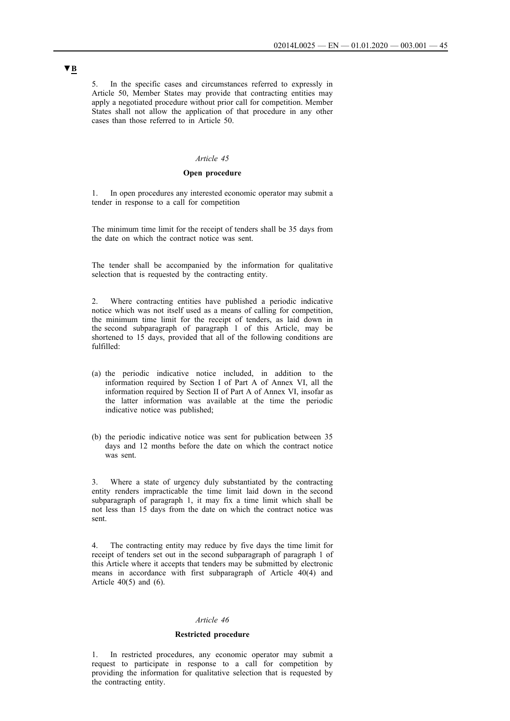5. In the specific cases and circumstances referred to expressly in Article 50, Member States may provide that contracting entities may apply a negotiated procedure without prior call for competition. Member States shall not allow the application of that procedure in any other cases than those referred to in Article 50.

#### *Article 45*

## **Open procedure**

1. In open procedures any interested economic operator may submit a tender in response to a call for competition

The minimum time limit for the receipt of tenders shall be 35 days from the date on which the contract notice was sent.

The tender shall be accompanied by the information for qualitative selection that is requested by the contracting entity.

2. Where contracting entities have published a periodic indicative notice which was not itself used as a means of calling for competition, the minimum time limit for the receipt of tenders, as laid down in the second subparagraph of paragraph 1 of this Article, may be shortened to 15 days, provided that all of the following conditions are fulfilled:

- (a) the periodic indicative notice included, in addition to the information required by Section I of Part A of Annex VI, all the information required by Section II of Part A of Annex VI, insofar as the latter information was available at the time the periodic indicative notice was published;
- (b) the periodic indicative notice was sent for publication between 35 days and 12 months before the date on which the contract notice was sent.

3. Where a state of urgency duly substantiated by the contracting entity renders impracticable the time limit laid down in the second subparagraph of paragraph 1, it may fix a time limit which shall be not less than 15 days from the date on which the contract notice was sent.

4. The contracting entity may reduce by five days the time limit for receipt of tenders set out in the second subparagraph of paragraph 1 of this Article where it accepts that tenders may be submitted by electronic means in accordance with first subparagraph of Article 40(4) and Article  $40(5)$  and  $(6)$ .

#### *Article 46*

#### **Restricted procedure**

1. In restricted procedures, any economic operator may submit a request to participate in response to a call for competition by providing the information for qualitative selection that is requested by the contracting entity.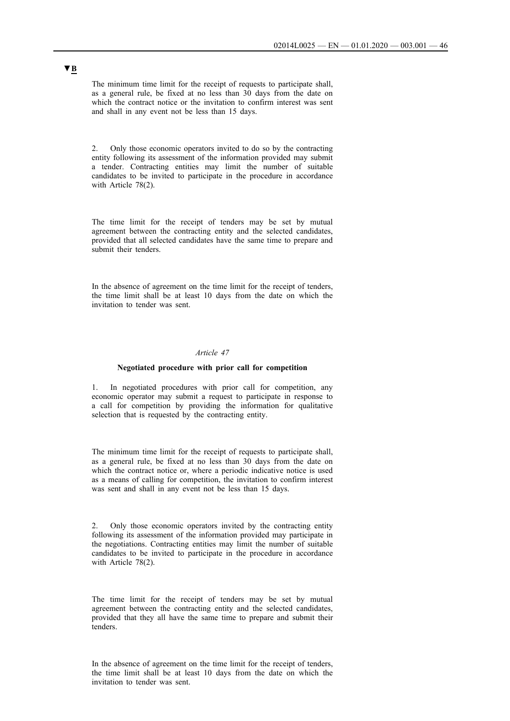The minimum time limit for the receipt of requests to participate shall, as a general rule, be fixed at no less than 30 days from the date on which the contract notice or the invitation to confirm interest was sent and shall in any event not be less than 15 days.

2. Only those economic operators invited to do so by the contracting entity following its assessment of the information provided may submit a tender. Contracting entities may limit the number of suitable candidates to be invited to participate in the procedure in accordance with Article 78(2).

The time limit for the receipt of tenders may be set by mutual agreement between the contracting entity and the selected candidates, provided that all selected candidates have the same time to prepare and submit their tenders.

In the absence of agreement on the time limit for the receipt of tenders, the time limit shall be at least 10 days from the date on which the invitation to tender was sent.

### *Article 47*

#### **Negotiated procedure with prior call for competition**

1. In negotiated procedures with prior call for competition, any economic operator may submit a request to participate in response to a call for competition by providing the information for qualitative selection that is requested by the contracting entity.

The minimum time limit for the receipt of requests to participate shall, as a general rule, be fixed at no less than 30 days from the date on which the contract notice or, where a periodic indicative notice is used as a means of calling for competition, the invitation to confirm interest was sent and shall in any event not be less than 15 days.

2. Only those economic operators invited by the contracting entity following its assessment of the information provided may participate in the negotiations. Contracting entities may limit the number of suitable candidates to be invited to participate in the procedure in accordance with Article 78(2).

The time limit for the receipt of tenders may be set by mutual agreement between the contracting entity and the selected candidates, provided that they all have the same time to prepare and submit their tenders.

In the absence of agreement on the time limit for the receipt of tenders, the time limit shall be at least 10 days from the date on which the invitation to tender was sent.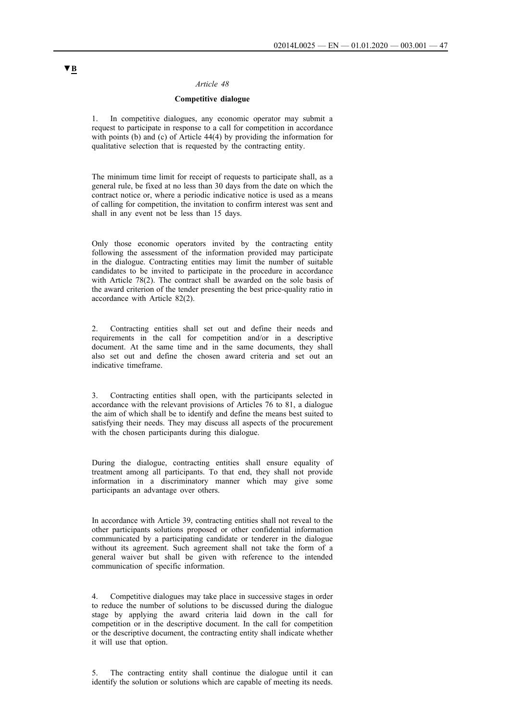### *Article 48*

## **Competitive dialogue**

1. In competitive dialogues, any economic operator may submit a request to participate in response to a call for competition in accordance with points (b) and (c) of Article 44(4) by providing the information for qualitative selection that is requested by the contracting entity.

The minimum time limit for receipt of requests to participate shall, as a general rule, be fixed at no less than 30 days from the date on which the contract notice or, where a periodic indicative notice is used as a means of calling for competition, the invitation to confirm interest was sent and shall in any event not be less than 15 days.

Only those economic operators invited by the contracting entity following the assessment of the information provided may participate in the dialogue. Contracting entities may limit the number of suitable candidates to be invited to participate in the procedure in accordance with Article 78(2). The contract shall be awarded on the sole basis of the award criterion of the tender presenting the best price-quality ratio in accordance with Article 82(2).

2. Contracting entities shall set out and define their needs and requirements in the call for competition and/or in a descriptive document. At the same time and in the same documents, they shall also set out and define the chosen award criteria and set out an indicative timeframe.

3. Contracting entities shall open, with the participants selected in accordance with the relevant provisions of Articles 76 to 81, a dialogue the aim of which shall be to identify and define the means best suited to satisfying their needs. They may discuss all aspects of the procurement with the chosen participants during this dialogue.

During the dialogue, contracting entities shall ensure equality of treatment among all participants. To that end, they shall not provide information in a discriminatory manner which may give some participants an advantage over others.

In accordance with Article 39, contracting entities shall not reveal to the other participants solutions proposed or other confidential information communicated by a participating candidate or tenderer in the dialogue without its agreement. Such agreement shall not take the form of a general waiver but shall be given with reference to the intended communication of specific information.

4. Competitive dialogues may take place in successive stages in order to reduce the number of solutions to be discussed during the dialogue stage by applying the award criteria laid down in the call for competition or in the descriptive document. In the call for competition or the descriptive document, the contracting entity shall indicate whether it will use that option.

5. The contracting entity shall continue the dialogue until it can identify the solution or solutions which are capable of meeting its needs.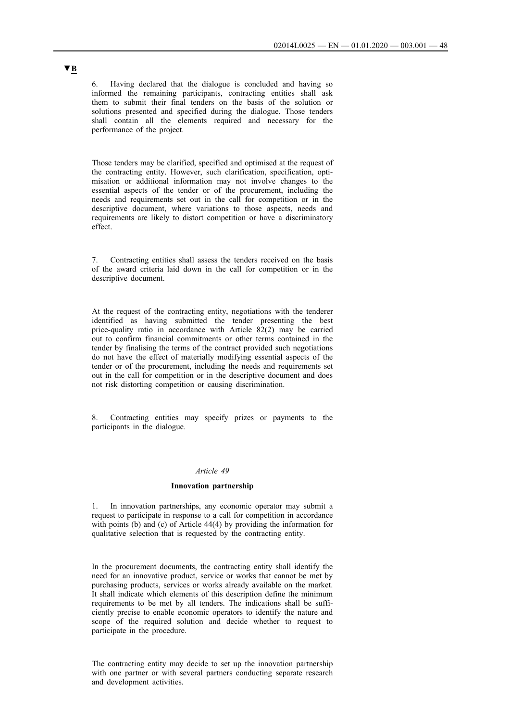6. Having declared that the dialogue is concluded and having so informed the remaining participants, contracting entities shall ask them to submit their final tenders on the basis of the solution or solutions presented and specified during the dialogue. Those tenders shall contain all the elements required and necessary for the performance of the project.

Those tenders may be clarified, specified and optimised at the request of the contracting entity. However, such clarification, specification, optimisation or additional information may not involve changes to the essential aspects of the tender or of the procurement, including the needs and requirements set out in the call for competition or in the descriptive document, where variations to those aspects, needs and requirements are likely to distort competition or have a discriminatory effect.

7. Contracting entities shall assess the tenders received on the basis of the award criteria laid down in the call for competition or in the descriptive document.

At the request of the contracting entity, negotiations with the tenderer identified as having submitted the tender presenting the best price-quality ratio in accordance with Article 82(2) may be carried out to confirm financial commitments or other terms contained in the tender by finalising the terms of the contract provided such negotiations do not have the effect of materially modifying essential aspects of the tender or of the procurement, including the needs and requirements set out in the call for competition or in the descriptive document and does not risk distorting competition or causing discrimination.

Contracting entities may specify prizes or payments to the participants in the dialogue.

#### *Article 49*

#### **Innovation partnership**

1. In innovation partnerships, any economic operator may submit a request to participate in response to a call for competition in accordance with points (b) and (c) of Article 44(4) by providing the information for qualitative selection that is requested by the contracting entity.

In the procurement documents, the contracting entity shall identify the need for an innovative product, service or works that cannot be met by purchasing products, services or works already available on the market. It shall indicate which elements of this description define the minimum requirements to be met by all tenders. The indications shall be sufficiently precise to enable economic operators to identify the nature and scope of the required solution and decide whether to request to participate in the procedure.

The contracting entity may decide to set up the innovation partnership with one partner or with several partners conducting separate research and development activities.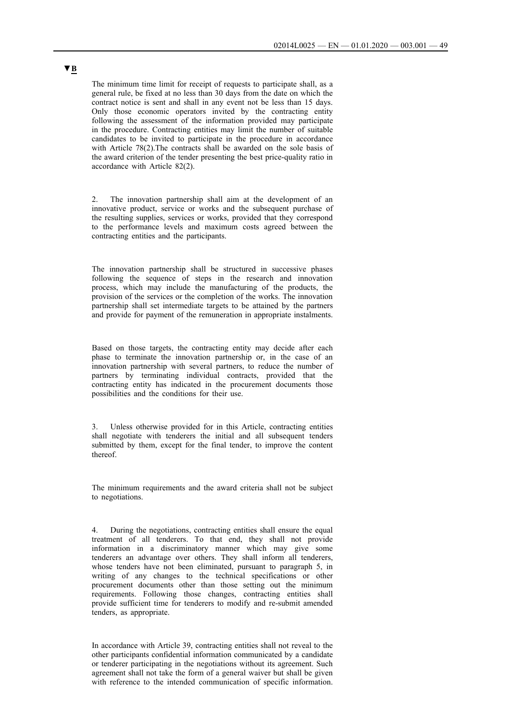The minimum time limit for receipt of requests to participate shall, as a general rule, be fixed at no less than 30 days from the date on which the contract notice is sent and shall in any event not be less than 15 days. Only those economic operators invited by the contracting entity following the assessment of the information provided may participate in the procedure. Contracting entities may limit the number of suitable candidates to be invited to participate in the procedure in accordance with Article 78(2).The contracts shall be awarded on the sole basis of the award criterion of the tender presenting the best price-quality ratio in accordance with Article 82(2).

2. The innovation partnership shall aim at the development of an innovative product, service or works and the subsequent purchase of the resulting supplies, services or works, provided that they correspond to the performance levels and maximum costs agreed between the contracting entities and the participants.

The innovation partnership shall be structured in successive phases following the sequence of steps in the research and innovation process, which may include the manufacturing of the products, the provision of the services or the completion of the works. The innovation partnership shall set intermediate targets to be attained by the partners and provide for payment of the remuneration in appropriate instalments.

Based on those targets, the contracting entity may decide after each phase to terminate the innovation partnership or, in the case of an innovation partnership with several partners, to reduce the number of partners by terminating individual contracts, provided that the contracting entity has indicated in the procurement documents those possibilities and the conditions for their use.

Unless otherwise provided for in this Article, contracting entities shall negotiate with tenderers the initial and all subsequent tenders submitted by them, except for the final tender, to improve the content thereof.

The minimum requirements and the award criteria shall not be subject to negotiations.

4. During the negotiations, contracting entities shall ensure the equal treatment of all tenderers. To that end, they shall not provide information in a discriminatory manner which may give some tenderers an advantage over others. They shall inform all tenderers, whose tenders have not been eliminated, pursuant to paragraph 5, in writing of any changes to the technical specifications or other procurement documents other than those setting out the minimum requirements. Following those changes, contracting entities shall provide sufficient time for tenderers to modify and re-submit amended tenders, as appropriate.

In accordance with Article 39, contracting entities shall not reveal to the other participants confidential information communicated by a candidate or tenderer participating in the negotiations without its agreement. Such agreement shall not take the form of a general waiver but shall be given with reference to the intended communication of specific information.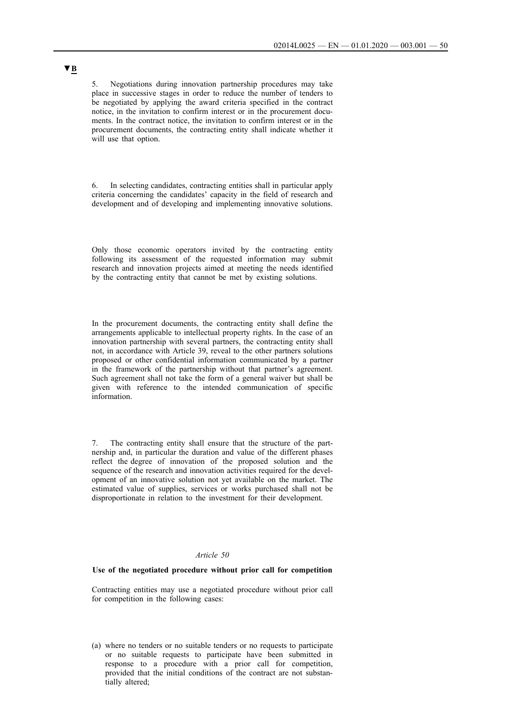5. Negotiations during innovation partnership procedures may take place in successive stages in order to reduce the number of tenders to be negotiated by applying the award criteria specified in the contract notice, in the invitation to confirm interest or in the procurement documents. In the contract notice, the invitation to confirm interest or in the procurement documents, the contracting entity shall indicate whether it will use that option.

6. In selecting candidates, contracting entities shall in particular apply criteria concerning the candidates' capacity in the field of research and development and of developing and implementing innovative solutions.

Only those economic operators invited by the contracting entity following its assessment of the requested information may submit research and innovation projects aimed at meeting the needs identified by the contracting entity that cannot be met by existing solutions.

In the procurement documents, the contracting entity shall define the arrangements applicable to intellectual property rights. In the case of an innovation partnership with several partners, the contracting entity shall not, in accordance with Article 39, reveal to the other partners solutions proposed or other confidential information communicated by a partner in the framework of the partnership without that partner's agreement. Such agreement shall not take the form of a general waiver but shall be given with reference to the intended communication of specific information.

7. The contracting entity shall ensure that the structure of the partnership and, in particular the duration and value of the different phases reflect the degree of innovation of the proposed solution and the sequence of the research and innovation activities required for the development of an innovative solution not yet available on the market. The estimated value of supplies, services or works purchased shall not be disproportionate in relation to the investment for their development.

#### *Article 50*

#### **Use of the negotiated procedure without prior call for competition**

Contracting entities may use a negotiated procedure without prior call for competition in the following cases:

(a) where no tenders or no suitable tenders or no requests to participate or no suitable requests to participate have been submitted in response to a procedure with a prior call for competition, provided that the initial conditions of the contract are not substantially altered;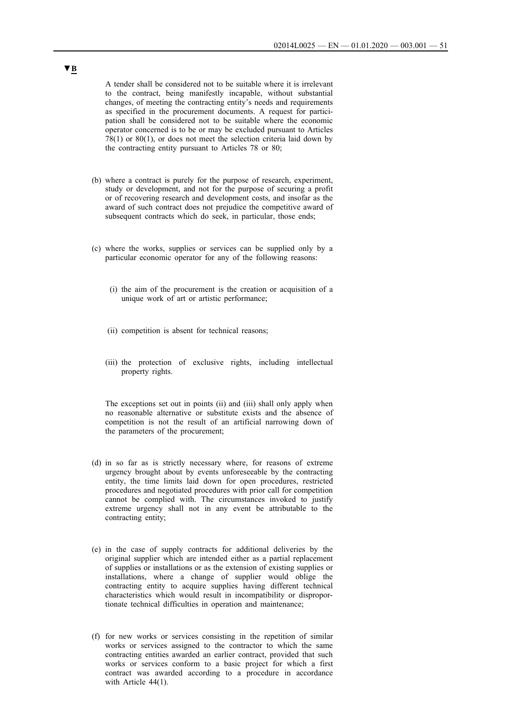A tender shall be considered not to be suitable where it is irrelevant to the contract, being manifestly incapable, without substantial changes, of meeting the contracting entity's needs and requirements as specified in the procurement documents. A request for participation shall be considered not to be suitable where the economic operator concerned is to be or may be excluded pursuant to Articles 78(1) or 80(1), or does not meet the selection criteria laid down by the contracting entity pursuant to Articles 78 or 80;

- (b) where a contract is purely for the purpose of research, experiment, study or development, and not for the purpose of securing a profit or of recovering research and development costs, and insofar as the award of such contract does not prejudice the competitive award of subsequent contracts which do seek, in particular, those ends;
- (c) where the works, supplies or services can be supplied only by a particular economic operator for any of the following reasons:
	- (i) the aim of the procurement is the creation or acquisition of a unique work of art or artistic performance;
	- (ii) competition is absent for technical reasons;
	- (iii) the protection of exclusive rights, including intellectual property rights.

The exceptions set out in points (ii) and (iii) shall only apply when no reasonable alternative or substitute exists and the absence of competition is not the result of an artificial narrowing down of the parameters of the procurement;

- (d) in so far as is strictly necessary where, for reasons of extreme urgency brought about by events unforeseeable by the contracting entity, the time limits laid down for open procedures, restricted procedures and negotiated procedures with prior call for competition cannot be complied with. The circumstances invoked to justify extreme urgency shall not in any event be attributable to the contracting entity;
- (e) in the case of supply contracts for additional deliveries by the original supplier which are intended either as a partial replacement of supplies or installations or as the extension of existing supplies or installations, where a change of supplier would oblige the contracting entity to acquire supplies having different technical characteristics which would result in incompatibility or disproportionate technical difficulties in operation and maintenance;
- (f) for new works or services consisting in the repetition of similar works or services assigned to the contractor to which the same contracting entities awarded an earlier contract, provided that such works or services conform to a basic project for which a first contract was awarded according to a procedure in accordance with Article 44(1).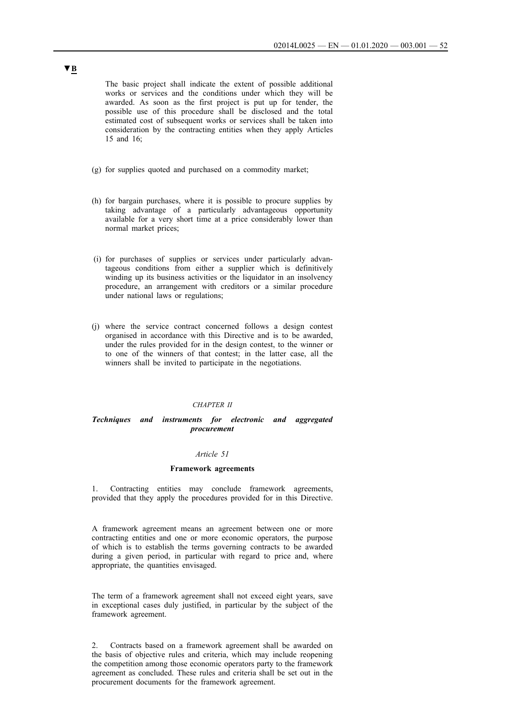The basic project shall indicate the extent of possible additional works or services and the conditions under which they will be awarded. As soon as the first project is put up for tender, the possible use of this procedure shall be disclosed and the total estimated cost of subsequent works or services shall be taken into consideration by the contracting entities when they apply Articles 15 and 16;

- (g) for supplies quoted and purchased on a commodity market;
- (h) for bargain purchases, where it is possible to procure supplies by taking advantage of a particularly advantageous opportunity available for a very short time at a price considerably lower than normal market prices;
- (i) for purchases of supplies or services under particularly advantageous conditions from either a supplier which is definitively winding up its business activities or the liquidator in an insolvency procedure, an arrangement with creditors or a similar procedure under national laws or regulations;
- (j) where the service contract concerned follows a design contest organised in accordance with this Directive and is to be awarded, under the rules provided for in the design contest, to the winner or to one of the winners of that contest; in the latter case, all the winners shall be invited to participate in the negotiations.

#### *CHAPTER II*

## *Techniques and instruments for electronic and aggregated procurement*

#### *Article 51*

#### **Framework agreements**

1. Contracting entities may conclude framework agreements, provided that they apply the procedures provided for in this Directive.

A framework agreement means an agreement between one or more contracting entities and one or more economic operators, the purpose of which is to establish the terms governing contracts to be awarded during a given period, in particular with regard to price and, where appropriate, the quantities envisaged.

The term of a framework agreement shall not exceed eight years, save in exceptional cases duly justified, in particular by the subject of the framework agreement.

2. Contracts based on a framework agreement shall be awarded on the basis of objective rules and criteria, which may include reopening the competition among those economic operators party to the framework agreement as concluded. These rules and criteria shall be set out in the procurement documents for the framework agreement.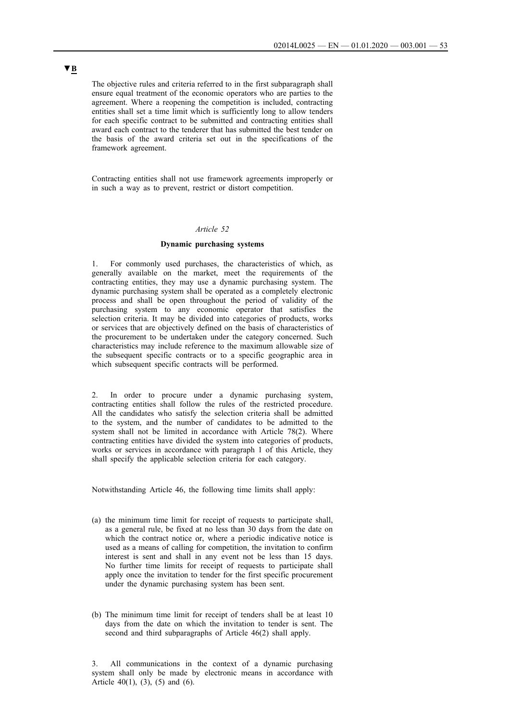The objective rules and criteria referred to in the first subparagraph shall ensure equal treatment of the economic operators who are parties to the agreement. Where a reopening the competition is included, contracting entities shall set a time limit which is sufficiently long to allow tenders for each specific contract to be submitted and contracting entities shall award each contract to the tenderer that has submitted the best tender on the basis of the award criteria set out in the specifications of the framework agreement.

Contracting entities shall not use framework agreements improperly or in such a way as to prevent, restrict or distort competition.

## *Article 52*

#### **Dynamic purchasing systems**

1. For commonly used purchases, the characteristics of which, as generally available on the market, meet the requirements of the contracting entities, they may use a dynamic purchasing system. The dynamic purchasing system shall be operated as a completely electronic process and shall be open throughout the period of validity of the purchasing system to any economic operator that satisfies the selection criteria. It may be divided into categories of products, works or services that are objectively defined on the basis of characteristics of the procurement to be undertaken under the category concerned. Such characteristics may include reference to the maximum allowable size of the subsequent specific contracts or to a specific geographic area in which subsequent specific contracts will be performed.

2. In order to procure under a dynamic purchasing system, contracting entities shall follow the rules of the restricted procedure. All the candidates who satisfy the selection criteria shall be admitted to the system, and the number of candidates to be admitted to the system shall not be limited in accordance with Article 78(2). Where contracting entities have divided the system into categories of products, works or services in accordance with paragraph 1 of this Article, they shall specify the applicable selection criteria for each category.

Notwithstanding Article 46, the following time limits shall apply:

- (a) the minimum time limit for receipt of requests to participate shall, as a general rule, be fixed at no less than 30 days from the date on which the contract notice or, where a periodic indicative notice is used as a means of calling for competition, the invitation to confirm interest is sent and shall in any event not be less than 15 days. No further time limits for receipt of requests to participate shall apply once the invitation to tender for the first specific procurement under the dynamic purchasing system has been sent.
- (b) The minimum time limit for receipt of tenders shall be at least 10 days from the date on which the invitation to tender is sent. The second and third subparagraphs of Article 46(2) shall apply.

3. All communications in the context of a dynamic purchasing system shall only be made by electronic means in accordance with Article  $40(1)$ ,  $(3)$ ,  $(5)$  and  $(6)$ .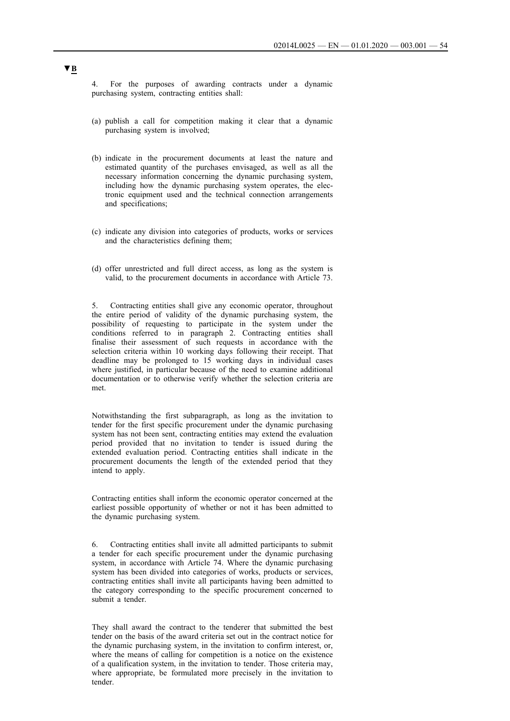4. For the purposes of awarding contracts under a dynamic purchasing system, contracting entities shall:

- (a) publish a call for competition making it clear that a dynamic purchasing system is involved;
- (b) indicate in the procurement documents at least the nature and estimated quantity of the purchases envisaged, as well as all the necessary information concerning the dynamic purchasing system, including how the dynamic purchasing system operates, the electronic equipment used and the technical connection arrangements and specifications;
- (c) indicate any division into categories of products, works or services and the characteristics defining them;
- (d) offer unrestricted and full direct access, as long as the system is valid, to the procurement documents in accordance with Article 73.

5. Contracting entities shall give any economic operator, throughout the entire period of validity of the dynamic purchasing system, the possibility of requesting to participate in the system under the conditions referred to in paragraph 2. Contracting entities shall finalise their assessment of such requests in accordance with the selection criteria within 10 working days following their receipt. That deadline may be prolonged to 15 working days in individual cases where justified, in particular because of the need to examine additional documentation or to otherwise verify whether the selection criteria are met.

Notwithstanding the first subparagraph, as long as the invitation to tender for the first specific procurement under the dynamic purchasing system has not been sent, contracting entities may extend the evaluation period provided that no invitation to tender is issued during the extended evaluation period. Contracting entities shall indicate in the procurement documents the length of the extended period that they intend to apply.

Contracting entities shall inform the economic operator concerned at the earliest possible opportunity of whether or not it has been admitted to the dynamic purchasing system.

6. Contracting entities shall invite all admitted participants to submit a tender for each specific procurement under the dynamic purchasing system, in accordance with Article 74. Where the dynamic purchasing system has been divided into categories of works, products or services, contracting entities shall invite all participants having been admitted to the category corresponding to the specific procurement concerned to submit a tender.

They shall award the contract to the tenderer that submitted the best tender on the basis of the award criteria set out in the contract notice for the dynamic purchasing system, in the invitation to confirm interest, or, where the means of calling for competition is a notice on the existence of a qualification system, in the invitation to tender. Those criteria may, where appropriate, be formulated more precisely in the invitation to tender.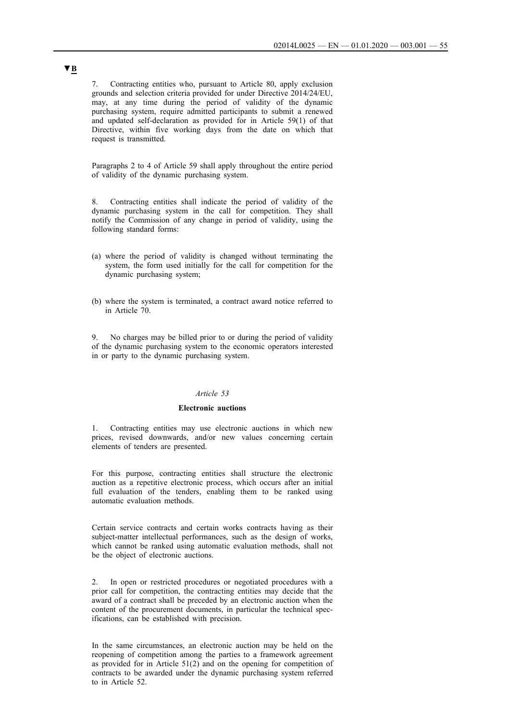7. Contracting entities who, pursuant to Article 80, apply exclusion grounds and selection criteria provided for under Directive 2014/24/EU, may, at any time during the period of validity of the dynamic purchasing system, require admitted participants to submit a renewed and updated self-declaration as provided for in Article 59(1) of that Directive, within five working days from the date on which that request is transmitted.

Paragraphs 2 to 4 of Article 59 shall apply throughout the entire period of validity of the dynamic purchasing system.

8. Contracting entities shall indicate the period of validity of the dynamic purchasing system in the call for competition. They shall notify the Commission of any change in period of validity, using the following standard forms:

- (a) where the period of validity is changed without terminating the system, the form used initially for the call for competition for the dynamic purchasing system;
- (b) where the system is terminated, a contract award notice referred to in Article 70.

9. No charges may be billed prior to or during the period of validity of the dynamic purchasing system to the economic operators interested in or party to the dynamic purchasing system.

#### *Article 53*

#### **Electronic auctions**

1. Contracting entities may use electronic auctions in which new prices, revised downwards, and/or new values concerning certain elements of tenders are presented.

For this purpose, contracting entities shall structure the electronic auction as a repetitive electronic process, which occurs after an initial full evaluation of the tenders, enabling them to be ranked using automatic evaluation methods.

Certain service contracts and certain works contracts having as their subject-matter intellectual performances, such as the design of works, which cannot be ranked using automatic evaluation methods, shall not be the object of electronic auctions.

2. In open or restricted procedures or negotiated procedures with a prior call for competition, the contracting entities may decide that the award of a contract shall be preceded by an electronic auction when the content of the procurement documents, in particular the technical specifications, can be established with precision.

In the same circumstances, an electronic auction may be held on the reopening of competition among the parties to a framework agreement as provided for in Article 51(2) and on the opening for competition of contracts to be awarded under the dynamic purchasing system referred to in Article 52.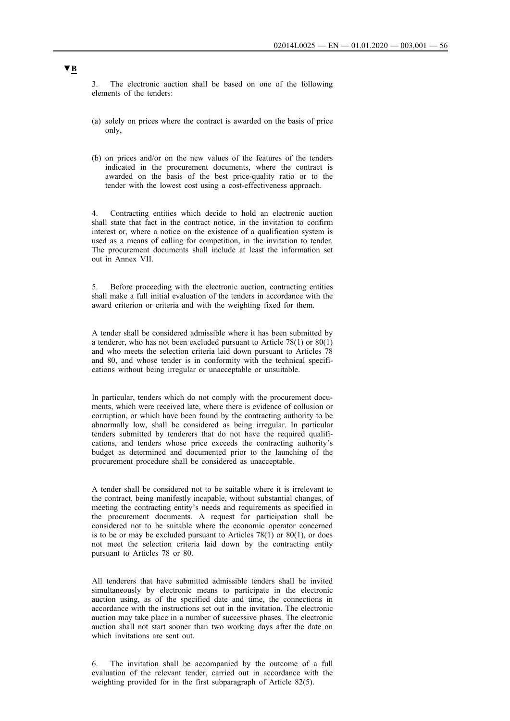The electronic auction shall be based on one of the following elements of the tenders:

- (a) solely on prices where the contract is awarded on the basis of price only,
- (b) on prices and/or on the new values of the features of the tenders indicated in the procurement documents, where the contract is awarded on the basis of the best price-quality ratio or to the tender with the lowest cost using a cost-effectiveness approach.

4. Contracting entities which decide to hold an electronic auction shall state that fact in the contract notice, in the invitation to confirm interest or, where a notice on the existence of a qualification system is used as a means of calling for competition, in the invitation to tender. The procurement documents shall include at least the information set out in Annex VII.

5. Before proceeding with the electronic auction, contracting entities shall make a full initial evaluation of the tenders in accordance with the award criterion or criteria and with the weighting fixed for them.

A tender shall be considered admissible where it has been submitted by a tenderer, who has not been excluded pursuant to Article 78(1) or  $80(1)$ and who meets the selection criteria laid down pursuant to Articles 78 and 80, and whose tender is in conformity with the technical specifications without being irregular or unacceptable or unsuitable.

In particular, tenders which do not comply with the procurement documents, which were received late, where there is evidence of collusion or corruption, or which have been found by the contracting authority to be abnormally low, shall be considered as being irregular. In particular tenders submitted by tenderers that do not have the required qualifications, and tenders whose price exceeds the contracting authority's budget as determined and documented prior to the launching of the procurement procedure shall be considered as unacceptable.

A tender shall be considered not to be suitable where it is irrelevant to the contract, being manifestly incapable, without substantial changes, of meeting the contracting entity's needs and requirements as specified in the procurement documents. A request for participation shall be considered not to be suitable where the economic operator concerned is to be or may be excluded pursuant to Articles  $78(1)$  or  $80(1)$ , or does not meet the selection criteria laid down by the contracting entity pursuant to Articles 78 or 80.

All tenderers that have submitted admissible tenders shall be invited simultaneously by electronic means to participate in the electronic auction using, as of the specified date and time, the connections in accordance with the instructions set out in the invitation. The electronic auction may take place in a number of successive phases. The electronic auction shall not start sooner than two working days after the date on which invitations are sent out.

6. The invitation shall be accompanied by the outcome of a full evaluation of the relevant tender, carried out in accordance with the weighting provided for in the first subparagraph of Article 82(5).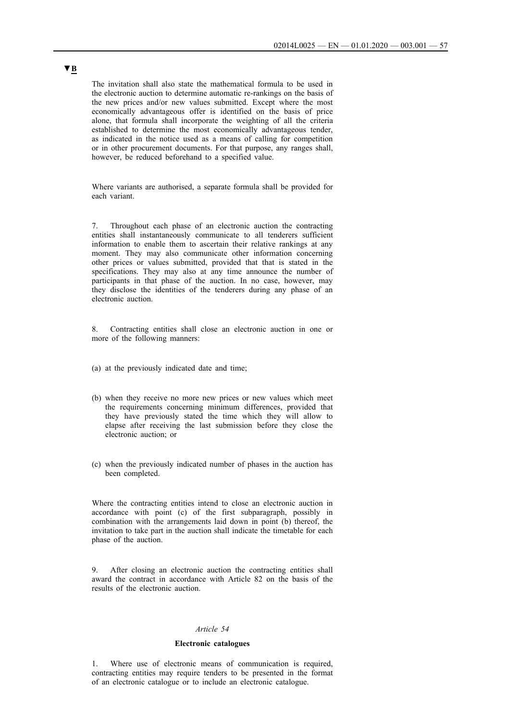The invitation shall also state the mathematical formula to be used in the electronic auction to determine automatic re-rankings on the basis of the new prices and/or new values submitted. Except where the most economically advantageous offer is identified on the basis of price alone, that formula shall incorporate the weighting of all the criteria established to determine the most economically advantageous tender, as indicated in the notice used as a means of calling for competition or in other procurement documents. For that purpose, any ranges shall, however, be reduced beforehand to a specified value.

Where variants are authorised, a separate formula shall be provided for each variant.

7. Throughout each phase of an electronic auction the contracting entities shall instantaneously communicate to all tenderers sufficient information to enable them to ascertain their relative rankings at any moment. They may also communicate other information concerning other prices or values submitted, provided that that is stated in the specifications. They may also at any time announce the number of participants in that phase of the auction. In no case, however, may they disclose the identities of the tenderers during any phase of an electronic auction.

8. Contracting entities shall close an electronic auction in one or more of the following manners:

- (a) at the previously indicated date and time;
- (b) when they receive no more new prices or new values which meet the requirements concerning minimum differences, provided that they have previously stated the time which they will allow to elapse after receiving the last submission before they close the electronic auction; or
- (c) when the previously indicated number of phases in the auction has been completed.

Where the contracting entities intend to close an electronic auction in accordance with point (c) of the first subparagraph, possibly in combination with the arrangements laid down in point (b) thereof, the invitation to take part in the auction shall indicate the timetable for each phase of the auction.

After closing an electronic auction the contracting entities shall award the contract in accordance with Article 82 on the basis of the results of the electronic auction.

#### *Article 54*

## **Electronic catalogues**

1. Where use of electronic means of communication is required, contracting entities may require tenders to be presented in the format of an electronic catalogue or to include an electronic catalogue.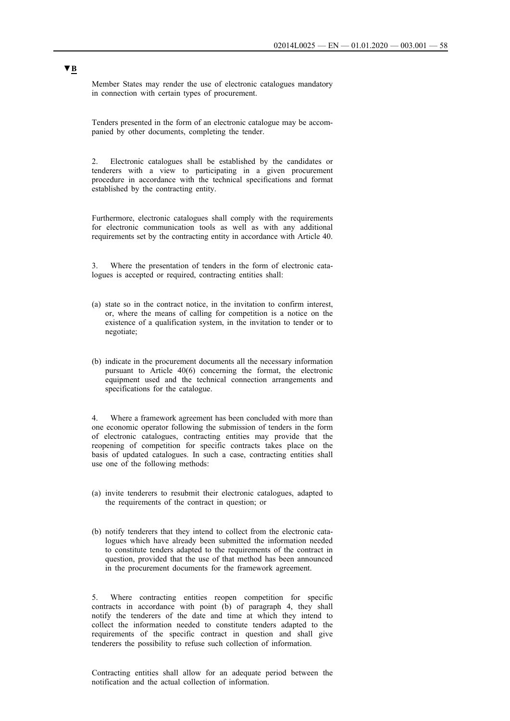Member States may render the use of electronic catalogues mandatory in connection with certain types of procurement.

Tenders presented in the form of an electronic catalogue may be accompanied by other documents, completing the tender.

2. Electronic catalogues shall be established by the candidates or tenderers with a view to participating in a given procurement procedure in accordance with the technical specifications and format established by the contracting entity.

Furthermore, electronic catalogues shall comply with the requirements for electronic communication tools as well as with any additional requirements set by the contracting entity in accordance with Article 40.

3. Where the presentation of tenders in the form of electronic catalogues is accepted or required, contracting entities shall:

- (a) state so in the contract notice, in the invitation to confirm interest, or, where the means of calling for competition is a notice on the existence of a qualification system, in the invitation to tender or to negotiate;
- (b) indicate in the procurement documents all the necessary information pursuant to Article 40(6) concerning the format, the electronic equipment used and the technical connection arrangements and specifications for the catalogue.

Where a framework agreement has been concluded with more than one economic operator following the submission of tenders in the form of electronic catalogues, contracting entities may provide that the reopening of competition for specific contracts takes place on the basis of updated catalogues. In such a case, contracting entities shall use one of the following methods:

- (a) invite tenderers to resubmit their electronic catalogues, adapted to the requirements of the contract in question; or
- (b) notify tenderers that they intend to collect from the electronic catalogues which have already been submitted the information needed to constitute tenders adapted to the requirements of the contract in question, provided that the use of that method has been announced in the procurement documents for the framework agreement.

5. Where contracting entities reopen competition for specific contracts in accordance with point (b) of paragraph 4, they shall notify the tenderers of the date and time at which they intend to collect the information needed to constitute tenders adapted to the requirements of the specific contract in question and shall give tenderers the possibility to refuse such collection of information.

Contracting entities shall allow for an adequate period between the notification and the actual collection of information.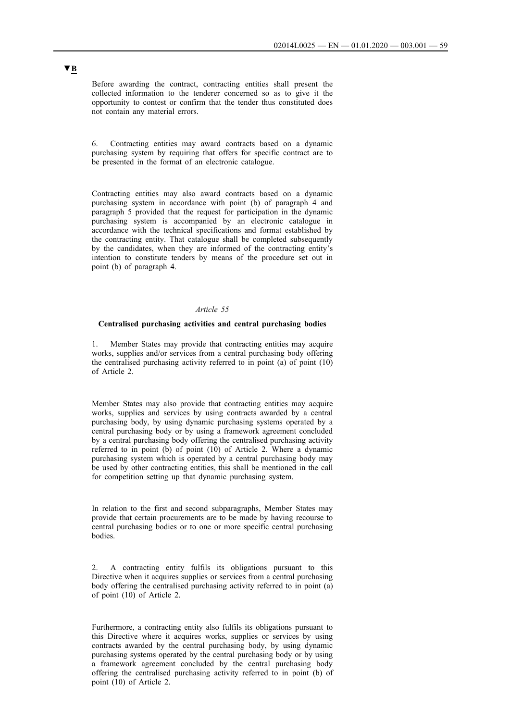Before awarding the contract, contracting entities shall present the collected information to the tenderer concerned so as to give it the opportunity to contest or confirm that the tender thus constituted does not contain any material errors.

6. Contracting entities may award contracts based on a dynamic purchasing system by requiring that offers for specific contract are to be presented in the format of an electronic catalogue.

Contracting entities may also award contracts based on a dynamic purchasing system in accordance with point (b) of paragraph 4 and paragraph 5 provided that the request for participation in the dynamic purchasing system is accompanied by an electronic catalogue in accordance with the technical specifications and format established by the contracting entity. That catalogue shall be completed subsequently by the candidates, when they are informed of the contracting entity's intention to constitute tenders by means of the procedure set out in point (b) of paragraph 4.

#### *Article 55*

### **Centralised purchasing activities and central purchasing bodies**

Member States may provide that contracting entities may acquire works, supplies and/or services from a central purchasing body offering the centralised purchasing activity referred to in point (a) of point (10) of Article 2.

Member States may also provide that contracting entities may acquire works, supplies and services by using contracts awarded by a central purchasing body, by using dynamic purchasing systems operated by a central purchasing body or by using a framework agreement concluded by a central purchasing body offering the centralised purchasing activity referred to in point (b) of point (10) of Article 2. Where a dynamic purchasing system which is operated by a central purchasing body may be used by other contracting entities, this shall be mentioned in the call for competition setting up that dynamic purchasing system.

In relation to the first and second subparagraphs, Member States may provide that certain procurements are to be made by having recourse to central purchasing bodies or to one or more specific central purchasing bodies.

2. A contracting entity fulfils its obligations pursuant to this Directive when it acquires supplies or services from a central purchasing body offering the centralised purchasing activity referred to in point (a) of point (10) of Article 2.

Furthermore, a contracting entity also fulfils its obligations pursuant to this Directive where it acquires works, supplies or services by using contracts awarded by the central purchasing body, by using dynamic purchasing systems operated by the central purchasing body or by using a framework agreement concluded by the central purchasing body offering the centralised purchasing activity referred to in point (b) of point (10) of Article 2.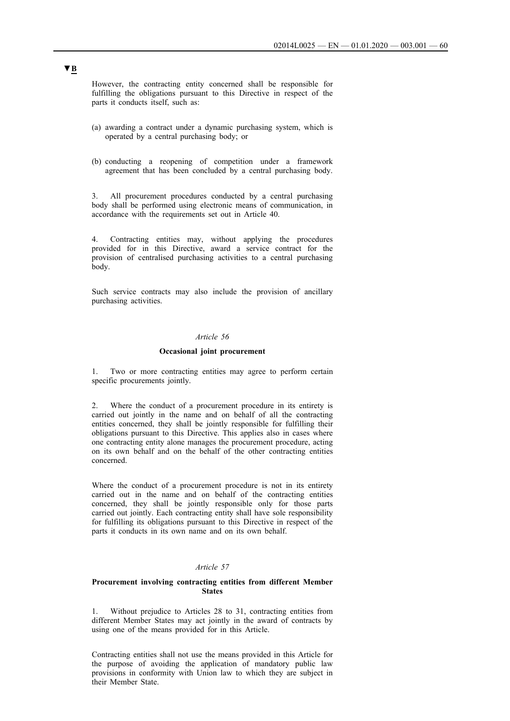However, the contracting entity concerned shall be responsible for fulfilling the obligations pursuant to this Directive in respect of the parts it conducts itself, such as:

- (a) awarding a contract under a dynamic purchasing system, which is operated by a central purchasing body; or
- (b) conducting a reopening of competition under a framework agreement that has been concluded by a central purchasing body.

3. All procurement procedures conducted by a central purchasing body shall be performed using electronic means of communication, in accordance with the requirements set out in Article 40.

4. Contracting entities may, without applying the procedures provided for in this Directive, award a service contract for the provision of centralised purchasing activities to a central purchasing body.

Such service contracts may also include the provision of ancillary purchasing activities.

### *Article 56*

#### **Occasional joint procurement**

1. Two or more contracting entities may agree to perform certain specific procurements jointly.

2. Where the conduct of a procurement procedure in its entirety is carried out jointly in the name and on behalf of all the contracting entities concerned, they shall be jointly responsible for fulfilling their obligations pursuant to this Directive. This applies also in cases where one contracting entity alone manages the procurement procedure, acting on its own behalf and on the behalf of the other contracting entities concerned.

Where the conduct of a procurement procedure is not in its entirety carried out in the name and on behalf of the contracting entities concerned, they shall be jointly responsible only for those parts carried out jointly. Each contracting entity shall have sole responsibility for fulfilling its obligations pursuant to this Directive in respect of the parts it conducts in its own name and on its own behalf.

## *Article 57*

#### **Procurement involving contracting entities from different Member States**

1. Without prejudice to Articles 28 to 31, contracting entities from different Member States may act jointly in the award of contracts by using one of the means provided for in this Article.

Contracting entities shall not use the means provided in this Article for the purpose of avoiding the application of mandatory public law provisions in conformity with Union law to which they are subject in their Member State.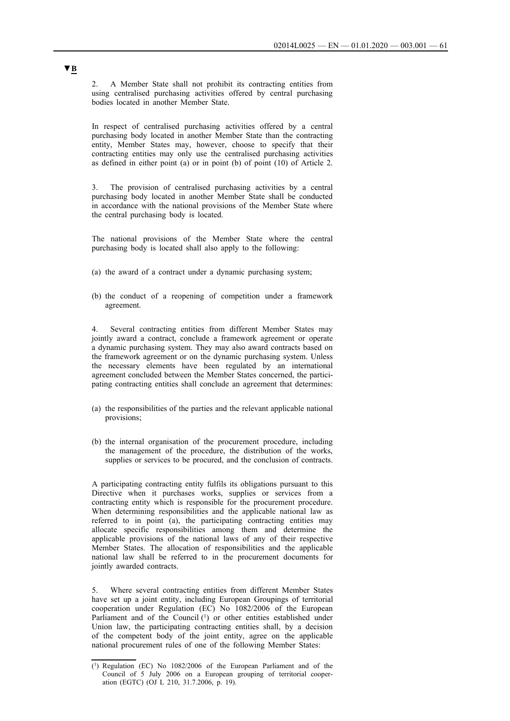2. A Member State shall not prohibit its contracting entities from using centralised purchasing activities offered by central purchasing bodies located in another Member State.

In respect of centralised purchasing activities offered by a central purchasing body located in another Member State than the contracting entity, Member States may, however, choose to specify that their contracting entities may only use the centralised purchasing activities as defined in either point (a) or in point (b) of point (10) of Article 2.

3. The provision of centralised purchasing activities by a central purchasing body located in another Member State shall be conducted in accordance with the national provisions of the Member State where the central purchasing body is located.

The national provisions of the Member State where the central purchasing body is located shall also apply to the following:

- (a) the award of a contract under a dynamic purchasing system;
- (b) the conduct of a reopening of competition under a framework agreement.

Several contracting entities from different Member States may jointly award a contract, conclude a framework agreement or operate a dynamic purchasing system. They may also award contracts based on the framework agreement or on the dynamic purchasing system. Unless the necessary elements have been regulated by an international agreement concluded between the Member States concerned, the participating contracting entities shall conclude an agreement that determines:

- (a) the responsibilities of the parties and the relevant applicable national provisions;
- (b) the internal organisation of the procurement procedure, including the management of the procedure, the distribution of the works, supplies or services to be procured, and the conclusion of contracts.

A participating contracting entity fulfils its obligations pursuant to this Directive when it purchases works, supplies or services from a contracting entity which is responsible for the procurement procedure. When determining responsibilities and the applicable national law as referred to in point (a), the participating contracting entities may allocate specific responsibilities among them and determine the applicable provisions of the national laws of any of their respective Member States. The allocation of responsibilities and the applicable national law shall be referred to in the procurement documents for jointly awarded contracts.

5. Where several contracting entities from different Member States have set up a joint entity, including European Groupings of territorial cooperation under Regulation (EC) No 1082/2006 of the European Parliament and of the Council (1) or other entities established under Union law, the participating contracting entities shall, by a decision of the competent body of the joint entity, agree on the applicable national procurement rules of one of the following Member States:

<sup>(1)</sup> Regulation (EC) No 1082/2006 of the European Parliament and of the Council of 5 July 2006 on a European grouping of territorial cooperation (EGTC) (OJ L 210, 31.7.2006, p. 19).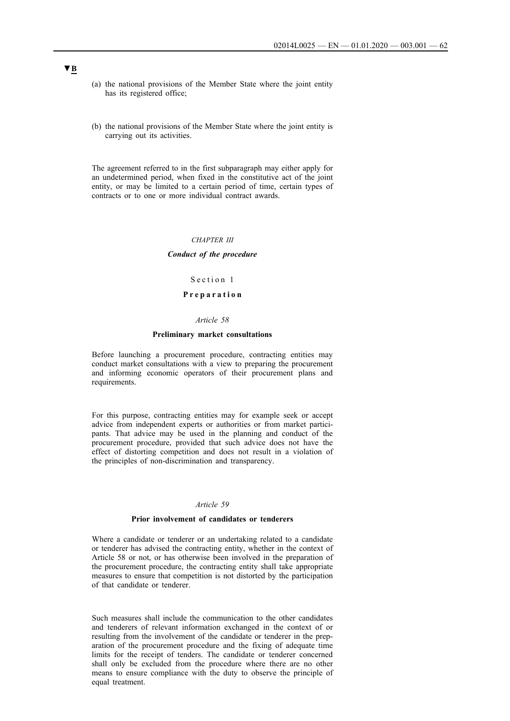- (a) the national provisions of the Member State where the joint entity has its registered office;
- (b) the national provisions of the Member State where the joint entity is carrying out its activities.

The agreement referred to in the first subparagraph may either apply for an undetermined period, when fixed in the constitutive act of the joint entity, or may be limited to a certain period of time, certain types of contracts or to one or more individual contract awards.

#### *CHAPTER III*

#### *Conduct of the procedure*

## Section 1

### **P r e p a r a t i o n**

#### *Article 58*

#### **Preliminary market consultations**

Before launching a procurement procedure, contracting entities may conduct market consultations with a view to preparing the procurement and informing economic operators of their procurement plans and requirements.

For this purpose, contracting entities may for example seek or accept advice from independent experts or authorities or from market participants. That advice may be used in the planning and conduct of the procurement procedure, provided that such advice does not have the effect of distorting competition and does not result in a violation of the principles of non-discrimination and transparency.

#### *Article 59*

### **Prior involvement of candidates or tenderers**

Where a candidate or tenderer or an undertaking related to a candidate or tenderer has advised the contracting entity, whether in the context of Article 58 or not, or has otherwise been involved in the preparation of the procurement procedure, the contracting entity shall take appropriate measures to ensure that competition is not distorted by the participation of that candidate or tenderer.

Such measures shall include the communication to the other candidates and tenderers of relevant information exchanged in the context of or resulting from the involvement of the candidate or tenderer in the preparation of the procurement procedure and the fixing of adequate time limits for the receipt of tenders. The candidate or tenderer concerned shall only be excluded from the procedure where there are no other means to ensure compliance with the duty to observe the principle of equal treatment.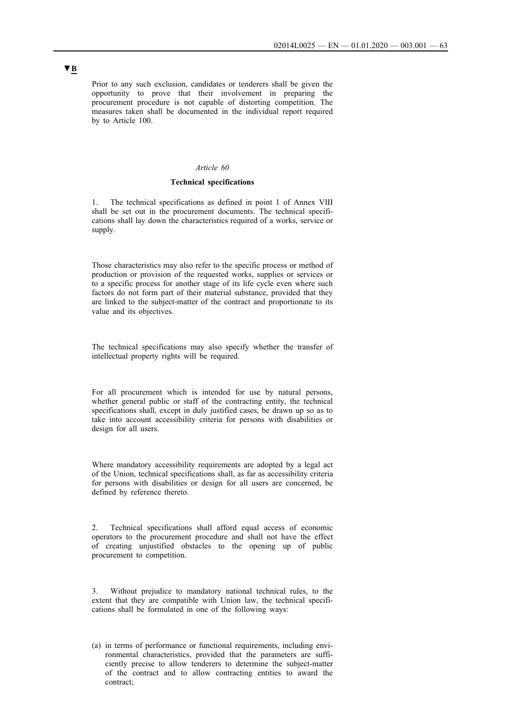Prior to any such exclusion, candidates or tenderers shall be given the opportunity to prove that their involvement in preparing the procurement procedure is not capable of distorting competition. The measures taken shall be documented in the individual report required by to Article 100.

#### *Article 60*

### **Technical specifications**

1. The technical specifications as defined in point 1 of Annex VIII shall be set out in the procurement documents. The technical specifications shall lay down the characteristics required of a works, service or supply.

Those characteristics may also refer to the specific process or method of production or provision of the requested works, supplies or services or to a specific process for another stage of its life cycle even where such factors do not form part of their material substance, provided that they are linked to the subject-matter of the contract and proportionate to its value and its objectives.

The technical specifications may also specify whether the transfer of intellectual property rights will be required.

For all procurement which is intended for use by natural persons, whether general public or staff of the contracting entity, the technical specifications shall, except in duly justified cases, be drawn up so as to take into account accessibility criteria for persons with disabilities or design for all users.

Where mandatory accessibility requirements are adopted by a legal act of the Union, technical specifications shall, as far as accessibility criteria for persons with disabilities or design for all users are concerned, be defined by reference thereto.

2. Technical specifications shall afford equal access of economic operators to the procurement procedure and shall not have the effect of creating unjustified obstacles to the opening up of public procurement to competition.

3. Without prejudice to mandatory national technical rules, to the extent that they are compatible with Union law, the technical specifications shall be formulated in one of the following ways:

(a) in terms of performance or functional requirements, including environmental characteristics, provided that the parameters are sufficiently precise to allow tenderers to determine the subject-matter of the contract and to allow contracting entities to award the contract;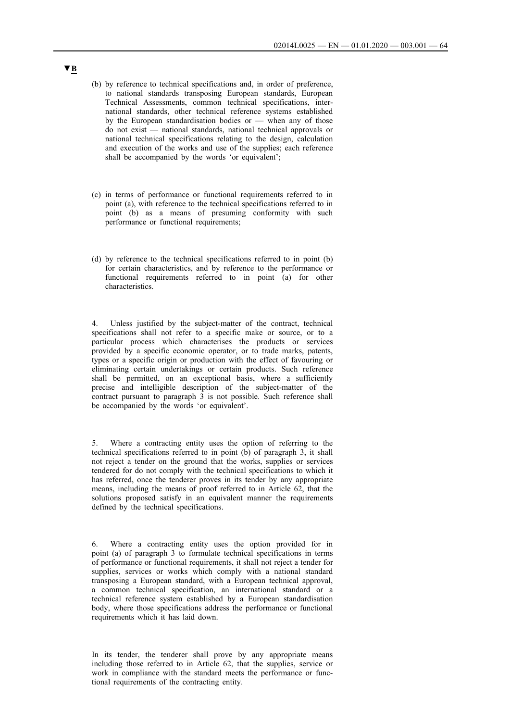- (b) by reference to technical specifications and, in order of preference, to national standards transposing European standards, European Technical Assessments, common technical specifications, international standards, other technical reference systems established by the European standardisation bodies or — when any of those do not exist — national standards, national technical approvals or national technical specifications relating to the design, calculation and execution of the works and use of the supplies; each reference shall be accompanied by the words 'or equivalent';
- (c) in terms of performance or functional requirements referred to in point (a), with reference to the technical specifications referred to in point (b) as a means of presuming conformity with such performance or functional requirements;
- (d) by reference to the technical specifications referred to in point (b) for certain characteristics, and by reference to the performance or functional requirements referred to in point (a) for other characteristics.

4. Unless justified by the subject-matter of the contract, technical specifications shall not refer to a specific make or source, or to a particular process which characterises the products or services provided by a specific economic operator, or to trade marks, patents, types or a specific origin or production with the effect of favouring or eliminating certain undertakings or certain products. Such reference shall be permitted, on an exceptional basis, where a sufficiently precise and intelligible description of the subject-matter of the contract pursuant to paragraph 3 is not possible. Such reference shall be accompanied by the words 'or equivalent'.

5. Where a contracting entity uses the option of referring to the technical specifications referred to in point (b) of paragraph 3, it shall not reject a tender on the ground that the works, supplies or services tendered for do not comply with the technical specifications to which it has referred, once the tenderer proves in its tender by any appropriate means, including the means of proof referred to in Article 62, that the solutions proposed satisfy in an equivalent manner the requirements defined by the technical specifications.

6. Where a contracting entity uses the option provided for in point (a) of paragraph 3 to formulate technical specifications in terms of performance or functional requirements, it shall not reject a tender for supplies, services or works which comply with a national standard transposing a European standard, with a European technical approval, a common technical specification, an international standard or a technical reference system established by a European standardisation body, where those specifications address the performance or functional requirements which it has laid down.

In its tender, the tenderer shall prove by any appropriate means including those referred to in Article 62, that the supplies, service or work in compliance with the standard meets the performance or functional requirements of the contracting entity.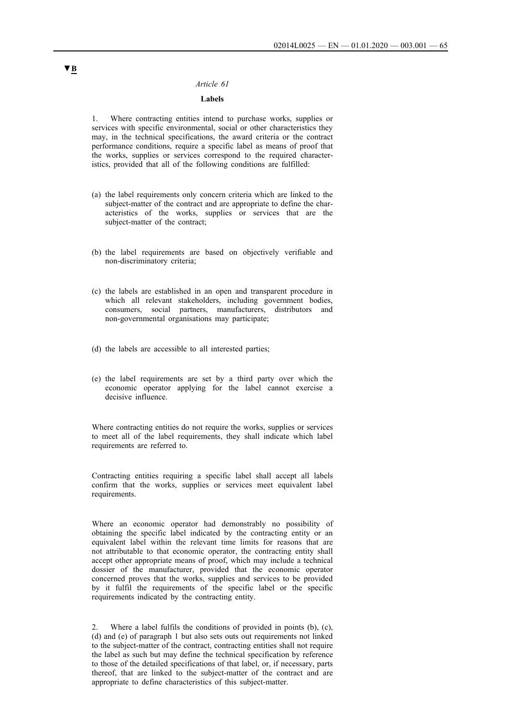#### *Article 61*

## **Labels**

1. Where contracting entities intend to purchase works, supplies or services with specific environmental, social or other characteristics they may, in the technical specifications, the award criteria or the contract performance conditions, require a specific label as means of proof that the works, supplies or services correspond to the required characteristics, provided that all of the following conditions are fulfilled:

- (a) the label requirements only concern criteria which are linked to the subject-matter of the contract and are appropriate to define the characteristics of the works, supplies or services that are the subject-matter of the contract;
- (b) the label requirements are based on objectively verifiable and non-discriminatory criteria;
- (c) the labels are established in an open and transparent procedure in which all relevant stakeholders, including government bodies, consumers, social partners, manufacturers, distributors and non-governmental organisations may participate;
- (d) the labels are accessible to all interested parties;
- (e) the label requirements are set by a third party over which the economic operator applying for the label cannot exercise a decisive influence.

Where contracting entities do not require the works, supplies or services to meet all of the label requirements, they shall indicate which label requirements are referred to.

Contracting entities requiring a specific label shall accept all labels confirm that the works, supplies or services meet equivalent label requirements.

Where an economic operator had demonstrably no possibility of obtaining the specific label indicated by the contracting entity or an equivalent label within the relevant time limits for reasons that are not attributable to that economic operator, the contracting entity shall accept other appropriate means of proof, which may include a technical dossier of the manufacturer, provided that the economic operator concerned proves that the works, supplies and services to be provided by it fulfil the requirements of the specific label or the specific requirements indicated by the contracting entity.

Where a label fulfils the conditions of provided in points  $(b)$ ,  $(c)$ , (d) and (e) of paragraph 1 but also sets outs out requirements not linked to the subject-matter of the contract, contracting entities shall not require the label as such but may define the technical specification by reference to those of the detailed specifications of that label, or, if necessary, parts thereof, that are linked to the subject-matter of the contract and are appropriate to define characteristics of this subject-matter.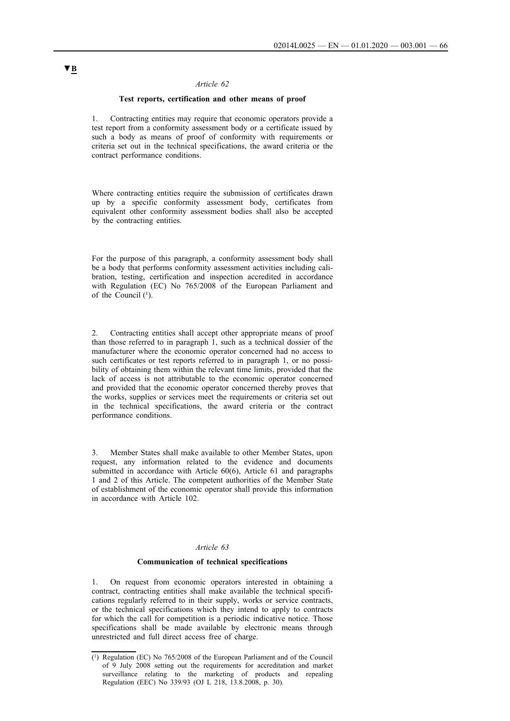### *Article 62*

#### **Test reports, certification and other means of proof**

1. Contracting entities may require that economic operators provide a test report from a conformity assessment body or a certificate issued by such a body as means of proof of conformity with requirements or criteria set out in the technical specifications, the award criteria or the contract performance conditions.

Where contracting entities require the submission of certificates drawn up by a specific conformity assessment body, certificates from equivalent other conformity assessment bodies shall also be accepted by the contracting entities.

For the purpose of this paragraph, a conformity assessment body shall be a body that performs conformity assessment activities including calibration, testing, certification and inspection accredited in accordance with Regulation (EC) No 765/2008 of the European Parliament and of the Council (1).

2. Contracting entities shall accept other appropriate means of proof than those referred to in paragraph 1, such as a technical dossier of the manufacturer where the economic operator concerned had no access to such certificates or test reports referred to in paragraph 1, or no possibility of obtaining them within the relevant time limits, provided that the lack of access is not attributable to the economic operator concerned and provided that the economic operator concerned thereby proves that the works, supplies or services meet the requirements or criteria set out in the technical specifications, the award criteria or the contract performance conditions.

3. Member States shall make available to other Member States, upon request, any information related to the evidence and documents submitted in accordance with Article 60(6), Article 61 and paragraphs 1 and 2 of this Article. The competent authorities of the Member State of establishment of the economic operator shall provide this information in accordance with Article 102.

#### *Article 63*

#### **Communication of technical specifications**

1. On request from economic operators interested in obtaining a contract, contracting entities shall make available the technical specifications regularly referred to in their supply, works or service contracts, or the technical specifications which they intend to apply to contracts for which the call for competition is a periodic indicative notice. Those specifications shall be made available by electronic means through unrestricted and full direct access free of charge.

<sup>(1)</sup> Regulation (EC) No 765/2008 of the European Parliament and of the Council of 9 July 2008 setting out the requirements for accreditation and market surveillance relating to the marketing of products and repealing Regulation (EEC) No 339/93 (OJ L 218, 13.8.2008, p. 30).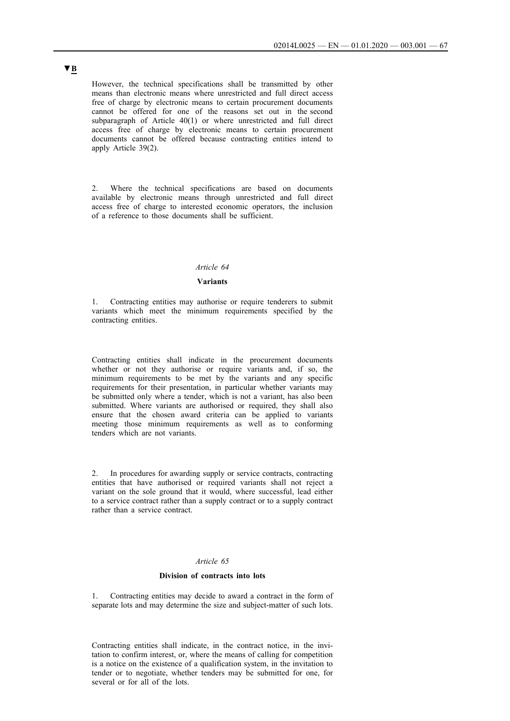However, the technical specifications shall be transmitted by other means than electronic means where unrestricted and full direct access free of charge by electronic means to certain procurement documents cannot be offered for one of the reasons set out in the second subparagraph of Article 40(1) or where unrestricted and full direct access free of charge by electronic means to certain procurement documents cannot be offered because contracting entities intend to apply Article 39(2).

2. Where the technical specifications are based on documents available by electronic means through unrestricted and full direct access free of charge to interested economic operators, the inclusion of a reference to those documents shall be sufficient.

### *Article 64*

### **Variants**

1. Contracting entities may authorise or require tenderers to submit variants which meet the minimum requirements specified by the contracting entities.

Contracting entities shall indicate in the procurement documents whether or not they authorise or require variants and, if so, the minimum requirements to be met by the variants and any specific requirements for their presentation, in particular whether variants may be submitted only where a tender, which is not a variant, has also been submitted. Where variants are authorised or required, they shall also ensure that the chosen award criteria can be applied to variants meeting those minimum requirements as well as to conforming tenders which are not variants.

In procedures for awarding supply or service contracts, contracting entities that have authorised or required variants shall not reject a variant on the sole ground that it would, where successful, lead either to a service contract rather than a supply contract or to a supply contract rather than a service contract.

## *Article 65*

#### **Division of contracts into lots**

1. Contracting entities may decide to award a contract in the form of separate lots and may determine the size and subject-matter of such lots.

Contracting entities shall indicate, in the contract notice, in the invitation to confirm interest, or, where the means of calling for competition is a notice on the existence of a qualification system, in the invitation to tender or to negotiate, whether tenders may be submitted for one, for several or for all of the lots.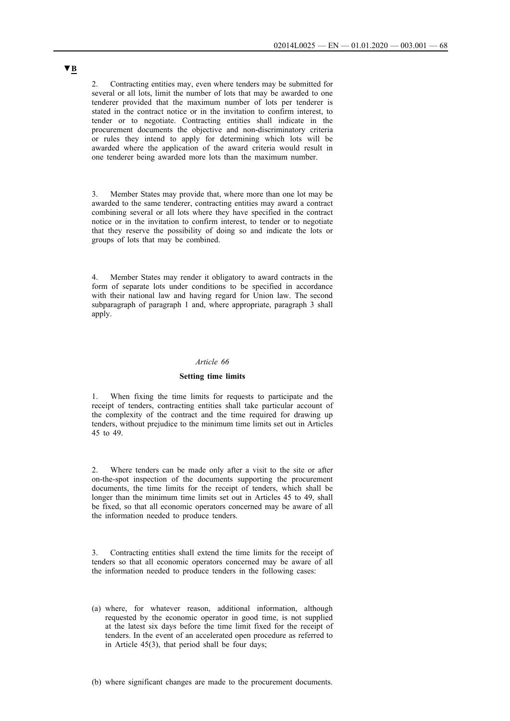2. Contracting entities may, even where tenders may be submitted for several or all lots, limit the number of lots that may be awarded to one tenderer provided that the maximum number of lots per tenderer is stated in the contract notice or in the invitation to confirm interest, to tender or to negotiate. Contracting entities shall indicate in the procurement documents the objective and non-discriminatory criteria or rules they intend to apply for determining which lots will be awarded where the application of the award criteria would result in one tenderer being awarded more lots than the maximum number.

3. Member States may provide that, where more than one lot may be awarded to the same tenderer, contracting entities may award a contract combining several or all lots where they have specified in the contract notice or in the invitation to confirm interest, to tender or to negotiate that they reserve the possibility of doing so and indicate the lots or groups of lots that may be combined.

4. Member States may render it obligatory to award contracts in the form of separate lots under conditions to be specified in accordance with their national law and having regard for Union law. The second subparagraph of paragraph 1 and, where appropriate, paragraph 3 shall apply.

### *Article 66*

#### **Setting time limits**

1. When fixing the time limits for requests to participate and the receipt of tenders, contracting entities shall take particular account of the complexity of the contract and the time required for drawing up tenders, without prejudice to the minimum time limits set out in Articles 45 to 49.

2. Where tenders can be made only after a visit to the site or after on-the-spot inspection of the documents supporting the procurement documents, the time limits for the receipt of tenders, which shall be longer than the minimum time limits set out in Articles 45 to 49, shall be fixed, so that all economic operators concerned may be aware of all the information needed to produce tenders.

3. Contracting entities shall extend the time limits for the receipt of tenders so that all economic operators concerned may be aware of all the information needed to produce tenders in the following cases:

(a) where, for whatever reason, additional information, although requested by the economic operator in good time, is not supplied at the latest six days before the time limit fixed for the receipt of tenders. In the event of an accelerated open procedure as referred to in Article 45(3), that period shall be four days;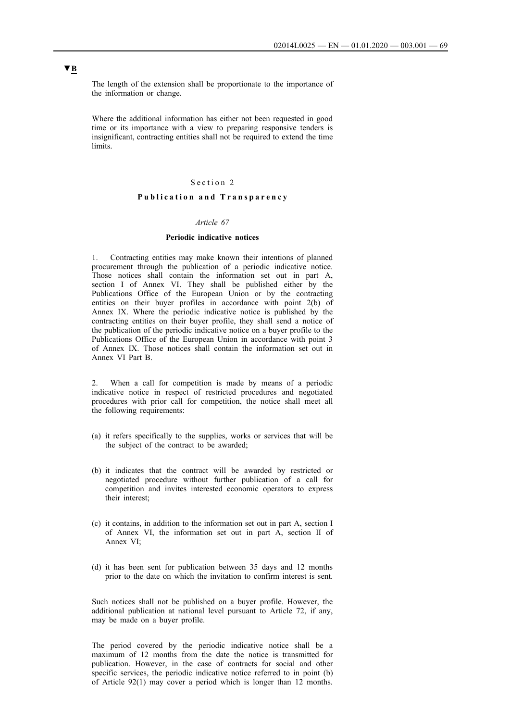The length of the extension shall be proportionate to the importance of the information or change.

Where the additional information has either not been requested in good time or its importance with a view to preparing responsive tenders is insignificant, contracting entities shall not be required to extend the time limits.

## Section 2

## **P u b l i c a t i o n a n d T r a n s p a r e n c y**

#### *Article 67*

### **Periodic indicative notices**

1. Contracting entities may make known their intentions of planned procurement through the publication of a periodic indicative notice. Those notices shall contain the information set out in part A, section I of Annex VI. They shall be published either by the Publications Office of the European Union or by the contracting entities on their buyer profiles in accordance with point 2(b) of Annex IX. Where the periodic indicative notice is published by the contracting entities on their buyer profile, they shall send a notice of the publication of the periodic indicative notice on a buyer profile to the Publications Office of the European Union in accordance with point 3 of Annex IX. Those notices shall contain the information set out in Annex VI Part B.

When a call for competition is made by means of a periodic indicative notice in respect of restricted procedures and negotiated procedures with prior call for competition, the notice shall meet all the following requirements:

- (a) it refers specifically to the supplies, works or services that will be the subject of the contract to be awarded;
- (b) it indicates that the contract will be awarded by restricted or negotiated procedure without further publication of a call for competition and invites interested economic operators to express their interest;
- (c) it contains, in addition to the information set out in part A, section I of Annex VI, the information set out in part A, section II of Annex VI;
- (d) it has been sent for publication between 35 days and 12 months prior to the date on which the invitation to confirm interest is sent.

Such notices shall not be published on a buyer profile. However, the additional publication at national level pursuant to Article 72, if any, may be made on a buyer profile.

The period covered by the periodic indicative notice shall be a maximum of 12 months from the date the notice is transmitted for publication. However, in the case of contracts for social and other specific services, the periodic indicative notice referred to in point (b) of Article 92(1) may cover a period which is longer than 12 months.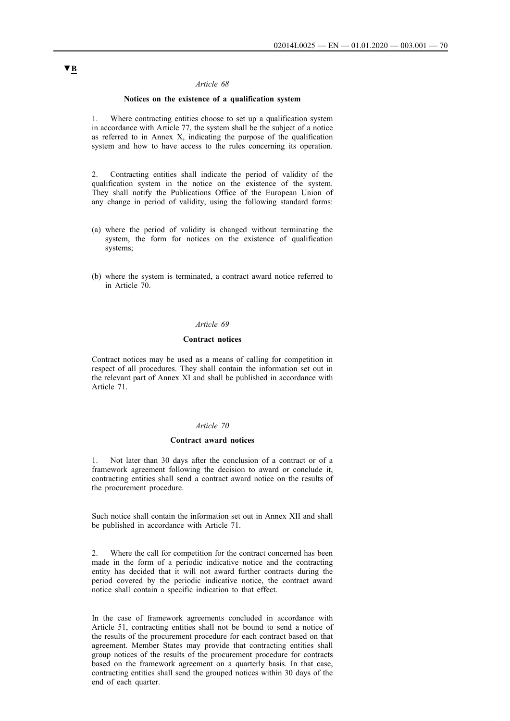#### *Article 68*

#### **Notices on the existence of a qualification system**

1. Where contracting entities choose to set up a qualification system in accordance with Article 77, the system shall be the subject of a notice as referred to in Annex X, indicating the purpose of the qualification system and how to have access to the rules concerning its operation.

2. Contracting entities shall indicate the period of validity of the qualification system in the notice on the existence of the system. They shall notify the Publications Office of the European Union of any change in period of validity, using the following standard forms:

- (a) where the period of validity is changed without terminating the system, the form for notices on the existence of qualification systems;
- (b) where the system is terminated, a contract award notice referred to in Article 70.

## *Article 69*

#### **Contract notices**

Contract notices may be used as a means of calling for competition in respect of all procedures. They shall contain the information set out in the relevant part of Annex XI and shall be published in accordance with Article 71.

#### *Article 70*

#### **Contract award notices**

1. Not later than 30 days after the conclusion of a contract or of a framework agreement following the decision to award or conclude it, contracting entities shall send a contract award notice on the results of the procurement procedure.

Such notice shall contain the information set out in Annex XII and shall be published in accordance with Article 71.

2. Where the call for competition for the contract concerned has been made in the form of a periodic indicative notice and the contracting entity has decided that it will not award further contracts during the period covered by the periodic indicative notice, the contract award notice shall contain a specific indication to that effect.

In the case of framework agreements concluded in accordance with Article 51, contracting entities shall not be bound to send a notice of the results of the procurement procedure for each contract based on that agreement. Member States may provide that contracting entities shall group notices of the results of the procurement procedure for contracts based on the framework agreement on a quarterly basis. In that case, contracting entities shall send the grouped notices within 30 days of the end of each quarter.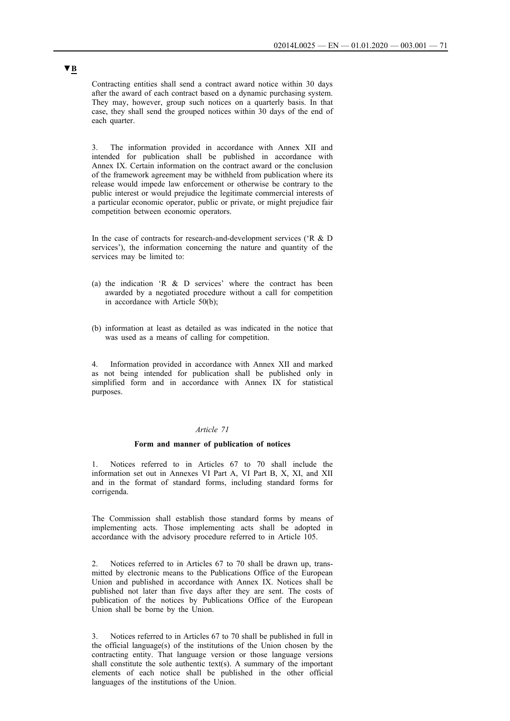Contracting entities shall send a contract award notice within 30 days after the award of each contract based on a dynamic purchasing system. They may, however, group such notices on a quarterly basis. In that case, they shall send the grouped notices within 30 days of the end of each quarter.

3. The information provided in accordance with Annex XII and intended for publication shall be published in accordance with Annex IX. Certain information on the contract award or the conclusion of the framework agreement may be withheld from publication where its release would impede law enforcement or otherwise be contrary to the public interest or would prejudice the legitimate commercial interests of a particular economic operator, public or private, or might prejudice fair competition between economic operators.

In the case of contracts for research-and-development services ('R & D services'), the information concerning the nature and quantity of the services may be limited to:

- (a) the indication 'R & D services' where the contract has been awarded by a negotiated procedure without a call for competition in accordance with Article 50(b);
- (b) information at least as detailed as was indicated in the notice that was used as a means of calling for competition.

4. Information provided in accordance with Annex XII and marked as not being intended for publication shall be published only in simplified form and in accordance with Annex IX for statistical purposes.

### *Article 71*

#### **Form and manner of publication of notices**

Notices referred to in Articles 67 to 70 shall include the information set out in Annexes VI Part A, VI Part B, X, XI, and XII and in the format of standard forms, including standard forms for corrigenda.

The Commission shall establish those standard forms by means of implementing acts. Those implementing acts shall be adopted in accordance with the advisory procedure referred to in Article 105.

2. Notices referred to in Articles 67 to 70 shall be drawn up, transmitted by electronic means to the Publications Office of the European Union and published in accordance with Annex IX. Notices shall be published not later than five days after they are sent. The costs of publication of the notices by Publications Office of the European Union shall be borne by the Union.

3. Notices referred to in Articles 67 to 70 shall be published in full in the official language(s) of the institutions of the Union chosen by the contracting entity. That language version or those language versions shall constitute the sole authentic text(s). A summary of the important elements of each notice shall be published in the other official languages of the institutions of the Union.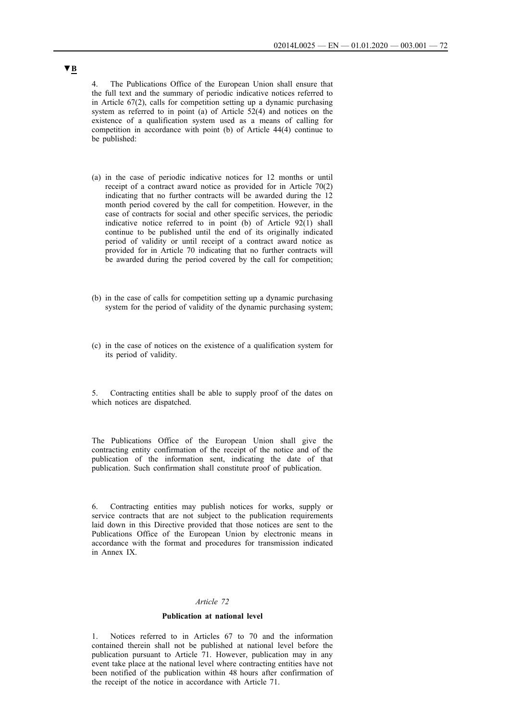4. The Publications Office of the European Union shall ensure that the full text and the summary of periodic indicative notices referred to in Article 67(2), calls for competition setting up a dynamic purchasing system as referred to in point (a) of Article 52(4) and notices on the existence of a qualification system used as a means of calling for competition in accordance with point (b) of Article 44(4) continue to be published:

- (a) in the case of periodic indicative notices for 12 months or until receipt of a contract award notice as provided for in Article 70(2) indicating that no further contracts will be awarded during the 12 month period covered by the call for competition. However, in the case of contracts for social and other specific services, the periodic indicative notice referred to in point (b) of Article 92(1) shall continue to be published until the end of its originally indicated period of validity or until receipt of a contract award notice as provided for in Article 70 indicating that no further contracts will be awarded during the period covered by the call for competition;
- (b) in the case of calls for competition setting up a dynamic purchasing system for the period of validity of the dynamic purchasing system;
- (c) in the case of notices on the existence of a qualification system for its period of validity.

5. Contracting entities shall be able to supply proof of the dates on which notices are dispatched.

The Publications Office of the European Union shall give the contracting entity confirmation of the receipt of the notice and of the publication of the information sent, indicating the date of that publication. Such confirmation shall constitute proof of publication.

6. Contracting entities may publish notices for works, supply or service contracts that are not subject to the publication requirements laid down in this Directive provided that those notices are sent to the Publications Office of the European Union by electronic means in accordance with the format and procedures for transmission indicated in Annex IX.

## *Article 72*

#### **Publication at national level**

1. Notices referred to in Articles 67 to 70 and the information contained therein shall not be published at national level before the publication pursuant to Article 71. However, publication may in any event take place at the national level where contracting entities have not been notified of the publication within 48 hours after confirmation of the receipt of the notice in accordance with Article 71.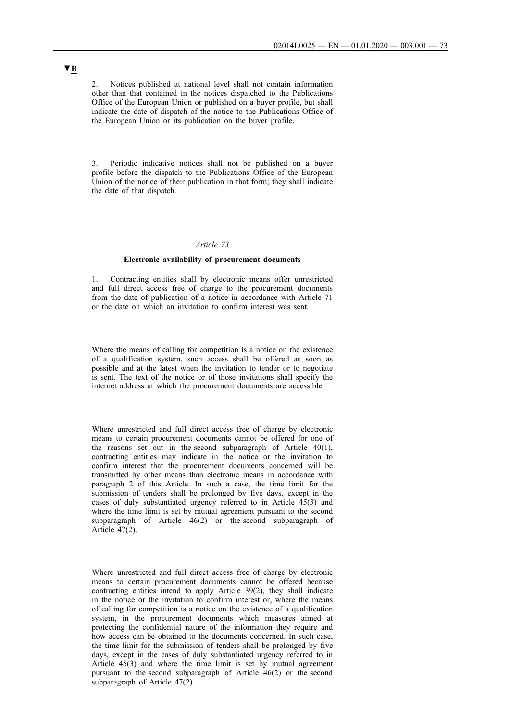2. Notices published at national level shall not contain information other than that contained in the notices dispatched to the Publications Office of the European Union or published on a buyer profile, but shall indicate the date of dispatch of the notice to the Publications Office of the European Union or its publication on the buyer profile.

3. Periodic indicative notices shall not be published on a buyer profile before the dispatch to the Publications Office of the European Union of the notice of their publication in that form; they shall indicate the date of that dispatch.

#### *Article 73*

#### **Electronic availability of procurement documents**

1. Contracting entities shall by electronic means offer unrestricted and full direct access free of charge to the procurement documents from the date of publication of a notice in accordance with Article 71 or the date on which an invitation to confirm interest was sent.

Where the means of calling for competition is a notice on the existence of a qualification system, such access shall be offered as soon as possible and at the latest when the invitation to tender or to negotiate is sent. The text of the notice or of those invitations shall specify the internet address at which the procurement documents are accessible.

Where unrestricted and full direct access free of charge by electronic means to certain procurement documents cannot be offered for one of the reasons set out in the second subparagraph of Article 40(1), contracting entities may indicate in the notice or the invitation to confirm interest that the procurement documents concerned will be transmitted by other means than electronic means in accordance with paragraph 2 of this Article. In such a case, the time limit for the submission of tenders shall be prolonged by five days, except in the cases of duly substantiated urgency referred to in Article 45(3) and where the time limit is set by mutual agreement pursuant to the second subparagraph of Article 46(2) or the second subparagraph of Article  $\overline{47(2)}$ .

Where unrestricted and full direct access free of charge by electronic means to certain procurement documents cannot be offered because contracting entities intend to apply Article 39(2), they shall indicate in the notice or the invitation to confirm interest or, where the means of calling for competition is a notice on the existence of a qualification system, in the procurement documents which measures aimed at protecting the confidential nature of the information they require and how access can be obtained to the documents concerned. In such case, the time limit for the submission of tenders shall be prolonged by five days, except in the cases of duly substantiated urgency referred to in Article 45(3) and where the time limit is set by mutual agreement pursuant to the second subparagraph of Article 46(2) or the second subparagraph of Article 47(2).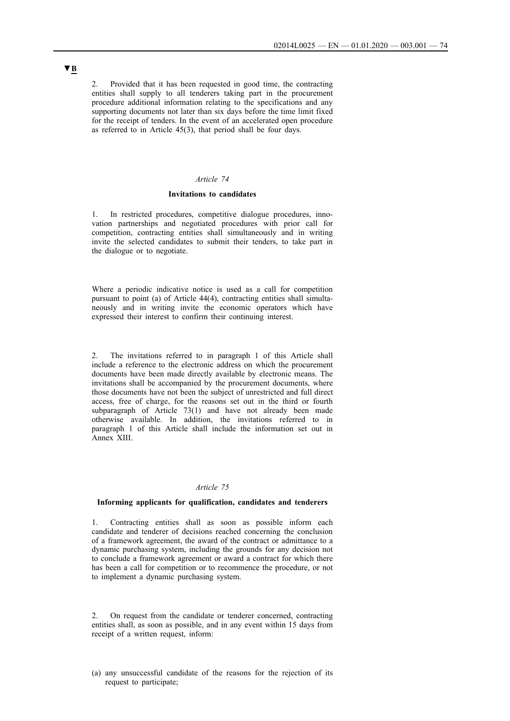2. Provided that it has been requested in good time, the contracting entities shall supply to all tenderers taking part in the procurement procedure additional information relating to the specifications and any supporting documents not later than six days before the time limit fixed for the receipt of tenders. In the event of an accelerated open procedure as referred to in Article 45(3), that period shall be four days.

### *Article 74*

### **Invitations to candidates**

1. In restricted procedures, competitive dialogue procedures, innovation partnerships and negotiated procedures with prior call for competition, contracting entities shall simultaneously and in writing invite the selected candidates to submit their tenders, to take part in the dialogue or to negotiate.

Where a periodic indicative notice is used as a call for competition pursuant to point (a) of Article 44(4), contracting entities shall simultaneously and in writing invite the economic operators which have expressed their interest to confirm their continuing interest.

2. The invitations referred to in paragraph 1 of this Article shall include a reference to the electronic address on which the procurement documents have been made directly available by electronic means. The invitations shall be accompanied by the procurement documents, where those documents have not been the subject of unrestricted and full direct access, free of charge, for the reasons set out in the third or fourth subparagraph of Article 73(1) and have not already been made otherwise available. In addition, the invitations referred to in paragraph 1 of this Article shall include the information set out in Annex XIII.

### *Article 75*

#### **Informing applicants for qualification, candidates and tenderers**

1. Contracting entities shall as soon as possible inform each candidate and tenderer of decisions reached concerning the conclusion of a framework agreement, the award of the contract or admittance to a dynamic purchasing system, including the grounds for any decision not to conclude a framework agreement or award a contract for which there has been a call for competition or to recommence the procedure, or not to implement a dynamic purchasing system.

2. On request from the candidate or tenderer concerned, contracting entities shall, as soon as possible, and in any event within 15 days from receipt of a written request, inform:

(a) any unsuccessful candidate of the reasons for the rejection of its request to participate;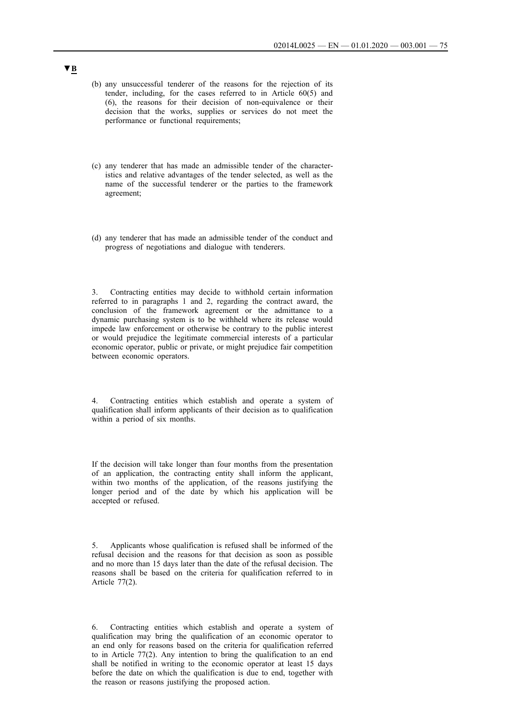- (b) any unsuccessful tenderer of the reasons for the rejection of its tender, including, for the cases referred to in Article 60(5) and (6), the reasons for their decision of non-equivalence or their decision that the works, supplies or services do not meet the performance or functional requirements;
- (c) any tenderer that has made an admissible tender of the characteristics and relative advantages of the tender selected, as well as the name of the successful tenderer or the parties to the framework agreement;
- (d) any tenderer that has made an admissible tender of the conduct and progress of negotiations and dialogue with tenderers.

3. Contracting entities may decide to withhold certain information referred to in paragraphs 1 and 2, regarding the contract award, the conclusion of the framework agreement or the admittance to a dynamic purchasing system is to be withheld where its release would impede law enforcement or otherwise be contrary to the public interest or would prejudice the legitimate commercial interests of a particular economic operator, public or private, or might prejudice fair competition between economic operators.

Contracting entities which establish and operate a system of qualification shall inform applicants of their decision as to qualification within a period of six months.

If the decision will take longer than four months from the presentation of an application, the contracting entity shall inform the applicant, within two months of the application, of the reasons justifying the longer period and of the date by which his application will be accepted or refused.

5. Applicants whose qualification is refused shall be informed of the refusal decision and the reasons for that decision as soon as possible and no more than 15 days later than the date of the refusal decision. The reasons shall be based on the criteria for qualification referred to in Article 77(2).

6. Contracting entities which establish and operate a system of qualification may bring the qualification of an economic operator to an end only for reasons based on the criteria for qualification referred to in Article 77(2). Any intention to bring the qualification to an end shall be notified in writing to the economic operator at least 15 days before the date on which the qualification is due to end, together with the reason or reasons justifying the proposed action.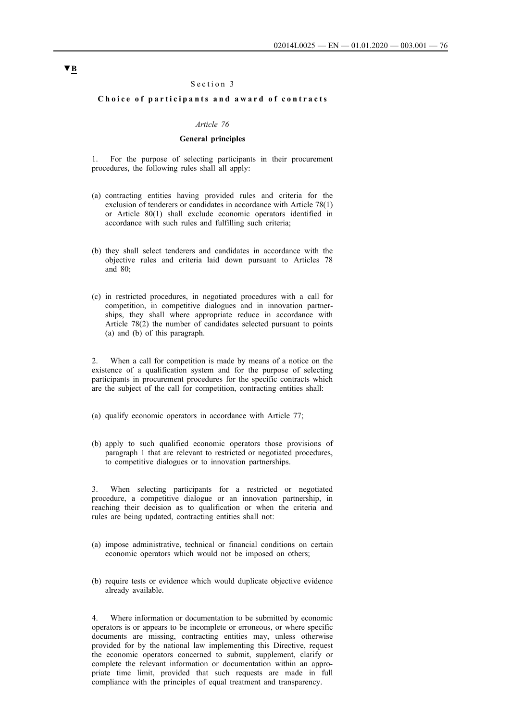#### Section 3

#### **Choice of participants and award of contracts**

#### *Article 76*

### **General principles**

1. For the purpose of selecting participants in their procurement procedures, the following rules shall all apply:

- (a) contracting entities having provided rules and criteria for the exclusion of tenderers or candidates in accordance with Article 78(1) or Article 80(1) shall exclude economic operators identified in accordance with such rules and fulfilling such criteria;
- (b) they shall select tenderers and candidates in accordance with the objective rules and criteria laid down pursuant to Articles 78 and  $80<sup>°</sup>$
- (c) in restricted procedures, in negotiated procedures with a call for competition, in competitive dialogues and in innovation partnerships, they shall where appropriate reduce in accordance with Article 78(2) the number of candidates selected pursuant to points (a) and (b) of this paragraph.

2. When a call for competition is made by means of a notice on the existence of a qualification system and for the purpose of selecting participants in procurement procedures for the specific contracts which are the subject of the call for competition, contracting entities shall:

- (a) qualify economic operators in accordance with Article 77;
- (b) apply to such qualified economic operators those provisions of paragraph 1 that are relevant to restricted or negotiated procedures, to competitive dialogues or to innovation partnerships.

When selecting participants for a restricted or negotiated procedure, a competitive dialogue or an innovation partnership, in reaching their decision as to qualification or when the criteria and rules are being updated, contracting entities shall not:

- (a) impose administrative, technical or financial conditions on certain economic operators which would not be imposed on others;
- (b) require tests or evidence which would duplicate objective evidence already available.

Where information or documentation to be submitted by economic operators is or appears to be incomplete or erroneous, or where specific documents are missing, contracting entities may, unless otherwise provided for by the national law implementing this Directive, request the economic operators concerned to submit, supplement, clarify or complete the relevant information or documentation within an appropriate time limit, provided that such requests are made in full compliance with the principles of equal treatment and transparency.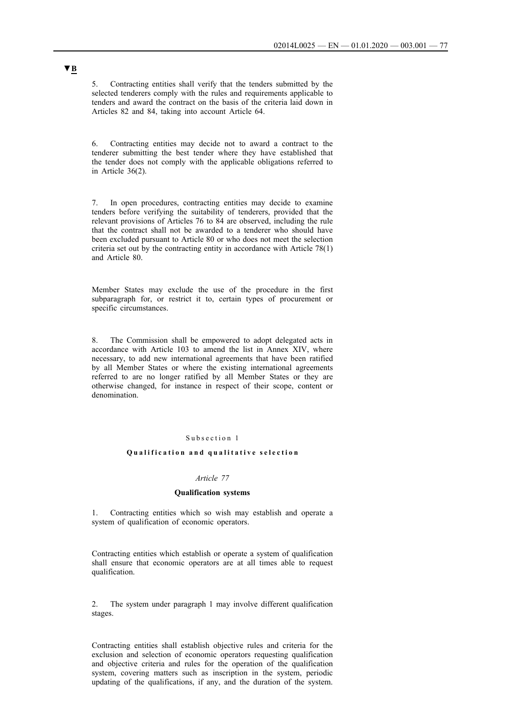5. Contracting entities shall verify that the tenders submitted by the selected tenderers comply with the rules and requirements applicable to tenders and award the contract on the basis of the criteria laid down in Articles 82 and 84, taking into account Article 64.

6. Contracting entities may decide not to award a contract to the tenderer submitting the best tender where they have established that the tender does not comply with the applicable obligations referred to in Article 36(2).

7. In open procedures, contracting entities may decide to examine tenders before verifying the suitability of tenderers, provided that the relevant provisions of Articles 76 to 84 are observed, including the rule that the contract shall not be awarded to a tenderer who should have been excluded pursuant to Article 80 or who does not meet the selection criteria set out by the contracting entity in accordance with Article 78(1) and Article 80.

Member States may exclude the use of the procedure in the first subparagraph for, or restrict it to, certain types of procurement or specific circumstances.

8. The Commission shall be empowered to adopt delegated acts in accordance with Article 103 to amend the list in Annex XIV, where necessary, to add new international agreements that have been ratified by all Member States or where the existing international agreements referred to are no longer ratified by all Member States or they are otherwise changed, for instance in respect of their scope, content or denomination.

### Subsection 1

#### **Qualification and qualitative selection**

#### *Article 77*

### **Qualification systems**

1. Contracting entities which so wish may establish and operate a system of qualification of economic operators.

Contracting entities which establish or operate a system of qualification shall ensure that economic operators are at all times able to request qualification.

2. The system under paragraph 1 may involve different qualification stages.

Contracting entities shall establish objective rules and criteria for the exclusion and selection of economic operators requesting qualification and objective criteria and rules for the operation of the qualification system, covering matters such as inscription in the system, periodic updating of the qualifications, if any, and the duration of the system.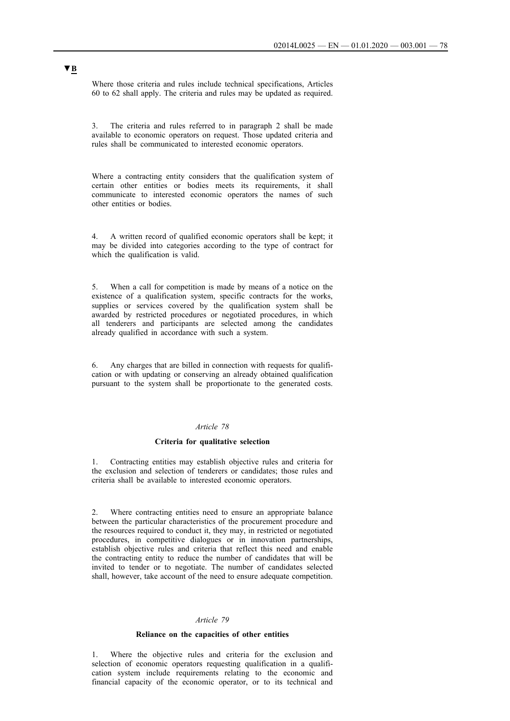Where those criteria and rules include technical specifications, Articles 60 to 62 shall apply. The criteria and rules may be updated as required.

3. The criteria and rules referred to in paragraph 2 shall be made available to economic operators on request. Those updated criteria and rules shall be communicated to interested economic operators.

Where a contracting entity considers that the qualification system of certain other entities or bodies meets its requirements, it shall communicate to interested economic operators the names of such other entities or bodies.

4. A written record of qualified economic operators shall be kept; it may be divided into categories according to the type of contract for which the qualification is valid.

5. When a call for competition is made by means of a notice on the existence of a qualification system, specific contracts for the works, supplies or services covered by the qualification system shall be awarded by restricted procedures or negotiated procedures, in which all tenderers and participants are selected among the candidates already qualified in accordance with such a system.

6. Any charges that are billed in connection with requests for qualification or with updating or conserving an already obtained qualification pursuant to the system shall be proportionate to the generated costs.

### *Article 78*

#### **Criteria for qualitative selection**

1. Contracting entities may establish objective rules and criteria for the exclusion and selection of tenderers or candidates; those rules and criteria shall be available to interested economic operators.

2. Where contracting entities need to ensure an appropriate balance between the particular characteristics of the procurement procedure and the resources required to conduct it, they may, in restricted or negotiated procedures, in competitive dialogues or in innovation partnerships, establish objective rules and criteria that reflect this need and enable the contracting entity to reduce the number of candidates that will be invited to tender or to negotiate. The number of candidates selected shall, however, take account of the need to ensure adequate competition.

#### *Article 79*

### **Reliance on the capacities of other entities**

1. Where the objective rules and criteria for the exclusion and selection of economic operators requesting qualification in a qualification system include requirements relating to the economic and financial capacity of the economic operator, or to its technical and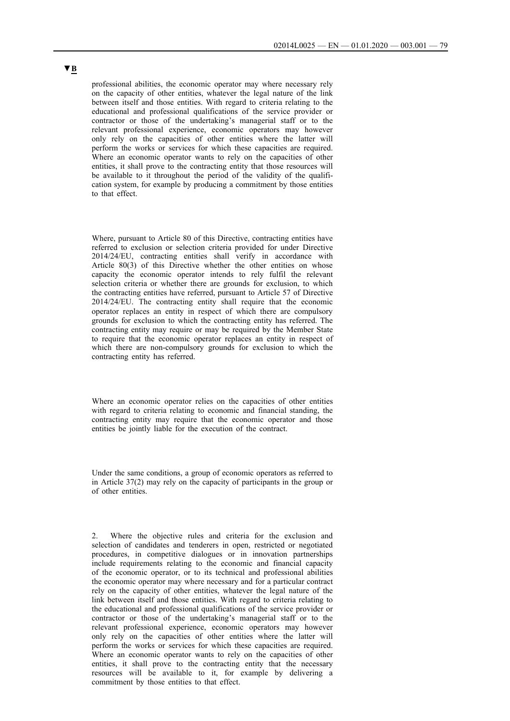professional abilities, the economic operator may where necessary rely on the capacity of other entities, whatever the legal nature of the link between itself and those entities. With regard to criteria relating to the educational and professional qualifications of the service provider or contractor or those of the undertaking's managerial staff or to the relevant professional experience, economic operators may however only rely on the capacities of other entities where the latter will perform the works or services for which these capacities are required. Where an economic operator wants to rely on the capacities of other entities, it shall prove to the contracting entity that those resources will be available to it throughout the period of the validity of the qualification system, for example by producing a commitment by those entities to that effect.

Where, pursuant to Article 80 of this Directive, contracting entities have referred to exclusion or selection criteria provided for under Directive 2014/24/EU, contracting entities shall verify in accordance with Article 80(3) of this Directive whether the other entities on whose capacity the economic operator intends to rely fulfil the relevant selection criteria or whether there are grounds for exclusion, to which the contracting entities have referred, pursuant to Article 57 of Directive 2014/24/EU. The contracting entity shall require that the economic operator replaces an entity in respect of which there are compulsory grounds for exclusion to which the contracting entity has referred. The contracting entity may require or may be required by the Member State to require that the economic operator replaces an entity in respect of which there are non-compulsory grounds for exclusion to which the contracting entity has referred.

Where an economic operator relies on the capacities of other entities with regard to criteria relating to economic and financial standing, the contracting entity may require that the economic operator and those entities be jointly liable for the execution of the contract.

Under the same conditions, a group of economic operators as referred to in Article 37(2) may rely on the capacity of participants in the group or of other entities.

2. Where the objective rules and criteria for the exclusion and selection of candidates and tenderers in open, restricted or negotiated procedures, in competitive dialogues or in innovation partnerships include requirements relating to the economic and financial capacity of the economic operator, or to its technical and professional abilities the economic operator may where necessary and for a particular contract rely on the capacity of other entities, whatever the legal nature of the link between itself and those entities. With regard to criteria relating to the educational and professional qualifications of the service provider or contractor or those of the undertaking's managerial staff or to the relevant professional experience, economic operators may however only rely on the capacities of other entities where the latter will perform the works or services for which these capacities are required. Where an economic operator wants to rely on the capacities of other entities, it shall prove to the contracting entity that the necessary resources will be available to it, for example by delivering a commitment by those entities to that effect.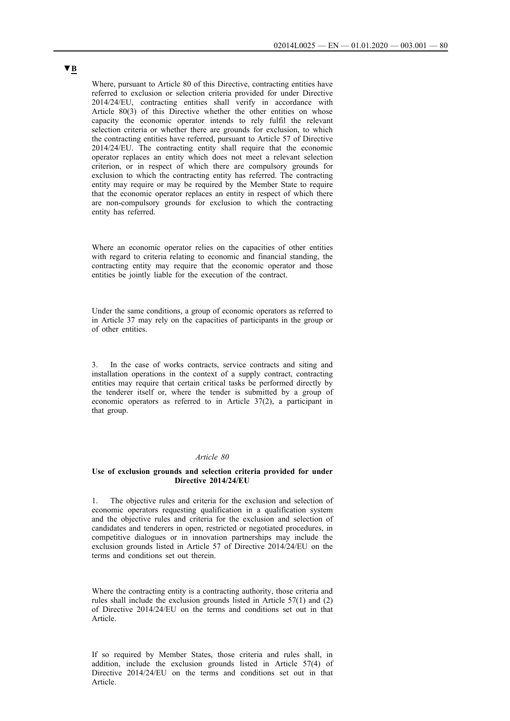Where, pursuant to Article 80 of this Directive, contracting entities have referred to exclusion or selection criteria provided for under Directive 2014/24/EU, contracting entities shall verify in accordance with Article 80(3) of this Directive whether the other entities on whose capacity the economic operator intends to rely fulfil the relevant selection criteria or whether there are grounds for exclusion, to which the contracting entities have referred, pursuant to Article 57 of Directive 2014/24/EU. The contracting entity shall require that the economic operator replaces an entity which does not meet a relevant selection criterion, or in respect of which there are compulsory grounds for exclusion to which the contracting entity has referred. The contracting entity may require or may be required by the Member State to require that the economic operator replaces an entity in respect of which there are non-compulsory grounds for exclusion to which the contracting entity has referred.

Where an economic operator relies on the capacities of other entities with regard to criteria relating to economic and financial standing, the contracting entity may require that the economic operator and those entities be jointly liable for the execution of the contract.

Under the same conditions, a group of economic operators as referred to in Article 37 may rely on the capacities of participants in the group or of other entities.

3. In the case of works contracts, service contracts and siting and installation operations in the context of a supply contract, contracting entities may require that certain critical tasks be performed directly by the tenderer itself or, where the tender is submitted by a group of economic operators as referred to in Article 37(2), a participant in that group.

#### *Article 80*

#### **Use of exclusion grounds and selection criteria provided for under Directive 2014/24/EU**

1. The objective rules and criteria for the exclusion and selection of economic operators requesting qualification in a qualification system and the objective rules and criteria for the exclusion and selection of candidates and tenderers in open, restricted or negotiated procedures, in competitive dialogues or in innovation partnerships may include the exclusion grounds listed in Article 57 of Directive 2014/24/EU on the terms and conditions set out therein.

Where the contracting entity is a contracting authority, those criteria and rules shall include the exclusion grounds listed in Article 57(1) and (2) of Directive 2014/24/EU on the terms and conditions set out in that Article.

If so required by Member States, those criteria and rules shall, in addition, include the exclusion grounds listed in Article 57(4) of Directive 2014/24/EU on the terms and conditions set out in that Article.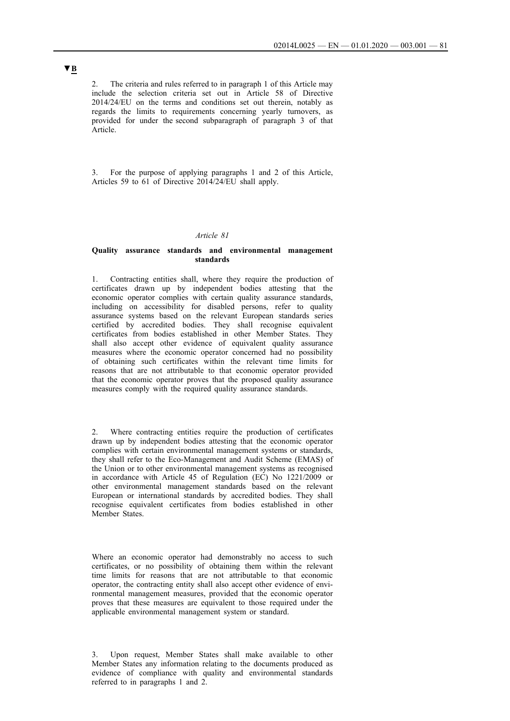2. The criteria and rules referred to in paragraph 1 of this Article may include the selection criteria set out in Article 58 of Directive 2014/24/EU on the terms and conditions set out therein, notably as regards the limits to requirements concerning yearly turnovers, as provided for under the second subparagraph of paragraph 3 of that Article.

3. For the purpose of applying paragraphs 1 and 2 of this Article, Articles 59 to 61 of Directive 2014/24/EU shall apply.

#### *Article 81*

### **Quality assurance standards and environmental management standards**

1. Contracting entities shall, where they require the production of certificates drawn up by independent bodies attesting that the economic operator complies with certain quality assurance standards, including on accessibility for disabled persons, refer to quality assurance systems based on the relevant European standards series certified by accredited bodies. They shall recognise equivalent certificates from bodies established in other Member States. They shall also accept other evidence of equivalent quality assurance measures where the economic operator concerned had no possibility of obtaining such certificates within the relevant time limits for reasons that are not attributable to that economic operator provided that the economic operator proves that the proposed quality assurance measures comply with the required quality assurance standards.

2. Where contracting entities require the production of certificates drawn up by independent bodies attesting that the economic operator complies with certain environmental management systems or standards, they shall refer to the Eco-Management and Audit Scheme (EMAS) of the Union or to other environmental management systems as recognised in accordance with Article 45 of Regulation (EC) No 1221/2009 or other environmental management standards based on the relevant European or international standards by accredited bodies. They shall recognise equivalent certificates from bodies established in other Member States.

Where an economic operator had demonstrably no access to such certificates, or no possibility of obtaining them within the relevant time limits for reasons that are not attributable to that economic operator, the contracting entity shall also accept other evidence of environmental management measures, provided that the economic operator proves that these measures are equivalent to those required under the applicable environmental management system or standard.

3. Upon request, Member States shall make available to other Member States any information relating to the documents produced as evidence of compliance with quality and environmental standards referred to in paragraphs 1 and 2.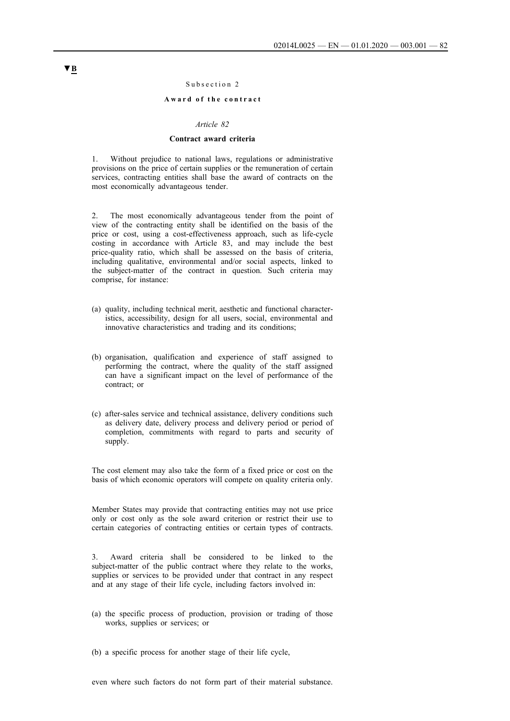#### Subsection 2

### Award of the contract

#### *Article 82*

#### **Contract award criteria**

1. Without prejudice to national laws, regulations or administrative provisions on the price of certain supplies or the remuneration of certain services, contracting entities shall base the award of contracts on the most economically advantageous tender.

2. The most economically advantageous tender from the point of view of the contracting entity shall be identified on the basis of the price or cost, using a cost-effectiveness approach, such as life-cycle costing in accordance with Article 83, and may include the best price-quality ratio, which shall be assessed on the basis of criteria, including qualitative, environmental and/or social aspects, linked to the subject-matter of the contract in question. Such criteria may comprise, for instance:

- (a) quality, including technical merit, aesthetic and functional characteristics, accessibility, design for all users, social, environmental and innovative characteristics and trading and its conditions;
- (b) organisation, qualification and experience of staff assigned to performing the contract, where the quality of the staff assigned can have a significant impact on the level of performance of the contract; or
- (c) after-sales service and technical assistance, delivery conditions such as delivery date, delivery process and delivery period or period of completion, commitments with regard to parts and security of supply.

The cost element may also take the form of a fixed price or cost on the basis of which economic operators will compete on quality criteria only.

Member States may provide that contracting entities may not use price only or cost only as the sole award criterion or restrict their use to certain categories of contracting entities or certain types of contracts.

Award criteria shall be considered to be linked to the subject-matter of the public contract where they relate to the works, supplies or services to be provided under that contract in any respect and at any stage of their life cycle, including factors involved in:

- (a) the specific process of production, provision or trading of those works, supplies or services; or
- (b) a specific process for another stage of their life cycle,

even where such factors do not form part of their material substance.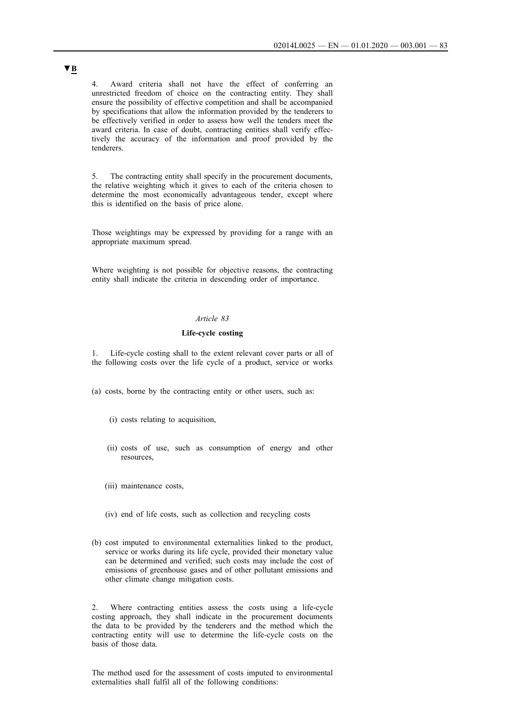4. Award criteria shall not have the effect of conferring an unrestricted freedom of choice on the contracting entity. They shall ensure the possibility of effective competition and shall be accompanied by specifications that allow the information provided by the tenderers to be effectively verified in order to assess how well the tenders meet the award criteria. In case of doubt, contracting entities shall verify effectively the accuracy of the information and proof provided by the tenderers.

5. The contracting entity shall specify in the procurement documents, the relative weighting which it gives to each of the criteria chosen to determine the most economically advantageous tender, except where this is identified on the basis of price alone.

Those weightings may be expressed by providing for a range with an appropriate maximum spread.

Where weighting is not possible for objective reasons, the contracting entity shall indicate the criteria in descending order of importance.

### *Article 83*

## **Life-cycle costing**

1. Life-cycle costing shall to the extent relevant cover parts or all of the following costs over the life cycle of a product, service or works

(a) costs, borne by the contracting entity or other users, such as:

- (i) costs relating to acquisition,
- (ii) costs of use, such as consumption of energy and other resources,
- (iii) maintenance costs,
- (iv) end of life costs, such as collection and recycling costs
- (b) cost imputed to environmental externalities linked to the product, service or works during its life cycle, provided their monetary value can be determined and verified; such costs may include the cost of emissions of greenhouse gases and of other pollutant emissions and other climate change mitigation costs.

2. Where contracting entities assess the costs using a life-cycle costing approach, they shall indicate in the procurement documents the data to be provided by the tenderers and the method which the contracting entity will use to determine the life-cycle costs on the basis of those data.

The method used for the assessment of costs imputed to environmental externalities shall fulfil all of the following conditions: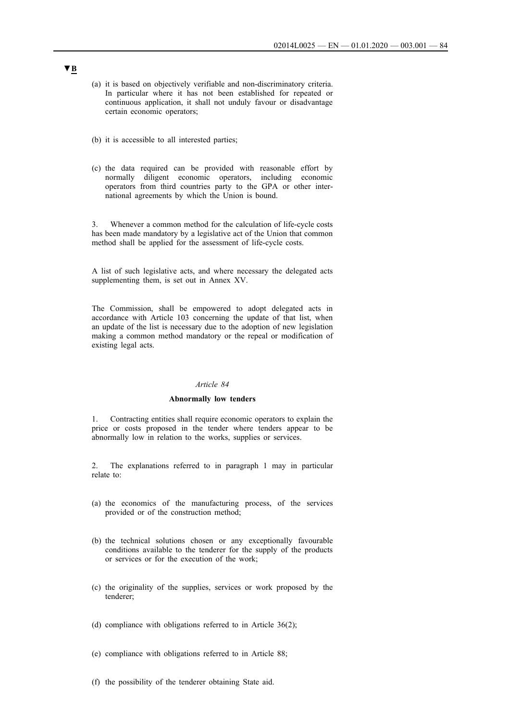- (a) it is based on objectively verifiable and non-discriminatory criteria. In particular where it has not been established for repeated or continuous application, it shall not unduly favour or disadvantage certain economic operators;
- (b) it is accessible to all interested parties;
- (c) the data required can be provided with reasonable effort by normally diligent economic operators, including economic operators from third countries party to the GPA or other international agreements by which the Union is bound.

3. Whenever a common method for the calculation of life-cycle costs has been made mandatory by a legislative act of the Union that common method shall be applied for the assessment of life-cycle costs.

A list of such legislative acts, and where necessary the delegated acts supplementing them, is set out in Annex XV.

The Commission, shall be empowered to adopt delegated acts in accordance with Article 103 concerning the update of that list, when an update of the list is necessary due to the adoption of new legislation making a common method mandatory or the repeal or modification of existing legal acts.

#### *Article 84*

## **Abnormally low tenders**

1. Contracting entities shall require economic operators to explain the price or costs proposed in the tender where tenders appear to be abnormally low in relation to the works, supplies or services.

2. The explanations referred to in paragraph 1 may in particular relate to:

- (a) the economics of the manufacturing process, of the services provided or of the construction method;
- (b) the technical solutions chosen or any exceptionally favourable conditions available to the tenderer for the supply of the products or services or for the execution of the work;
- (c) the originality of the supplies, services or work proposed by the tenderer;
- (d) compliance with obligations referred to in Article 36(2);
- (e) compliance with obligations referred to in Article 88;
- (f) the possibility of the tenderer obtaining State aid.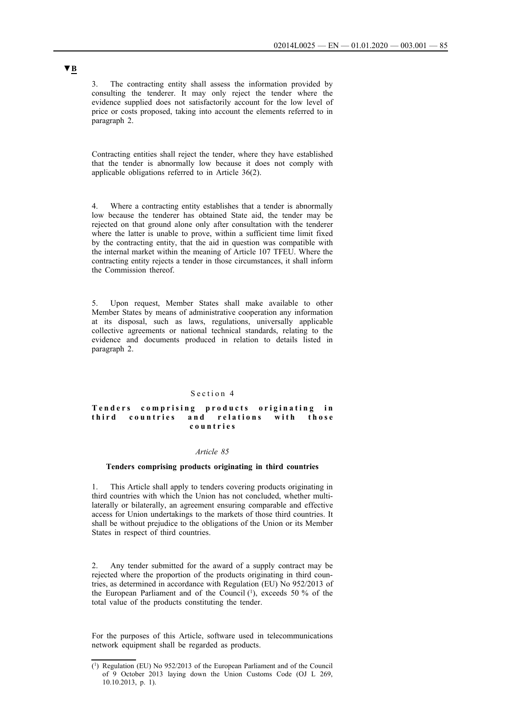3. The contracting entity shall assess the information provided by consulting the tenderer. It may only reject the tender where the evidence supplied does not satisfactorily account for the low level of price or costs proposed, taking into account the elements referred to in paragraph 2.

Contracting entities shall reject the tender, where they have established that the tender is abnormally low because it does not comply with applicable obligations referred to in Article 36(2).

4. Where a contracting entity establishes that a tender is abnormally low because the tenderer has obtained State aid, the tender may be rejected on that ground alone only after consultation with the tenderer where the latter is unable to prove, within a sufficient time limit fixed by the contracting entity, that the aid in question was compatible with the internal market within the meaning of Article 107 TFEU. Where the contracting entity rejects a tender in those circumstances, it shall inform the Commission thereof.

5. Upon request, Member States shall make available to other Member States by means of administrative cooperation any information at its disposal, such as laws, regulations, universally applicable collective agreements or national technical standards, relating to the evidence and documents produced in relation to details listed in paragraph 2.

#### Section 4

#### Tenders comprising products originating in third countries and relations with those **c o u n t r i e s**

#### *Article 85*

### **Tenders comprising products originating in third countries**

1. This Article shall apply to tenders covering products originating in third countries with which the Union has not concluded, whether multilaterally or bilaterally, an agreement ensuring comparable and effective access for Union undertakings to the markets of those third countries. It shall be without prejudice to the obligations of the Union or its Member States in respect of third countries.

2. Any tender submitted for the award of a supply contract may be rejected where the proportion of the products originating in third countries, as determined in accordance with Regulation (EU) No 952/2013 of the European Parliament and of the Council  $(1)$ , exceeds 50 % of the total value of the products constituting the tender.

For the purposes of this Article, software used in telecommunications network equipment shall be regarded as products.

<sup>(1)</sup> Regulation (EU) No 952/2013 of the European Parliament and of the Council of 9 October 2013 laying down the Union Customs Code (OJ L 269, 10.10.2013, p. 1).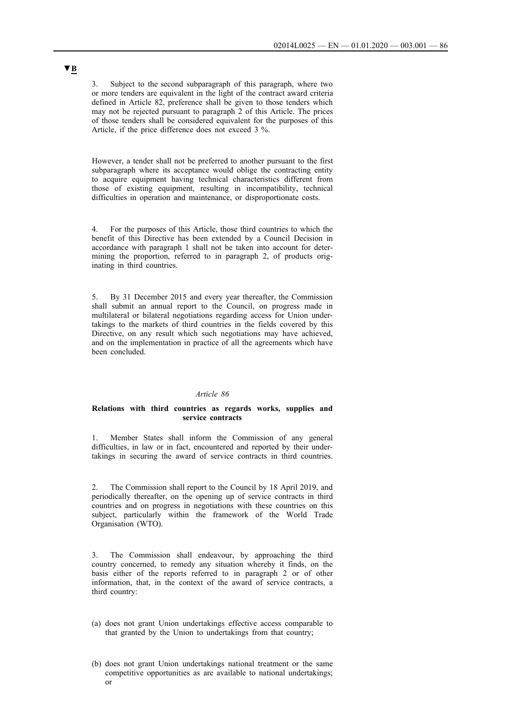3. Subject to the second subparagraph of this paragraph, where two or more tenders are equivalent in the light of the contract award criteria defined in Article 82, preference shall be given to those tenders which may not be rejected pursuant to paragraph 2 of this Article. The prices of those tenders shall be considered equivalent for the purposes of this Article, if the price difference does not exceed 3 %.

However, a tender shall not be preferred to another pursuant to the first subparagraph where its acceptance would oblige the contracting entity to acquire equipment having technical characteristics different from those of existing equipment, resulting in incompatibility, technical difficulties in operation and maintenance, or disproportionate costs.

4. For the purposes of this Article, those third countries to which the benefit of this Directive has been extended by a Council Decision in accordance with paragraph 1 shall not be taken into account for determining the proportion, referred to in paragraph 2, of products originating in third countries.

5. By 31 December 2015 and every year thereafter, the Commission shall submit an annual report to the Council, on progress made in multilateral or bilateral negotiations regarding access for Union undertakings to the markets of third countries in the fields covered by this Directive, on any result which such negotiations may have achieved, and on the implementation in practice of all the agreements which have been concluded.

#### *Article 86*

### **Relations with third countries as regards works, supplies and service contracts**

1. Member States shall inform the Commission of any general difficulties, in law or in fact, encountered and reported by their undertakings in securing the award of service contracts in third countries.

2. The Commission shall report to the Council by 18 April 2019, and periodically thereafter, on the opening up of service contracts in third countries and on progress in negotiations with these countries on this subject, particularly within the framework of the World Trade Organisation (WTO).

3. The Commission shall endeavour, by approaching the third country concerned, to remedy any situation whereby it finds, on the basis either of the reports referred to in paragraph 2 or of other information, that, in the context of the award of service contracts, a third country:

- (a) does not grant Union undertakings effective access comparable to that granted by the Union to undertakings from that country;
- (b) does not grant Union undertakings national treatment or the same competitive opportunities as are available to national undertakings; or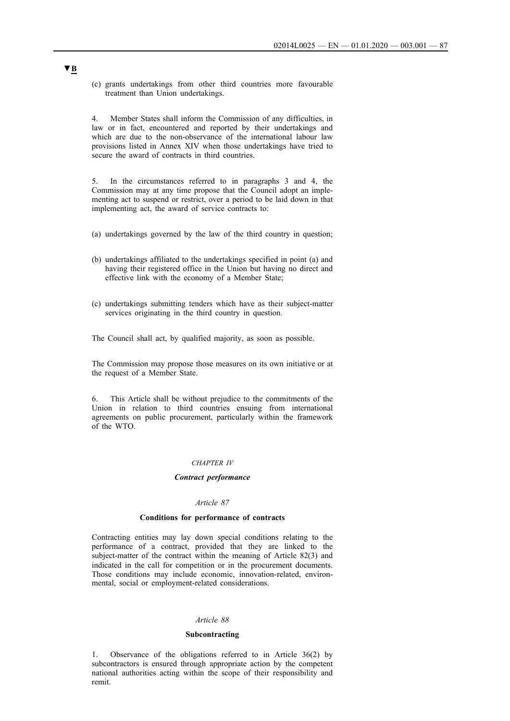(c) grants undertakings from other third countries more favourable treatment than Union undertakings.

4. Member States shall inform the Commission of any difficulties, in law or in fact, encountered and reported by their undertakings and which are due to the non-observance of the international labour law provisions listed in Annex XIV when those undertakings have tried to secure the award of contracts in third countries.

5. In the circumstances referred to in paragraphs 3 and 4, the Commission may at any time propose that the Council adopt an implementing act to suspend or restrict, over a period to be laid down in that implementing act, the award of service contracts to:

- (a) undertakings governed by the law of the third country in question;
- (b) undertakings affiliated to the undertakings specified in point (a) and having their registered office in the Union but having no direct and effective link with the economy of a Member State;
- (c) undertakings submitting tenders which have as their subject-matter services originating in the third country in question.

The Council shall act, by qualified majority, as soon as possible.

The Commission may propose those measures on its own initiative or at the request of a Member State.

6. This Article shall be without prejudice to the commitments of the Union in relation to third countries ensuing from international agreements on public procurement, particularly within the framework of the WTO.

#### *CHAPTER IV*

#### *Contract performance*

### *Article 87*

### **Conditions for performance of contracts**

Contracting entities may lay down special conditions relating to the performance of a contract, provided that they are linked to the subject-matter of the contract within the meaning of Article 82(3) and indicated in the call for competition or in the procurement documents. Those conditions may include economic, innovation-related, environmental, social or employment-related considerations.

#### *Article 88*

#### **Subcontracting**

1. Observance of the obligations referred to in Article 36(2) by subcontractors is ensured through appropriate action by the competent national authorities acting within the scope of their responsibility and remit.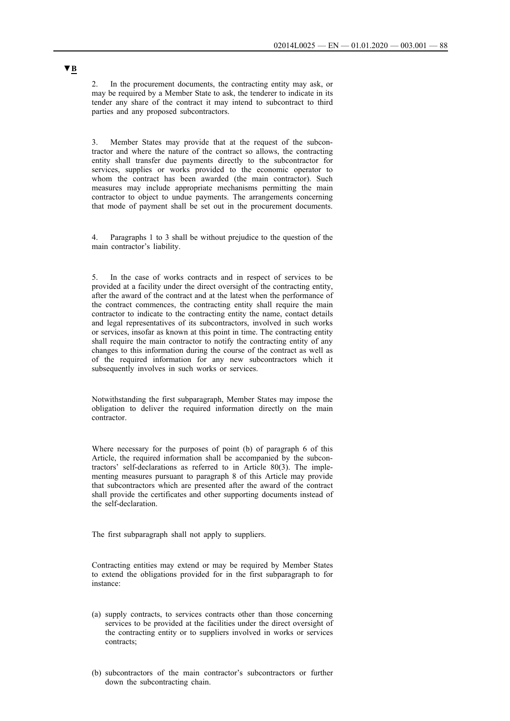2. In the procurement documents, the contracting entity may ask, or may be required by a Member State to ask, the tenderer to indicate in its tender any share of the contract it may intend to subcontract to third parties and any proposed subcontractors.

3. Member States may provide that at the request of the subcontractor and where the nature of the contract so allows, the contracting entity shall transfer due payments directly to the subcontractor for services, supplies or works provided to the economic operator to whom the contract has been awarded (the main contractor). Such measures may include appropriate mechanisms permitting the main contractor to object to undue payments. The arrangements concerning that mode of payment shall be set out in the procurement documents.

4. Paragraphs 1 to 3 shall be without prejudice to the question of the main contractor's liability.

5. In the case of works contracts and in respect of services to be provided at a facility under the direct oversight of the contracting entity, after the award of the contract and at the latest when the performance of the contract commences, the contracting entity shall require the main contractor to indicate to the contracting entity the name, contact details and legal representatives of its subcontractors, involved in such works or services, insofar as known at this point in time. The contracting entity shall require the main contractor to notify the contracting entity of any changes to this information during the course of the contract as well as of the required information for any new subcontractors which it subsequently involves in such works or services.

Notwithstanding the first subparagraph, Member States may impose the obligation to deliver the required information directly on the main contractor.

Where necessary for the purposes of point (b) of paragraph 6 of this Article, the required information shall be accompanied by the subcontractors' self-declarations as referred to in Article 80(3). The implementing measures pursuant to paragraph 8 of this Article may provide that subcontractors which are presented after the award of the contract shall provide the certificates and other supporting documents instead of the self-declaration.

The first subparagraph shall not apply to suppliers.

Contracting entities may extend or may be required by Member States to extend the obligations provided for in the first subparagraph to for instance:

- (a) supply contracts, to services contracts other than those concerning services to be provided at the facilities under the direct oversight of the contracting entity or to suppliers involved in works or services contracts;
- (b) subcontractors of the main contractor's subcontractors or further down the subcontracting chain.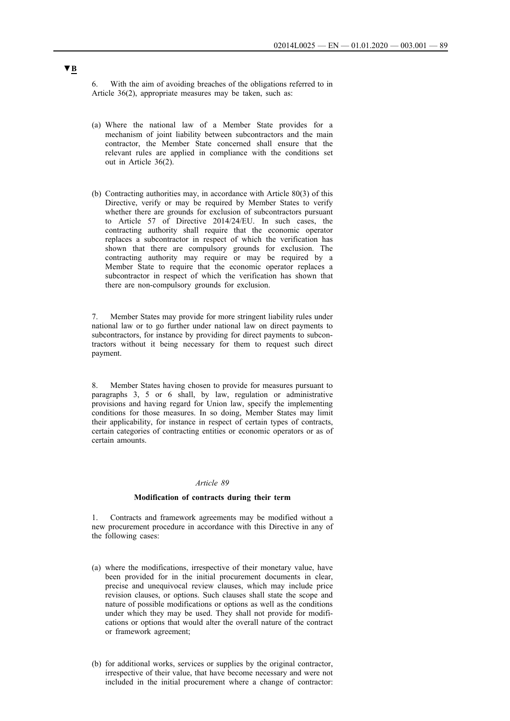6. With the aim of avoiding breaches of the obligations referred to in Article 36(2), appropriate measures may be taken, such as:

- (a) Where the national law of a Member State provides for a mechanism of joint liability between subcontractors and the main contractor, the Member State concerned shall ensure that the relevant rules are applied in compliance with the conditions set out in Article 36(2).
- (b) Contracting authorities may, in accordance with Article 80(3) of this Directive, verify or may be required by Member States to verify whether there are grounds for exclusion of subcontractors pursuant to Article 57 of Directive 2014/24/EU. In such cases, the contracting authority shall require that the economic operator replaces a subcontractor in respect of which the verification has shown that there are compulsory grounds for exclusion. The contracting authority may require or may be required by a Member State to require that the economic operator replaces a subcontractor in respect of which the verification has shown that there are non-compulsory grounds for exclusion.

7. Member States may provide for more stringent liability rules under national law or to go further under national law on direct payments to subcontractors, for instance by providing for direct payments to subcontractors without it being necessary for them to request such direct payment.

8. Member States having chosen to provide for measures pursuant to paragraphs 3, 5 or 6 shall, by law, regulation or administrative provisions and having regard for Union law, specify the implementing conditions for those measures. In so doing, Member States may limit their applicability, for instance in respect of certain types of contracts, certain categories of contracting entities or economic operators or as of certain amounts.

#### *Article 89*

#### **Modification of contracts during their term**

1. Contracts and framework agreements may be modified without a new procurement procedure in accordance with this Directive in any of the following cases:

- (a) where the modifications, irrespective of their monetary value, have been provided for in the initial procurement documents in clear, precise and unequivocal review clauses, which may include price revision clauses, or options. Such clauses shall state the scope and nature of possible modifications or options as well as the conditions under which they may be used. They shall not provide for modifications or options that would alter the overall nature of the contract or framework agreement;
- (b) for additional works, services or supplies by the original contractor, irrespective of their value, that have become necessary and were not included in the initial procurement where a change of contractor: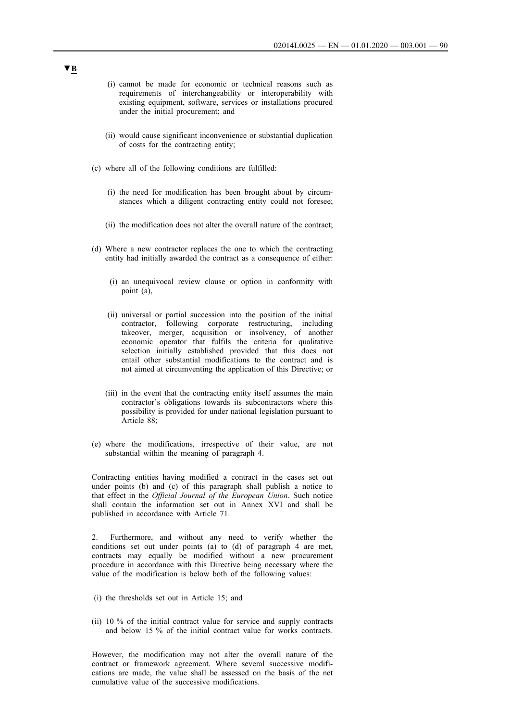- (i) cannot be made for economic or technical reasons such as requirements of interchangeability or interoperability with existing equipment, software, services or installations procured under the initial procurement; and
- (ii) would cause significant inconvenience or substantial duplication of costs for the contracting entity;
- (c) where all of the following conditions are fulfilled:
	- (i) the need for modification has been brought about by circumstances which a diligent contracting entity could not foresee;
	- (ii) the modification does not alter the overall nature of the contract;
- (d) Where a new contractor replaces the one to which the contracting entity had initially awarded the contract as a consequence of either:
	- (i) an unequivocal review clause or option in conformity with point (a),
	- (ii) universal or partial succession into the position of the initial contractor, following corporate restructuring, including takeover, merger, acquisition or insolvency, of another economic operator that fulfils the criteria for qualitative selection initially established provided that this does not entail other substantial modifications to the contract and is not aimed at circumventing the application of this Directive; or
	- (iii) in the event that the contracting entity itself assumes the main contractor's obligations towards its subcontractors where this possibility is provided for under national legislation pursuant to Article 88;
- (e) where the modifications, irrespective of their value, are not substantial within the meaning of paragraph 4.

Contracting entities having modified a contract in the cases set out under points (b) and (c) of this paragraph shall publish a notice to that effect in the *Official Journal of the European Union*. Such notice shall contain the information set out in Annex XVI and shall be published in accordance with Article 71.

2. Furthermore, and without any need to verify whether the conditions set out under points (a) to (d) of paragraph 4 are met, contracts may equally be modified without a new procurement procedure in accordance with this Directive being necessary where the value of the modification is below both of the following values:

- (i) the thresholds set out in Article 15; and
- (ii) 10 % of the initial contract value for service and supply contracts and below 15 % of the initial contract value for works contracts.

However, the modification may not alter the overall nature of the contract or framework agreement. Where several successive modifications are made, the value shall be assessed on the basis of the net cumulative value of the successive modifications.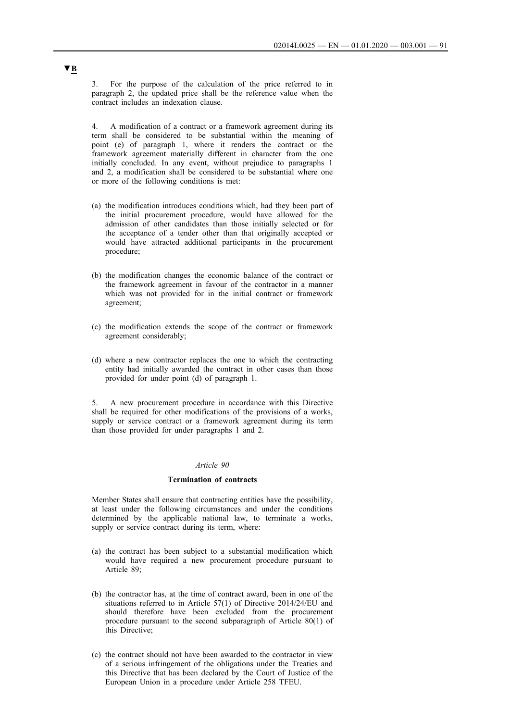3. For the purpose of the calculation of the price referred to in paragraph 2, the updated price shall be the reference value when the contract includes an indexation clause.

4. A modification of a contract or a framework agreement during its term shall be considered to be substantial within the meaning of point (e) of paragraph 1, where it renders the contract or the framework agreement materially different in character from the one initially concluded. In any event, without prejudice to paragraphs 1 and 2, a modification shall be considered to be substantial where one or more of the following conditions is met:

- (a) the modification introduces conditions which, had they been part of the initial procurement procedure, would have allowed for the admission of other candidates than those initially selected or for the acceptance of a tender other than that originally accepted or would have attracted additional participants in the procurement procedure;
- (b) the modification changes the economic balance of the contract or the framework agreement in favour of the contractor in a manner which was not provided for in the initial contract or framework agreement;
- (c) the modification extends the scope of the contract or framework agreement considerably;
- (d) where a new contractor replaces the one to which the contracting entity had initially awarded the contract in other cases than those provided for under point (d) of paragraph 1.

5. A new procurement procedure in accordance with this Directive shall be required for other modifications of the provisions of a works, supply or service contract or a framework agreement during its term than those provided for under paragraphs 1 and 2.

### *Article 90*

## **Termination of contracts**

Member States shall ensure that contracting entities have the possibility, at least under the following circumstances and under the conditions determined by the applicable national law, to terminate a works, supply or service contract during its term, where:

- (a) the contract has been subject to a substantial modification which would have required a new procurement procedure pursuant to Article 89;
- (b) the contractor has, at the time of contract award, been in one of the situations referred to in Article 57(1) of Directive 2014/24/EU and should therefore have been excluded from the procurement procedure pursuant to the second subparagraph of Article 80(1) of this Directive;
- (c) the contract should not have been awarded to the contractor in view of a serious infringement of the obligations under the Treaties and this Directive that has been declared by the Court of Justice of the European Union in a procedure under Article 258 TFEU.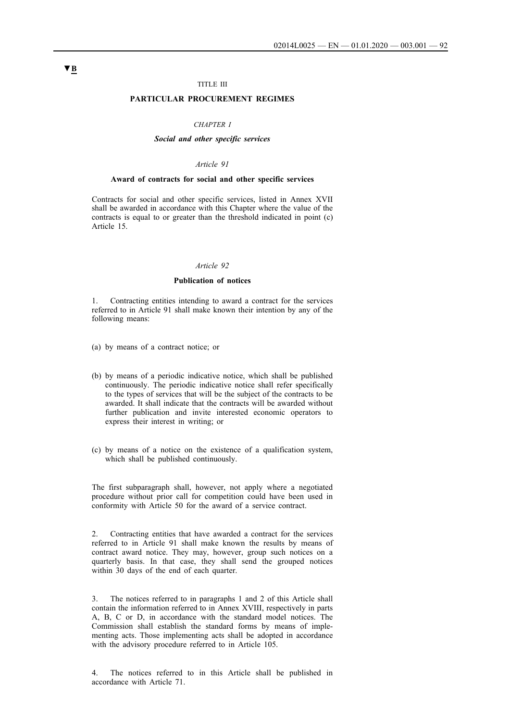### TITLE III

## **PARTICULAR PROCUREMENT REGIMES**

#### *CHAPTER I*

#### *Social and other specific services*

### *Article 91*

#### **Award of contracts for social and other specific services**

Contracts for social and other specific services, listed in Annex XVII shall be awarded in accordance with this Chapter where the value of the contracts is equal to or greater than the threshold indicated in point (c) Article 15.

## *Article 92*

### **Publication of notices**

1. Contracting entities intending to award a contract for the services referred to in Article 91 shall make known their intention by any of the following means:

- (a) by means of a contract notice; or
- (b) by means of a periodic indicative notice, which shall be published continuously. The periodic indicative notice shall refer specifically to the types of services that will be the subject of the contracts to be awarded. It shall indicate that the contracts will be awarded without further publication and invite interested economic operators to express their interest in writing; or
- (c) by means of a notice on the existence of a qualification system, which shall be published continuously.

The first subparagraph shall, however, not apply where a negotiated procedure without prior call for competition could have been used in conformity with Article 50 for the award of a service contract.

2. Contracting entities that have awarded a contract for the services referred to in Article 91 shall make known the results by means of contract award notice. They may, however, group such notices on a quarterly basis. In that case, they shall send the grouped notices within 30 days of the end of each quarter.

3. The notices referred to in paragraphs 1 and 2 of this Article shall contain the information referred to in Annex XVIII, respectively in parts A, B, C or D, in accordance with the standard model notices. The Commission shall establish the standard forms by means of implementing acts. Those implementing acts shall be adopted in accordance with the advisory procedure referred to in Article 105.

4. The notices referred to in this Article shall be published in accordance with Article 71.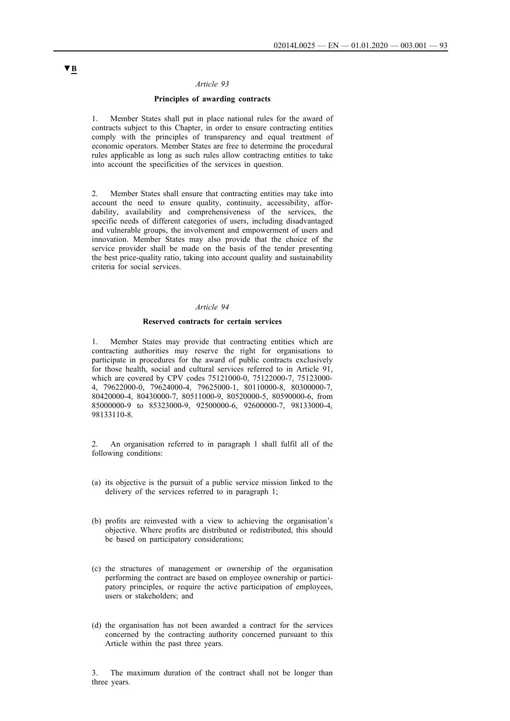#### *Article 93*

#### **Principles of awarding contracts**

1. Member States shall put in place national rules for the award of contracts subject to this Chapter, in order to ensure contracting entities comply with the principles of transparency and equal treatment of economic operators. Member States are free to determine the procedural rules applicable as long as such rules allow contracting entities to take into account the specificities of the services in question.

2. Member States shall ensure that contracting entities may take into account the need to ensure quality, continuity, accessibility, affordability, availability and comprehensiveness of the services, the specific needs of different categories of users, including disadvantaged and vulnerable groups, the involvement and empowerment of users and innovation. Member States may also provide that the choice of the service provider shall be made on the basis of the tender presenting the best price-quality ratio, taking into account quality and sustainability criteria for social services.

#### *Article 94*

### **Reserved contracts for certain services**

1. Member States may provide that contracting entities which are contracting authorities may reserve the right for organisations to participate in procedures for the award of public contracts exclusively for those health, social and cultural services referred to in Article 91, which are covered by CPV codes 75121000-0, 75122000-7, 75123000- 4, 79622000-0, 79624000-4, 79625000-1, 80110000-8, 80300000-7, 80420000-4, 80430000-7, 80511000-9, 80520000-5, 80590000-6, from 85000000-9 to 85323000-9, 92500000-6, 92600000-7, 98133000-4, 98133110-8.

2. An organisation referred to in paragraph 1 shall fulfil all of the following conditions:

- (a) its objective is the pursuit of a public service mission linked to the delivery of the services referred to in paragraph 1;
- (b) profits are reinvested with a view to achieving the organisation's objective. Where profits are distributed or redistributed, this should be based on participatory considerations;
- (c) the structures of management or ownership of the organisation performing the contract are based on employee ownership or participatory principles, or require the active participation of employees, users or stakeholders; and
- (d) the organisation has not been awarded a contract for the services concerned by the contracting authority concerned pursuant to this Article within the past three years.

3. The maximum duration of the contract shall not be longer than three years.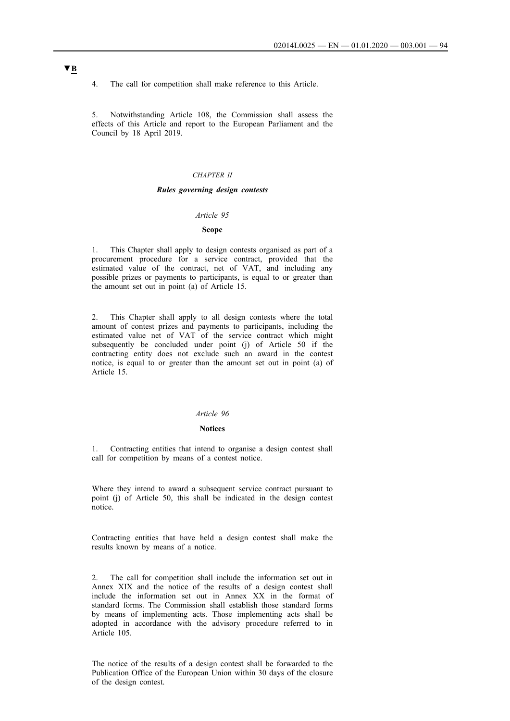4. The call for competition shall make reference to this Article.

5. Notwithstanding Article 108, the Commission shall assess the effects of this Article and report to the European Parliament and the Council by 18 April 2019.

### *CHAPTER II*

#### *Rules governing design contests*

#### *Article 95*

### **Scope**

1. This Chapter shall apply to design contests organised as part of a procurement procedure for a service contract, provided that the estimated value of the contract, net of VAT, and including any possible prizes or payments to participants, is equal to or greater than the amount set out in point (a) of Article 15.

2. This Chapter shall apply to all design contests where the total amount of contest prizes and payments to participants, including the estimated value net of VAT of the service contract which might subsequently be concluded under point (j) of Article 50 if the contracting entity does not exclude such an award in the contest notice, is equal to or greater than the amount set out in point (a) of Article 15.

#### *Article 96*

## **Notices**

1. Contracting entities that intend to organise a design contest shall call for competition by means of a contest notice.

Where they intend to award a subsequent service contract pursuant to point (j) of Article 50, this shall be indicated in the design contest notice.

Contracting entities that have held a design contest shall make the results known by means of a notice.

2. The call for competition shall include the information set out in Annex XIX and the notice of the results of a design contest shall include the information set out in Annex XX in the format of standard forms. The Commission shall establish those standard forms by means of implementing acts. Those implementing acts shall be adopted in accordance with the advisory procedure referred to in Article 105.

The notice of the results of a design contest shall be forwarded to the Publication Office of the European Union within 30 days of the closure of the design contest.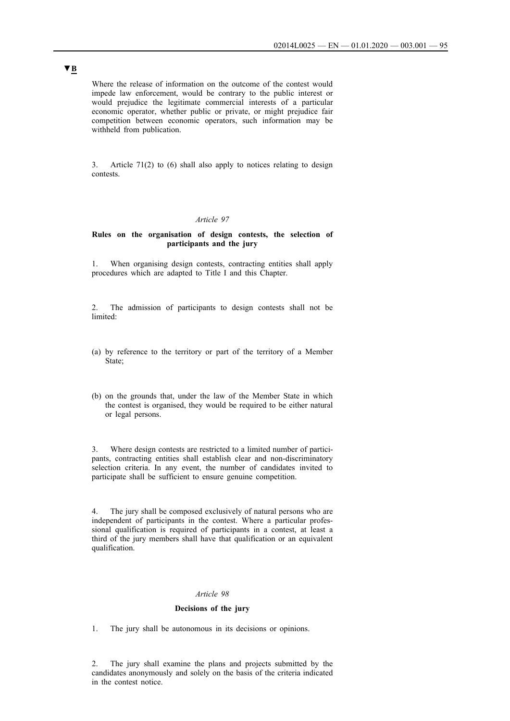Where the release of information on the outcome of the contest would impede law enforcement, would be contrary to the public interest or would prejudice the legitimate commercial interests of a particular economic operator, whether public or private, or might prejudice fair competition between economic operators, such information may be withheld from publication.

3. Article 71(2) to (6) shall also apply to notices relating to design contests.

## *Article 97*

### **Rules on the organisation of design contests, the selection of participants and the jury**

1. When organising design contests, contracting entities shall apply procedures which are adapted to Title I and this Chapter.

2. The admission of participants to design contests shall not be limited:

- (a) by reference to the territory or part of the territory of a Member State;
- (b) on the grounds that, under the law of the Member State in which the contest is organised, they would be required to be either natural or legal persons.

3. Where design contests are restricted to a limited number of participants, contracting entities shall establish clear and non-discriminatory selection criteria. In any event, the number of candidates invited to participate shall be sufficient to ensure genuine competition.

4. The jury shall be composed exclusively of natural persons who are independent of participants in the contest. Where a particular professional qualification is required of participants in a contest, at least a third of the jury members shall have that qualification or an equivalent qualification.

## *Article 98*

### **Decisions of the jury**

1. The jury shall be autonomous in its decisions or opinions.

2. The jury shall examine the plans and projects submitted by the candidates anonymously and solely on the basis of the criteria indicated in the contest notice.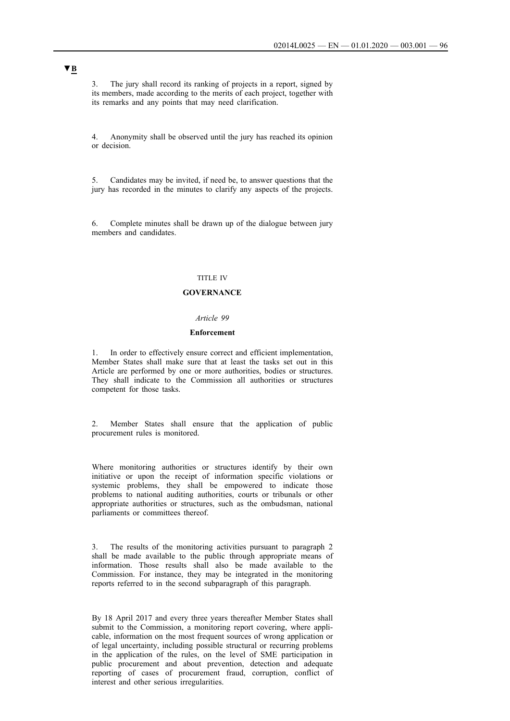3. The jury shall record its ranking of projects in a report, signed by its members, made according to the merits of each project, together with its remarks and any points that may need clarification.

4. Anonymity shall be observed until the jury has reached its opinion or decision.

5. Candidates may be invited, if need be, to answer questions that the jury has recorded in the minutes to clarify any aspects of the projects.

6. Complete minutes shall be drawn up of the dialogue between jury members and candidates.

## TITLE IV

### **GOVERNANCE**

## *Article 99*

### **Enforcement**

1. In order to effectively ensure correct and efficient implementation, Member States shall make sure that at least the tasks set out in this Article are performed by one or more authorities, bodies or structures. They shall indicate to the Commission all authorities or structures competent for those tasks.

2. Member States shall ensure that the application of public procurement rules is monitored.

Where monitoring authorities or structures identify by their own initiative or upon the receipt of information specific violations or systemic problems, they shall be empowered to indicate those problems to national auditing authorities, courts or tribunals or other appropriate authorities or structures, such as the ombudsman, national parliaments or committees thereof.

3. The results of the monitoring activities pursuant to paragraph 2 shall be made available to the public through appropriate means of information. Those results shall also be made available to the Commission. For instance, they may be integrated in the monitoring reports referred to in the second subparagraph of this paragraph.

By 18 April 2017 and every three years thereafter Member States shall submit to the Commission, a monitoring report covering, where applicable, information on the most frequent sources of wrong application or of legal uncertainty, including possible structural or recurring problems in the application of the rules, on the level of SME participation in public procurement and about prevention, detection and adequate reporting of cases of procurement fraud, corruption, conflict of interest and other serious irregularities.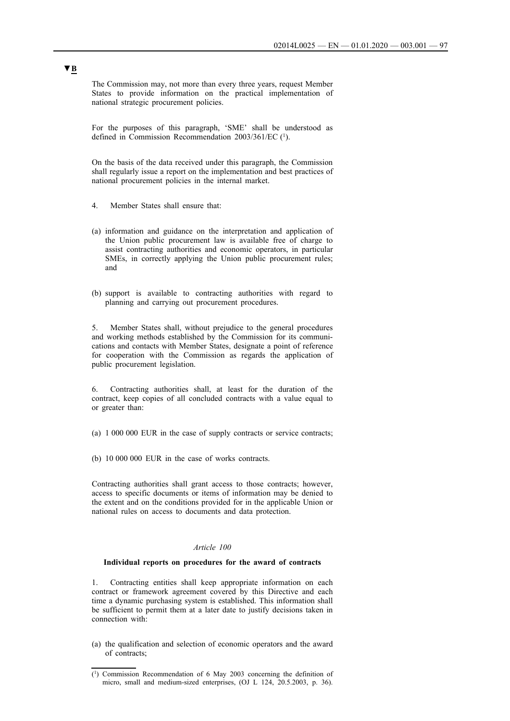The Commission may, not more than every three years, request Member States to provide information on the practical implementation of national strategic procurement policies.

For the purposes of this paragraph, 'SME' shall be understood as defined in Commission Recommendation 2003/361/EC (1).

On the basis of the data received under this paragraph, the Commission shall regularly issue a report on the implementation and best practices of national procurement policies in the internal market.

- 4. Member States shall ensure that:
- (a) information and guidance on the interpretation and application of the Union public procurement law is available free of charge to assist contracting authorities and economic operators, in particular SMEs, in correctly applying the Union public procurement rules; and
- (b) support is available to contracting authorities with regard to planning and carrying out procurement procedures.

5. Member States shall, without prejudice to the general procedures and working methods established by the Commission for its communications and contacts with Member States, designate a point of reference for cooperation with the Commission as regards the application of public procurement legislation.

6. Contracting authorities shall, at least for the duration of the contract, keep copies of all concluded contracts with a value equal to or greater than:

(a) 1 000 000 EUR in the case of supply contracts or service contracts;

(b) 10 000 000 EUR in the case of works contracts.

Contracting authorities shall grant access to those contracts; however, access to specific documents or items of information may be denied to the extent and on the conditions provided for in the applicable Union or national rules on access to documents and data protection.

### *Article 100*

### **Individual reports on procedures for the award of contracts**

1. Contracting entities shall keep appropriate information on each contract or framework agreement covered by this Directive and each time a dynamic purchasing system is established. This information shall be sufficient to permit them at a later date to justify decisions taken in connection with:

(a) the qualification and selection of economic operators and the award of contracts;

<sup>(1)</sup> Commission Recommendation of 6 May 2003 concerning the definition of micro, small and medium-sized enterprises, (OJ L 124, 20.5.2003, p. 36).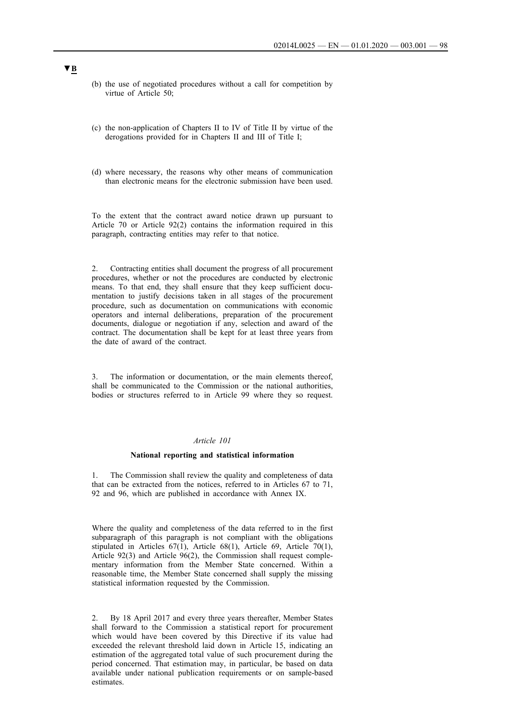- (b) the use of negotiated procedures without a call for competition by virtue of Article 50;
- (c) the non-application of Chapters II to IV of Title II by virtue of the derogations provided for in Chapters II and III of Title I;
- (d) where necessary, the reasons why other means of communication than electronic means for the electronic submission have been used.

To the extent that the contract award notice drawn up pursuant to Article 70 or Article 92(2) contains the information required in this paragraph, contracting entities may refer to that notice.

2. Contracting entities shall document the progress of all procurement procedures, whether or not the procedures are conducted by electronic means. To that end, they shall ensure that they keep sufficient documentation to justify decisions taken in all stages of the procurement procedure, such as documentation on communications with economic operators and internal deliberations, preparation of the procurement documents, dialogue or negotiation if any, selection and award of the contract. The documentation shall be kept for at least three years from the date of award of the contract.

3. The information or documentation, or the main elements thereof, shall be communicated to the Commission or the national authorities, bodies or structures referred to in Article 99 where they so request.

## *Article 101*

### **National reporting and statistical information**

1. The Commission shall review the quality and completeness of data that can be extracted from the notices, referred to in Articles 67 to 71, 92 and 96, which are published in accordance with Annex IX.

Where the quality and completeness of the data referred to in the first subparagraph of this paragraph is not compliant with the obligations stipulated in Articles 67(1), Article 68(1), Article 69, Article 70(1), Article 92(3) and Article 96(2), the Commission shall request complementary information from the Member State concerned. Within a reasonable time, the Member State concerned shall supply the missing statistical information requested by the Commission.

2. By 18 April 2017 and every three years thereafter, Member States shall forward to the Commission a statistical report for procurement which would have been covered by this Directive if its value had exceeded the relevant threshold laid down in Article 15, indicating an estimation of the aggregated total value of such procurement during the period concerned. That estimation may, in particular, be based on data available under national publication requirements or on sample-based estimates.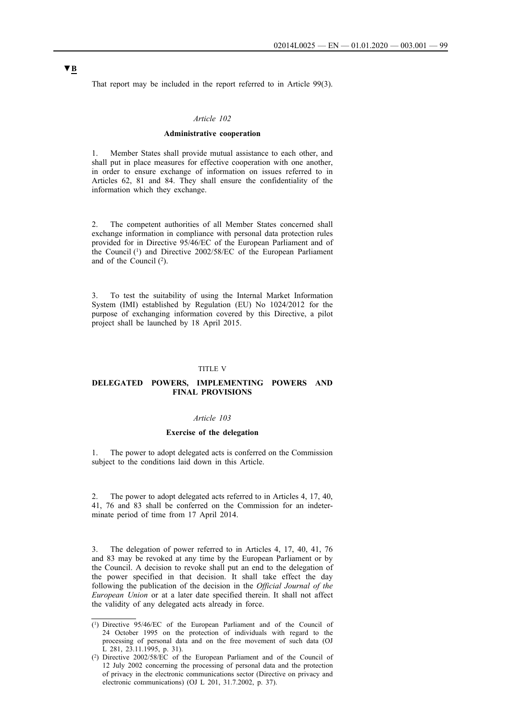That report may be included in the report referred to in Article 99(3).

### *Article 102*

#### **Administrative cooperation**

1. Member States shall provide mutual assistance to each other, and shall put in place measures for effective cooperation with one another, in order to ensure exchange of information on issues referred to in Articles 62, 81 and 84. They shall ensure the confidentiality of the information which they exchange.

2. The competent authorities of all Member States concerned shall exchange information in compliance with personal data protection rules provided for in Directive 95/46/EC of the European Parliament and of the Council (1) and Directive 2002/58/EC of the European Parliament and of the Council  $(2)$ .

3. To test the suitability of using the Internal Market Information System (IMI) established by Regulation (EU) No 1024/2012 for the purpose of exchanging information covered by this Directive, a pilot project shall be launched by 18 April 2015.

#### TITLE V

## **DELEGATED POWERS, IMPLEMENTING POWERS AND FINAL PROVISIONS**

#### *Article 103*

#### **Exercise of the delegation**

1. The power to adopt delegated acts is conferred on the Commission subject to the conditions laid down in this Article.

2. The power to adopt delegated acts referred to in Articles 4, 17, 40, 41, 76 and 83 shall be conferred on the Commission for an indeterminate period of time from 17 April 2014.

3. The delegation of power referred to in Articles 4, 17, 40, 41, 76 and 83 may be revoked at any time by the European Parliament or by the Council. A decision to revoke shall put an end to the delegation of the power specified in that decision. It shall take effect the day following the publication of the decision in the *Official Journal of the European Union* or at a later date specified therein. It shall not affect the validity of any delegated acts already in force.

<sup>(1)</sup> Directive 95/46/EC of the European Parliament and of the Council of 24 October 1995 on the protection of individuals with regard to the processing of personal data and on the free movement of such data (OJ L 281, 23.11.1995, p. 31).

<sup>(2)</sup> Directive 2002/58/EC of the European Parliament and of the Council of 12 July 2002 concerning the processing of personal data and the protection of privacy in the electronic communications sector (Directive on privacy and electronic communications) (OJ L 201, 31.7.2002, p. 37).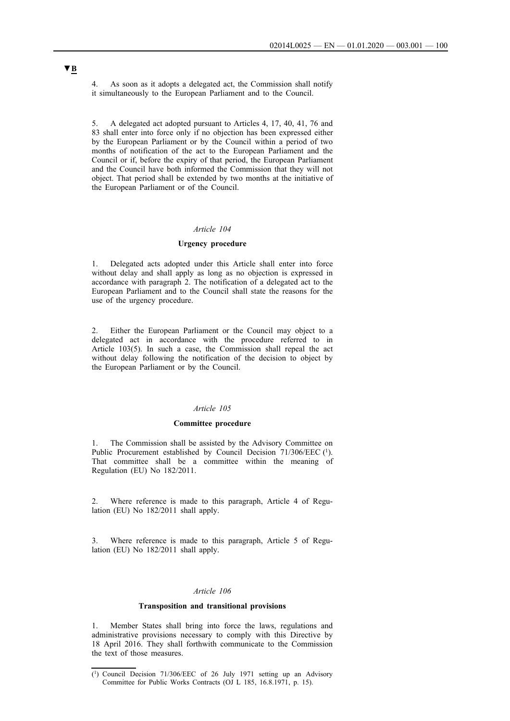4. As soon as it adopts a delegated act, the Commission shall notify it simultaneously to the European Parliament and to the Council.

5. A delegated act adopted pursuant to Articles 4, 17, 40, 41, 76 and 83 shall enter into force only if no objection has been expressed either by the European Parliament or by the Council within a period of two months of notification of the act to the European Parliament and the Council or if, before the expiry of that period, the European Parliament and the Council have both informed the Commission that they will not object. That period shall be extended by two months at the initiative of the European Parliament or of the Council.

## *Article 104*

#### **Urgency procedure**

1. Delegated acts adopted under this Article shall enter into force without delay and shall apply as long as no objection is expressed in accordance with paragraph 2. The notification of a delegated act to the European Parliament and to the Council shall state the reasons for the use of the urgency procedure.

Either the European Parliament or the Council may object to a delegated act in accordance with the procedure referred to in Article 103(5). In such a case, the Commission shall repeal the act without delay following the notification of the decision to object by the European Parliament or by the Council.

### *Article 105*

### **Committee procedure**

1. The Commission shall be assisted by the Advisory Committee on Public Procurement established by Council Decision 71/306/EEC (1). That committee shall be a committee within the meaning of Regulation (EU) No 182/2011.

2. Where reference is made to this paragraph, Article 4 of Regulation (EU) No 182/2011 shall apply.

3. Where reference is made to this paragraph, Article 5 of Regulation (EU) No 182/2011 shall apply.

### *Article 106*

#### **Transposition and transitional provisions**

1. Member States shall bring into force the laws, regulations and administrative provisions necessary to comply with this Directive by 18 April 2016. They shall forthwith communicate to the Commission the text of those measures.

<sup>(1)</sup> Council Decision 71/306/EEC of 26 July 1971 setting up an Advisory Committee for Public Works Contracts (OJ L 185, 16.8.1971, p. 15).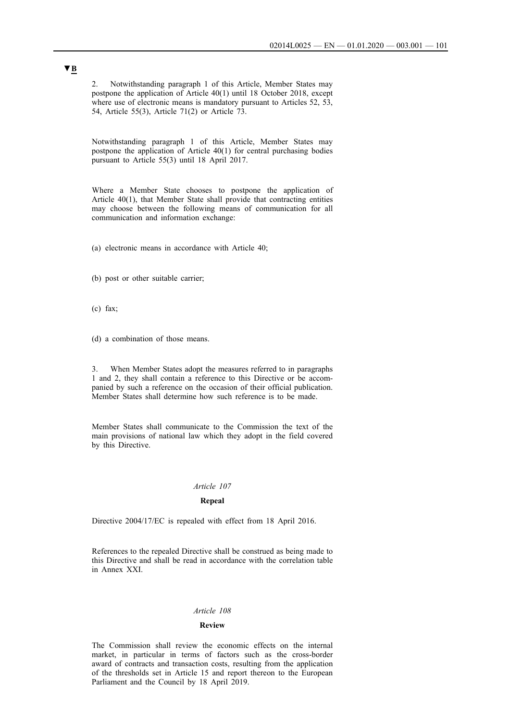2. Notwithstanding paragraph 1 of this Article, Member States may postpone the application of Article 40(1) until 18 October 2018, except where use of electronic means is mandatory pursuant to Articles 52, 53, 54, Article 55(3), Article 71(2) or Article 73.

Notwithstanding paragraph 1 of this Article, Member States may postpone the application of Article 40(1) for central purchasing bodies pursuant to Article 55(3) until 18 April 2017.

Where a Member State chooses to postpone the application of Article 40(1), that Member State shall provide that contracting entities may choose between the following means of communication for all communication and information exchange:

(a) electronic means in accordance with Article 40;

(b) post or other suitable carrier;

- (c) fax;
- (d) a combination of those means.

3. When Member States adopt the measures referred to in paragraphs 1 and 2, they shall contain a reference to this Directive or be accompanied by such a reference on the occasion of their official publication. Member States shall determine how such reference is to be made.

Member States shall communicate to the Commission the text of the main provisions of national law which they adopt in the field covered by this Directive.

### *Article 107*

#### **Repeal**

Directive 2004/17/EC is repealed with effect from 18 April 2016.

References to the repealed Directive shall be construed as being made to this Directive and shall be read in accordance with the correlation table in Annex XXI.

#### *Article 108*

### **Review**

The Commission shall review the economic effects on the internal market, in particular in terms of factors such as the cross-border award of contracts and transaction costs, resulting from the application of the thresholds set in Article 15 and report thereon to the European Parliament and the Council by 18 April 2019.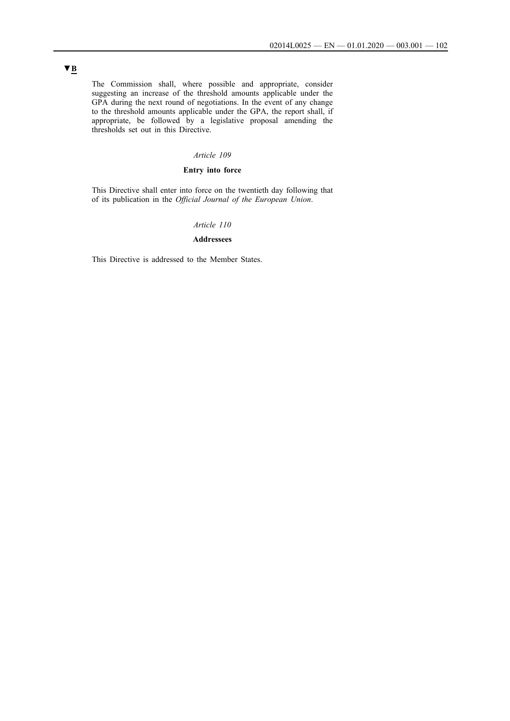The Commission shall, where possible and appropriate, consider suggesting an increase of the threshold amounts applicable under the GPA during the next round of negotiations. In the event of any change to the threshold amounts applicable under the GPA, the report shall, if appropriate, be followed by a legislative proposal amending the thresholds set out in this Directive.

## *Article 109*

## **Entry into force**

This Directive shall enter into force on the twentieth day following that of its publication in the *Official Journal of the European Union*.

### *Article 110*

## **Addressees**

This Directive is addressed to the Member States.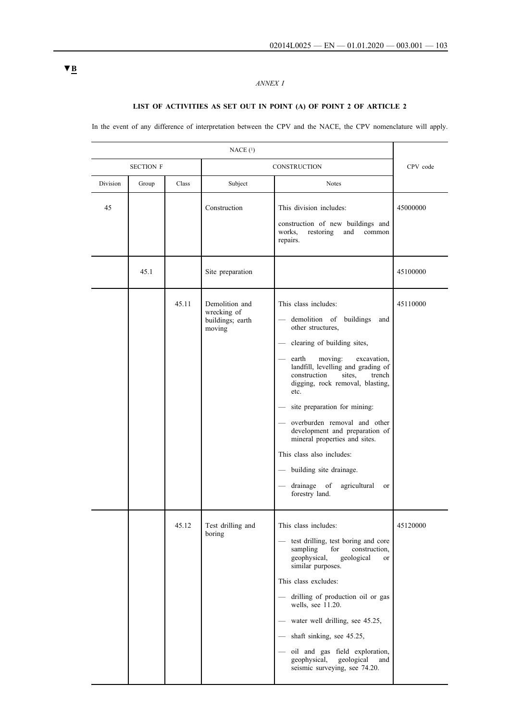# *ANNEX I*

# **LIST OF ACTIVITIES AS SET OUT IN POINT (A) OF POINT 2 OF ARTICLE 2**

In the event of any difference of interpretation between the CPV and the NACE, the CPV nomenclature will apply.

|          | <b>SECTION F</b> |       | <b>CONSTRUCTION</b>                                         |                                                                                                                                                                                                                                                                                                                                                                                                                                                                                                                                              | CPV code |
|----------|------------------|-------|-------------------------------------------------------------|----------------------------------------------------------------------------------------------------------------------------------------------------------------------------------------------------------------------------------------------------------------------------------------------------------------------------------------------------------------------------------------------------------------------------------------------------------------------------------------------------------------------------------------------|----------|
| Division | Group            | Class | Subject                                                     | <b>Notes</b>                                                                                                                                                                                                                                                                                                                                                                                                                                                                                                                                 |          |
| 45       |                  |       | Construction                                                | This division includes:<br>construction of new buildings and<br>restoring<br>and<br>works,<br>common<br>repairs.                                                                                                                                                                                                                                                                                                                                                                                                                             | 45000000 |
|          | 45.1             |       | Site preparation                                            |                                                                                                                                                                                                                                                                                                                                                                                                                                                                                                                                              | 45100000 |
|          |                  | 45.11 | Demolition and<br>wrecking of<br>buildings; earth<br>moving | This class includes:<br>- demolition of buildings<br>and<br>other structures,<br>clearing of building sites,<br>$\qquad \qquad$<br>moving:<br>earth<br>excavation,<br>landfill, levelling and grading of<br>construction<br>sites.<br>trench<br>digging, rock removal, blasting,<br>etc.<br>site preparation for mining:<br>overburden removal and other<br>development and preparation of<br>mineral properties and sites.<br>This class also includes:<br>- building site drainage.<br>drainage of<br>agricultural<br>or<br>forestry land. | 45110000 |
|          |                  | 45.12 | Test drilling and<br>boring                                 | This class includes:<br>test drilling, test boring and core<br>sampling<br>for<br>construction.<br>geophysical,<br>geological<br><b>or</b><br>similar purposes.<br>This class excludes:<br>drilling of production oil or gas<br>wells, see 11.20.<br>- water well drilling, see 45.25,<br>- shaft sinking, see 45.25,<br>oil and gas field exploration,<br>geophysical,<br>geological<br>and<br>seismic surveying, see 74.20.                                                                                                                | 45120000 |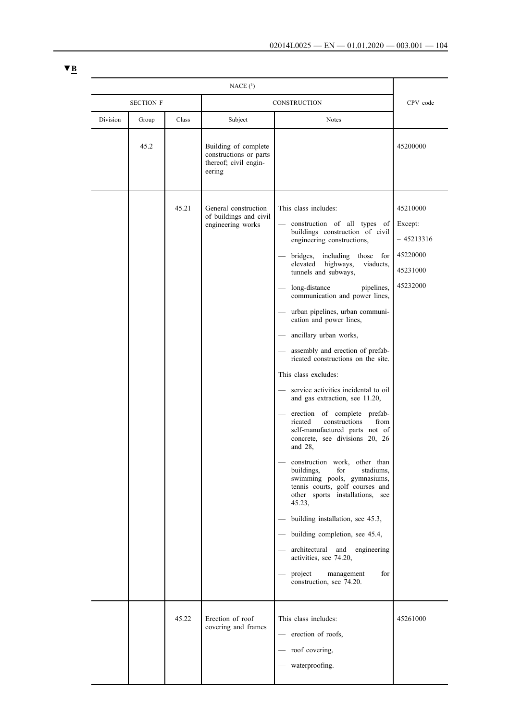|          | NACE <sub>(1)</sub> |       |                                                                                   |                                                                                                                                                                                                                                                                                                                                                                                                                                                                                                                                                                                                                                                                                                                                                                                                                                                                                                                                                                                                                                                                                                                                 |                                                                       |
|----------|---------------------|-------|-----------------------------------------------------------------------------------|---------------------------------------------------------------------------------------------------------------------------------------------------------------------------------------------------------------------------------------------------------------------------------------------------------------------------------------------------------------------------------------------------------------------------------------------------------------------------------------------------------------------------------------------------------------------------------------------------------------------------------------------------------------------------------------------------------------------------------------------------------------------------------------------------------------------------------------------------------------------------------------------------------------------------------------------------------------------------------------------------------------------------------------------------------------------------------------------------------------------------------|-----------------------------------------------------------------------|
|          | <b>SECTION F</b>    |       | CONSTRUCTION                                                                      |                                                                                                                                                                                                                                                                                                                                                                                                                                                                                                                                                                                                                                                                                                                                                                                                                                                                                                                                                                                                                                                                                                                                 | CPV code                                                              |
| Division | Group               | Class | Subject                                                                           | <b>Notes</b>                                                                                                                                                                                                                                                                                                                                                                                                                                                                                                                                                                                                                                                                                                                                                                                                                                                                                                                                                                                                                                                                                                                    |                                                                       |
|          | 45.2                |       | Building of complete<br>constructions or parts<br>thereof; civil engin-<br>eering |                                                                                                                                                                                                                                                                                                                                                                                                                                                                                                                                                                                                                                                                                                                                                                                                                                                                                                                                                                                                                                                                                                                                 | 45200000                                                              |
|          |                     | 45.21 | General construction<br>of buildings and civil<br>engineering works               | This class includes:<br>construction of all types of<br>$\overline{\phantom{0}}$<br>buildings construction of civil<br>engineering constructions,<br>including<br>bridges,<br>those for<br>elevated<br>highways,<br>viaducts.<br>tunnels and subways,<br>long-distance<br>pipelines,<br>communication and power lines,<br>urban pipelines, urban communi-<br>cation and power lines,<br>ancillary urban works,<br>assembly and erection of prefab-<br>ricated constructions on the site.<br>This class excludes:<br>service activities incidental to oil<br>and gas extraction, see 11.20,<br>erection of complete prefab-<br>constructions<br>from<br>ricated<br>self-manufactured parts not of<br>concrete, see divisions 20, 26<br>and 28,<br>construction work, other than<br>buildings,<br>for<br>stadiums.<br>swimming pools, gymnasiums,<br>tennis courts, golf courses and<br>other sports installations, see<br>45.23,<br>building installation, see 45.3,<br>building completion, see 45.4,<br>architectural and<br>engineering<br>activities, see 74.20,<br>project<br>management<br>for<br>construction, see 74.20. | 45210000<br>Except:<br>- 45213316<br>45220000<br>45231000<br>45232000 |
|          |                     | 45.22 | Erection of roof<br>covering and frames                                           | This class includes:<br>erection of roofs,<br>roof covering,<br>waterproofing.                                                                                                                                                                                                                                                                                                                                                                                                                                                                                                                                                                                                                                                                                                                                                                                                                                                                                                                                                                                                                                                  | 45261000                                                              |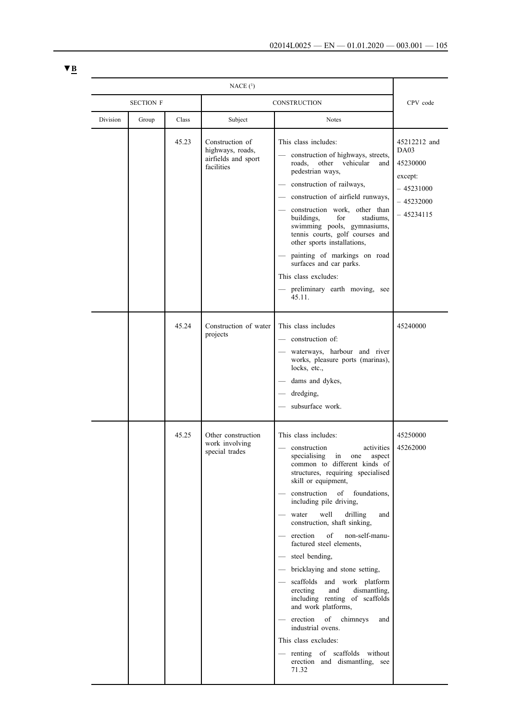|          | NACE(1)          |                                                                          |                                                                                                                                                                                                                                                                                                                                                                                                                                                                                                                                                                                                                                                                                                                                             |                                                                                          |  |  |
|----------|------------------|--------------------------------------------------------------------------|---------------------------------------------------------------------------------------------------------------------------------------------------------------------------------------------------------------------------------------------------------------------------------------------------------------------------------------------------------------------------------------------------------------------------------------------------------------------------------------------------------------------------------------------------------------------------------------------------------------------------------------------------------------------------------------------------------------------------------------------|------------------------------------------------------------------------------------------|--|--|
|          | <b>SECTION F</b> |                                                                          | CONSTRUCTION                                                                                                                                                                                                                                                                                                                                                                                                                                                                                                                                                                                                                                                                                                                                |                                                                                          |  |  |
| Division | Group<br>Class   | Subject                                                                  | <b>Notes</b>                                                                                                                                                                                                                                                                                                                                                                                                                                                                                                                                                                                                                                                                                                                                |                                                                                          |  |  |
|          | 45.23            | Construction of<br>highways, roads,<br>airfields and sport<br>facilities | This class includes:<br>construction of highways, streets,<br>other vehicular<br>roads.<br>and<br>pedestrian ways,<br>construction of railways,<br>- construction of airfield runways,<br>construction work, other than<br>buildings,<br>for<br>stadiums.<br>swimming pools, gymnasiums,<br>tennis courts, golf courses and<br>other sports installations,<br>painting of markings on road<br>surfaces and car parks.<br>This class excludes:<br>- preliminary earth moving, see<br>45.11.                                                                                                                                                                                                                                                  | 45212212 and<br>DA03<br>45230000<br>except:<br>$-45231000$<br>$-45232000$<br>$-45234115$ |  |  |
|          | 45.24            | Construction of water<br>projects                                        | This class includes<br>construction of:<br>waterways, harbour and river<br>works, pleasure ports (marinas),<br>locks, etc.,<br>dams and dykes,<br>dredging,<br>subsurface work.                                                                                                                                                                                                                                                                                                                                                                                                                                                                                                                                                             | 45240000                                                                                 |  |  |
|          | 45.25            | Other construction<br>work involving<br>special trades                   | This class includes:<br>construction<br>activities<br>specialising<br>aspect<br>in<br>one<br>common to different kinds of<br>structures, requiring specialised<br>skill or equipment,<br>construction<br>of<br>foundations.<br>including pile driving,<br>well<br>drilling<br>water<br>and<br>construction, shaft sinking,<br>of<br>erection<br>non-self-manu-<br>factured steel elements,<br>- steel bending,<br>- bricklaying and stone setting,<br>- scaffolds and work platform<br>erecting<br>and<br>dismantling,<br>including renting of scaffolds<br>and work platforms,<br>erection<br>of<br>chimneys<br>and<br>industrial ovens.<br>This class excludes:<br>renting of scaffolds without<br>erection and dismantling, see<br>71.32 | 45250000<br>45262000                                                                     |  |  |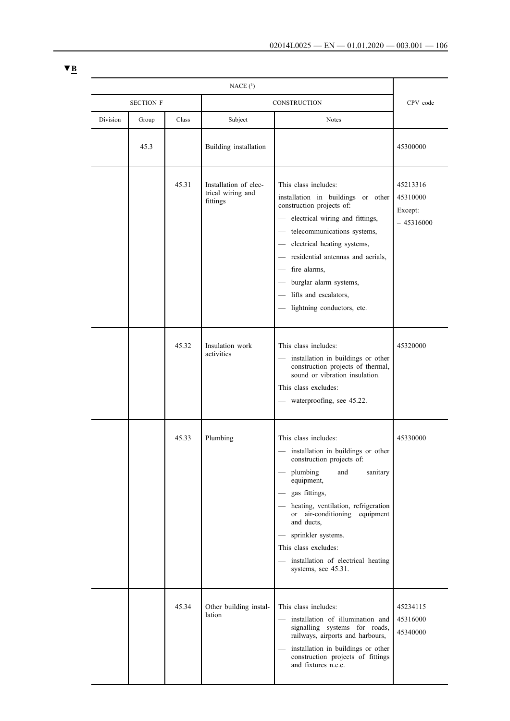| NACE(1)  |                  |       |                                                        |                                                                                                                                                                                                                                                                                                                                                                   |                                                |
|----------|------------------|-------|--------------------------------------------------------|-------------------------------------------------------------------------------------------------------------------------------------------------------------------------------------------------------------------------------------------------------------------------------------------------------------------------------------------------------------------|------------------------------------------------|
|          | <b>SECTION F</b> |       | CONSTRUCTION                                           |                                                                                                                                                                                                                                                                                                                                                                   | CPV code                                       |
| Division | Group            | Class | Subject                                                | <b>Notes</b>                                                                                                                                                                                                                                                                                                                                                      |                                                |
|          | 45.3             |       | Building installation                                  |                                                                                                                                                                                                                                                                                                                                                                   | 45300000                                       |
|          |                  | 45.31 | Installation of elec-<br>trical wiring and<br>fittings | This class includes:<br>installation in buildings or other<br>construction projects of:<br>electrical wiring and fittings,<br>$\qquad \qquad -$<br>- telecommunications systems,<br>- electrical heating systems,<br>- residential antennas and aerials,<br>- fire alarms,<br>- burglar alarm systems,<br>- lifts and escalators,<br>- lightning conductors, etc. | 45213316<br>45310000<br>Except:<br>$-45316000$ |
|          |                  | 45.32 | Insulation work<br>activities                          | This class includes:<br>installation in buildings or other<br>construction projects of thermal,<br>sound or vibration insulation.<br>This class excludes:<br>— waterproofing, see 45.22.                                                                                                                                                                          | 45320000                                       |
|          |                  | 45.33 | Plumbing                                               | This class includes:<br>installation in buildings or other<br>construction projects of:<br>plumbing<br>sanitary<br>and<br>equipment,<br>- gas fittings,<br>- heating, ventilation, refrigeration<br>or air-conditioning equipment<br>and ducts,<br>sprinkler systems.<br>This class excludes:<br>installation of electrical heating<br>systems, see 45.31.        | 45330000                                       |
|          |                  | 45.34 | Other building instal-<br>lation                       | This class includes:<br>installation of illumination and<br>signalling systems for roads,<br>railways, airports and harbours,<br>installation in buildings or other<br>construction projects of fittings<br>and fixtures n.e.c.                                                                                                                                   | 45234115<br>45316000<br>45340000               |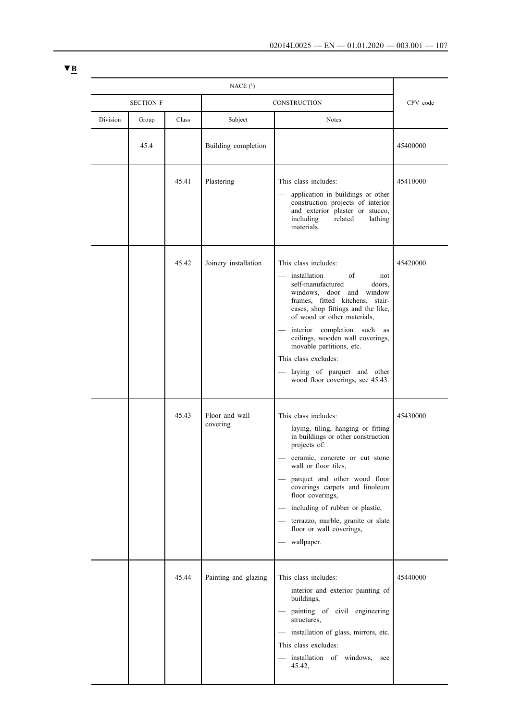|          | <b>SECTION F</b> |       | <b>CONSTRUCTION</b>        |                                                                                                                                                                                                                                                                                                                                                                                                                   | CPV code |  |
|----------|------------------|-------|----------------------------|-------------------------------------------------------------------------------------------------------------------------------------------------------------------------------------------------------------------------------------------------------------------------------------------------------------------------------------------------------------------------------------------------------------------|----------|--|
| Division | Group            | Class | Subject                    | <b>Notes</b>                                                                                                                                                                                                                                                                                                                                                                                                      |          |  |
|          | 45.4             |       | Building completion        |                                                                                                                                                                                                                                                                                                                                                                                                                   | 45400000 |  |
|          |                  | 45.41 | Plastering                 | This class includes:<br>application in buildings or other<br>construction projects of interior<br>and exterior plaster or stucco,<br>including<br>related<br>lathing<br>materials.                                                                                                                                                                                                                                | 45410000 |  |
|          |                  | 45.42 | Joinery installation       | This class includes:<br>installation<br>of<br>not<br>self-manufactured<br>doors,<br>windows, door and window<br>frames, fitted kitchens, stair-<br>cases, shop fittings and the like,<br>of wood or other materials,<br>interior completion such<br>as<br>ceilings, wooden wall coverings,<br>movable partitions, etc.<br>This class excludes:<br>laying of parquet and other<br>wood floor coverings, see 45.43. | 45420000 |  |
|          |                  | 45.43 | Floor and wall<br>covering | This class includes:<br>laying, tiling, hanging or fitting<br>in buildings or other construction<br>projects of:<br>ceramic, concrete or cut stone<br>wall or floor tiles,<br>parquet and other wood floor<br>coverings carpets and linoleum<br>floor coverings,<br>including of rubber or plastic,<br>terrazzo, marble, granite or slate<br>floor or wall coverings,<br>wallpaper.                               | 45430000 |  |
|          |                  | 45.44 | Painting and glazing       | This class includes:<br>interior and exterior painting of<br>buildings,<br>painting of civil engineering<br>structures,<br>installation of glass, mirrors, etc.<br>This class excludes:<br>installation of windows,<br>see<br>45.42,                                                                                                                                                                              | 45440000 |  |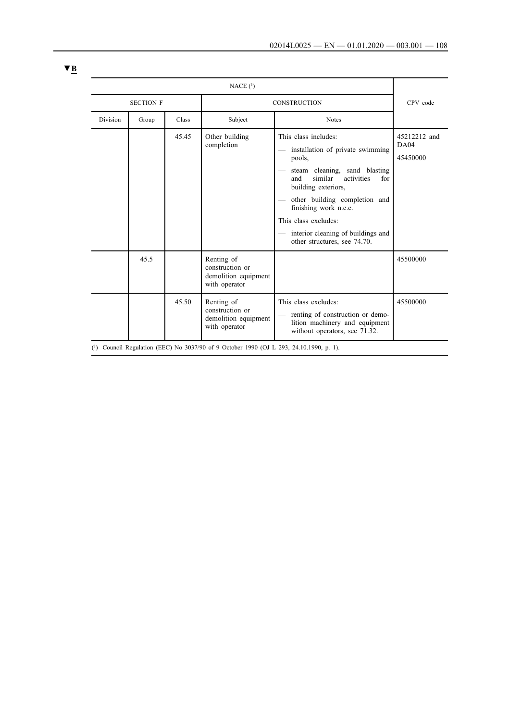| NACE(1)                                                                                 |       |              |                                                                        |                                                                                                                                                                                                                                                                                                                             |                                  |
|-----------------------------------------------------------------------------------------|-------|--------------|------------------------------------------------------------------------|-----------------------------------------------------------------------------------------------------------------------------------------------------------------------------------------------------------------------------------------------------------------------------------------------------------------------------|----------------------------------|
| <b>SECTION F</b>                                                                        |       |              | <b>CONSTRUCTION</b>                                                    | CPV code                                                                                                                                                                                                                                                                                                                    |                                  |
| <b>Division</b>                                                                         | Group | <b>Class</b> | Subject                                                                | <b>Notes</b>                                                                                                                                                                                                                                                                                                                |                                  |
|                                                                                         |       | 45.45        | Other building<br>completion                                           | This class includes:<br>installation of private swimming<br>pools,<br>steam cleaning, sand blasting<br>similar<br>activities<br>and<br>for<br>building exteriors,<br>other building completion and<br>finishing work n.e.c.<br>This class excludes:<br>- interior cleaning of buildings and<br>other structures, see 74.70. | 45212212 and<br>DA04<br>45450000 |
|                                                                                         | 45.5  |              | Renting of<br>construction or<br>demolition equipment<br>with operator |                                                                                                                                                                                                                                                                                                                             | 45500000                         |
|                                                                                         |       | 45.50        | Renting of<br>construction or<br>demolition equipment<br>with operator | This class excludes:<br>renting of construction or demo-<br>lition machinery and equipment<br>without operators, see 71.32.                                                                                                                                                                                                 | 45500000                         |
| (1) Council Regulation (EEC) No 3037/90 of 9 October 1990 (OJ L 293, 24.10.1990, p. 1). |       |              |                                                                        |                                                                                                                                                                                                                                                                                                                             |                                  |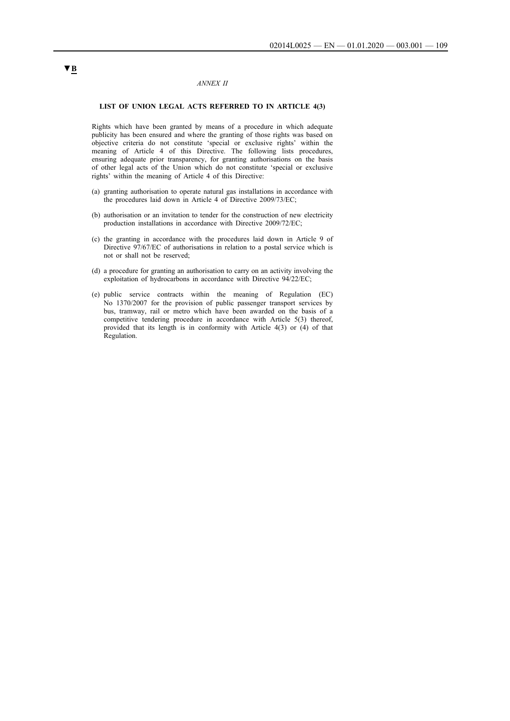### *ANNEX II*

### **LIST OF UNION LEGAL ACTS REFERRED TO IN ARTICLE 4(3)**

Rights which have been granted by means of a procedure in which adequate publicity has been ensured and where the granting of those rights was based on objective criteria do not constitute 'special or exclusive rights' within the meaning of Article 4 of this Directive. The following lists procedures, ensuring adequate prior transparency, for granting authorisations on the basis of other legal acts of the Union which do not constitute 'special or exclusive rights' within the meaning of Article 4 of this Directive:

- (a) granting authorisation to operate natural gas installations in accordance with the procedures laid down in Article 4 of Directive 2009/73/EC;
- (b) authorisation or an invitation to tender for the construction of new electricity production installations in accordance with Directive 2009/72/EC;
- (c) the granting in accordance with the procedures laid down in Article 9 of Directive 97/67/EC of authorisations in relation to a postal service which is not or shall not be reserved;
- (d) a procedure for granting an authorisation to carry on an activity involving the exploitation of hydrocarbons in accordance with Directive 94/22/EC;
- (e) public service contracts within the meaning of Regulation (EC) No 1370/2007 for the provision of public passenger transport services by bus, tramway, rail or metro which have been awarded on the basis of a competitive tendering procedure in accordance with Article 5(3) thereof, provided that its length is in conformity with Article 4(3) or (4) of that Regulation.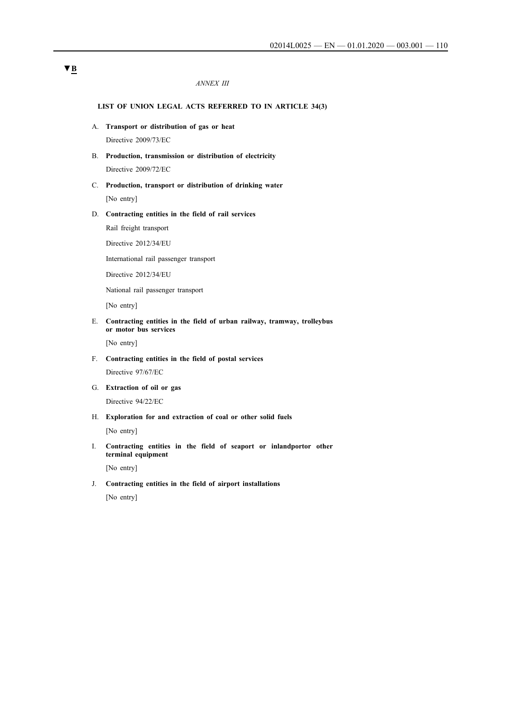### *ANNEX III*

### **LIST OF UNION LEGAL ACTS REFERRED TO IN ARTICLE 34(3)**

- A. **Transport or distribution of gas or heat** Directive 2009/73/EC
- B. **Production, transmission or distribution of electricity** Directive 2009/72/EC
- C. **Production, transport or distribution of drinking water** [No entry]
- D. **Contracting entities in the field of rail services**

Rail freight transport

Directive 2012/34/EU

International rail passenger transport

Directive 2012/34/EU

National rail passenger transport

[No entry]

E. **Contracting entities in the field of urban railway, tramway, trolleybus or motor bus services**

[No entry]

F. **Contracting entities in the field of postal services**

Directive 97/67/EC

G. **Extraction of oil or gas** Directive 94/22/EC

H. **Exploration for and extraction of coal or other solid fuels**

[No entry]

I. **Contracting entities in the field of seaport or inlandportor other terminal equipment**

[No entry]

J. **Contracting entities in the field of airport installations**

[No entry]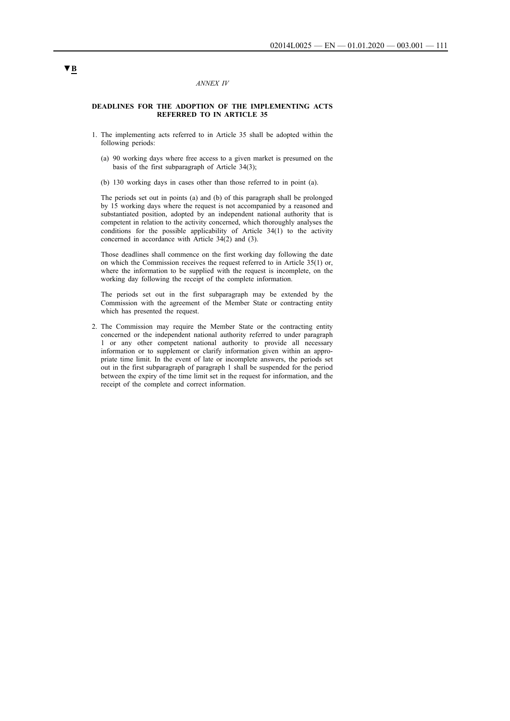### *ANNEX IV*

### **DEADLINES FOR THE ADOPTION OF THE IMPLEMENTING ACTS REFERRED TO IN ARTICLE 35**

- 1. The implementing acts referred to in Article 35 shall be adopted within the following periods:
	- (a) 90 working days where free access to a given market is presumed on the basis of the first subparagraph of Article 34(3);
	- (b) 130 working days in cases other than those referred to in point (a).

The periods set out in points (a) and (b) of this paragraph shall be prolonged by 15 working days where the request is not accompanied by a reasoned and substantiated position, adopted by an independent national authority that is competent in relation to the activity concerned, which thoroughly analyses the conditions for the possible applicability of Article  $34(1)$  to the activity concerned in accordance with Article 34(2) and (3).

Those deadlines shall commence on the first working day following the date on which the Commission receives the request referred to in Article 35(1) or, where the information to be supplied with the request is incomplete, on the working day following the receipt of the complete information.

The periods set out in the first subparagraph may be extended by the Commission with the agreement of the Member State or contracting entity which has presented the request.

2. The Commission may require the Member State or the contracting entity concerned or the independent national authority referred to under paragraph 1 or any other competent national authority to provide all necessary information or to supplement or clarify information given within an appropriate time limit. In the event of late or incomplete answers, the periods set out in the first subparagraph of paragraph 1 shall be suspended for the period between the expiry of the time limit set in the request for information, and the receipt of the complete and correct information.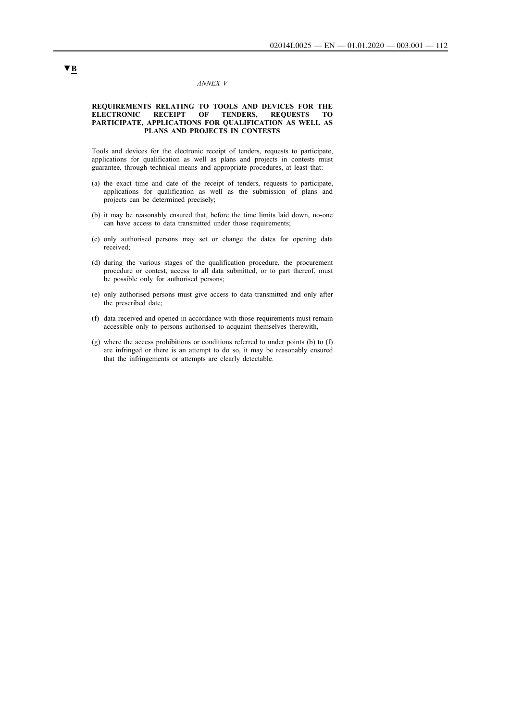#### *ANNEX V*

#### **REQUIREMENTS RELATING TO TOOLS AND DEVICES FOR THE ELECTRONIC RECEIPT OF TENDERS, REQUESTS TO PARTICIPATE, APPLICATIONS FOR QUALIFICATION AS WELL AS PLANS AND PROJECTS IN CONTESTS**

Tools and devices for the electronic receipt of tenders, requests to participate, applications for qualification as well as plans and projects in contests must guarantee, through technical means and appropriate procedures, at least that:

- (a) the exact time and date of the receipt of tenders, requests to participate, applications for qualification as well as the submission of plans and projects can be determined precisely;
- (b) it may be reasonably ensured that, before the time limits laid down, no-one can have access to data transmitted under those requirements;
- (c) only authorised persons may set or change the dates for opening data received;
- (d) during the various stages of the qualification procedure, the procurement procedure or contest, access to all data submitted, or to part thereof, must be possible only for authorised persons;
- (e) only authorised persons must give access to data transmitted and only after the prescribed date;
- (f) data received and opened in accordance with those requirements must remain accessible only to persons authorised to acquaint themselves therewith,
- (g) where the access prohibitions or conditions referred to under points (b) to (f) are infringed or there is an attempt to do so, it may be reasonably ensured that the infringements or attempts are clearly detectable.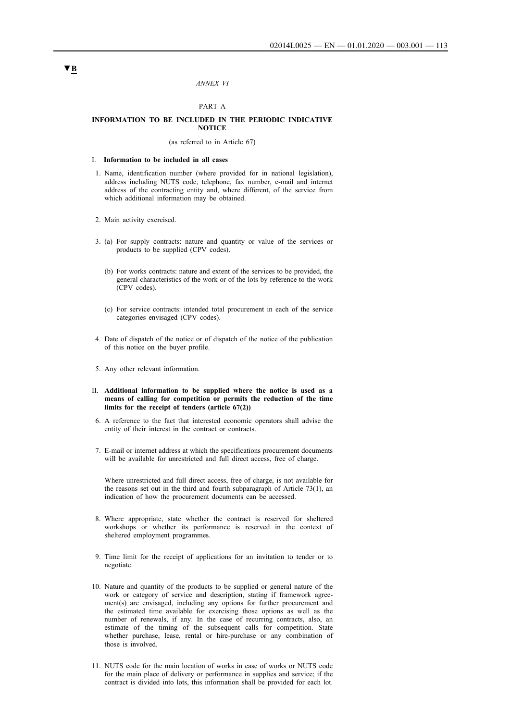#### *ANNEX VI*

### PART A

#### **INFORMATION TO BE INCLUDED IN THE PERIODIC INDICATIVE NOTICE**

#### (as referred to in Article 67)

#### I. **Information to be included in all cases**

- 1. Name, identification number (where provided for in national legislation), address including NUTS code, telephone, fax number, e-mail and internet address of the contracting entity and, where different, of the service from which additional information may be obtained.
- 2. Main activity exercised.
- 3. (a) For supply contracts: nature and quantity or value of the services or products to be supplied (CPV codes).
	- (b) For works contracts: nature and extent of the services to be provided, the general characteristics of the work or of the lots by reference to the work (CPV codes).
	- (c) For service contracts: intended total procurement in each of the service categories envisaged (CPV codes).
- 4. Date of dispatch of the notice or of dispatch of the notice of the publication of this notice on the buyer profile.
- 5. Any other relevant information.
- II. **Additional information to be supplied where the notice is used as a means of calling for competition or permits the reduction of the time limits for the receipt of tenders (article 67(2))**
- 6. A reference to the fact that interested economic operators shall advise the entity of their interest in the contract or contracts.
- 7. E-mail or internet address at which the specifications procurement documents will be available for unrestricted and full direct access, free of charge.

Where unrestricted and full direct access, free of charge, is not available for the reasons set out in the third and fourth subparagraph of Article 73(1), an indication of how the procurement documents can be accessed.

- 8. Where appropriate, state whether the contract is reserved for sheltered workshops or whether its performance is reserved in the context of sheltered employment programmes.
- 9. Time limit for the receipt of applications for an invitation to tender or to negotiate.
- 10. Nature and quantity of the products to be supplied or general nature of the work or category of service and description, stating if framework agreement(s) are envisaged, including any options for further procurement and the estimated time available for exercising those options as well as the number of renewals, if any. In the case of recurring contracts, also, an estimate of the timing of the subsequent calls for competition. State whether purchase, lease, rental or hire-purchase or any combination of those is involved.
- 11. NUTS code for the main location of works in case of works or NUTS code for the main place of delivery or performance in supplies and service; if the contract is divided into lots, this information shall be provided for each lot.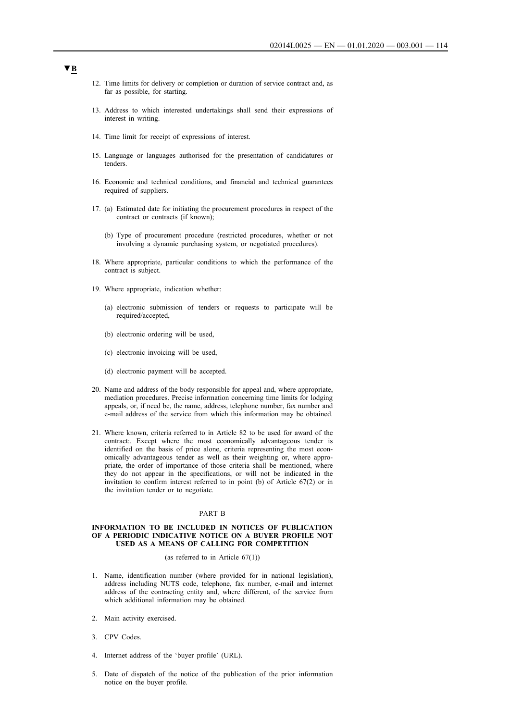- 12. Time limits for delivery or completion or duration of service contract and, as far as possible, for starting.
- 13. Address to which interested undertakings shall send their expressions of interest in writing.
- 14. Time limit for receipt of expressions of interest.
- 15. Language or languages authorised for the presentation of candidatures or tenders.
- 16. Economic and technical conditions, and financial and technical guarantees required of suppliers.
- 17. (a) Estimated date for initiating the procurement procedures in respect of the contract or contracts (if known);
	- (b) Type of procurement procedure (restricted procedures, whether or not involving a dynamic purchasing system, or negotiated procedures).
- 18. Where appropriate, particular conditions to which the performance of the contract is subject.
- 19. Where appropriate, indication whether:
	- (a) electronic submission of tenders or requests to participate will be required/accepted,
	- (b) electronic ordering will be used,
	- (c) electronic invoicing will be used,
	- (d) electronic payment will be accepted.
- 20. Name and address of the body responsible for appeal and, where appropriate, mediation procedures. Precise information concerning time limits for lodging appeals, or, if need be, the name, address, telephone number, fax number and e-mail address of the service from which this information may be obtained.
- 21. Where known, criteria referred to in Article 82 to be used for award of the contract:. Except where the most economically advantageous tender is identified on the basis of price alone, criteria representing the most economically advantageous tender as well as their weighting or, where appropriate, the order of importance of those criteria shall be mentioned, where they do not appear in the specifications, or will not be indicated in the invitation to confirm interest referred to in point (b) of Article 67(2) or in the invitation tender or to negotiate.

### PART B

### **INFORMATION TO BE INCLUDED IN NOTICES OF PUBLICATION OF A PERIODIC INDICATIVE NOTICE ON A BUYER PROFILE NOT USED AS A MEANS OF CALLING FOR COMPETITION**

### (as referred to in Article 67(1))

- 1. Name, identification number (where provided for in national legislation), address including NUTS code, telephone, fax number, e-mail and internet address of the contracting entity and, where different, of the service from which additional information may be obtained.
- 2. Main activity exercised.
- 3. CPV Codes.
- 4. Internet address of the 'buyer profile' (URL).
- 5. Date of dispatch of the notice of the publication of the prior information notice on the buyer profile.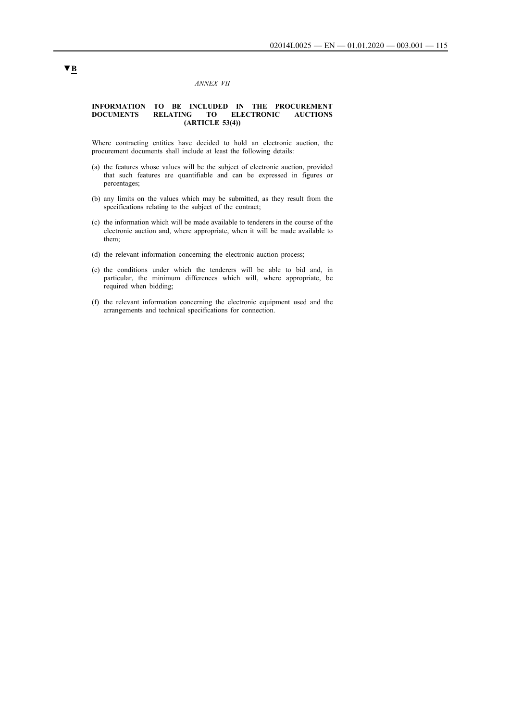### *ANNEX VII*

### **INFORMATION TO BE INCLUDED IN THE PROCUREMENT DOCUMENTS RELATING TO ELECTRONIC AUCTIONS (ARTICLE 53(4))**

Where contracting entities have decided to hold an electronic auction, the procurement documents shall include at least the following details:

- (a) the features whose values will be the subject of electronic auction, provided that such features are quantifiable and can be expressed in figures or percentages;
- (b) any limits on the values which may be submitted, as they result from the specifications relating to the subject of the contract;
- (c) the information which will be made available to tenderers in the course of the electronic auction and, where appropriate, when it will be made available to them;
- (d) the relevant information concerning the electronic auction process;
- (e) the conditions under which the tenderers will be able to bid and, in particular, the minimum differences which will, where appropriate, be required when bidding;
- (f) the relevant information concerning the electronic equipment used and the arrangements and technical specifications for connection.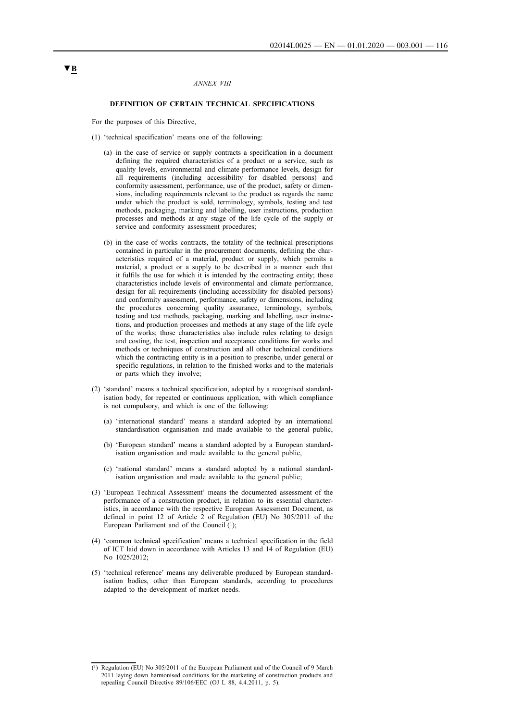#### *ANNEX VIII*

### **DEFINITION OF CERTAIN TECHNICAL SPECIFICATIONS**

For the purposes of this Directive,

- (1) 'technical specification' means one of the following:
	- (a) in the case of service or supply contracts a specification in a document defining the required characteristics of a product or a service, such as quality levels, environmental and climate performance levels, design for all requirements (including accessibility for disabled persons) and conformity assessment, performance, use of the product, safety or dimensions, including requirements relevant to the product as regards the name under which the product is sold, terminology, symbols, testing and test methods, packaging, marking and labelling, user instructions, production processes and methods at any stage of the life cycle of the supply or service and conformity assessment procedures;
	- (b) in the case of works contracts, the totality of the technical prescriptions contained in particular in the procurement documents, defining the characteristics required of a material, product or supply, which permits a material, a product or a supply to be described in a manner such that it fulfils the use for which it is intended by the contracting entity; those characteristics include levels of environmental and climate performance, design for all requirements (including accessibility for disabled persons) and conformity assessment, performance, safety or dimensions, including the procedures concerning quality assurance, terminology, symbols, testing and test methods, packaging, marking and labelling, user instructions, and production processes and methods at any stage of the life cycle of the works; those characteristics also include rules relating to design and costing, the test, inspection and acceptance conditions for works and methods or techniques of construction and all other technical conditions which the contracting entity is in a position to prescribe, under general or specific regulations, in relation to the finished works and to the materials or parts which they involve;
- (2) 'standard' means a technical specification, adopted by a recognised standardisation body, for repeated or continuous application, with which compliance is not compulsory, and which is one of the following:
	- (a) 'international standard' means a standard adopted by an international standardisation organisation and made available to the general public,
	- (b) 'European standard' means a standard adopted by a European standardisation organisation and made available to the general public,
	- (c) 'national standard' means a standard adopted by a national standardisation organisation and made available to the general public;
- (3) 'European Technical Assessment' means the documented assessment of the performance of a construction product, in relation to its essential characteristics, in accordance with the respective European Assessment Document, as defined in point 12 of Article 2 of Regulation (EU) No 305/2011 of the European Parliament and of the Council  $(1)$ ;
- (4) 'common technical specification' means a technical specification in the field of ICT laid down in accordance with Articles 13 and 14 of Regulation (EU) No 1025/2012;
- (5) 'technical reference' means any deliverable produced by European standardisation bodies, other than European standards, according to procedures adapted to the development of market needs.

<sup>(1)</sup> Regulation (EU) No 305/2011 of the European Parliament and of the Council of 9 March 2011 laying down harmonised conditions for the marketing of construction products and repealing Council Directive 89/106/EEC (OJ L 88, 4.4.2011, p. 5).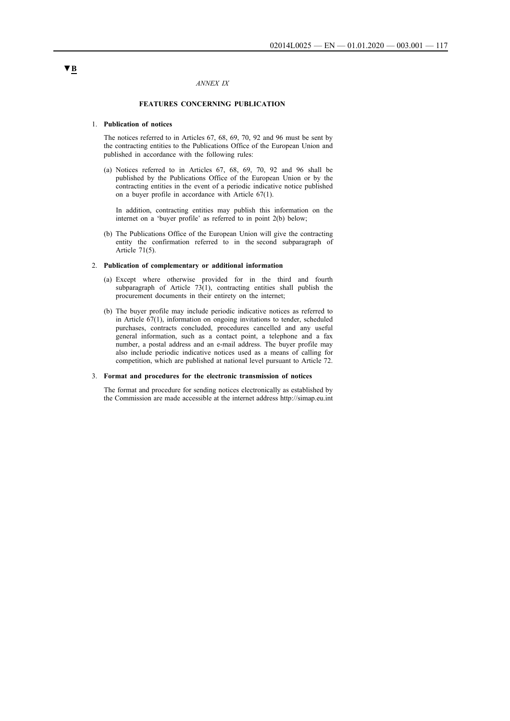### *ANNEX IX*

### **FEATURES CONCERNING PUBLICATION**

#### 1. **Publication of notices**

The notices referred to in Articles 67, 68, 69, 70, 92 and 96 must be sent by the contracting entities to the Publications Office of the European Union and published in accordance with the following rules:

(a) Notices referred to in Articles 67, 68, 69, 70, 92 and 96 shall be published by the Publications Office of the European Union or by the contracting entities in the event of a periodic indicative notice published on a buyer profile in accordance with Article 67(1).

In addition, contracting entities may publish this information on the internet on a 'buyer profile' as referred to in point 2(b) below;

(b) The Publications Office of the European Union will give the contracting entity the confirmation referred to in the second subparagraph of Article 71(5).

### 2. **Publication of complementary or additional information**

- (a) Except where otherwise provided for in the third and fourth subparagraph of Article 73(1), contracting entities shall publish the procurement documents in their entirety on the internet;
- (b) The buyer profile may include periodic indicative notices as referred to in Article 67(1), information on ongoing invitations to tender, scheduled purchases, contracts concluded, procedures cancelled and any useful general information, such as a contact point, a telephone and a fax number, a postal address and an e-mail address. The buyer profile may also include periodic indicative notices used as a means of calling for competition, which are published at national level pursuant to Article 72.

#### 3. **Format and procedures for the electronic transmission of notices**

The format and procedure for sending notices electronically as established by the Commission are made accessible at the internet address http://simap.eu.int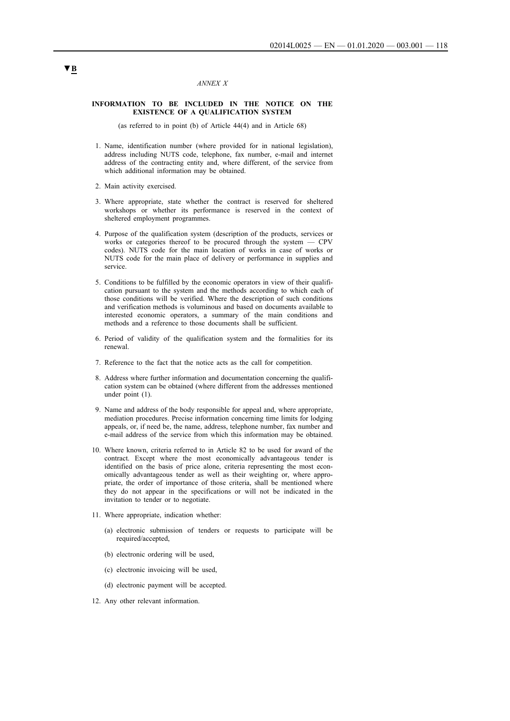### *ANNEX X*

### **INFORMATION TO BE INCLUDED IN THE NOTICE ON THE EXISTENCE OF A QUALIFICATION SYSTEM**

(as referred to in point (b) of Article 44(4) and in Article 68)

- 1. Name, identification number (where provided for in national legislation), address including NUTS code, telephone, fax number, e-mail and internet address of the contracting entity and, where different, of the service from which additional information may be obtained.
- 2. Main activity exercised.
- 3. Where appropriate, state whether the contract is reserved for sheltered workshops or whether its performance is reserved in the context of sheltered employment programmes.
- 4. Purpose of the qualification system (description of the products, services or works or categories thereof to be procured through the system — CPV codes). NUTS code for the main location of works in case of works or NUTS code for the main place of delivery or performance in supplies and service.
- 5. Conditions to be fulfilled by the economic operators in view of their qualification pursuant to the system and the methods according to which each of those conditions will be verified. Where the description of such conditions and verification methods is voluminous and based on documents available to interested economic operators, a summary of the main conditions and methods and a reference to those documents shall be sufficient.
- 6. Period of validity of the qualification system and the formalities for its renewal.
- 7. Reference to the fact that the notice acts as the call for competition.
- 8. Address where further information and documentation concerning the qualification system can be obtained (where different from the addresses mentioned under point (1).
- 9. Name and address of the body responsible for appeal and, where appropriate, mediation procedures. Precise information concerning time limits for lodging appeals, or, if need be, the name, address, telephone number, fax number and e-mail address of the service from which this information may be obtained.
- 10. Where known, criteria referred to in Article 82 to be used for award of the contract. Except where the most economically advantageous tender is identified on the basis of price alone, criteria representing the most economically advantageous tender as well as their weighting or, where appropriate, the order of importance of those criteria, shall be mentioned where they do not appear in the specifications or will not be indicated in the invitation to tender or to negotiate.
- 11. Where appropriate, indication whether:
	- (a) electronic submission of tenders or requests to participate will be required/accepted,
	- (b) electronic ordering will be used,
	- (c) electronic invoicing will be used,
	- (d) electronic payment will be accepted.
- 12. Any other relevant information.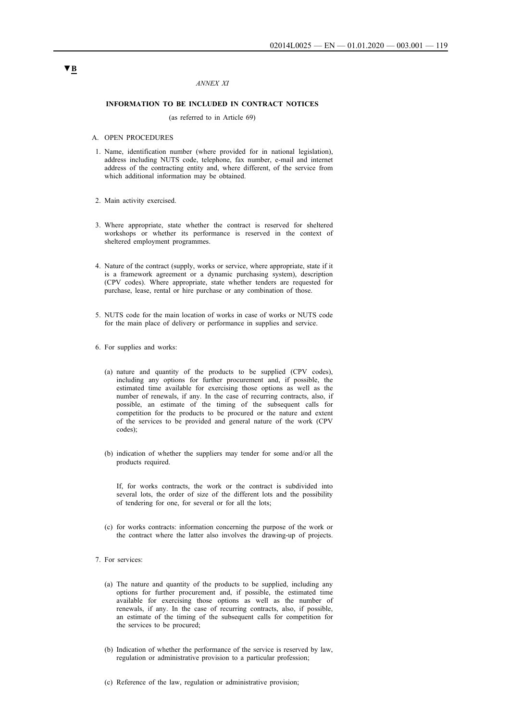### *ANNEX XI*

### **INFORMATION TO BE INCLUDED IN CONTRACT NOTICES**

(as referred to in Article 69)

#### A. OPEN PROCEDURES

- 1. Name, identification number (where provided for in national legislation), address including NUTS code, telephone, fax number, e-mail and internet address of the contracting entity and, where different, of the service from which additional information may be obtained.
- 2. Main activity exercised.
- 3. Where appropriate, state whether the contract is reserved for sheltered workshops or whether its performance is reserved in the context of sheltered employment programmes.
- 4. Nature of the contract (supply, works or service, where appropriate, state if it is a framework agreement or a dynamic purchasing system), description (CPV codes). Where appropriate, state whether tenders are requested for purchase, lease, rental or hire purchase or any combination of those.
- 5. NUTS code for the main location of works in case of works or NUTS code for the main place of delivery or performance in supplies and service.
- 6. For supplies and works:
	- (a) nature and quantity of the products to be supplied (CPV codes), including any options for further procurement and, if possible, the estimated time available for exercising those options as well as the number of renewals, if any. In the case of recurring contracts, also, if possible, an estimate of the timing of the subsequent calls for competition for the products to be procured or the nature and extent of the services to be provided and general nature of the work (CPV codes);
	- (b) indication of whether the suppliers may tender for some and/or all the products required.

If, for works contracts, the work or the contract is subdivided into several lots, the order of size of the different lots and the possibility of tendering for one, for several or for all the lots;

- (c) for works contracts: information concerning the purpose of the work or the contract where the latter also involves the drawing-up of projects.
- 7. For services:
	- (a) The nature and quantity of the products to be supplied, including any options for further procurement and, if possible, the estimated time available for exercising those options as well as the number of renewals, if any. In the case of recurring contracts, also, if possible, an estimate of the timing of the subsequent calls for competition for the services to be procured;
	- (b) Indication of whether the performance of the service is reserved by law, regulation or administrative provision to a particular profession;
	- (c) Reference of the law, regulation or administrative provision;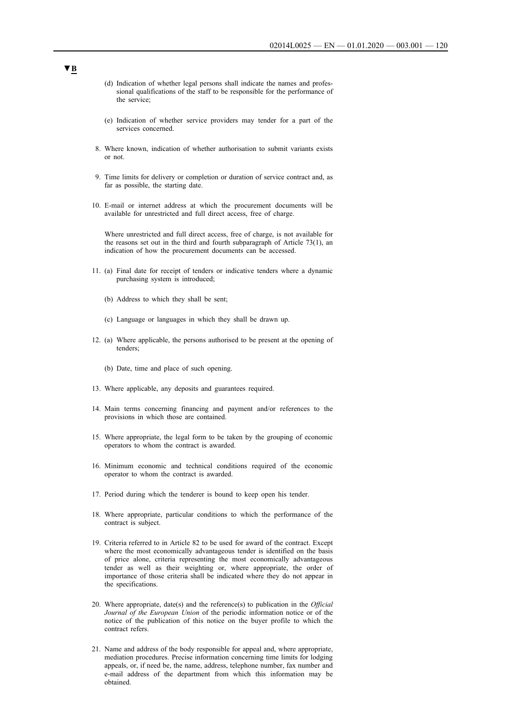- (d) Indication of whether legal persons shall indicate the names and professional qualifications of the staff to be responsible for the performance of the service;
- (e) Indication of whether service providers may tender for a part of the services concerned.
- 8. Where known, indication of whether authorisation to submit variants exists or not.
- 9. Time limits for delivery or completion or duration of service contract and, as far as possible, the starting date.
- 10. E-mail or internet address at which the procurement documents will be available for unrestricted and full direct access, free of charge.

Where unrestricted and full direct access, free of charge, is not available for the reasons set out in the third and fourth subparagraph of Article 73(1), an indication of how the procurement documents can be accessed.

- 11. (a) Final date for receipt of tenders or indicative tenders where a dynamic purchasing system is introduced;
	- (b) Address to which they shall be sent;
	- (c) Language or languages in which they shall be drawn up.
- 12. (a) Where applicable, the persons authorised to be present at the opening of tenders;
	- (b) Date, time and place of such opening.
- 13. Where applicable, any deposits and guarantees required.
- 14. Main terms concerning financing and payment and/or references to the provisions in which those are contained.
- 15. Where appropriate, the legal form to be taken by the grouping of economic operators to whom the contract is awarded.
- 16. Minimum economic and technical conditions required of the economic operator to whom the contract is awarded.
- 17. Period during which the tenderer is bound to keep open his tender.
- 18. Where appropriate, particular conditions to which the performance of the contract is subject.
- 19. Criteria referred to in Article 82 to be used for award of the contract. Except where the most economically advantageous tender is identified on the basis of price alone, criteria representing the most economically advantageous tender as well as their weighting or, where appropriate, the order of importance of those criteria shall be indicated where they do not appear in the specifications.
- 20. Where appropriate, date(s) and the reference(s) to publication in the *Official Journal of the European Union* of the periodic information notice or of the notice of the publication of this notice on the buyer profile to which the contract refers.
- 21. Name and address of the body responsible for appeal and, where appropriate, mediation procedures. Precise information concerning time limits for lodging appeals, or, if need be, the name, address, telephone number, fax number and e-mail address of the department from which this information may be obtained.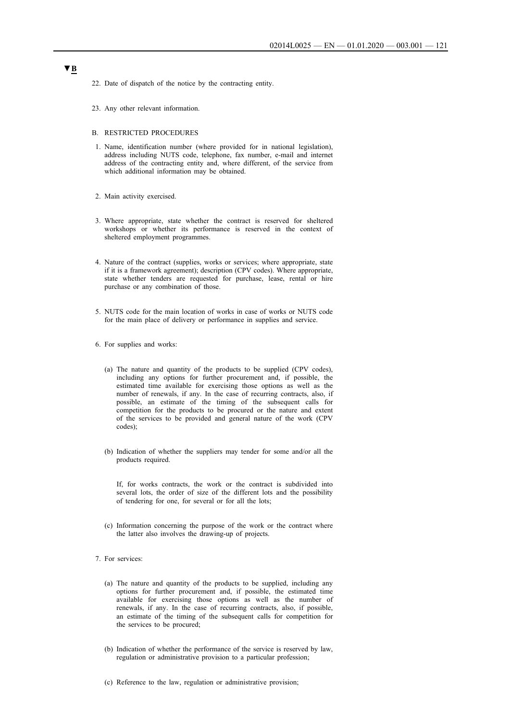- 22. Date of dispatch of the notice by the contracting entity.
- 23. Any other relevant information.
- B. RESTRICTED PROCEDURES
- 1. Name, identification number (where provided for in national legislation), address including NUTS code, telephone, fax number, e-mail and internet address of the contracting entity and, where different, of the service from which additional information may be obtained.
- 2. Main activity exercised.
- 3. Where appropriate, state whether the contract is reserved for sheltered workshops or whether its performance is reserved in the context of sheltered employment programmes.
- 4. Nature of the contract (supplies, works or services; where appropriate, state if it is a framework agreement); description (CPV codes). Where appropriate, state whether tenders are requested for purchase, lease, rental or hire purchase or any combination of those.
- 5. NUTS code for the main location of works in case of works or NUTS code for the main place of delivery or performance in supplies and service.
- 6. For supplies and works:
	- (a) The nature and quantity of the products to be supplied (CPV codes), including any options for further procurement and, if possible, the estimated time available for exercising those options as well as the number of renewals, if any. In the case of recurring contracts, also, if possible, an estimate of the timing of the subsequent calls for competition for the products to be procured or the nature and extent of the services to be provided and general nature of the work (CPV codes);
	- (b) Indication of whether the suppliers may tender for some and/or all the products required.

If, for works contracts, the work or the contract is subdivided into several lots, the order of size of the different lots and the possibility of tendering for one, for several or for all the lots;

- (c) Information concerning the purpose of the work or the contract where the latter also involves the drawing-up of projects.
- 7. For services:
	- (a) The nature and quantity of the products to be supplied, including any options for further procurement and, if possible, the estimated time available for exercising those options as well as the number of renewals, if any. In the case of recurring contracts, also, if possible, an estimate of the timing of the subsequent calls for competition for the services to be procured;
	- (b) Indication of whether the performance of the service is reserved by law, regulation or administrative provision to a particular profession;
	- (c) Reference to the law, regulation or administrative provision;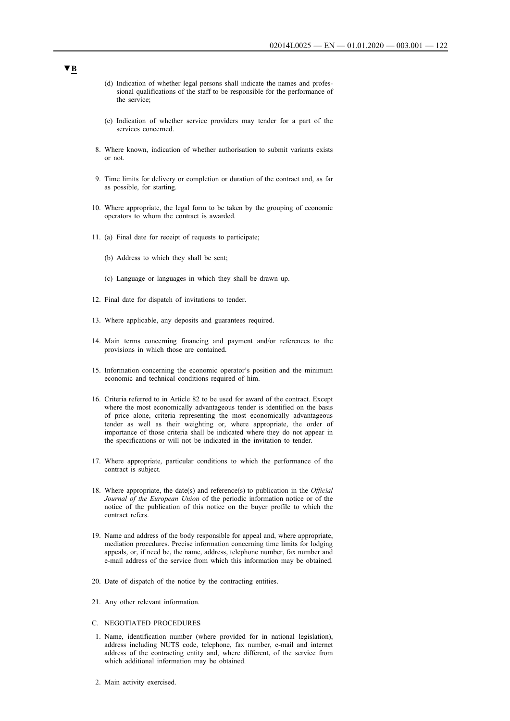- (d) Indication of whether legal persons shall indicate the names and professional qualifications of the staff to be responsible for the performance of the service;
- (e) Indication of whether service providers may tender for a part of the services concerned.
- 8. Where known, indication of whether authorisation to submit variants exists or not.
- 9. Time limits for delivery or completion or duration of the contract and, as far as possible, for starting.
- 10. Where appropriate, the legal form to be taken by the grouping of economic operators to whom the contract is awarded.
- 11. (a) Final date for receipt of requests to participate;
	- (b) Address to which they shall be sent;
	- (c) Language or languages in which they shall be drawn up.
- 12. Final date for dispatch of invitations to tender.
- 13. Where applicable, any deposits and guarantees required.
- 14. Main terms concerning financing and payment and/or references to the provisions in which those are contained.
- 15. Information concerning the economic operator's position and the minimum economic and technical conditions required of him.
- 16. Criteria referred to in Article 82 to be used for award of the contract. Except where the most economically advantageous tender is identified on the basis of price alone, criteria representing the most economically advantageous tender as well as their weighting or, where appropriate, the order of importance of those criteria shall be indicated where they do not appear in the specifications or will not be indicated in the invitation to tender.
- 17. Where appropriate, particular conditions to which the performance of the contract is subject.
- 18. Where appropriate, the date(s) and reference(s) to publication in the *Official Journal of the European Union* of the periodic information notice or of the notice of the publication of this notice on the buyer profile to which the contract refers.
- 19. Name and address of the body responsible for appeal and, where appropriate, mediation procedures. Precise information concerning time limits for lodging appeals, or, if need be, the name, address, telephone number, fax number and e-mail address of the service from which this information may be obtained.
- 20. Date of dispatch of the notice by the contracting entities.
- 21. Any other relevant information.
- C. NEGOTIATED PROCEDURES
- 1. Name, identification number (where provided for in national legislation), address including NUTS code, telephone, fax number, e-mail and internet address of the contracting entity and, where different, of the service from which additional information may be obtained.
- 2. Main activity exercised.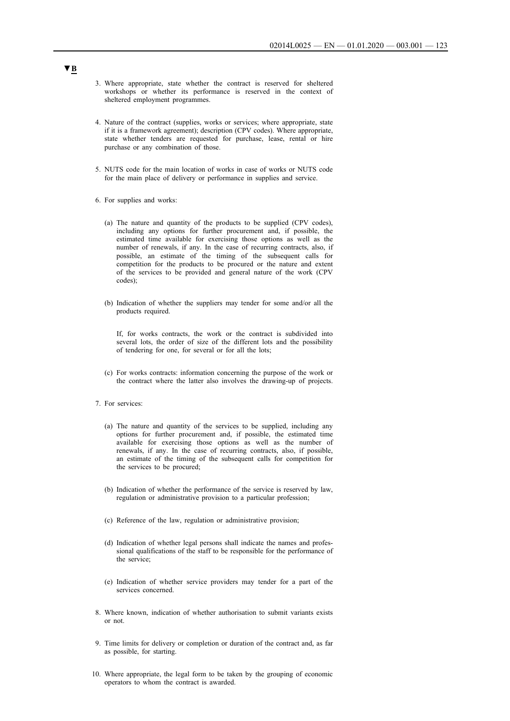- 3. Where appropriate, state whether the contract is reserved for sheltered workshops or whether its performance is reserved in the context of sheltered employment programmes.
- 4. Nature of the contract (supplies, works or services; where appropriate, state if it is a framework agreement); description (CPV codes). Where appropriate, state whether tenders are requested for purchase, lease, rental or hire purchase or any combination of those.
- 5. NUTS code for the main location of works in case of works or NUTS code for the main place of delivery or performance in supplies and service.
- 6. For supplies and works:
	- (a) The nature and quantity of the products to be supplied (CPV codes), including any options for further procurement and, if possible, the estimated time available for exercising those options as well as the number of renewals, if any. In the case of recurring contracts, also, if possible, an estimate of the timing of the subsequent calls for competition for the products to be procured or the nature and extent of the services to be provided and general nature of the work (CPV codes);
	- (b) Indication of whether the suppliers may tender for some and/or all the products required.

If, for works contracts, the work or the contract is subdivided into several lots, the order of size of the different lots and the possibility of tendering for one, for several or for all the lots;

- (c) For works contracts: information concerning the purpose of the work or the contract where the latter also involves the drawing-up of projects.
- 7. For services:
	- (a) The nature and quantity of the services to be supplied, including any options for further procurement and, if possible, the estimated time available for exercising those options as well as the number of renewals, if any. In the case of recurring contracts, also, if possible, an estimate of the timing of the subsequent calls for competition for the services to be procured;
	- (b) Indication of whether the performance of the service is reserved by law, regulation or administrative provision to a particular profession;
	- (c) Reference of the law, regulation or administrative provision;
	- (d) Indication of whether legal persons shall indicate the names and professional qualifications of the staff to be responsible for the performance of the service;
	- (e) Indication of whether service providers may tender for a part of the services concerned.
- 8. Where known, indication of whether authorisation to submit variants exists or not.
- 9. Time limits for delivery or completion or duration of the contract and, as far as possible, for starting.
- 10. Where appropriate, the legal form to be taken by the grouping of economic operators to whom the contract is awarded.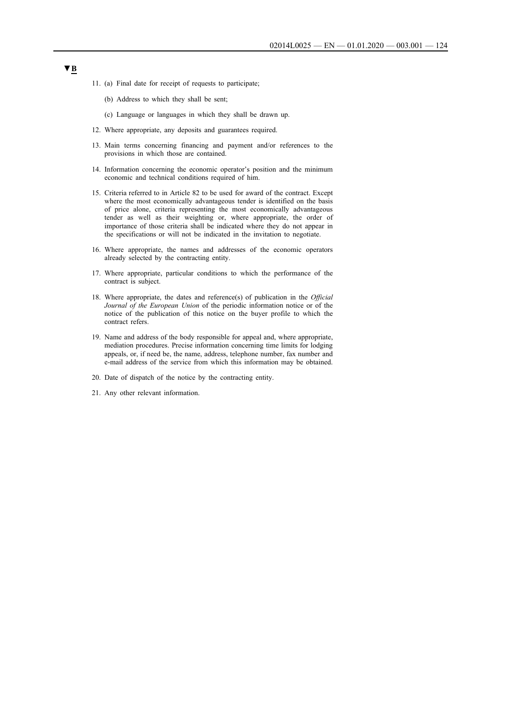- 11. (a) Final date for receipt of requests to participate;
	- (b) Address to which they shall be sent;
	- (c) Language or languages in which they shall be drawn up.
- 12. Where appropriate, any deposits and guarantees required.
- 13. Main terms concerning financing and payment and/or references to the provisions in which those are contained.
- 14. Information concerning the economic operator's position and the minimum economic and technical conditions required of him.
- 15. Criteria referred to in Article 82 to be used for award of the contract. Except where the most economically advantageous tender is identified on the basis of price alone, criteria representing the most economically advantageous tender as well as their weighting or, where appropriate, the order of importance of those criteria shall be indicated where they do not appear in the specifications or will not be indicated in the invitation to negotiate.
- 16. Where appropriate, the names and addresses of the economic operators already selected by the contracting entity.
- 17. Where appropriate, particular conditions to which the performance of the contract is subject.
- 18. Where appropriate, the dates and reference(s) of publication in the *Official Journal of the European Union* of the periodic information notice or of the notice of the publication of this notice on the buyer profile to which the contract refers.
- 19. Name and address of the body responsible for appeal and, where appropriate, mediation procedures. Precise information concerning time limits for lodging appeals, or, if need be, the name, address, telephone number, fax number and e-mail address of the service from which this information may be obtained.
- 20. Date of dispatch of the notice by the contracting entity.
- 21. Any other relevant information.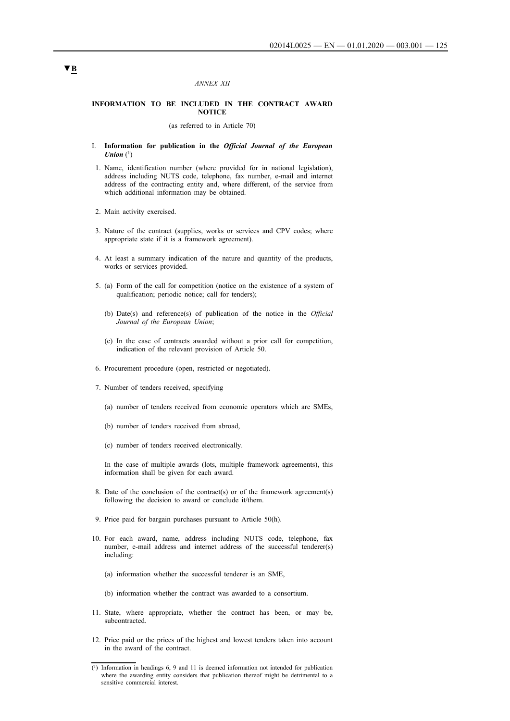#### *ANNEX XII*

### **INFORMATION TO BE INCLUDED IN THE CONTRACT AWARD NOTICE**

(as referred to in Article 70)

- I. **Information for publication in the** *Official Journal of the European Union*  $(1)$
- 1. Name, identification number (where provided for in national legislation), address including NUTS code, telephone, fax number, e-mail and internet address of the contracting entity and, where different, of the service from which additional information may be obtained.
- 2. Main activity exercised.
- 3. Nature of the contract (supplies, works or services and CPV codes; where appropriate state if it is a framework agreement).
- 4. At least a summary indication of the nature and quantity of the products, works or services provided.
- 5. (a) Form of the call for competition (notice on the existence of a system of qualification; periodic notice; call for tenders);
	- (b) Date(s) and reference(s) of publication of the notice in the *Official Journal of the European Union*;
	- (c) In the case of contracts awarded without a prior call for competition, indication of the relevant provision of Article 50.
- 6. Procurement procedure (open, restricted or negotiated).
- 7. Number of tenders received, specifying
	- (a) number of tenders received from economic operators which are SMEs,
	- (b) number of tenders received from abroad,
	- (c) number of tenders received electronically.

In the case of multiple awards (lots, multiple framework agreements), this information shall be given for each award.

- 8. Date of the conclusion of the contract(s) or of the framework agreement(s) following the decision to award or conclude it/them.
- 9. Price paid for bargain purchases pursuant to Article 50(h).
- 10. For each award, name, address including NUTS code, telephone, fax number, e-mail address and internet address of the successful tenderer(s) including:
	- (a) information whether the successful tenderer is an SME,
	- (b) information whether the contract was awarded to a consortium.
- 11. State, where appropriate, whether the contract has been, or may be, subcontracted.
- 12. Price paid or the prices of the highest and lowest tenders taken into account in the award of the contract.

<sup>(1)</sup> Information in headings 6, 9 and 11 is deemed information not intended for publication where the awarding entity considers that publication thereof might be detrimental to a sensitive commercial interest.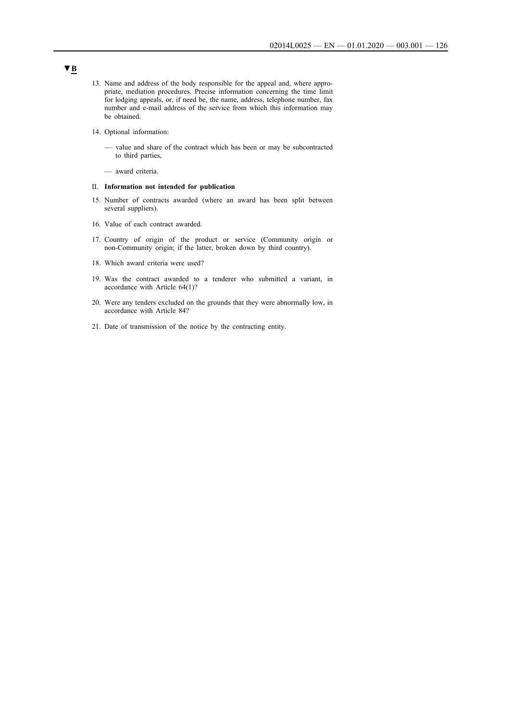- 13. Name and address of the body responsible for the appeal and, where appropriate, mediation procedures. Precise information concerning the time limit for lodging appeals, or, if need be, the name, address, telephone number, fax number and e-mail address of the service from which this information may be obtained.
- 14. Optional information:
	- value and share of the contract which has been or may be subcontracted to third parties,
	- award criteria.

### II. **Information not intended for publication**

- 15. Number of contracts awarded (where an award has been split between several suppliers).
- 16. Value of each contract awarded.
- 17. Country of origin of the product or service (Community origin or non-Community origin; if the latter, broken down by third country).
- 18. Which award criteria were used?
- 19. Was the contract awarded to a tenderer who submitted a variant, in accordance with Article 64(1)?
- 20. Were any tenders excluded on the grounds that they were abnormally low, in accordance with Article 84?
- 21. Date of transmission of the notice by the contracting entity.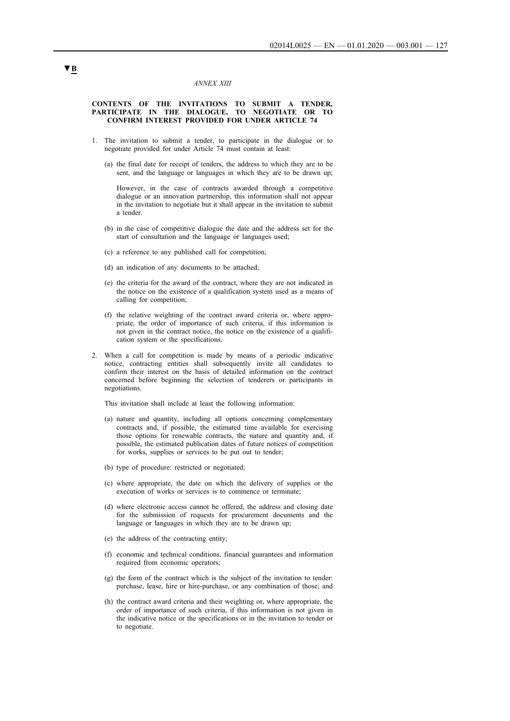#### *ANNEX XIII*

#### **CONTENTS OF THE INVITATIONS TO SUBMIT A TENDER, PARTICIPATE IN THE DIALOGUE, TO NEGOTIATE OR TO CONFIRM INTEREST PROVIDED FOR UNDER ARTICLE 74**

- 1. The invitation to submit a tender, to participate in the dialogue or to negotiate provided for under Article 74 must contain at least:
	- (a) the final date for receipt of tenders, the address to which they are to be sent, and the language or languages in which they are to be drawn up;

However, in the case of contracts awarded through a competitive dialogue or an innovation partnership, this information shall not appear in the invitation to negotiate but it shall appear in the invitation to submit a tender.

- (b) in the case of competitive dialogue the date and the address set for the start of consultation and the language or languages used;
- (c) a reference to any published call for competition;
- (d) an indication of any documents to be attached;
- (e) the criteria for the award of the contract, where they are not indicated in the notice on the existence of a qualification system used as a means of calling for competition;
- (f) the relative weighting of the contract award criteria or, where appropriate, the order of importance of such criteria, if this information is not given in the contract notice, the notice on the existence of a qualification system or the specifications.
- 2. When a call for competition is made by means of a periodic indicative notice, contracting entities shall subsequently invite all candidates to confirm their interest on the basis of detailed information on the contract concerned before beginning the selection of tenderers or participants in negotiations.

This invitation shall include at least the following information:

- (a) nature and quantity, including all options concerning complementary contracts and, if possible, the estimated time available for exercising those options for renewable contracts, the nature and quantity and, if possible, the estimated publication dates of future notices of competition for works, supplies or services to be put out to tender;
- (b) type of procedure: restricted or negotiated;
- (c) where appropriate, the date on which the delivery of supplies or the execution of works or services is to commence or terminate;
- (d) where electronic access cannot be offered, the address and closing date for the submission of requests for procurement documents and the language or languages in which they are to be drawn up;
- (e) the address of the contracting entity;
- (f) economic and technical conditions, financial guarantees and information required from economic operators;
- (g) the form of the contract which is the subject of the invitation to tender: purchase, lease, hire or hire-purchase, or any combination of those; and
- (h) the contract award criteria and their weighting or, where appropriate, the order of importance of such criteria, if this information is not given in the indicative notice or the specifications or in the invitation to tender or to negotiate.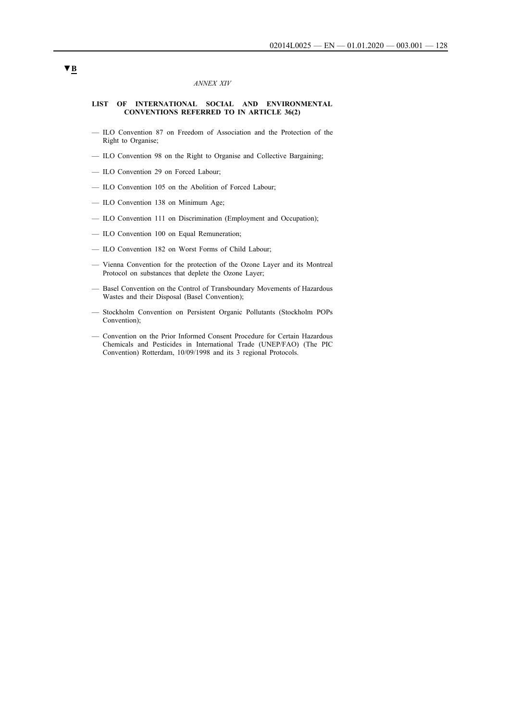### *ANNEX XIV*

#### **LIST OF INTERNATIONAL SOCIAL AND ENVIRONMENTAL CONVENTIONS REFERRED TO IN ARTICLE 36(2)**

- ILO Convention 87 on Freedom of Association and the Protection of the Right to Organise;
- ILO Convention 98 on the Right to Organise and Collective Bargaining;
- ILO Convention 29 on Forced Labour;
- ILO Convention 105 on the Abolition of Forced Labour;
- ILO Convention 138 on Minimum Age;
- ILO Convention 111 on Discrimination (Employment and Occupation);
- ILO Convention 100 on Equal Remuneration;
- ILO Convention 182 on Worst Forms of Child Labour;
- Vienna Convention for the protection of the Ozone Layer and its Montreal Protocol on substances that deplete the Ozone Layer;
- Basel Convention on the Control of Transboundary Movements of Hazardous Wastes and their Disposal (Basel Convention);
- Stockholm Convention on Persistent Organic Pollutants (Stockholm POPs Convention);
- Convention on the Prior Informed Consent Procedure for Certain Hazardous Chemicals and Pesticides in International Trade (UNEP/FAO) (The PIC Convention) Rotterdam, 10/09/1998 and its 3 regional Protocols.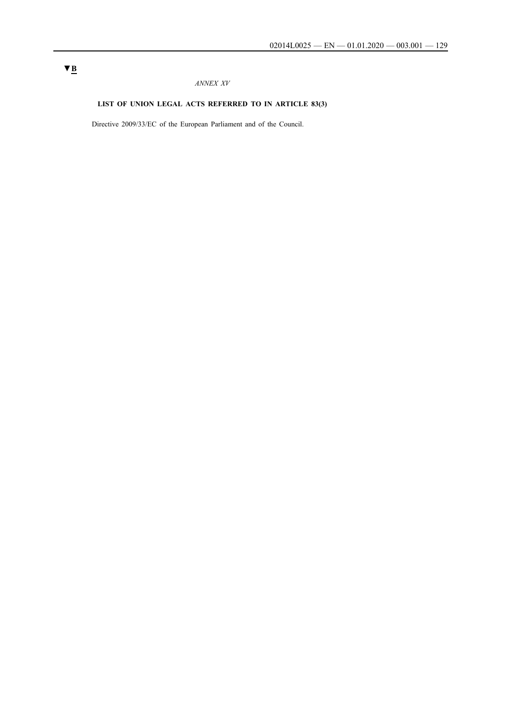## *ANNEX XV*

# **LIST OF UNION LEGAL ACTS REFERRED TO IN ARTICLE 83(3)**

Directive 2009/33/EC of the European Parliament and of the Council.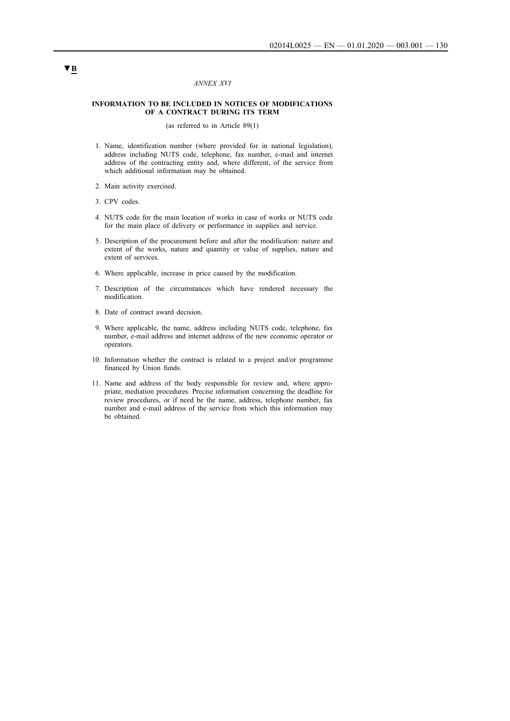### *ANNEX XVI*

### **INFORMATION TO BE INCLUDED IN NOTICES OF MODIFICATIONS OF A CONTRACT DURING ITS TERM**

(as referred to in Article 89(1)

- 1. Name, identification number (where provided for in national legislation), address including NUTS code, telephone, fax number, e-mail and internet address of the contracting entity and, where different, of the service from which additional information may be obtained.
- 2. Main activity exercised.
- 3. CPV codes.
- 4. NUTS code for the main location of works in case of works or NUTS code for the main place of delivery or performance in supplies and service.
- 5. Description of the procurement before and after the modification: nature and extent of the works, nature and quantity or value of supplies, nature and extent of services.
- 6. Where applicable, increase in price caused by the modification.
- 7. Description of the circumstances which have rendered necessary the modification.
- 8. Date of contract award decision.
- 9. Where applicable, the name, address including NUTS code, telephone, fax number, e-mail address and internet address of the new economic operator or operators.
- 10. Information whether the contract is related to a project and/or programme financed by Union funds.
- 11. Name and address of the body responsible for review and, where appropriate, mediation procedures. Precise information concerning the deadline for review procedures, or if need be the name, address, telephone number, fax number and e-mail address of the service from which this information may be obtained.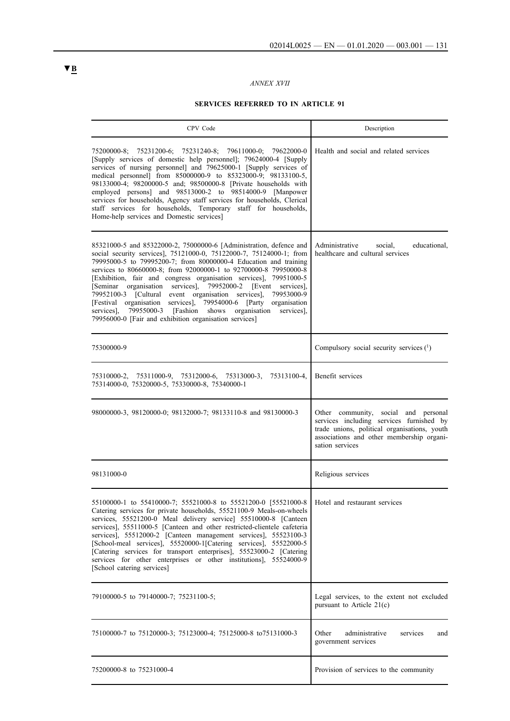# *ANNEX XVII*

# **SERVICES REFERRED TO IN ARTICLE 91**

| CPV Code                                                                                                                                                                                                                                                                                                                                                                                                                                                                                                                                                                                                                                                                                                     | Description                                                                                                                                                                                      |
|--------------------------------------------------------------------------------------------------------------------------------------------------------------------------------------------------------------------------------------------------------------------------------------------------------------------------------------------------------------------------------------------------------------------------------------------------------------------------------------------------------------------------------------------------------------------------------------------------------------------------------------------------------------------------------------------------------------|--------------------------------------------------------------------------------------------------------------------------------------------------------------------------------------------------|
| 75200000-8; 75231200-6; 75231240-8; 79611000-0; 79622000-0<br>[Supply services of domestic help personnel]; 79624000-4 [Supply<br>services of nursing personnel] and 79625000-1 [Supply services of<br>medical personnel] from 85000000-9 to 85323000-9; 98133100-5,<br>98133000-4; 98200000-5 and; 98500000-8 [Private households with<br>employed persons] and 98513000-2 to 98514000-9 [Manpower<br>services for households, Agency staff services for households, Clerical<br>staff services for households, Temporary staff for households,<br>Home-help services and Domestic services]                                                                                                                | Health and social and related services                                                                                                                                                           |
| 85321000-5 and 85322000-2, 75000000-6 [Administration, defence and<br>social security services], 75121000-0, 75122000-7, 75124000-1; from<br>79995000-5 to 79995200-7; from 80000000-4 Education and training<br>services to 80660000-8; from 92000000-1 to 92700000-8 79950000-8<br>[Exhibition, fair and congress organisation services], 79951000-5<br>[Seminar organisation services], 79952000-2<br>[Event services],<br>79952100-3 [Cultural event organisation services],<br>79953000-9<br>[Festival organisation services], 79954000-6 [Party<br>organisation<br>79955000-3<br>[Fashion shows]<br>organisation<br>services],<br>services].<br>79956000-0 [Fair and exhibition organisation services] | educational,<br>Administrative<br>social,<br>healthcare and cultural services                                                                                                                    |
| 75300000-9                                                                                                                                                                                                                                                                                                                                                                                                                                                                                                                                                                                                                                                                                                   | Compulsory social security services (1)                                                                                                                                                          |
| 75311000-9, 75312000-6,<br>75313000-3,<br>75313100-4,<br>75310000-2.<br>75314000-0, 75320000-5, 75330000-8, 75340000-1                                                                                                                                                                                                                                                                                                                                                                                                                                                                                                                                                                                       | Benefit services                                                                                                                                                                                 |
| 98000000-3, 98120000-0; 98132000-7; 98133110-8 and 98130000-3                                                                                                                                                                                                                                                                                                                                                                                                                                                                                                                                                                                                                                                | Other community, social and personal<br>services including services furnished by<br>trade unions, political organisations, youth<br>associations and other membership organi-<br>sation services |
| 98131000-0                                                                                                                                                                                                                                                                                                                                                                                                                                                                                                                                                                                                                                                                                                   | Religious services                                                                                                                                                                               |
| 55100000-1 to 55410000-7: 55521000-8 to 55521200-0 [55521000-8   Hotel and restaurant services<br>Catering services for private households, 55521100-9 Meals-on-wheels<br>services, 55521200-0 Meal delivery service] 55510000-8 [Canteen<br>services], 55511000-5 [Canteen and other restricted-clientele cafeteria<br>services], 55512000-2 [Canteen management services], 55523100-3<br>[School-meal services], 55520000-1[Catering services], 55522000-5<br>[Catering services for transport enterprises], 55523000-2 [Catering<br>services for other enterprises or other institutions], 55524000-9<br>[School catering services]                                                                       |                                                                                                                                                                                                  |
| 79100000-5 to 79140000-7; 75231100-5;                                                                                                                                                                                                                                                                                                                                                                                                                                                                                                                                                                                                                                                                        | Legal services, to the extent not excluded<br>pursuant to Article 21(c)                                                                                                                          |
| 75100000-7 to 75120000-3; 75123000-4; 75125000-8 to 75131000-3                                                                                                                                                                                                                                                                                                                                                                                                                                                                                                                                                                                                                                               | Other<br>administrative<br>services<br>and<br>government services                                                                                                                                |
| 75200000-8 to 75231000-4                                                                                                                                                                                                                                                                                                                                                                                                                                                                                                                                                                                                                                                                                     | Provision of services to the community                                                                                                                                                           |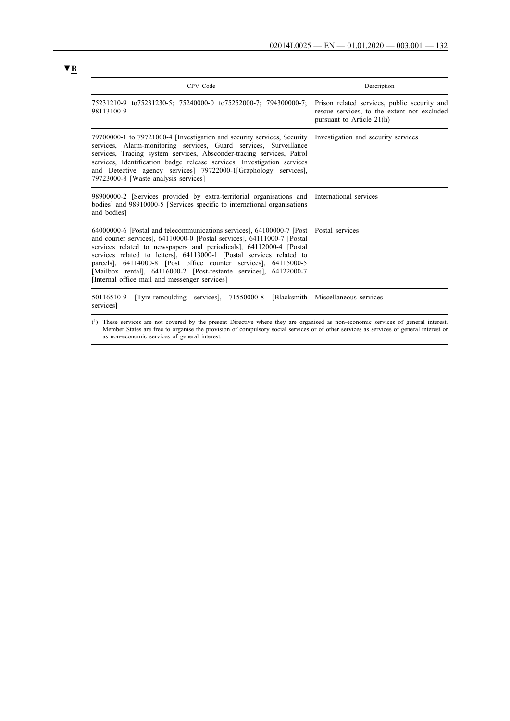| CPV Code                                                                                                                                                                                                                                                                                                                                                                                                                                                                                   | Description                                                                                                              |
|--------------------------------------------------------------------------------------------------------------------------------------------------------------------------------------------------------------------------------------------------------------------------------------------------------------------------------------------------------------------------------------------------------------------------------------------------------------------------------------------|--------------------------------------------------------------------------------------------------------------------------|
| 75231210-9 to75231230-5; 75240000-0 to75252000-7; 794300000-7;<br>98113100-9                                                                                                                                                                                                                                                                                                                                                                                                               | Prison related services, public security and<br>rescue services, to the extent not excluded<br>pursuant to Article 21(h) |
| 79700000-1 to 79721000-4 [Investigation and security services, Security<br>services, Alarm-monitoring services, Guard services, Surveillance<br>services, Tracing system services, Absconder-tracing services, Patrol<br>services, Identification badge release services, Investigation services<br>and Detective agency services 79722000-1[Graphology services],<br>79723000-8 [Waste analysis services]                                                                                 | Investigation and security services                                                                                      |
| 98900000-2 [Services provided by extra-territorial organisations and<br>bodies] and 98910000-5 [Services specific to international organisations<br>and bodies]                                                                                                                                                                                                                                                                                                                            | International services                                                                                                   |
| 64000000-6 [Postal and telecommunications services], 64100000-7 [Post]<br>and courier services], 64110000-0 [Postal services], 64111000-7 [Postal<br>services related to newspapers and periodicals], 64112000-4 [Postal]<br>services related to letters], 64113000-1 [Postal services related to<br>parcels], 64114000-8 [Post office counter services], 64115000-5<br>[Mailbox rental], 64116000-2 [Post-restante services], 64122000-7<br>[Internal office mail and messenger services] | Postal services                                                                                                          |
| 50116510-9<br>[Tyre-remoulding services], 71550000-8<br>[Blacksmith]<br>services]                                                                                                                                                                                                                                                                                                                                                                                                          | Miscellaneous services                                                                                                   |
| (1) These services are not covered by the present Directive where they are organised as non-economic services of general interest.                                                                                                                                                                                                                                                                                                                                                         |                                                                                                                          |

Member States are free to organise the provision of compulsory social services or of other services as services of general interest or as non-economic services of general interest.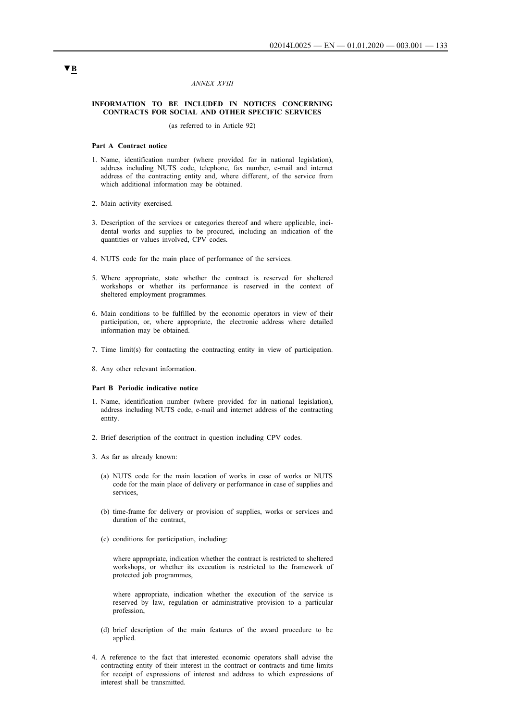#### *ANNEX XVIII*

### **INFORMATION TO BE INCLUDED IN NOTICES CONCERNING CONTRACTS FOR SOCIAL AND OTHER SPECIFIC SERVICES**

(as referred to in Article 92)

#### **Part A Contract notice**

- 1. Name, identification number (where provided for in national legislation), address including NUTS code, telephone, fax number, e-mail and internet address of the contracting entity and, where different, of the service from which additional information may be obtained.
- 2. Main activity exercised.
- 3. Description of the services or categories thereof and where applicable, incidental works and supplies to be procured, including an indication of the quantities or values involved, CPV codes.
- 4. NUTS code for the main place of performance of the services.
- 5. Where appropriate, state whether the contract is reserved for sheltered workshops or whether its performance is reserved in the context of sheltered employment programmes.
- 6. Main conditions to be fulfilled by the economic operators in view of their participation, or, where appropriate, the electronic address where detailed information may be obtained.
- 7. Time limit(s) for contacting the contracting entity in view of participation.
- 8. Any other relevant information.

### **Part B Periodic indicative notice**

- 1. Name, identification number (where provided for in national legislation), address including NUTS code, e-mail and internet address of the contracting entity.
- 2. Brief description of the contract in question including CPV codes.
- 3. As far as already known:
	- (a) NUTS code for the main location of works in case of works or NUTS code for the main place of delivery or performance in case of supplies and services,
	- (b) time-frame for delivery or provision of supplies, works or services and duration of the contract,
	- (c) conditions for participation, including:

where appropriate, indication whether the contract is restricted to sheltered workshops, or whether its execution is restricted to the framework of protected job programmes,

where appropriate, indication whether the execution of the service is reserved by law, regulation or administrative provision to a particular profession,

- (d) brief description of the main features of the award procedure to be applied.
- 4. A reference to the fact that interested economic operators shall advise the contracting entity of their interest in the contract or contracts and time limits for receipt of expressions of interest and address to which expressions of interest shall be transmitted.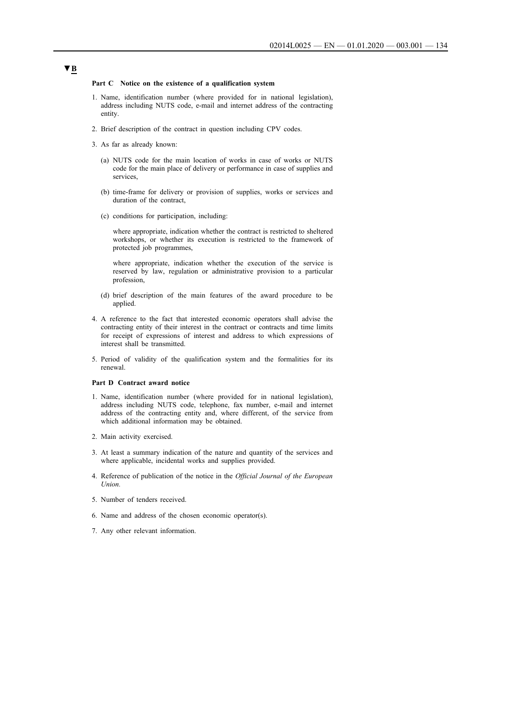#### **Part C Notice on the existence of a qualification system**

- 1. Name, identification number (where provided for in national legislation), address including NUTS code, e-mail and internet address of the contracting entity.
- 2. Brief description of the contract in question including CPV codes.
- 3. As far as already known:
	- (a) NUTS code for the main location of works in case of works or NUTS code for the main place of delivery or performance in case of supplies and services,
	- (b) time-frame for delivery or provision of supplies, works or services and duration of the contract,
	- (c) conditions for participation, including:

where appropriate, indication whether the contract is restricted to sheltered workshops, or whether its execution is restricted to the framework of protected job programmes,

where appropriate, indication whether the execution of the service is reserved by law, regulation or administrative provision to a particular profession,

- (d) brief description of the main features of the award procedure to be applied.
- 4. A reference to the fact that interested economic operators shall advise the contracting entity of their interest in the contract or contracts and time limits for receipt of expressions of interest and address to which expressions of interest shall be transmitted.
- 5. Period of validity of the qualification system and the formalities for its renewal.

### **Part D Contract award notice**

- 1. Name, identification number (where provided for in national legislation), address including NUTS code, telephone, fax number, e-mail and internet address of the contracting entity and, where different, of the service from which additional information may be obtained.
- 2. Main activity exercised.
- 3. At least a summary indication of the nature and quantity of the services and where applicable, incidental works and supplies provided.
- 4. Reference of publication of the notice in the *Official Journal of the European Union.*
- 5. Number of tenders received.
- 6. Name and address of the chosen economic operator(s).
- 7. Any other relevant information.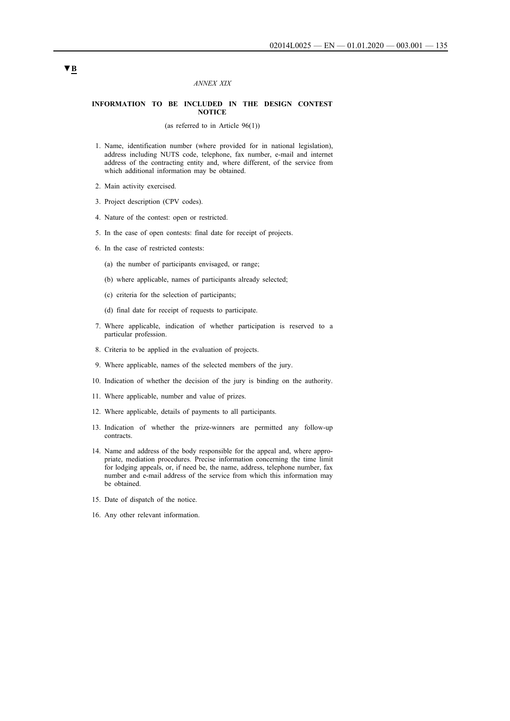#### *ANNEX XIX*

### **INFORMATION TO BE INCLUDED IN THE DESIGN CONTEST NOTICE**

(as referred to in Article 96(1))

- 1. Name, identification number (where provided for in national legislation), address including NUTS code, telephone, fax number, e-mail and internet address of the contracting entity and, where different, of the service from which additional information may be obtained.
- 2. Main activity exercised.
- 3. Project description (CPV codes).
- 4. Nature of the contest: open or restricted.
- 5. In the case of open contests: final date for receipt of projects.
- 6. In the case of restricted contests:
	- (a) the number of participants envisaged, or range;
	- (b) where applicable, names of participants already selected;
	- (c) criteria for the selection of participants;
	- (d) final date for receipt of requests to participate.
- 7. Where applicable, indication of whether participation is reserved to a particular profession.
- 8. Criteria to be applied in the evaluation of projects.
- 9. Where applicable, names of the selected members of the jury.
- 10. Indication of whether the decision of the jury is binding on the authority.
- 11. Where applicable, number and value of prizes.
- 12. Where applicable, details of payments to all participants.
- 13. Indication of whether the prize-winners are permitted any follow-up contracts.
- 14. Name and address of the body responsible for the appeal and, where appropriate, mediation procedures. Precise information concerning the time limit for lodging appeals, or, if need be, the name, address, telephone number, fax number and e-mail address of the service from which this information may be obtained.
- 15. Date of dispatch of the notice.
- 16. Any other relevant information.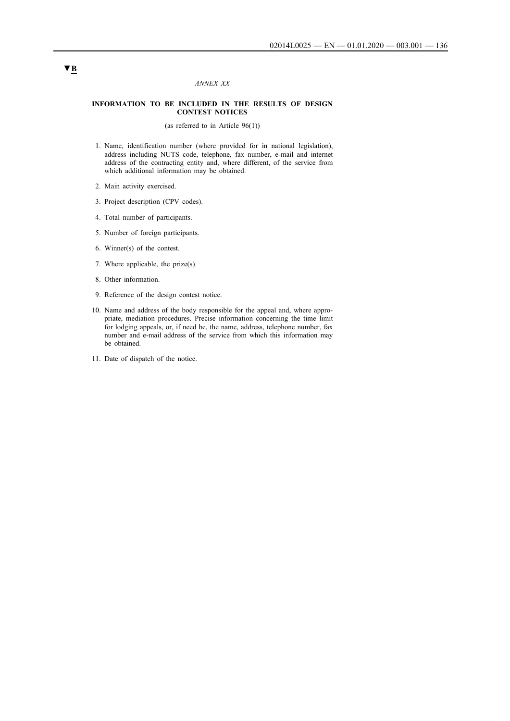### *ANNEX XX*

### **INFORMATION TO BE INCLUDED IN THE RESULTS OF DESIGN CONTEST NOTICES**

(as referred to in Article 96(1))

- 1. Name, identification number (where provided for in national legislation), address including NUTS code, telephone, fax number, e-mail and internet address of the contracting entity and, where different, of the service from which additional information may be obtained.
- 2. Main activity exercised.
- 3. Project description (CPV codes).
- 4. Total number of participants.
- 5. Number of foreign participants.
- 6. Winner(s) of the contest.
- 7. Where applicable, the prize(s).
- 8. Other information.
- 9. Reference of the design contest notice.
- 10. Name and address of the body responsible for the appeal and, where appropriate, mediation procedures. Precise information concerning the time limit for lodging appeals, or, if need be, the name, address, telephone number, fax number and e-mail address of the service from which this information may be obtained.
- 11. Date of dispatch of the notice.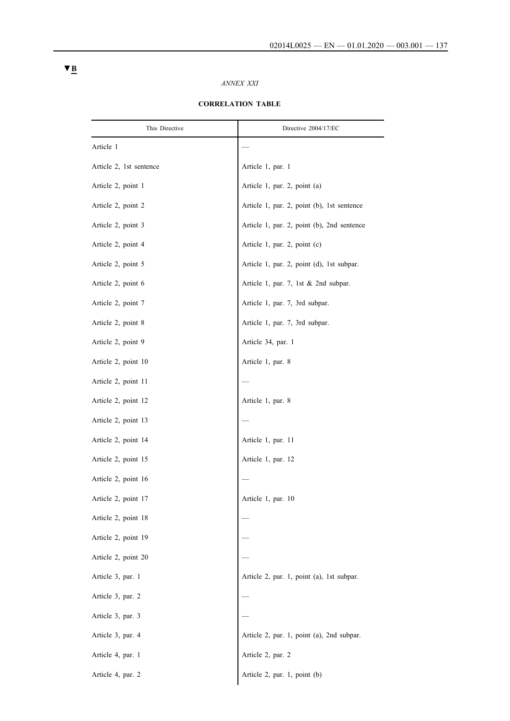# *ANNEX XXI*

| This Directive          | Directive 2004/17/EC                       |
|-------------------------|--------------------------------------------|
| Article 1               |                                            |
| Article 2, 1st sentence | Article 1, par. 1                          |
| Article 2, point 1      | Article 1, par. 2, point (a)               |
| Article 2, point 2      | Article 1, par. 2, point (b), 1st sentence |
| Article 2, point 3      | Article 1, par. 2, point (b), 2nd sentence |
| Article 2, point 4      | Article 1, par. 2, point (c)               |
| Article 2, point 5      | Article 1, par. 2, point (d), 1st subpar.  |
| Article 2, point 6      | Article 1, par. 7, 1st & 2nd subpar.       |
| Article 2, point 7      | Article 1, par. 7, 3rd subpar.             |
| Article 2, point 8      | Article 1, par. 7, 3rd subpar.             |
| Article 2, point 9      | Article 34, par. 1                         |
| Article 2, point 10     | Article 1, par. 8                          |
| Article 2, point 11     |                                            |
| Article 2, point 12     | Article 1, par. 8                          |
| Article 2, point 13     |                                            |
| Article 2, point 14     | Article 1, par. 11                         |
| Article 2, point 15     | Article 1, par. 12                         |
| Article 2, point 16     |                                            |
| Article 2, point 17     | Article 1, par. 10                         |
| Article 2, point 18     |                                            |
| Article 2, point 19     |                                            |
| Article 2, point 20     |                                            |
| Article 3, par. 1       | Article 2, par. 1, point (a), 1st subpar.  |
| Article 3, par. 2       |                                            |
| Article 3, par. 3       |                                            |
| Article 3, par. 4       | Article 2, par. 1, point (a), 2nd subpar.  |
| Article 4, par. 1       | Article 2, par. 2                          |
| Article 4, par. 2       | Article 2, par. 1, point (b)               |

# **CORRELATION TABLE**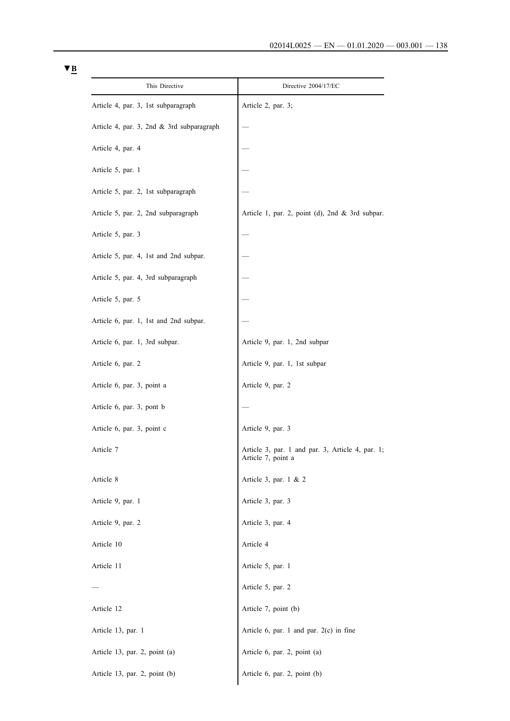| This Directive                            | Directive 2004/17/EC                                                   |
|-------------------------------------------|------------------------------------------------------------------------|
| Article 4, par. 3, 1st subparagraph       | Article 2, par. 3;                                                     |
| Article 4, par. 3, 2nd & 3rd subparagraph |                                                                        |
| Article 4, par. 4                         |                                                                        |
| Article 5, par. 1                         |                                                                        |
| Article 5, par. 2, 1st subparagraph       |                                                                        |
| Article 5, par. 2, 2nd subparagraph       | Article 1, par. 2, point (d), 2nd & 3rd subpar.                        |
| Article 5, par. 3                         |                                                                        |
| Article 5, par. 4, 1st and 2nd subpar.    |                                                                        |
| Article 5, par. 4, 3rd subparagraph       |                                                                        |
| Article 5, par. 5                         |                                                                        |
| Article 6, par. 1, 1st and 2nd subpar.    |                                                                        |
| Article 6, par. 1, 3rd subpar.            | Article 9, par. 1, 2nd subpar                                          |
| Article 6, par. 2                         | Article 9, par. 1, 1st subpar                                          |
| Article 6, par. 3, point a                | Article 9, par. 2                                                      |
| Article 6, par. 3, pont b                 |                                                                        |
| Article 6, par. 3, point c                | Article 9, par. 3                                                      |
| Article 7                                 | Article 3, par. 1 and par. 3, Article 4, par. 1;<br>Article 7, point a |
| Article 8                                 | Article 3, par. 1 & 2                                                  |
| Article 9, par. 1                         | Article 3, par. 3                                                      |
| Article 9, par. 2                         | Article 3, par. 4                                                      |
| Article 10                                | Article 4                                                              |
| Article 11                                | Article 5, par. 1                                                      |
|                                           | Article 5, par. 2                                                      |
| Article 12                                | Article 7, point (b)                                                   |
| Article 13, par. 1                        | Article 6, par. 1 and par. $2(c)$ in fine                              |
| Article 13, par. 2, point (a)             | Article 6, par. 2, point (a)                                           |
| Article 13, par. 2, point (b)             | Article 6, par. 2, point (b)                                           |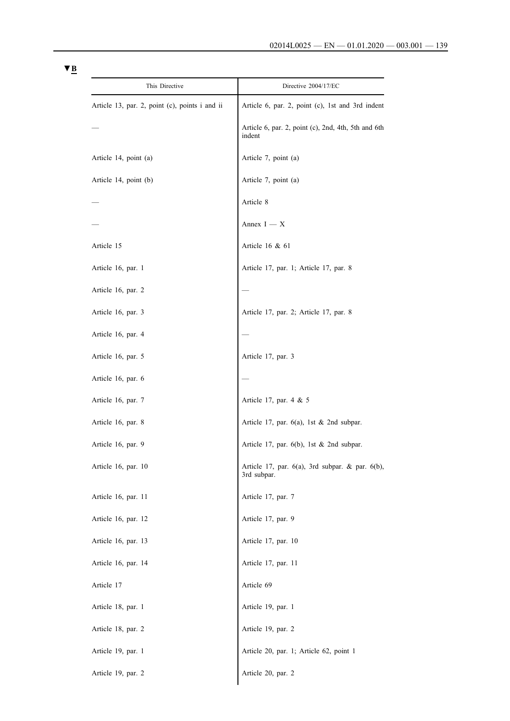| This Directive                                 | Directive 2004/17/EC                                                 |
|------------------------------------------------|----------------------------------------------------------------------|
| Article 13, par. 2, point (c), points i and ii | Article 6, par. 2, point (c), 1st and 3rd indent                     |
|                                                | Article 6, par. 2, point (c), 2nd, 4th, 5th and 6th<br>indent        |
| Article 14, point (a)                          | Article 7, point (a)                                                 |
| Article 14, point (b)                          | Article 7, point (a)                                                 |
|                                                | Article 8                                                            |
|                                                | Annex $I - X$                                                        |
| Article 15                                     | Article 16 $& 61$                                                    |
| Article 16, par. 1                             | Article 17, par. 1; Article 17, par. 8                               |
| Article 16, par. 2                             |                                                                      |
| Article 16, par. 3                             | Article 17, par. 2; Article 17, par. 8                               |
| Article 16, par. 4                             |                                                                      |
| Article 16, par. 5                             | Article 17, par. 3                                                   |
| Article 16, par. 6                             |                                                                      |
| Article 16, par. 7                             | Article 17, par. 4 & 5                                               |
| Article 16, par. 8                             | Article 17, par. $6(a)$ , 1st & 2nd subpar.                          |
| Article 16, par. 9                             | Article 17, par. $6(b)$ , 1st $\&$ 2nd subpar.                       |
| Article 16, par. 10                            | Article 17, par. $6(a)$ , 3rd subpar. & par. $6(b)$ ,<br>3rd subpar. |
| Article 16, par. 11                            | Article 17, par. 7                                                   |
| Article 16, par. 12                            | Article 17, par. 9                                                   |
| Article 16, par. 13                            | Article 17, par. 10                                                  |
| Article 16, par. 14                            | Article 17, par. 11                                                  |
| Article 17                                     | Article 69                                                           |
| Article 18, par. 1                             | Article 19, par. 1                                                   |
| Article 18, par. 2                             | Article 19, par. 2                                                   |
| Article 19, par. 1                             | Article 20, par. 1; Article 62, point 1                              |
| Article 19, par. 2                             | Article 20, par. 2                                                   |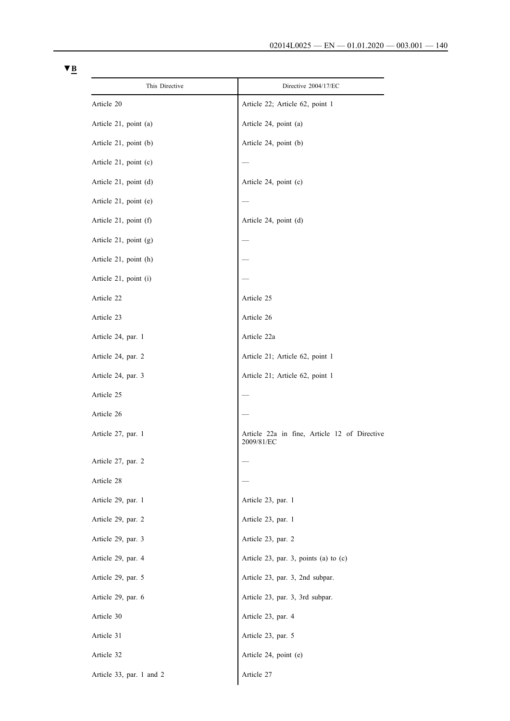| This Directive           | Directive 2004/17/EC                                       |
|--------------------------|------------------------------------------------------------|
| Article 20               | Article 22; Article 62, point 1                            |
| Article 21, point (a)    | Article 24, point (a)                                      |
| Article 21, point (b)    | Article 24, point (b)                                      |
| Article 21, point (c)    |                                                            |
| Article 21, point (d)    | Article 24, point (c)                                      |
| Article 21, point (e)    |                                                            |
| Article 21, point (f)    | Article 24, point (d)                                      |
| Article 21, point (g)    |                                                            |
| Article 21, point (h)    |                                                            |
| Article 21, point (i)    |                                                            |
| Article 22               | Article 25                                                 |
| Article 23               | Article 26                                                 |
| Article 24, par. 1       | Article 22a                                                |
| Article 24, par. 2       | Article 21; Article 62, point 1                            |
| Article 24, par. 3       | Article 21; Article 62, point 1                            |
| Article 25               |                                                            |
| Article 26               |                                                            |
| Article 27, par. 1       | Article 22a in fine, Article 12 of Directive<br>2009/81/EC |
| Article 27, par. 2       |                                                            |
| Article 28               |                                                            |
| Article 29, par. 1       | Article 23, par. 1                                         |
| Article 29, par. 2       | Article 23, par. 1                                         |
| Article 29, par. 3       | Article 23, par. 2                                         |
| Article 29, par. 4       | Article 23, par. 3, points (a) to (c)                      |
| Article 29, par. 5       | Article 23, par. 3, 2nd subpar.                            |
| Article 29, par. 6       | Article 23, par. 3, 3rd subpar.                            |
| Article 30               | Article 23, par. 4                                         |
| Article 31               | Article 23, par. 5                                         |
| Article 32               | Article 24, point (e)                                      |
| Article 33, par. 1 and 2 | Article 27                                                 |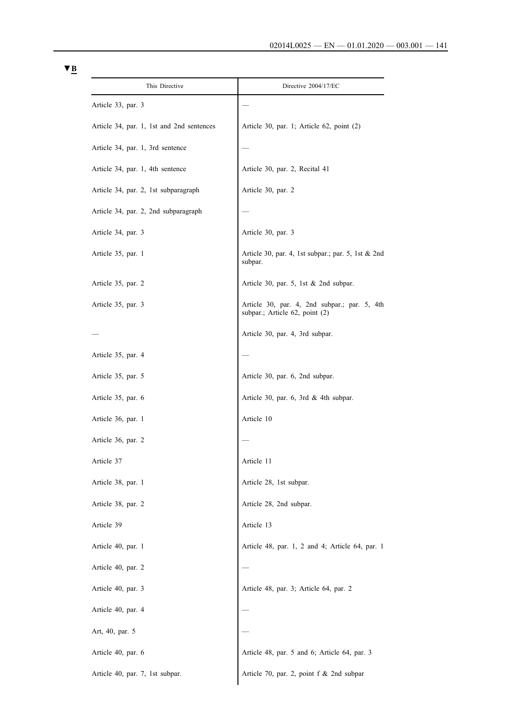| This Directive                            | Directive 2004/17/EC                                                           |
|-------------------------------------------|--------------------------------------------------------------------------------|
| Article 33, par. 3                        |                                                                                |
| Article 34, par. 1, 1st and 2nd sentences | Article 30, par. 1; Article 62, point (2)                                      |
| Article 34, par. 1, 3rd sentence          |                                                                                |
| Article 34, par. 1, 4th sentence          | Article 30, par. 2, Recital 41                                                 |
| Article 34, par. 2, 1st subparagraph      | Article 30, par. 2                                                             |
| Article 34, par. 2, 2nd subparagraph      |                                                                                |
| Article 34, par. 3                        | Article 30, par. 3                                                             |
| Article 35, par. 1                        | Article 30, par. 4, 1st subpar.; par. 5, 1st $& 2nd$<br>subpar.                |
| Article 35, par. 2                        | Article 30, par. 5, 1st $& 2nd$ subpar.                                        |
| Article 35, par. 3                        | Article 30, par. 4, 2nd subpar.; par. 5, 4th<br>subpar.; Article 62, point (2) |
|                                           | Article 30, par. 4, 3rd subpar.                                                |
| Article 35, par. 4                        |                                                                                |
| Article 35, par. 5                        | Article 30, par. 6, 2nd subpar.                                                |
| Article 35, par. 6                        | Article 30, par. 6, 3rd $&$ 4th subpar.                                        |
| Article 36, par. 1                        | Article 10                                                                     |
| Article 36, par. 2                        |                                                                                |
| Article 37                                | Article 11                                                                     |
| Article 38, par. 1                        | Article 28, 1st subpar.                                                        |
| Article 38, par. 2                        | Article 28, 2nd subpar.                                                        |
| Article 39                                | Article 13                                                                     |
| Article 40, par. 1                        | Article 48, par. 1, 2 and 4; Article 64, par. 1                                |
| Article 40, par. 2                        |                                                                                |
| Article 40, par. 3                        | Article 48, par. 3; Article 64, par. 2                                         |
| Article 40, par. 4                        |                                                                                |
| Art, 40, par. 5                           |                                                                                |
| Article 40, par. 6                        | Article 48, par. 5 and 6; Article 64, par. 3                                   |
| Article 40, par. 7, 1st subpar.           | Article 70, par. 2, point f & 2nd subpar                                       |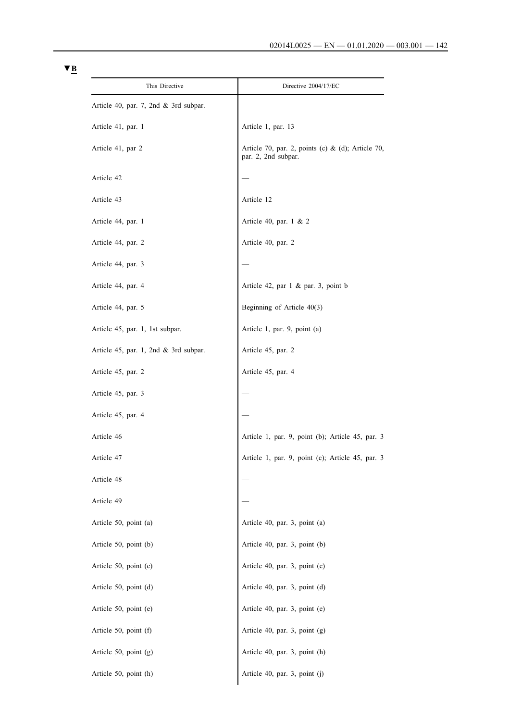| This Directive                           | Directive 2004/17/EC                                                        |
|------------------------------------------|-----------------------------------------------------------------------------|
| Article 40, par. 7, 2nd $\&$ 3rd subpar. |                                                                             |
| Article 41, par. 1                       | Article 1, par. 13                                                          |
| Article 41, par 2                        | Article 70, par. 2, points (c) $\&$ (d); Article 70,<br>par. 2, 2nd subpar. |
| Article 42                               |                                                                             |
| Article 43                               | Article 12                                                                  |
| Article 44, par. 1                       | Article 40, par. 1 & 2                                                      |
| Article 44, par. 2                       | Article 40, par. 2                                                          |
| Article 44, par. 3                       |                                                                             |
| Article 44, par. 4                       | Article 42, par 1 & par. 3, point b                                         |
| Article 44, par. 5                       | Beginning of Article 40(3)                                                  |
| Article 45, par. 1, 1st subpar.          | Article 1, par. 9, point (a)                                                |
| Article 45, par. 1, 2nd & 3rd subpar.    | Article 45, par. 2                                                          |
| Article 45, par. 2                       | Article 45, par. 4                                                          |
| Article 45, par. 3                       |                                                                             |
| Article 45, par. 4                       |                                                                             |
| Article 46                               | Article 1, par. 9, point (b); Article 45, par. 3                            |
| Article 47                               | Article 1, par. 9, point (c); Article 45, par.                              |
| Article 48                               |                                                                             |
| Article 49                               |                                                                             |
| Article 50, point (a)                    | Article 40, par. 3, point (a)                                               |
| Article 50, point (b)                    | Article 40, par. 3, point (b)                                               |
| Article 50, point (c)                    | Article 40, par. 3, point (c)                                               |
| Article 50, point (d)                    | Article 40, par. 3, point (d)                                               |
| Article 50, point (e)                    | Article 40, par. 3, point (e)                                               |
| Article 50, point (f)                    | Article 40, par. 3, point (g)                                               |
| Article 50, point (g)                    | Article 40, par. 3, point (h)                                               |
| Article 50, point (h)                    | Article 40, par. 3, point (j)                                               |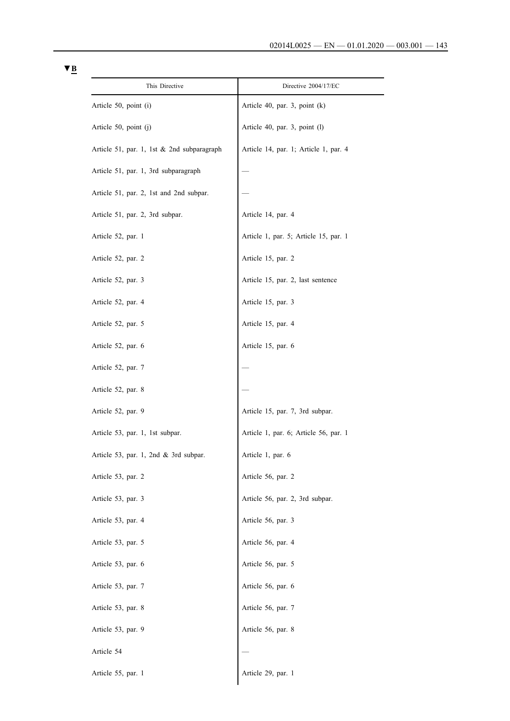| This Directive                             | Directive 2004/17/EC                  |
|--------------------------------------------|---------------------------------------|
| Article 50, point (i)                      | Article 40, par. 3, point $(k)$       |
| Article 50, point (j)                      | Article 40, par. 3, point (l)         |
| Article 51, par. 1, 1st & 2nd subparagraph | Article 14, par. 1; Article 1, par. 4 |
| Article 51, par. 1, 3rd subparagraph       |                                       |
| Article 51, par. 2, 1st and 2nd subpar.    |                                       |
| Article 51, par. 2, 3rd subpar.            | Article 14, par. 4                    |
| Article 52, par. 1                         | Article 1, par. 5; Article 15, par. 1 |
| Article 52, par. 2                         | Article 15, par. 2                    |
| Article 52, par. 3                         | Article 15, par. 2, last sentence     |
| Article 52, par. 4                         | Article 15, par. 3                    |
| Article 52, par. 5                         | Article 15, par. 4                    |
| Article 52, par. 6                         | Article 15, par. 6                    |
| Article 52, par. 7                         |                                       |
| Article 52, par. 8                         |                                       |
| Article 52, par. 9                         | Article 15, par. 7, 3rd subpar.       |
| Article 53, par. 1, 1st subpar.            | Article 1, par. 6; Article 56, par. 1 |
| Article 53, par. 1, 2nd & 3rd subpar.      | Article 1, par. 6                     |
| Article 53, par. 2                         | Article 56, par. 2                    |
| Article 53, par. 3                         | Article 56, par. 2, 3rd subpar.       |
| Article 53, par. 4                         | Article 56, par. 3                    |
| Article 53, par. 5                         | Article 56, par. 4                    |
| Article 53, par. 6                         | Article 56, par. 5                    |
| Article 53, par. 7                         | Article 56, par. 6                    |
| Article 53, par. 8                         | Article 56, par. 7                    |
| Article 53, par. 9                         | Article 56, par. 8                    |
| Article 54                                 |                                       |
| Article 55, par. 1                         | Article 29, par. 1                    |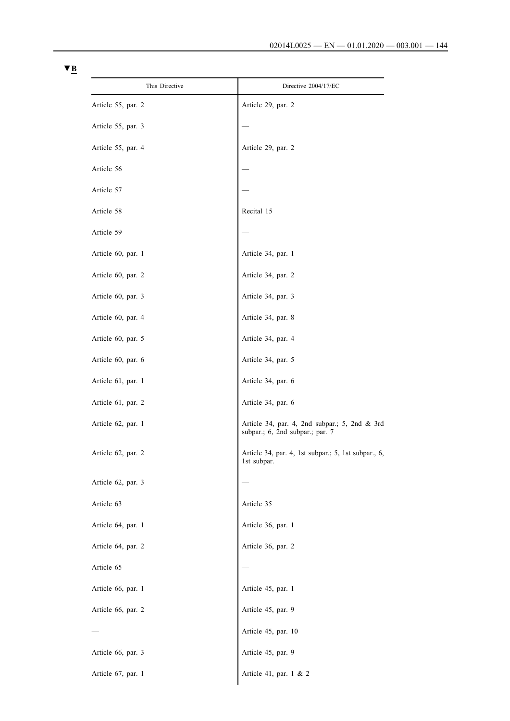| This Directive     | Directive 2004/17/EC                                                             |
|--------------------|----------------------------------------------------------------------------------|
| Article 55, par. 2 | Article 29, par. 2                                                               |
| Article 55, par. 3 |                                                                                  |
| Article 55, par. 4 | Article 29, par. 2                                                               |
| Article 56         |                                                                                  |
| Article 57         |                                                                                  |
| Article 58         | Recital 15                                                                       |
| Article 59         |                                                                                  |
| Article 60, par. 1 | Article 34, par. 1                                                               |
| Article 60, par. 2 | Article 34, par. 2                                                               |
| Article 60, par. 3 | Article 34, par. 3                                                               |
| Article 60, par. 4 | Article 34, par. 8                                                               |
| Article 60, par. 5 | Article 34, par. 4                                                               |
| Article 60, par. 6 | Article 34, par. 5                                                               |
| Article 61, par. 1 | Article 34, par. 6                                                               |
| Article 61, par. 2 | Article 34, par. 6                                                               |
| Article 62, par. 1 | Article 34, par. 4, 2nd subpar.; 5, 2nd & 3rd<br>subpar.; 6, 2nd subpar.; par. 7 |
| Article 62, par. 2 | Article 34, par. 4, 1st subpar.; 5, 1st subpar., 6,<br>1st subpar.               |
| Article 62, par. 3 |                                                                                  |
| Article 63         | Article 35                                                                       |
| Article 64, par. 1 | Article 36, par. 1                                                               |
| Article 64, par. 2 | Article 36, par. 2                                                               |
| Article 65         |                                                                                  |
| Article 66, par. 1 | Article 45, par. 1                                                               |
| Article 66, par. 2 | Article 45, par. 9                                                               |
|                    | Article 45, par. 10                                                              |
| Article 66, par. 3 | Article 45, par. 9                                                               |
| Article 67, par. 1 | Article 41, par. 1 & 2                                                           |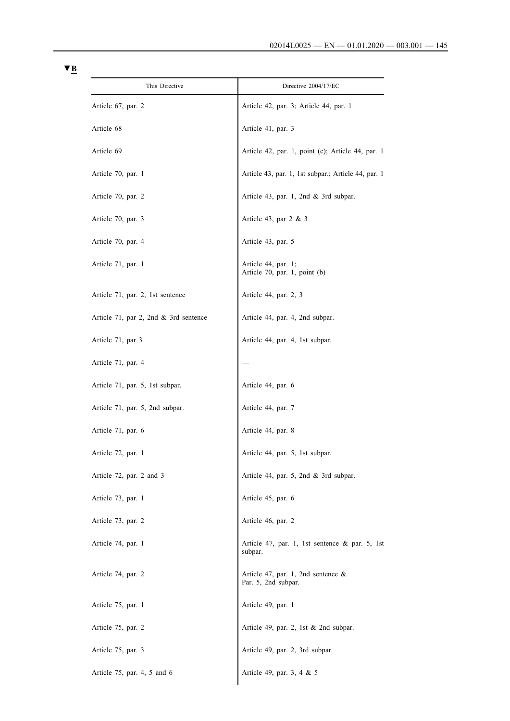| This Directive                          | Directive 2004/17/EC                                         |
|-----------------------------------------|--------------------------------------------------------------|
| Article 67, par. 2                      | Article 42, par. 3; Article 44, par. 1                       |
| Article 68                              | Article 41, par. 3                                           |
| Article 69                              | Article 42, par. 1, point (c); Article 44, par. 1            |
| Article 70, par. 1                      | Article 43, par. 1, 1st subpar.; Article 44, par. 1          |
| Article 70, par. 2                      | Article 43, par. 1, 2nd $&$ 3rd subpar.                      |
| Article 70, par. 3                      | Article 43, par $2 \& 3$                                     |
| Article 70, par. 4                      | Article 43, par. 5                                           |
| Article 71, par. 1                      | Article 44, par. 1;<br>Article 70, par. 1, point (b)         |
| Article 71, par. 2, 1st sentence        | Article 44, par. 2, 3                                        |
| Article 71, par 2, 2nd $&$ 3rd sentence | Article 44, par. 4, 2nd subpar.                              |
| Article 71, par 3                       | Article 44, par. 4, 1st subpar.                              |
| Article 71, par. 4                      |                                                              |
| Article 71, par. 5, 1st subpar.         | Article 44, par. 6                                           |
| Article 71, par. 5, 2nd subpar.         | Article 44, par. 7                                           |
| Article 71, par. 6                      | Article 44, par. 8                                           |
| Article 72, par. 1                      | Article 44, par. 5, 1st subpar.                              |
| Article 72, par. 2 and 3                | Article 44, par. 5, 2nd $&$ 3rd subpar.                      |
| Article 73, par. 1                      | Article 45, par. 6                                           |
| Article 73, par. 2                      | Article 46, par. 2                                           |
| Article 74, par. 1                      | Article 47, par. 1, 1st sentence & par. 5, 1st<br>subpar.    |
| Article 74, par. 2                      | Article 47, par. 1, 2nd sentence $\&$<br>Par. 5, 2nd subpar. |
| Article 75, par. 1                      | Article 49, par. 1                                           |
| Article 75, par. 2                      | Article 49, par. 2, 1st & 2nd subpar.                        |
| Article 75, par. 3                      | Article 49, par. 2, 3rd subpar.                              |
| Article 75, par. 4, 5 and 6             | Article 49, par. 3, 4 & 5                                    |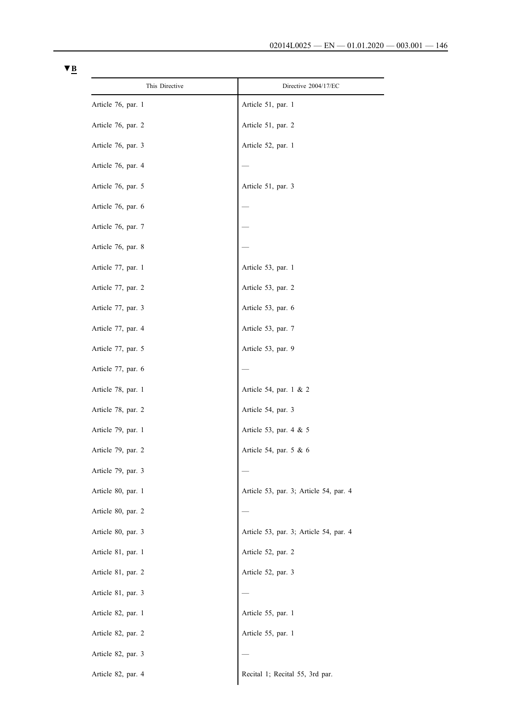| This Directive     | Directive 2004/17/EC                   |
|--------------------|----------------------------------------|
| Article 76, par. 1 | Article 51, par. 1                     |
| Article 76, par. 2 | Article 51, par. 2                     |
| Article 76, par. 3 | Article 52, par. 1                     |
| Article 76, par. 4 |                                        |
| Article 76, par. 5 | Article 51, par. 3                     |
| Article 76, par. 6 |                                        |
| Article 76, par. 7 |                                        |
| Article 76, par. 8 |                                        |
| Article 77, par. 1 | Article 53, par. 1                     |
| Article 77, par. 2 | Article 53, par. 2                     |
| Article 77, par. 3 | Article 53, par. 6                     |
| Article 77, par. 4 | Article 53, par. 7                     |
| Article 77, par. 5 | Article 53, par. 9                     |
| Article 77, par. 6 |                                        |
| Article 78, par. 1 | Article 54, par. 1 & 2                 |
| Article 78, par. 2 | Article 54, par. 3                     |
| Article 79, par. 1 | Article 53, par. 4 & 5                 |
| Article 79, par. 2 | Article 54, par. 5 & 6                 |
| Article 79, par. 3 |                                        |
| Article 80, par. 1 | Article 53, par. 3; Article 54, par. 4 |
| Article 80, par. 2 |                                        |
| Article 80, par. 3 | Article 53, par. 3; Article 54, par. 4 |
| Article 81, par. 1 | Article 52, par. 2                     |
| Article 81, par. 2 | Article 52, par. 3                     |
| Article 81, par. 3 |                                        |
| Article 82, par. 1 | Article 55, par. 1                     |
| Article 82, par. 2 | Article 55, par. 1                     |
| Article 82, par. 3 |                                        |
| Article 82, par. 4 | Recital 1; Recital 55, 3rd par.        |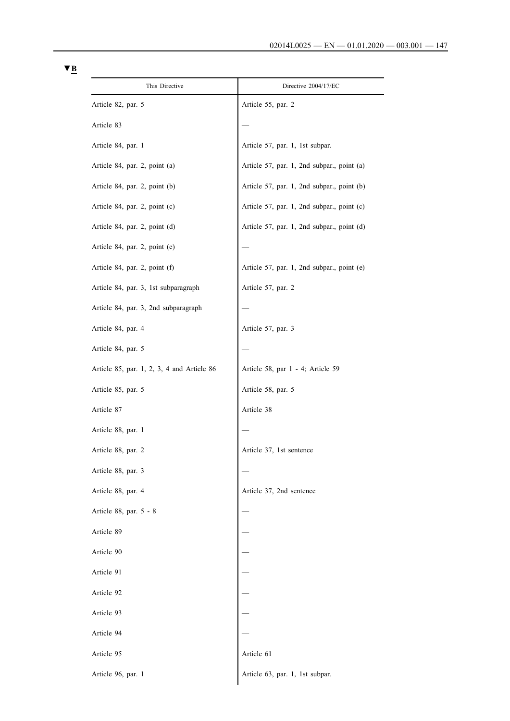| This Directive                                  | Directive 2004/17/EC                       |
|-------------------------------------------------|--------------------------------------------|
| Article 82, par. 5                              | Article 55, par. 2                         |
| Article 83                                      |                                            |
| Article 84, par. 1                              | Article 57, par. 1, 1st subpar.            |
| Article 84, par. 2, point (a)                   | Article 57, par. 1, 2nd subpar., point (a) |
| Article 84, par. 2, point (b)                   | Article 57, par. 1, 2nd subpar., point (b) |
| Article 84, par. 2, point (c)                   | Article 57, par. 1, 2nd subpar., point (c) |
| Article 84, par. 2, point (d)                   | Article 57, par. 1, 2nd subpar., point (d) |
| Article 84, par. 2, point (e)                   |                                            |
| Article 84, par. 2, point (f)                   | Article 57, par. 1, 2nd subpar., point (e) |
| Article 84, par. 3, 1st subparagraph            | Article 57, par. 2                         |
| Article 84, par. 3, 2nd subparagraph            |                                            |
| Article 84, par. 4                              | Article 57, par. 3                         |
| Article 84, par. 5                              |                                            |
| Article $85$ , par. 1, 2, 3, 4 and Article $86$ | Article 58, par 1 - 4; Article 59          |
| Article 85, par. 5                              | Article 58, par. 5                         |
| Article 87                                      | Article 38                                 |
| Article 88, par. 1                              |                                            |
| Article 88, par. 2                              | Article 37, 1st sentence                   |
| Article 88, par. 3                              |                                            |
| Article 88, par. 4                              | Article 37, 2nd sentence                   |
| Article 88, par. 5 - 8                          |                                            |
| Article 89                                      |                                            |
| Article 90                                      |                                            |
| Article 91                                      |                                            |
| Article 92                                      |                                            |
| Article 93                                      |                                            |
| Article 94                                      |                                            |
| Article 95                                      | Article 61                                 |
| Article 96, par. 1                              | Article 63, par. 1, 1st subpar.            |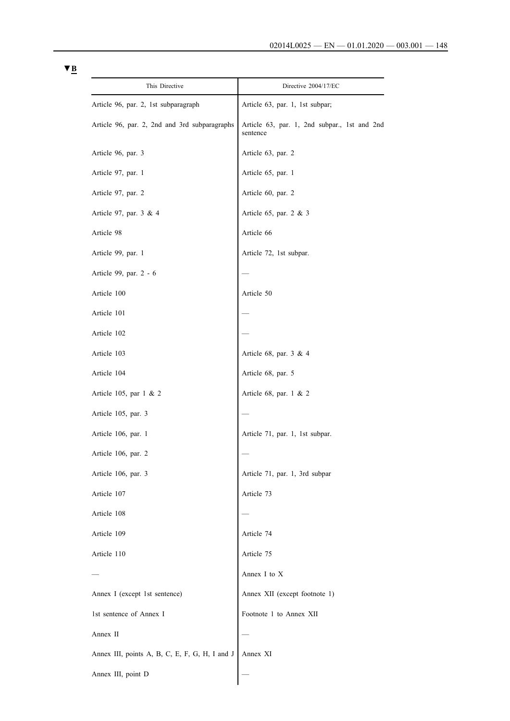| This Directive                                 | Directive 2004/17/EC                                     |
|------------------------------------------------|----------------------------------------------------------|
| Article 96, par. 2, 1st subparagraph           | Article 63, par. 1, 1st subpar;                          |
| Article 96, par. 2, 2nd and 3rd subparagraphs  | Article 63, par. 1, 2nd subpar., 1st and 2nd<br>sentence |
| Article 96, par. 3                             | Article 63, par. 2                                       |
| Article 97, par. 1                             | Article 65, par. 1                                       |
| Article 97, par. 2                             | Article 60, par. 2                                       |
| Article 97, par. 3 & 4                         | Article 65, par. 2 & 3                                   |
| Article 98                                     | Article 66                                               |
| Article 99, par. 1                             | Article 72, 1st subpar.                                  |
| Article 99, par. 2 - 6                         |                                                          |
| Article 100                                    | Article 50                                               |
| Article 101                                    |                                                          |
| Article 102                                    |                                                          |
| Article 103                                    | Article 68, par. 3 & 4                                   |
| Article 104                                    | Article 68, par. 5                                       |
| Article 105, par 1 & 2                         | Article 68, par. 1 & 2                                   |
| Article 105, par. 3                            |                                                          |
| Article 106, par. 1                            | Article 71, par. 1, 1st subpar.                          |
| Article 106, par. 2                            |                                                          |
| Article 106, par. 3                            | Article 71, par. 1, 3rd subpar                           |
| Article 107                                    | Article 73                                               |
| Article 108                                    |                                                          |
| Article 109                                    | Article 74                                               |
| Article 110                                    | Article 75                                               |
|                                                | Annex I to X                                             |
| Annex I (except 1st sentence)                  | Annex XII (except footnote 1)                            |
| 1st sentence of Annex I                        | Footnote 1 to Annex XII                                  |
| Annex II                                       |                                                          |
| Annex III, points A, B, C, E, F, G, H, I and J | Annex XI                                                 |
| Annex III, point D                             |                                                          |